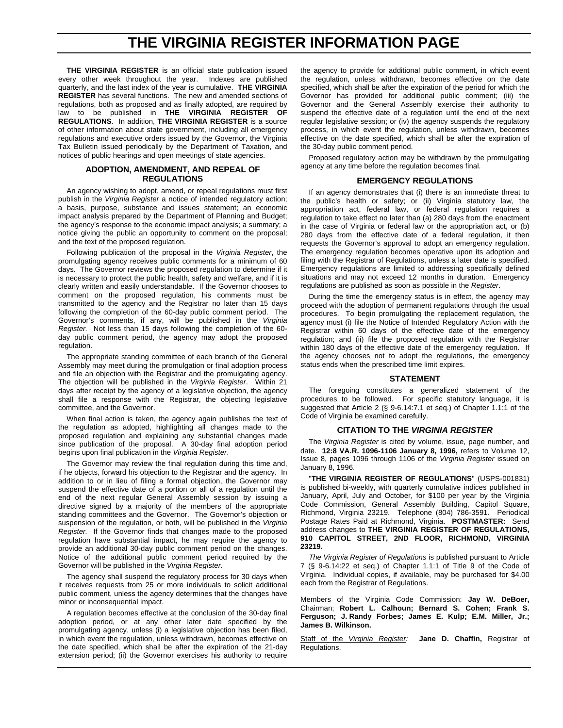# **THE VIRGINIA REGISTER INFORMATION PAGE**

**THE VIRGINIA REGISTER** is an official state publication issued every other week throughout the year. Indexes are published quarterly, and the last index of the year is cumulative. **THE VIRGINIA REGISTER** has several functions. The new and amended sections of regulations, both as proposed and as finally adopted, are required by law to be published in **THE VIRGINIA REGISTER OF REGULATIONS**. In addition, **THE VIRGINIA REGISTER** is a source of other information about state government, including all emergency regulations and executive orders issued by the Governor, the Virginia Tax Bulletin issued periodically by the Department of Taxation, and notices of public hearings and open meetings of state agencies.

#### **ADOPTION, AMENDMENT, AND REPEAL OF REGULATIONS**

An agency wishing to adopt, amend, or repeal regulations must first publish in the *Virginia Register* a notice of intended regulatory action; a basis, purpose, substance and issues statement; an economic impact analysis prepared by the Department of Planning and Budget; the agency's response to the economic impact analysis; a summary; a notice giving the public an opportunity to comment on the proposal; and the text of the proposed regulation.

Following publication of the proposal in the *Virginia Register*, the promulgating agency receives public comments for a minimum of 60 days. The Governor reviews the proposed regulation to determine if it is necessary to protect the public health, safety and welfare, and if it is clearly written and easily understandable. If the Governor chooses to comment on the proposed regulation, his comments must be transmitted to the agency and the Registrar no later than 15 days following the completion of the 60-day public comment period. The Governor's comments, if any, will be published in the *Virginia Register.* Not less than 15 days following the completion of the 60 day public comment period, the agency may adopt the proposed regulation.

The appropriate standing committee of each branch of the General Assembly may meet during the promulgation or final adoption process and file an objection with the Registrar and the promulgating agency. The objection will be published in the *Virginia Register*. Within 21 days after receipt by the agency of a legislative objection, the agency shall file a response with the Registrar, the objecting legislative committee, and the Governor.

When final action is taken, the agency again publishes the text of the regulation as adopted, highlighting all changes made to the proposed regulation and explaining any substantial changes made since publication of the proposal. A 30-day final adoption period begins upon final publication in the *Virginia Register*.

The Governor may review the final regulation during this time and, if he objects, forward his objection to the Registrar and the agency. In addition to or in lieu of filing a formal objection, the Governor may suspend the effective date of a portion or all of a regulation until the end of the next regular General Assembly session by issuing a directive signed by a majority of the members of the appropriate standing committees and the Governor. The Governor's objection or suspension of the regulation, or both, will be published in the *Virginia Register.* If the Governor finds that changes made to the proposed regulation have substantial impact, he may require the agency to provide an additional 30-day public comment period on the changes. Notice of the additional public comment period required by the Governor will be published in the *Virginia Register.*

The agency shall suspend the regulatory process for 30 days when it receives requests from 25 or more individuals to solicit additional public comment, unless the agency determines that the changes have minor or inconsequential impact.

A regulation becomes effective at the conclusion of the 30-day final adoption period, or at any other later date specified by the promulgating agency, unless (i) a legislative objection has been filed, in which event the regulation, unless withdrawn, becomes effective on the date specified, which shall be after the expiration of the 21-day extension period; (ii) the Governor exercises his authority to require

the agency to provide for additional public comment, in which event the regulation, unless withdrawn, becomes effective on the date specified, which shall be after the expiration of the period for which the Governor has provided for additional public comment; (iii) the Governor and the General Assembly exercise their authority to suspend the effective date of a regulation until the end of the next regular legislative session; or (iv) the agency suspends the regulatory process, in which event the regulation, unless withdrawn, becomes effective on the date specified, which shall be after the expiration of the 30-day public comment period.

Proposed regulatory action may be withdrawn by the promulgating agency at any time before the regulation becomes final.

#### **EMERGENCY REGULATIONS**

If an agency demonstrates that (i) there is an immediate threat to the public's health or safety; or (ii) Virginia statutory law, the appropriation act, federal law, or federal regulation requires a regulation to take effect no later than (a) 280 days from the enactment in the case of Virginia or federal law or the appropriation act, or (b) 280 days from the effective date of a federal regulation, it then requests the Governor's approval to adopt an emergency regulation. The emergency regulation becomes operative upon its adoption and filing with the Registrar of Regulations, unless a later date is specified. Emergency regulations are limited to addressing specifically defined situations and may not exceed 12 months in duration. Emergency regulations are published as soon as possible in the *Register*.

During the time the emergency status is in effect, the agency may proceed with the adoption of permanent regulations through the usual procedures. To begin promulgating the replacement regulation, the agency must (i) file the Notice of Intended Regulatory Action with the Registrar within 60 days of the effective date of the emergency regulation; and (ii) file the proposed regulation with the Registrar within 180 days of the effective date of the emergency regulation. If the agency chooses not to adopt the regulations, the emergency status ends when the prescribed time limit expires.

#### **STATEMENT**

The foregoing constitutes a generalized statement of the procedures to be followed. For specific statutory language, it is suggested that Article 2 (§ 9-6.14:7.1 et seq.) of Chapter 1.1:1 of the Code of Virginia be examined carefully.

#### **CITATION TO THE** *VIRGINIA REGISTER*

The *Virginia Register* is cited by volume, issue, page number, and date. **12:8 VA.R. 1096-1106 January 8, 1996,** refers to Volume 12, Issue 8, pages 1096 through 1106 of the *Virginia Register* issued on January 8, 1996.

"**THE VIRGINIA REGISTER OF REGULATIONS**" (USPS-001831) is published bi-weekly, with quarterly cumulative indices published in January, April, July and October, for \$100 per year by the Virginia Code Commission, General Assembly Building, Capitol Square, Richmond, Virginia 23219. Telephone (804) 786-3591. Periodical Postage Rates Paid at Richmond, Virginia. **POSTMASTER:** Send address changes to **THE VIRGINIA REGISTER OF REGULATIONS, 910 CAPITOL STREET, 2ND FLOOR, RICHMOND, VIRGINIA 23219.**

*The Virginia Register of Regulations* is published pursuant to Article 7 (§ 9-6.14:22 et seq.) of Chapter 1.1:1 of Title 9 of the Code of Virginia. Individual copies, if available, may be purchased for \$4.00 each from the Registrar of Regulations.

Members of the Virginia Code Commission: **Jay W. DeBoer,** Chairman; **Robert L. Calhoun; Bernard S. Cohen; Frank S. Ferguson; J. Randy Forbes; James E. Kulp; E.M. Miller, Jr.; James B. Wilkinson.**

Staff of the *Virginia Register:* **Jane D. Chaffin,** Registrar of Regulations.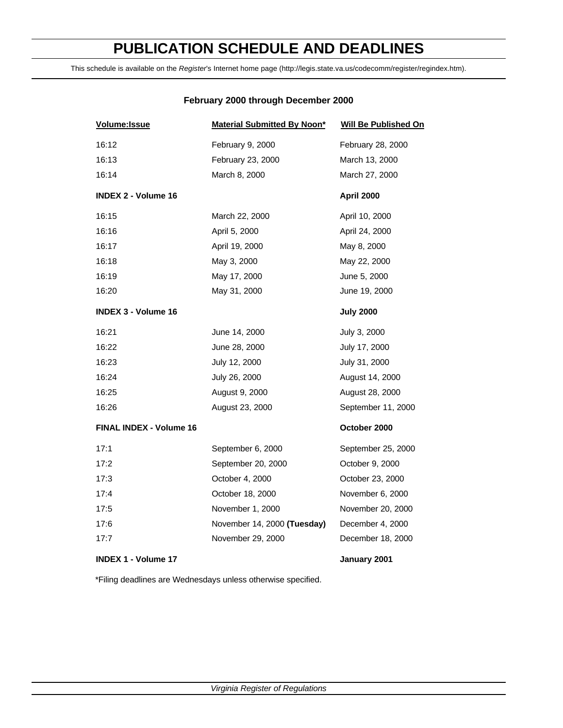# **PUBLICATION SCHEDULE AND DEADLINES**

This schedule is available on the *Register*'s Internet home page (http://legis.state.va.us/codecomm/register/regindex.htm).

# **February 2000 through December 2000**

| Volume: Issue                  | <b>Material Submitted By Noon*</b> | <b>Will Be Published On</b> |
|--------------------------------|------------------------------------|-----------------------------|
| 16:12                          | February 9, 2000                   | February 28, 2000           |
| 16:13                          | February 23, 2000                  | March 13, 2000              |
| 16:14                          | March 8, 2000                      | March 27, 2000              |
| <b>INDEX 2 - Volume 16</b>     |                                    | April 2000                  |
| 16:15                          | March 22, 2000                     | April 10, 2000              |
| 16:16                          | April 5, 2000                      | April 24, 2000              |
| 16:17                          | April 19, 2000                     | May 8, 2000                 |
| 16:18                          | May 3, 2000                        | May 22, 2000                |
| 16:19                          | May 17, 2000                       | June 5, 2000                |
| 16:20                          | May 31, 2000                       | June 19, 2000               |
| <b>INDEX 3 - Volume 16</b>     |                                    | <b>July 2000</b>            |
| 16:21                          | June 14, 2000                      | July 3, 2000                |
| 16:22                          | June 28, 2000                      | July 17, 2000               |
| 16:23                          | July 12, 2000                      | July 31, 2000               |
| 16:24                          | July 26, 2000                      | August 14, 2000             |
| 16:25                          | August 9, 2000                     | August 28, 2000             |
| 16:26                          | August 23, 2000                    | September 11, 2000          |
| <b>FINAL INDEX - Volume 16</b> |                                    | October 2000                |
| 17:1                           | September 6, 2000                  | September 25, 2000          |
| 17:2                           | September 20, 2000                 | October 9, 2000             |
| 17:3                           | October 4, 2000                    | October 23, 2000            |
| 17:4                           | October 18, 2000                   | November 6, 2000            |
| 17:5                           | November 1, 2000                   | November 20, 2000           |
| 17:6                           | November 14, 2000 (Tuesday)        | December 4, 2000            |
| 17:7                           | November 29, 2000                  | December 18, 2000           |
| <b>INDEX 1 - Volume 17</b>     |                                    | January 2001                |

\*Filing deadlines are Wednesdays unless otherwise specified.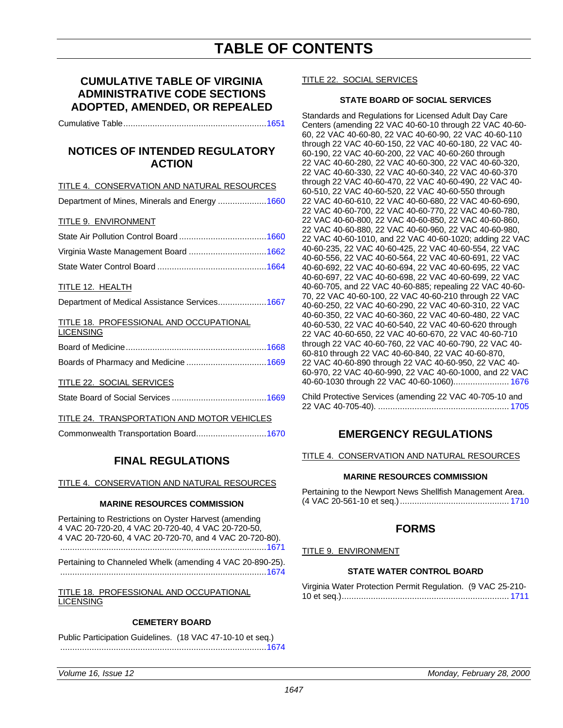# **CUMULATIVE TABLE OF VIRGINIA ADMINISTRATIVE CODE SECTIONS ADOPTED, AMENDED, OR REPEALED**

Cumulative Table.........................................................[..1651](#page-6-0)

# **NOTICES OF INTENDED REGULATORY ACTION**

TITLE 4. CONSERVATION AND NATURAL RESOURCES

Department of Mines, Minerals and Energy ..................[..1660](#page-15-0)

#### TITLE 9. ENVIRONMENT

#### TITLE 12. HEALTH

| Department of Medical Assistance Services1667 |  |  |  |
|-----------------------------------------------|--|--|--|
|-----------------------------------------------|--|--|--|

#### TITLE 18. PROFESSIONAL AND OCCUPATIONAL LICENSING

#### TITLE 22. SOCIAL SERVICES

#### TITLE 24. TRANSPORTATION AND MOTOR VEHICLES

Commonwealth Transportation Board...........................[..1670](#page-25-0)

# **FINAL REGULATIONS**

TITLE 4. CONSERVATION AND NATURAL RESOURCES

#### **MARINE RESOURCES COMMISSION**

Pertaining to Restrictions on Oyster Harvest (amending 4 VAC 20-720-20, 4 VAC 20-720-40, 4 VAC 20-720-50, 4 VAC 20-720-60, 4 VAC 20-720-70, and 4 VAC 20-720-80). ...................................................................................[..1671](#page-26-0)

Pertaining to Channeled Whelk (amending 4 VAC 20-890-25). .....................................................................................1674

TITLE 18. PROFESSIONAL AND OCCUPATIONAL **LICENSING** 

#### **CEMETERY BOARD**

Public Participation Guidelines. (18 VAC 47-10-10 et seq.) ...................................................................................[..1674](#page-29-0)

#### TITLE 22. SOCIAL SERVICES

### **STATE BOARD OF SOCIAL SERVICES**

Standards and Regulations for Licensed Adult Day Care Centers (amending 22 VAC 40-60-10 through 22 VAC 40-60- 60, 22 VAC 40-60-80, 22 VAC 40-60-90, 22 VAC 40-60-110 through 22 VAC 40-60-150, 22 VAC 40-60-180, 22 VAC 40- 60-190, 22 VAC 40-60-200, 22 VAC 40-60-260 through 22 VAC 40-60-280, 22 VAC 40-60-300, 22 VAC 40-60-320, 22 VAC 40-60-330, 22 VAC 40-60-340, 22 VAC 40-60-370 through 22 VAC 40-60-470, 22 VAC 40-60-490, 22 VAC 40- 60-510, 22 VAC 40-60-520, 22 VAC 40-60-550 through 22 VAC 40-60-610, 22 VAC 40-60-680, 22 VAC 40-60-690, 22 VAC 40-60-700, 22 VAC 40-60-770, 22 VAC 40-60-780, 22 VAC 40-60-800, 22 VAC 40-60-850, 22 VAC 40-60-860, 22 VAC 40-60-880, 22 VAC 40-60-960, 22 VAC 40-60-980, 22 VAC 40-60-1010, and 22 VAC 40-60-1020; adding 22 VAC 40-60-235, 22 VAC 40-60-425, 22 VAC 40-60-554, 22 VAC 40-60-556, 22 VAC 40-60-564, 22 VAC 40-60-691, 22 VAC 40-60-692, 22 VAC 40-60-694, 22 VAC 40-60-695, 22 VAC 40-60-697, 22 VAC 40-60-698, 22 VAC 40-60-699, 22 VAC 40-60-705, and 22 VAC 40-60-885; repealing 22 VAC 40-60- 70, 22 VAC 40-60-100, 22 VAC 40-60-210 through 22 VAC 40-60-250, 22 VAC 40-60-290, 22 VAC 40-60-310, 22 VAC 40-60-350, 22 VAC 40-60-360, 22 VAC 40-60-480, 22 VAC 40-60-530, 22 VAC 40-60-540, 22 VAC 40-60-620 through 22 VAC 40-60-650, 22 VAC 40-60-670, 22 VAC 40-60-710 through 22 VAC 40-60-760, 22 VAC 40-60-790, 22 VAC 40- 60-810 through 22 VAC 40-60-840, 22 VAC 40-60-870, 22 VAC 40-60-890 through 22 VAC 40-60-950, 22 VAC 40- 60-970, 22 VAC 40-60-990, 22 VAC 40-60-1000, and 22 VAC 40-60-1030 through 22 VAC 40-60-1060)....................... [1676](#page-31-0)

Child Protective Services (amending 22 VAC 40-705-10 and 22 VAC 40-705-40). ...................................................... [1705](#page-60-0)

# **EMERGENCY REGULATIONS**

TITLE 4. CONSERVATION AND NATURAL RESOURCES

#### **MARINE RESOURCES COMMISSION**

| Pertaining to the Newport News Shellfish Management Area. |  |
|-----------------------------------------------------------|--|
|                                                           |  |

# **FORMS**

TITLE 9. ENVIRONMENT

# **STATE WATER CONTROL BOARD**

| Virginia Water Protection Permit Regulation. (9 VAC 25-210- |  |
|-------------------------------------------------------------|--|
|                                                             |  |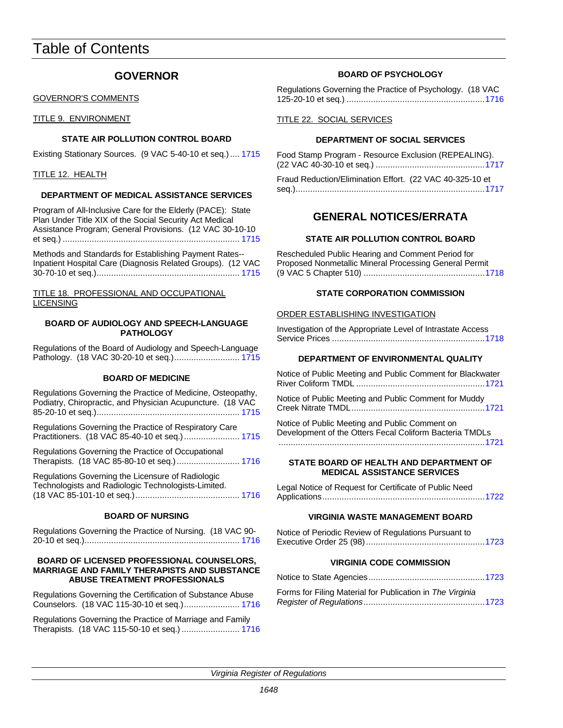# Table of Contents

# **GOVERNOR**

### GOVERNOR'S COMMENTS

TITLE 9. ENVIRONMENT

# **STATE AIR POLLUTION CONTROL BOARD**

Existing Stationary Sources. (9 VAC 5-40-10 et seq.).... 1715

### TITLE 12. HEALTH

# **DEPARTMENT OF MEDICAL ASSISTANCE SERVICES**

Program of All-Inclusive Care for the Elderly (PACE): State Plan Under Title XIX of the Social Security Act Medical Assistance Program; General Provisions. (12 VAC 30-10-10 et seq.) ......................................................................... 1715

Methods and Standards for Establishing Payment Rates-- Inpatient Hospital Care (Diagnosis Related Groups). (1[2 VAC](#page-70-0) 30-70-10 et seq.)........................................................... 1715

### TITLE 18. PROFESSIONAL AND OCCUPATIONAL LICENSING

#### **BOARD OF AUDIOLOGY AND SPEECH-LANGUAGE PATHOLOGY**

Regulations of the Board of Audiology and Speech-Language Pathology. (18 VAC 30-20-10 et seq.)........................... 1715

# **BOARD OF MEDICINE**

| Regulations Governing the Practice of Medicine, Osteopathy,<br>Podiatry, Chiropractic, and Physician Acupuncture. (18 VAC |
|---------------------------------------------------------------------------------------------------------------------------|
| Regulations Governing the Practice of Respiratory Care<br>Practitioners. (18 VAC 85-40-10 et seq.) 1715                   |
| Regulations Governing the Practice of Occupational<br>Therapists. (18 VAC 85-80-10 et seq.) 1716                          |
| Regulations Governing the Licensure of Radiologic<br>Technologists and Radiologic Technologists-Limited.                  |

# **BOARD OF NURSING**

Regulations Governing the Practice of Nursing. (18 VAC 90- 20-10 et seq.)................................................................ 1716

#### **BOARD OF LICENSED PROFESSIONAL COUNSELORS, MARRIAGE AND FAMILY THERAPISTS AND SUBST[ANCE](#page-71-0) ABUSE TREATMENT PROFESSIONALS**

Regulations Governing the Certification of Substance Abuse Counselors. (18 VAC 115-30-10 et seq.)....................... 1716

Regulations Governing the Practice of Marriage and Family Therapists. (18 VAC 115-50-10 et seq.) ........................ 1716

# **BOARD OF PSYCHOLOGY**

Regulations Governing the Practice of Psychology. (18 VAC 125-20-10 et seq.) .......................................................[..1716](#page-71-1)

### TITLE 22. SOCIAL SERVICES

# **DEPARTMENT OF SOCIAL SERVICES**

Food Stamp Program - Resource Exclusion (REPEALING). (22 VAC 40-30-10 et seq.) ...........................................[..1717](#page-72-0)

Fraud Reduction/Elimination Effort. (22 VAC 40-325-10 et seq.)..............................................................................1717

# **GENERAL NOTICES/ERRATA**

# **STATE AIR POLLUTION CONTROL BOARD**

Rescheduled Public Hearing and Comment Period for Proposed Nonmetallic Mineral Processing General Permit (9 VAC 5 Chapter 510) ..................................................1718

# **STATE CORPORATION COMMISSION**

### ORDER ESTABLISHING INVESTIGATION

Investigation of the Appropriate Level of Intrastate Access Service Prices ..............................................................[.1718](#page-73-0)

# **DEPARTMENT OF ENVIRONMENTAL QUALITY**

Notice of Public Meeting and Public Comment for Blackwater River Coliform TMDL .....................................................1721

Notice of Public Meeting and Public Comment for Muddy Creek Nitrate TMDL......................................................[.1721](#page-76-0)

Notice of Public Meeting and Public Comment on Development of the Otters Fecal Coliform Bacteria TMDLs .....................................................................................1721

#### **STATE BOARD OF HEALTH AND DEPARTMENT OF MEDICAL ASSISTANCE SERVICES**

Legal Notice of Request for Certificate of Public Need Applications..................................................................[.1722](#page-77-0)

### **VIRGINIA WASTE MANAGEMENT BOARD**

Notice of Periodic Review of Regulations Pursuant to Executive Order 25 (98)................................................[.1723](#page-78-0)

# **VIRGINIA CODE COMMISSION**

Notice to State Agencies................................................1723

Forms for Filing Material for Publication in *The Virginia Register of Regulations*..................................................1723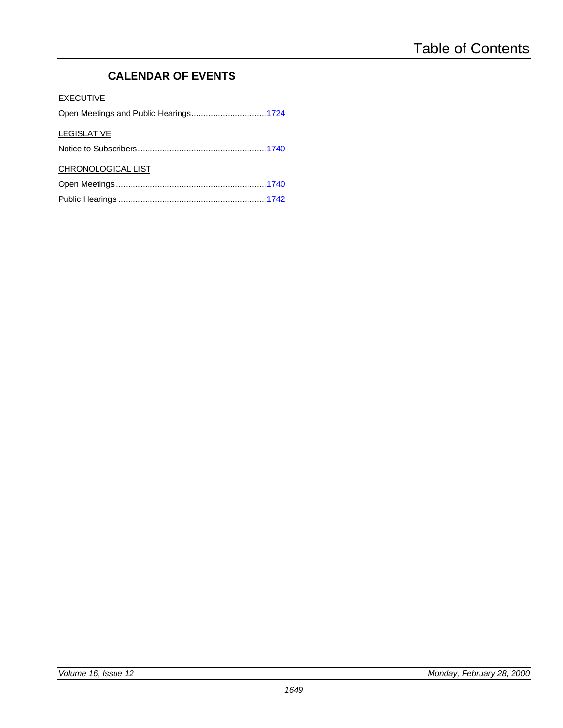# **CALENDAR OF EVENTS**

# **EXECUTIVE**

|  | Open Meetings and Public Hearings1724 |
|--|---------------------------------------|
|--|---------------------------------------|

# **LEGISLATIVE**

|--|--|--|--|--|--|

# CHRONOLOGICAL LIST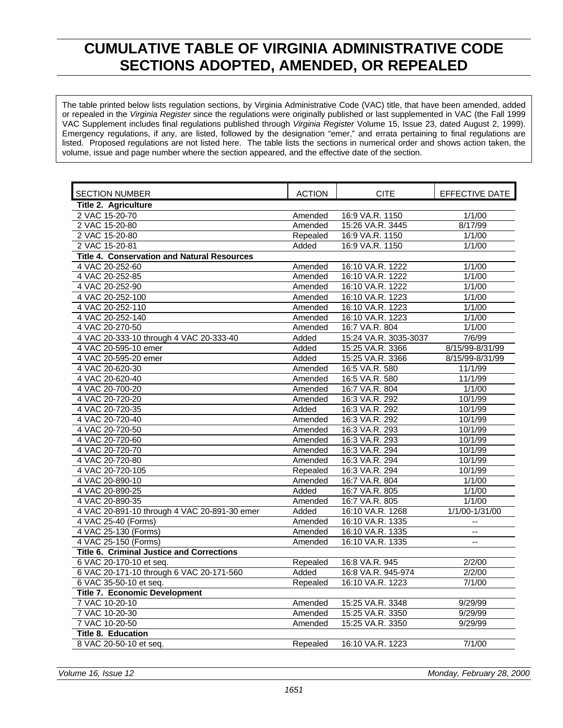# **CUMULATIVE TABLE OF VIRGINIA ADMINISTRATIVE CODE SECTIONS ADOPTED, AMENDED, OR REPEALED**

<span id="page-6-0"></span>The table printed below lists regulation sections, by Virginia Administrative Code (VAC) title, that have been amended, added or repealed in the *Virginia Register* since the regulations were originally published or last supplemented in VAC (the Fall 1999 VAC Supplement includes final regulations published through *Virginia Register* Volume 15, Issue 23, dated August 2, 1999). Emergency regulations, if any, are listed, followed by the designation "emer," and errata pertaining to final regulations are listed. Proposed regulations are not listed here. The table lists the sections in numerical order and shows action taken, the volume, issue and page number where the section appeared, and the effective date of the section.

| <b>SECTION NUMBER</b>                              | <b>ACTION</b> | CITE                  | EFFECTIVE DATE  |
|----------------------------------------------------|---------------|-----------------------|-----------------|
| Title 2. Agriculture                               |               |                       |                 |
| 2 VAC 15-20-70                                     | Amended       | 16:9 VA.R. 1150       | 1/1/00          |
| 2 VAC 15-20-80                                     | Amended       | 15:26 VA.R. 3445      | 8/17/99         |
| 2 VAC 15-20-80                                     | Repealed      | 16:9 VA.R. 1150       | 1/1/00          |
| 2 VAC 15-20-81                                     | Added         | 16:9 VA.R. 1150       | 1/1/00          |
| <b>Title 4. Conservation and Natural Resources</b> |               |                       |                 |
| 4 VAC 20-252-60                                    | Amended       | 16:10 VA.R. 1222      | 1/1/00          |
| 4 VAC 20-252-85                                    | Amended       | 16:10 VA.R. 1222      | 1/1/00          |
| 4 VAC 20-252-90                                    | Amended       | 16:10 VA.R. 1222      | 1/1/00          |
| 4 VAC 20-252-100                                   | Amended       | 16:10 VA.R. 1223      | 1/1/00          |
| 4 VAC 20-252-110                                   | Amended       | 16:10 VA.R. 1223      | 1/1/00          |
| 4 VAC 20-252-140                                   | Amended       | 16:10 VA.R. 1223      | 1/1/00          |
| 4 VAC 20-270-50                                    | Amended       | 16:7 VA.R. 804        | 1/1/00          |
| 4 VAC 20-333-10 through 4 VAC 20-333-40            | Added         | 15:24 VA.R. 3035-3037 | 7/6/99          |
| 4 VAC 20-595-10 emer                               | Added         | 15:25 VA.R. 3366      | 8/15/99-8/31/99 |
| 4 VAC 20-595-20 emer                               | Added         | 15:25 VA.R. 3366      | 8/15/99-8/31/99 |
| 4 VAC 20-620-30                                    | Amended       | 16:5 VA.R. 580        | 11/1/99         |
| 4 VAC 20-620-40                                    | Amended       | 16:5 VA.R. 580        | 11/1/99         |
| 4 VAC 20-700-20                                    | Amended       | 16:7 VA.R. 804        | 1/1/00          |
| 4 VAC 20-720-20                                    | Amended       | 16:3 VA.R. 292        | 10/1/99         |
| 4 VAC 20-720-35                                    | Added         | 16:3 VA.R. 292        | 10/1/99         |
| 4 VAC 20-720-40                                    | Amended       | 16:3 VA.R. 292        | 10/1/99         |
| 4 VAC 20-720-50                                    | Amended       | 16:3 VA.R. 293        | 10/1/99         |
| 4 VAC 20-720-60                                    | Amended       | 16:3 VA.R. 293        | 10/1/99         |
| 4 VAC 20-720-70                                    | Amended       | 16:3 VA.R. 294        | 10/1/99         |
| 4 VAC 20-720-80                                    | Amended       | 16:3 VA.R. 294        | 10/1/99         |
| 4 VAC 20-720-105                                   | Repealed      | 16:3 VA.R. 294        | 10/1/99         |
| 4 VAC 20-890-10                                    | Amended       | 16:7 VA.R. 804        | 1/1/00          |
| 4 VAC 20-890-25                                    | Added         | 16:7 VA.R. 805        | 1/1/00          |
| 4 VAC 20-890-35                                    | Amended       | 16:7 VA.R. 805        | 1/1/00          |
| 4 VAC 20-891-10 through 4 VAC 20-891-30 emer       | Added         | 16:10 VA.R. 1268      | 1/1/00-1/31/00  |
| 4 VAC 25-40 (Forms)                                | Amended       | 16:10 VA.R. 1335      |                 |
| 4 VAC 25-130 (Forms)                               | Amended       | 16:10 VA.R. 1335      | --              |
| 4 VAC 25-150 (Forms)                               | Amended       | 16:10 VA.R. 1335      | Ξ.              |
| <b>Title 6. Criminal Justice and Corrections</b>   |               |                       |                 |
| 6 VAC 20-170-10 et seq.                            | Repealed      | 16:8 VA.R. 945        | 2/2/00          |
| 6 VAC 20-171-10 through 6 VAC 20-171-560           | Added         | 16:8 VA.R. 945-974    | 2/2/00          |
| 6 VAC 35-50-10 et seq.                             | Repealed      | 16:10 VA.R. 1223      | 7/1/00          |
| <b>Title 7. Economic Development</b>               |               |                       |                 |
| 7 VAC 10-20-10                                     | Amended       | 15:25 VA.R. 3348      | 9/29/99         |
| 7 VAC 10-20-30                                     | Amended       | 15:25 VA.R. 3350      | 9/29/99         |
| 7 VAC 10-20-50                                     | Amended       | 15:25 VA.R. 3350      | 9/29/99         |
| <b>Title 8. Education</b>                          |               |                       |                 |
| 8 VAC 20-50-10 et seq.                             | Repealed      | 16:10 VA.R. 1223      | 7/1/00          |
|                                                    |               |                       |                 |

*Volume 16, Issue 12 Monday, February 28, 2000*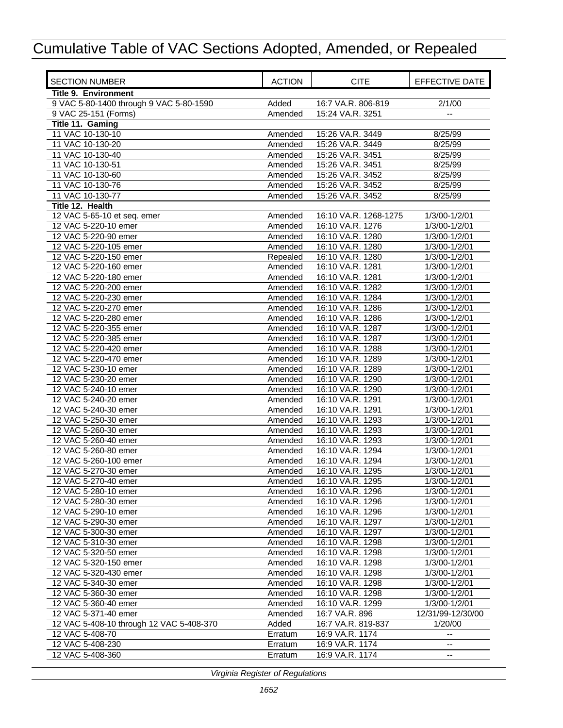| <b>SECTION NUMBER</b>                         | <b>ACTION</b>      | <b>CITE</b>                          | EFFECTIVE DATE                 |
|-----------------------------------------------|--------------------|--------------------------------------|--------------------------------|
| <b>Title 9. Environment</b>                   |                    |                                      |                                |
| 9 VAC 5-80-1400 through 9 VAC 5-80-1590       | Added              | 16:7 VA.R. 806-819                   | 2/1/00                         |
| 9 VAC 25-151 (Forms)                          | Amended            | 15:24 VA.R. 3251                     | $-$                            |
| Title 11. Gaming                              |                    |                                      |                                |
| 11 VAC 10-130-10                              | Amended            | 15:26 VA.R. 3449                     | 8/25/99                        |
| 11 VAC 10-130-20                              | Amended            | 15:26 VA.R. 3449                     | 8/25/99                        |
| 11 VAC 10-130-40                              | Amended            | 15:26 VA.R. 3451                     | 8/25/99                        |
| 11 VAC 10-130-51                              | Amended            | 15:26 VA.R. 3451                     | 8/25/99                        |
| 11 VAC 10-130-60                              | Amended            | 15:26 VA.R. 3452                     | 8/25/99                        |
| 11 VAC 10-130-76                              | Amended            | 15:26 VA.R. 3452                     | 8/25/99                        |
| 11 VAC 10-130-77                              | Amended            | 15:26 VA.R. 3452                     | 8/25/99                        |
| Title 12. Health                              |                    |                                      |                                |
| 12 VAC 5-65-10 et seq. emer                   | Amended            | 16:10 VA.R. 1268-1275                | 1/3/00-1/2/01                  |
| 12 VAC 5-220-10 emer                          | Amended            | 16:10 VA.R. 1276                     | 1/3/00-1/2/01                  |
| 12 VAC 5-220-90 emer                          | Amended            | 16:10 VA.R. 1280                     | 1/3/00-1/2/01                  |
| 12 VAC 5-220-105 emer                         | Amended            | 16:10 VA.R. 1280                     | 1/3/00-1/2/01                  |
| 12 VAC 5-220-150 emer                         | Repealed           | 16:10 VA.R. 1280                     | 1/3/00-1/2/01                  |
| 12 VAC 5-220-160 emer                         | Amended            | 16:10 VA.R. 1281                     | 1/3/00-1/2/01                  |
| 12 VAC 5-220-180 emer                         | Amended            | 16:10 VA.R. 1281                     | 1/3/00-1/2/01                  |
| 12 VAC 5-220-200 emer                         | Amended            | 16:10 VA.R. 1282                     | 1/3/00-1/2/01                  |
| 12 VAC 5-220-230 emer                         | Amended            | 16:10 VA.R. 1284                     | 1/3/00-1/2/01                  |
| 12 VAC 5-220-270 emer                         | Amended            | 16:10 VA.R. 1286                     | 1/3/00-1/2/01                  |
| 12 VAC 5-220-280 emer                         | Amended            | 16:10 VA.R. 1286                     | 1/3/00-1/2/01                  |
| 12 VAC 5-220-355 emer                         | Amended            | 16:10 VA.R. 1287                     | 1/3/00-1/2/01                  |
| 12 VAC 5-220-385 emer                         | Amended            | 16:10 VA.R. 1287                     | 1/3/00-1/2/01                  |
| 12 VAC 5-220-420 emer                         | Amended            | 16:10 VA.R. 1288                     | 1/3/00-1/2/01                  |
| 12 VAC 5-220-470 emer<br>12 VAC 5-230-10 emer | Amended            | 16:10 VA.R. 1289<br>16:10 VA.R. 1289 | 1/3/00-1/2/01<br>1/3/00-1/2/01 |
| 12 VAC 5-230-20 emer                          | Amended            | 16:10 VA.R. 1290                     | 1/3/00-1/2/01                  |
| 12 VAC 5-240-10 emer                          | Amended<br>Amended | 16:10 VA.R. 1290                     | 1/3/00-1/2/01                  |
| 12 VAC 5-240-20 emer                          | Amended            | 16:10 VA.R. 1291                     | 1/3/00-1/2/01                  |
| 12 VAC 5-240-30 emer                          | Amended            | 16:10 VA.R. 1291                     | 1/3/00-1/2/01                  |
| 12 VAC 5-250-30 emer                          | Amended            | 16:10 VA.R. 1293                     | 1/3/00-1/2/01                  |
| 12 VAC 5-260-30 emer                          | Amended            | 16:10 VA.R. 1293                     | 1/3/00-1/2/01                  |
| 12 VAC 5-260-40 emer                          | Amended            | 16:10 VA.R. 1293                     | 1/3/00-1/2/01                  |
| 12 VAC 5-260-80 emer                          | Amended            | 16:10 VA.R. 1294                     | 1/3/00-1/2/01                  |
| 12 VAC 5-260-100 emer                         | Amended            | 16:10 VA.R. 1294                     | 1/3/00-1/2/01                  |
| 12 VAC 5-270-30 emer                          | Amended            | 16:10 VA.R. 1295                     | 1/3/00-1/2/01                  |
| 12 VAC 5-270-40 emer                          | Amended            | 16:10 VA.R. 1295                     | 1/3/00-1/2/01                  |
| 12 VAC 5-280-10 emer                          | Amended            | 16:10 VA.R. 1296                     | 1/3/00-1/2/01                  |
| 12 VAC 5-280-30 emer                          | Amended            | 16:10 VA.R. 1296                     | 1/3/00-1/2/01                  |
| 12 VAC 5-290-10 emer                          | Amended            | 16:10 VA.R. 1296                     | 1/3/00-1/2/01                  |
| 12 VAC 5-290-30 emer                          | Amended            | 16:10 VA.R. 1297                     | 1/3/00-1/2/01                  |
| 12 VAC 5-300-30 emer                          | Amended            | 16:10 VA.R. 1297                     | 1/3/00-1/2/01                  |
| 12 VAC 5-310-30 emer                          | Amended            | 16:10 VA.R. 1298                     | 1/3/00-1/2/01                  |
| 12 VAC 5-320-50 emer                          | Amended            | 16:10 VA.R. 1298                     | 1/3/00-1/2/01                  |
| 12 VAC 5-320-150 emer                         | Amended            | 16:10 VA.R. 1298                     | 1/3/00-1/2/01                  |
| 12 VAC 5-320-430 emer                         | Amended            | 16:10 VA.R. 1298                     | 1/3/00-1/2/01                  |
| 12 VAC 5-340-30 emer                          | Amended            | 16:10 VA.R. 1298                     | 1/3/00-1/2/01                  |
| 12 VAC 5-360-30 emer                          | Amended            | 16:10 VA.R. 1298                     | 1/3/00-1/2/01                  |
| 12 VAC 5-360-40 emer                          | Amended            | 16:10 VA.R. 1299                     | 1/3/00-1/2/01                  |
| 12 VAC 5-371-40 emer                          | Amended            | 16:7 VA.R. 896                       | 12/31/99-12/30/00              |
| 12 VAC 5-408-10 through 12 VAC 5-408-370      | Added              | 16:7 VA.R. 819-837                   | 1/20/00                        |
| 12 VAC 5-408-70                               | Erratum            | 16:9 VA.R. 1174                      |                                |
| 12 VAC 5-408-230                              | Erratum            | 16:9 VA.R. 1174                      | ۰.                             |
| 12 VAC 5-408-360                              | Erratum            | 16:9 VA.R. 1174                      | $\overline{\phantom{a}}$       |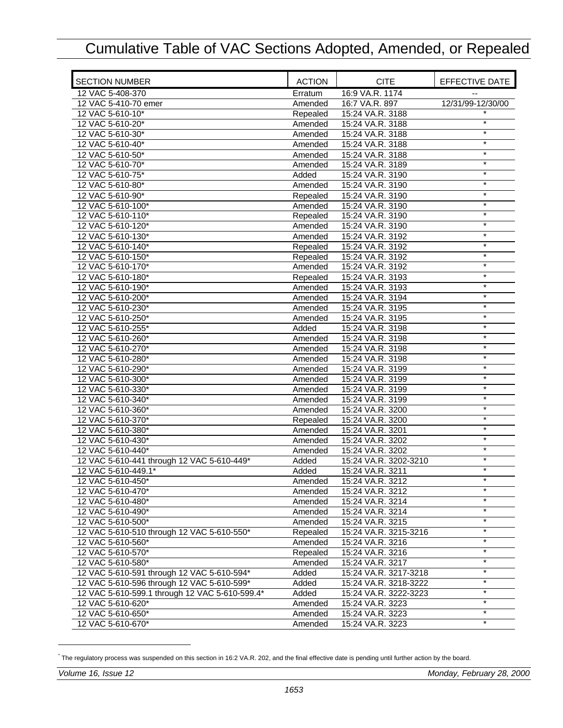| <b>SECTION NUMBER</b>                          | <b>ACTION</b>       | <b>CITE</b>                               | EFFECTIVE DATE    |
|------------------------------------------------|---------------------|-------------------------------------------|-------------------|
| 12 VAC 5-408-370                               | Erratum             | 16:9 VA.R. 1174                           |                   |
| 12 VAC 5-410-70 emer                           | Amended             | 16:7 VA.R. 897                            | 12/31/99-12/30/00 |
| 12 VAC 5-610-10*                               | Repealed            | 15:24 VA.R. 3188                          |                   |
| 12 VAC 5-610-20*                               | Amended             | 15:24 VA.R. 3188                          | $\star$           |
| 12 VAC 5-610-30*                               | Amended             | 15:24 VA.R. 3188                          | $\star$           |
| 12 VAC 5-610-40*                               | Amended             | 15:24 VA.R. 3188                          | $\star$           |
| 12 VAC 5-610-50*                               | Amended             | 15:24 VA.R. 3188                          | $\star$           |
| 12 VAC 5-610-70*                               | Amended             | 15:24 VA.R. 3189                          | $\star$           |
| 12 VAC 5-610-75*                               | Added               | 15:24 VA.R. 3190                          | $\ast$            |
| 12 VAC 5-610-80*                               | Amended             | 15:24 VA.R. 3190                          | $\star$           |
| 12 VAC 5-610-90*                               | Repealed            | 15:24 VA.R. 3190                          | $\star$           |
| 12 VAC 5-610-100*                              | Amended             | 15:24 VA.R. 3190                          | $\ast$            |
| 12 VAC 5-610-110*                              | Repealed            | 15:24 VA.R. 3190                          | $\star$           |
| 12 VAC 5-610-120*                              | Amended             | 15:24 VA.R. 3190                          | $\star$           |
| 12 VAC 5-610-130*                              | Amended             | 15:24 VA.R. 3192                          | $\star$           |
| 12 VAC 5-610-140*                              | Repealed            | 15:24 VA.R. 3192                          | $\star$           |
| 12 VAC 5-610-150*                              | Repealed            | 15:24 VA.R. 3192                          | $\ast$            |
| 12 VAC 5-610-170*                              | Amended             | 15:24 VA.R. 3192                          | $\star$           |
| 12 VAC 5-610-180*                              | Repealed            | 15:24 VA.R. 3193                          | $\star$           |
| 12 VAC 5-610-190*                              | Amended             | 15:24 VA.R. 3193                          | $\ast$            |
| 12 VAC 5-610-200*                              | Amended             | 15:24 VA.R. 3194                          | $\star$           |
| 12 VAC 5-610-230*                              | Amended             | 15:24 VA.R. 3195                          | $\star$           |
| 12 VAC 5-610-250*                              | Amended             | 15:24 VA.R. 3195                          | $\star$           |
| 12 VAC 5-610-255*                              | Added               | 15:24 VA.R. 3198                          | $\star$           |
| 12 VAC 5-610-260*                              | Amended             | 15:24 VA.R. 3198                          | $\star$           |
| 12 VAC 5-610-270*                              | Amended             | 15:24 VA.R. 3198                          | $\star$           |
| 12 VAC 5-610-280*                              | Amended             | 15:24 VA.R. 3198                          | $\star$           |
| 12 VAC 5-610-290*                              | Amended             | 15:24 VA.R. 3199                          | $\star$           |
| 12 VAC 5-610-300*                              | Amended             | 15:24 VA.R. 3199                          | $\star$           |
| 12 VAC 5-610-330*                              | Amended             | 15:24 VA.R. 3199                          | $\star$           |
| 12 VAC 5-610-340*                              | Amended             | 15:24 VA.R. 3199                          | $\star$           |
| 12 VAC 5-610-360*                              | Amended             | 15:24 VA.R. 3200                          | $\ast$            |
| 12 VAC 5-610-370*                              | Repealed            | 15:24 VA.R. 3200                          | $\star$           |
| 12 VAC 5-610-380*                              | Amended             | 15:24 VA.R. 3201                          | $\star$           |
| 12 VAC 5-610-430*                              | Amended             | 15:24 VA.R. 3202                          | $\star$           |
| 12 VAC 5-610-440*                              | Amended             | 15:24 VA.R. 3202                          | $\star$           |
| 12 VAC 5-610-441 through 12 VAC 5-610-449*     | Added               | 15:24 VA.R. 3202-3210                     | $\ast$            |
| 12 VAC 5-610-449.1*                            | Added               | 15:24 VA.R. 3211                          | $\star$           |
| 12 VAC 5-610-450*                              | Amended             | 15:24 VA.R. 3212                          | $\star$           |
| 12 VAC 5-610-470*                              | Amended             | 15:24 VA.R. 3212                          | $^\star$          |
| 12 VAC 5-610-480*                              | Amended             | 15:24 VA.R. 3214                          |                   |
| 12 VAC 5-610-490*                              | Amended             | 15:24 VA.R. 3214                          | $\star$           |
| 12 VAC 5-610-500*                              | Amended             | 15:24 VA.R. 3215                          | $\star$           |
| 12 VAC 5-610-510 through 12 VAC 5-610-550*     |                     |                                           | $\star$           |
| 12 VAC 5-610-560*                              | Repealed<br>Amended | 15:24 VA.R. 3215-3216<br>15:24 VA.R. 3216 | $\star$           |
| 12 VAC 5-610-570*                              |                     | 15:24 VA.R. 3216                          | $\star$           |
|                                                | Repealed            |                                           | $\star$           |
| 12 VAC 5-610-580*                              | Amended             | 15:24 VA.R. 3217                          | $\star$           |
| 12 VAC 5-610-591 through 12 VAC 5-610-594*     | Added               | 15:24 VA.R. 3217-3218                     | $\star$           |
| 12 VAC 5-610-596 through 12 VAC 5-610-599*     | Added               | 15:24 VA.R. 3218-3222                     | $\star$           |
| 12 VAC 5-610-599.1 through 12 VAC 5-610-599.4* | Added               | 15:24 VA.R. 3222-3223                     | $\star$           |
| 12 VAC 5-610-620*                              | Amended             | 15:24 VA.R. 3223                          | $\star$           |
| 12 VAC 5-610-650*                              | Amended             | 15:24 VA.R. 3223                          | $\star$           |
| 12 VAC 5-610-670*                              | Amended             | 15:24 VA.R. 3223                          |                   |

<sup>\*</sup> The regulatory process was suspended on this section in 16:2 VA.R. 202, and the final effective date is pending until further action by the board.

-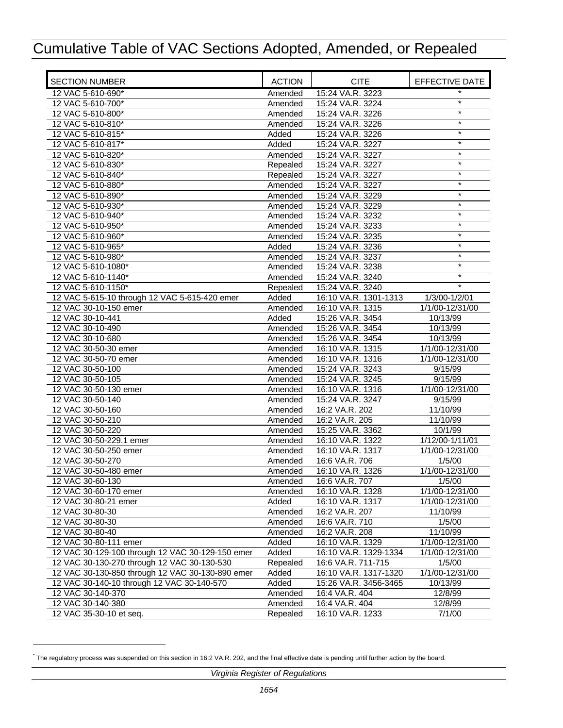| <b>SECTION NUMBER</b>                                                  | <b>ACTION</b>      | <b>CITE</b>                          | EFFECTIVE DATE       |
|------------------------------------------------------------------------|--------------------|--------------------------------------|----------------------|
| 12 VAC 5-610-690*                                                      | Amended            | 15:24 VA.R. 3223                     | $\star$              |
| 12 VAC 5-610-700*                                                      | Amended            | 15:24 VA.R. 3224                     | $\star$              |
| 12 VAC 5-610-800*                                                      | Amended            | 15:24 VA.R. 3226                     | $\star$              |
| 12 VAC 5-610-810*                                                      | Amended            | 15:24 VA.R. 3226                     | $\star$              |
| 12 VAC 5-610-815*                                                      | Added              | 15:24 VA.R. 3226                     | $\star$              |
| 12 VAC 5-610-817*                                                      | Added              | 15:24 VA.R. 3227                     | $\star$              |
| 12 VAC 5-610-820*                                                      | Amended            | 15:24 VA.R. 3227                     | $\star$              |
| 12 VAC 5-610-830*                                                      | Repealed           | 15:24 VA.R. 3227                     | $\star$              |
| 12 VAC 5-610-840*                                                      | Repealed           | 15:24 VA.R. 3227                     | $\star$              |
| 12 VAC 5-610-880*                                                      | Amended            | 15:24 VA.R. 3227                     | $\star$              |
| 12 VAC 5-610-890*                                                      | Amended            | 15:24 VA.R. 3229                     | $\ast$               |
| 12 VAC 5-610-930*<br>12 VAC 5-610-940*                                 | Amended            | 15:24 VA.R. 3229<br>15:24 VA.R. 3232 | $\star$              |
| 12 VAC 5-610-950*                                                      | Amended            | 15:24 VA.R. 3233                     | $\star$              |
| 12 VAC 5-610-960*                                                      | Amended            | 15:24 VA.R. 3235                     | $\star$              |
|                                                                        | Amended            |                                      | $\star$              |
| 12 VAC 5-610-965*                                                      | Added              | 15:24 VA.R. 3236                     | $\ast$               |
| 12 VAC 5-610-980*<br>12 VAC 5-610-1080*                                | Amended            | 15:24 VA.R. 3237<br>15:24 VA.R. 3238 | $\star$              |
|                                                                        | Amended            |                                      | $\star$              |
| 12 VAC 5-610-1140*<br>12 VAC 5-610-1150*                               | Amended            | 15:24 VA.R. 3240<br>15:24 VA.R. 3240 | $\ast$               |
|                                                                        | Repealed           | 16:10 VA.R. 1301-1313                |                      |
| 12 VAC 5-615-10 through 12 VAC 5-615-420 emer<br>12 VAC 30-10-150 emer | Added              |                                      | 1/3/00-1/2/01        |
| 12 VAC 30-10-441                                                       | Amended            | 16:10 VA.R. 1315<br>15:26 VA.R. 3454 | 1/1/00-12/31/00      |
|                                                                        | Added              |                                      | 10/13/99             |
| 12 VAC 30-10-490<br>12 VAC 30-10-680                                   | Amended            | 15:26 VA.R. 3454<br>15:26 VA.R. 3454 | 10/13/99<br>10/13/99 |
|                                                                        | Amended            | 16:10 VA.R. 1315                     | 1/1/00-12/31/00      |
| 12 VAC 30-50-30 emer<br>12 VAC 30-50-70 emer                           | Amended            | 16:10 VA.R. 1316                     | 1/1/00-12/31/00      |
| 12 VAC 30-50-100                                                       | Amended<br>Amended | 15:24 VA.R. 3243                     | 9/15/99              |
| 12 VAC 30-50-105                                                       | Amended            | 15:24 VA.R. 3245                     | 9/15/99              |
| 12 VAC 30-50-130 emer                                                  | Amended            | 16:10 VA.R. 1316                     | 1/1/00-12/31/00      |
| 12 VAC 30-50-140                                                       | Amended            | 15:24 VA.R. 3247                     | 9/15/99              |
| 12 VAC 30-50-160                                                       | Amended            | 16:2 VA.R. 202                       | 11/10/99             |
| 12 VAC 30-50-210                                                       | Amended            | 16:2 VA.R. 205                       | 11/10/99             |
| 12 VAC 30-50-220                                                       | Amended            | 15:25 VA.R. 3362                     | 10/1/99              |
| 12 VAC 30-50-229.1 emer                                                | Amended            | 16:10 VA.R. 1322                     | 1/12/00-1/11/01      |
| 12 VAC 30-50-250 emer                                                  | Amended            | 16:10 VA.R. 1317                     | 1/1/00-12/31/00      |
| 12 VAC 30-50-270                                                       | Amended            | 16:6 VA.R. 706                       | 1/5/00               |
| 12 VAC 30-50-480 emer                                                  | Amended            | 16:10 VA.R. 1326                     | 1/1/00-12/31/00      |
| 12 VAC 30-60-130                                                       | Amended            | 16:6 VA.R. 707                       | 1/5/00               |
| 12 VAC 30-60-170 emer                                                  | Amended            | 16:10 VA.R. 1328                     | 1/1/00-12/31/00      |
| 12 VAC 30-80-21 emer                                                   | Added              | 16:10 VA.R. 1317                     | 1/1/00-12/31/00      |
| 12 VAC 30-80-30                                                        | Amended            | 16:2 VA.R. 207                       | 11/10/99             |
| 12 VAC 30-80-30                                                        | Amended            | 16:6 VA.R. 710                       | 1/5/00               |
| 12 VAC 30-80-40                                                        | Amended            | 16:2 VA.R. 208                       | 11/10/99             |
| 12 VAC 30-80-111 emer                                                  | Added              | 16:10 VA.R. 1329                     | 1/1/00-12/31/00      |
| 12 VAC 30-129-100 through 12 VAC 30-129-150 emer                       | Added              | 16:10 VA.R. 1329-1334                | 1/1/00-12/31/00      |
| 12 VAC 30-130-270 through 12 VAC 30-130-530                            | Repealed           | 16:6 VA.R. 711-715                   | 1/5/00               |
| 12 VAC 30-130-850 through 12 VAC 30-130-890 emer                       | Added              | 16:10 VA.R. 1317-1320                | 1/1/00-12/31/00      |
| 12 VAC 30-140-10 through 12 VAC 30-140-570                             | Added              | 15:26 VA.R. 3456-3465                | 10/13/99             |
| 12 VAC 30-140-370                                                      | Amended            | 16:4 VA.R. 404                       | 12/8/99              |
| 12 VAC 30-140-380                                                      | Amended            | 16:4 VA.R. 404                       | 12/8/99              |
| 12 VAC 35-30-10 et seq.                                                | Repealed           | 16:10 VA.R. 1233                     | 7/1/00               |

<sup>\*</sup> The regulatory process was suspended on this section in 16:2 VA.R. 202, and the final effective date is pending until further action by the board.

 $\overline{a}$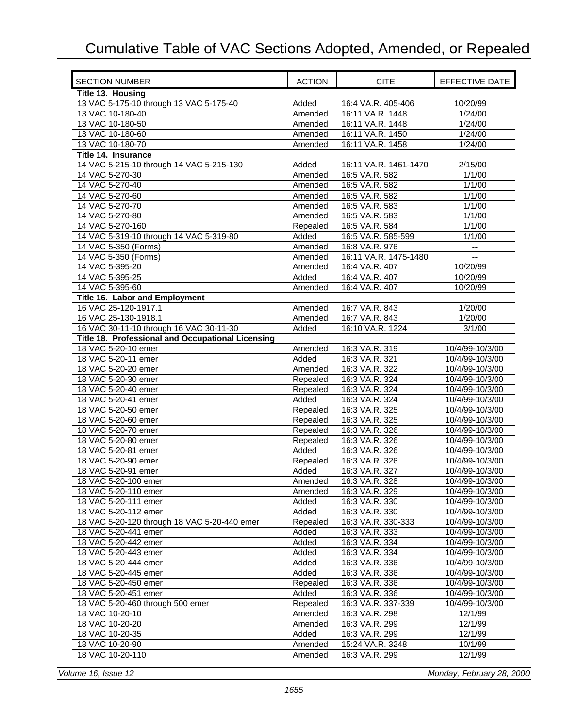| <b>SECTION NUMBER</b>                             | <b>ACTION</b> | <b>CITE</b>           | EFFECTIVE DATE           |
|---------------------------------------------------|---------------|-----------------------|--------------------------|
| Title 13. Housing                                 |               |                       |                          |
| 13 VAC 5-175-10 through 13 VAC 5-175-40           | Added         | 16:4 VA.R. 405-406    | 10/20/99                 |
| 13 VAC 10-180-40                                  | Amended       | 16:11 VA.R. 1448      | 1/24/00                  |
| 13 VAC 10-180-50                                  | Amended       | 16:11 VA.R. 1448      | 1/24/00                  |
| 13 VAC 10-180-60                                  | Amended       | 16:11 VA.R. 1450      | 1/24/00                  |
| 13 VAC 10-180-70                                  | Amended       | 16:11 VA.R. 1458      | 1/24/00                  |
| Title 14. Insurance                               |               |                       |                          |
| 14 VAC 5-215-10 through 14 VAC 5-215-130          | Added         | 16:11 VA.R. 1461-1470 | 2/15/00                  |
| 14 VAC 5-270-30                                   | Amended       | 16:5 VA.R. 582        | 1/1/00                   |
| 14 VAC 5-270-40                                   | Amended       | 16:5 VA.R. 582        | 1/1/00                   |
| 14 VAC 5-270-60                                   | Amended       | 16:5 VA.R. 582        | 1/1/00                   |
| 14 VAC 5-270-70                                   | Amended       | 16:5 VA.R. 583        | 1/1/00                   |
| 14 VAC 5-270-80                                   | Amended       | 16:5 VA.R. 583        | 1/1/00                   |
| 14 VAC 5-270-160                                  | Repealed      | 16:5 VA.R. 584        | 1/1/00                   |
| 14 VAC 5-319-10 through 14 VAC 5-319-80           | Added         | 16:5 VA.R. 585-599    | 1/1/00                   |
| 14 VAC 5-350 (Forms)                              | Amended       | 16:8 VA.R. 976        | $\overline{\phantom{a}}$ |
| 14 VAC 5-350 (Forms)                              | Amended       | 16:11 VA.R. 1475-1480 |                          |
| 14 VAC 5-395-20                                   | Amended       | 16:4 VA.R. 407        | 10/20/99                 |
| 14 VAC 5-395-25                                   | Added         | 16:4 VA.R. 407        | 10/20/99                 |
| 14 VAC 5-395-60                                   | Amended       | 16:4 VA.R. 407        | 10/20/99                 |
| Title 16. Labor and Employment                    |               |                       |                          |
| 16 VAC 25-120-1917.1                              | Amended       | 16:7 VA.R. 843        | 1/20/00                  |
| 16 VAC 25-130-1918.1                              | Amended       | 16:7 VA.R. 843        | 1/20/00                  |
| 16 VAC 30-11-10 through 16 VAC 30-11-30           | Added         | 16:10 VA.R. 1224      | 3/1/00                   |
| Title 18. Professional and Occupational Licensing |               |                       |                          |
| 18 VAC 5-20-10 emer                               | Amended       | 16:3 VA.R. 319        | 10/4/99-10/3/00          |
| 18 VAC 5-20-11 emer                               | Added         | 16:3 VA.R. 321        | 10/4/99-10/3/00          |
| 18 VAC 5-20-20 emer                               | Amended       | 16:3 VA.R. 322        | 10/4/99-10/3/00          |
| 18 VAC 5-20-30 emer                               | Repealed      | 16:3 VA.R. 324        | 10/4/99-10/3/00          |
| 18 VAC 5-20-40 emer                               | Repealed      | 16:3 VA.R. 324        | 10/4/99-10/3/00          |
| 18 VAC 5-20-41 emer                               | Added         | 16:3 VA.R. 324        | 10/4/99-10/3/00          |
| 18 VAC 5-20-50 emer                               | Repealed      | 16:3 VA.R. 325        | 10/4/99-10/3/00          |
| 18 VAC 5-20-60 emer                               | Repealed      | 16:3 VA.R. 325        | 10/4/99-10/3/00          |
| 18 VAC 5-20-70 emer                               | Repealed      | 16:3 VA.R. 326        | 10/4/99-10/3/00          |
| 18 VAC 5-20-80 emer                               | Repealed      | 16:3 VA.R. 326        | 10/4/99-10/3/00          |
| 18 VAC 5-20-81 emer                               | Added         | 16:3 VA.R. 326        | 10/4/99-10/3/00          |
| 18 VAC 5-20-90 emer                               | Repealed      | 16:3 VA.R. 326        | 10/4/99-10/3/00          |
| 18 VAC 5-20-91 emer                               | Added         | 16:3 VA.R. 327        | 10/4/99-10/3/00          |
| 18 VAC 5-20-100 emer                              | Amended       | 16:3 VA.R. 328        | 10/4/99-10/3/00          |
| 18 VAC 5-20-110 emer                              | Amended       | 16:3 VA.R. 329        | 10/4/99-10/3/00          |
| 18 VAC 5-20-111 emer                              | Added         | 16:3 VA.R. 330        | 10/4/99-10/3/00          |
| 18 VAC 5-20-112 emer                              | Added         | 16:3 VA.R. 330        | 10/4/99-10/3/00          |
| 18 VAC 5-20-120 through 18 VAC 5-20-440 emer      | Repealed      | 16:3 VA.R. 330-333    | 10/4/99-10/3/00          |
| 18 VAC 5-20-441 emer                              | Added         | 16:3 VA.R. 333        | 10/4/99-10/3/00          |
| 18 VAC 5-20-442 emer                              | Added         | 16:3 VA.R. 334        | 10/4/99-10/3/00          |
| 18 VAC 5-20-443 emer                              | Added         | 16:3 VA.R. 334        | 10/4/99-10/3/00          |
| 18 VAC 5-20-444 emer                              | Added         | 16:3 VA.R. 336        | 10/4/99-10/3/00          |
| 18 VAC 5-20-445 emer                              | Added         | 16:3 VA.R. 336        | 10/4/99-10/3/00          |
| 18 VAC 5-20-450 emer                              | Repealed      | 16:3 VA.R. 336        | 10/4/99-10/3/00          |
| 18 VAC 5-20-451 emer                              | Added         | 16:3 VA.R. 336        | 10/4/99-10/3/00          |
| 18 VAC 5-20-460 through 500 emer                  | Repealed      | 16:3 VA.R. 337-339    | 10/4/99-10/3/00          |
| 18 VAC 10-20-10                                   | Amended       | 16:3 VA.R. 298        | 12/1/99                  |
| 18 VAC 10-20-20                                   | Amended       | 16:3 VA.R. 299        | 12/1/99                  |
| 18 VAC 10-20-35                                   | Added         | 16:3 VA.R. 299        | 12/1/99                  |
| 18 VAC 10-20-90                                   | Amended       | 15:24 VA.R. 3248      | 10/1/99                  |
| 18 VAC 10-20-110                                  | Amended       | 16:3 VA.R. 299        | 12/1/99                  |
|                                                   |               |                       |                          |

*Volume 16, Issue 12 Monday, February 28, 2000*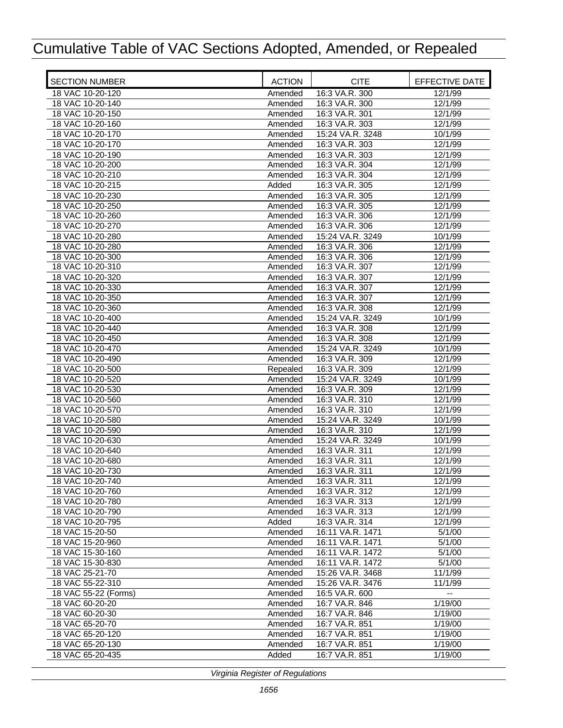| <b>SECTION NUMBER</b>                | <b>ACTION</b>       | <b>CITE</b>                        | EFFECTIVE DATE           |
|--------------------------------------|---------------------|------------------------------------|--------------------------|
| 18 VAC 10-20-120                     | Amended             | 16:3 VA.R. 300                     | 12/1/99                  |
| 18 VAC 10-20-140                     | Amended             | 16:3 VA.R. 300                     | 12/1/99                  |
| 18 VAC 10-20-150                     | Amended             | 16:3 VA.R. 301                     | 12/1/99                  |
| 18 VAC 10-20-160                     | Amended             | 16:3 VA.R. 303                     | 12/1/99                  |
| 18 VAC 10-20-170                     | Amended             | 15:24 VA.R. 3248                   | 10/1/99                  |
| 18 VAC 10-20-170                     | Amended             | 16:3 VA.R. 303                     | 12/1/99                  |
| 18 VAC 10-20-190                     | Amended             | 16:3 VA.R. 303                     | 12/1/99                  |
| 18 VAC 10-20-200                     | Amended             | 16:3 VA.R. 304                     | 12/1/99                  |
| 18 VAC 10-20-210                     | Amended             | 16:3 VA.R. 304                     | 12/1/99                  |
| 18 VAC 10-20-215                     | Added               | 16:3 VA.R. 305                     | 12/1/99                  |
| 18 VAC 10-20-230                     | Amended             | 16:3 VA.R. 305                     | 12/1/99                  |
| 18 VAC 10-20-250                     | Amended             | 16:3 VA.R. 305                     | 12/1/99                  |
| 18 VAC 10-20-260                     | Amended             | 16:3 VA.R. 306                     | 12/1/99                  |
| 18 VAC 10-20-270                     | Amended             | 16:3 VA.R. 306                     | 12/1/99                  |
| 18 VAC 10-20-280                     | Amended             | 15:24 VA.R. 3249                   | 10/1/99                  |
| 18 VAC 10-20-280                     | Amended             | 16:3 VA.R. 306                     | 12/1/99                  |
| 18 VAC 10-20-300                     | Amended             | 16:3 VA.R. 306                     | 12/1/99                  |
| 18 VAC 10-20-310                     | Amended             | 16:3 VA.R. 307                     | 12/1/99                  |
| 18 VAC 10-20-320                     | Amended             | 16:3 VA.R. 307                     | 12/1/99                  |
| 18 VAC 10-20-330                     | Amended             | 16:3 VA.R. 307                     | 12/1/99                  |
| 18 VAC 10-20-350                     | Amended             | 16:3 VA.R. 307                     | 12/1/99                  |
| 18 VAC 10-20-360                     | Amended             | 16:3 VA.R. 308                     | 12/1/99                  |
| 18 VAC 10-20-400                     | Amended             | 15:24 VA.R. 3249                   | 10/1/99                  |
| 18 VAC 10-20-440                     | Amended             | 16:3 VA.R. 308                     | 12/1/99                  |
| 18 VAC 10-20-450<br>18 VAC 10-20-470 | Amended             | 16:3 VA.R. 308<br>15:24 VA.R. 3249 | 12/1/99<br>10/1/99       |
| 18 VAC 10-20-490                     | Amended             | 16:3 VA.R. 309                     | 12/1/99                  |
| 18 VAC 10-20-500                     | Amended             | 16:3 VA.R. 309                     | 12/1/99                  |
| 18 VAC 10-20-520                     | Repealed<br>Amended | 15:24 VA.R. 3249                   | 10/1/99                  |
| 18 VAC 10-20-530                     | Amended             | 16:3 VA.R. 309                     | 12/1/99                  |
| 18 VAC 10-20-560                     | Amended             | 16:3 VA.R. 310                     | 12/1/99                  |
| 18 VAC 10-20-570                     | Amended             | 16:3 VA.R. 310                     | 12/1/99                  |
| 18 VAC 10-20-580                     | Amended             | 15:24 VA.R. 3249                   | 10/1/99                  |
| 18 VAC 10-20-590                     | Amended             | 16:3 VA.R. 310                     | 12/1/99                  |
| 18 VAC 10-20-630                     | Amended             | 15:24 VA.R. 3249                   | 10/1/99                  |
| 18 VAC 10-20-640                     | Amended             | 16:3 VA.R. 311                     | 12/1/99                  |
| 18 VAC 10-20-680                     | Amended             | 16:3 VA.R. 311                     | 12/1/99                  |
| 18 VAC 10-20-730                     | Amended             | 16:3 VA.R. 311                     | 12/1/99                  |
| 18 VAC 10-20-740                     | Amended             | 16:3 VA.R. 311                     | 12/1/99                  |
| 18 VAC 10-20-760                     | Amended             | 16:3 VA.R. 312                     | 12/1/99                  |
| 18 VAC 10-20-780                     | Amended             | 16:3 VA.R. 313                     | 12/1/99                  |
| 18 VAC 10-20-790                     | Amended             | 16:3 VA.R. 313                     | 12/1/99                  |
| 18 VAC 10-20-795                     | Added               | 16:3 VA.R. 314                     | 12/1/99                  |
| 18 VAC 15-20-50                      | Amended             | 16:11 VA.R. 1471                   | 5/1/00                   |
| 18 VAC 15-20-960                     | Amended             | 16:11 VA.R. 1471                   | 5/1/00                   |
| 18 VAC 15-30-160                     | Amended             | 16:11 VA.R. 1472                   | 5/1/00                   |
| 18 VAC 15-30-830                     | Amended             | 16:11 VA.R. 1472                   | 5/1/00                   |
| 18 VAC 25-21-70                      | Amended             | 15:26 VA.R. 3468                   | 11/1/99                  |
| 18 VAC 55-22-310                     | Amended             | 15:26 VA.R. 3476                   | 11/1/99                  |
| 18 VAC 55-22 (Forms)                 | Amended             | 16:5 VA.R. 600                     | $\overline{\phantom{a}}$ |
| 18 VAC 60-20-20                      | Amended             | 16:7 VA.R. 846                     | 1/19/00                  |
| 18 VAC 60-20-30                      | Amended             | 16:7 VA.R. 846                     | 1/19/00                  |
| 18 VAC 65-20-70                      | Amended             | 16:7 VA.R. 851                     | 1/19/00                  |
| 18 VAC 65-20-120                     | Amended             | 16:7 VA.R. 851                     | 1/19/00                  |
| 18 VAC 65-20-130                     | Amended             | 16:7 VA.R. 851                     | 1/19/00                  |
| 18 VAC 65-20-435                     | Added               | 16:7 VA.R. 851                     | 1/19/00                  |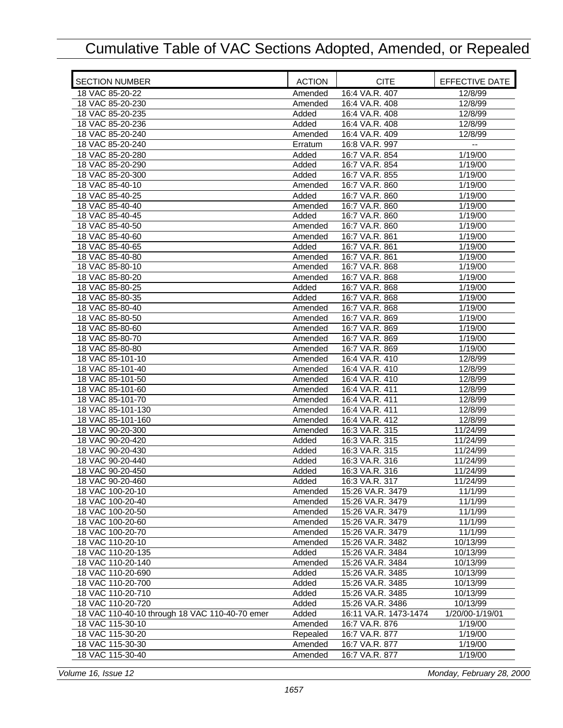| <b>SECTION NUMBER</b>                          | <b>ACTION</b> | <b>CITE</b>           | EFFECTIVE DATE  |
|------------------------------------------------|---------------|-----------------------|-----------------|
| 18 VAC 85-20-22                                | Amended       | 16:4 VA.R. 407        | 12/8/99         |
| 18 VAC 85-20-230                               | Amended       | 16:4 VA.R. 408        | 12/8/99         |
| 18 VAC 85-20-235                               | Added         | 16:4 VA.R. 408        | 12/8/99         |
| 18 VAC 85-20-236                               | Added         | 16:4 VA.R. 408        | 12/8/99         |
| 18 VAC 85-20-240                               | Amended       | 16:4 VA.R. 409        | 12/8/99         |
| 18 VAC 85-20-240                               | Erratum       | 16:8 VA.R. 997        | --              |
| 18 VAC 85-20-280                               | Added         | 16:7 VA.R. 854        | 1/19/00         |
| 18 VAC 85-20-290                               | Added         | 16:7 VA.R. 854        | 1/19/00         |
| 18 VAC 85-20-300                               | Added         | 16:7 VA.R. 855        | 1/19/00         |
| 18 VAC 85-40-10                                | Amended       | 16:7 VA.R. 860        | 1/19/00         |
| 18 VAC 85-40-25                                | Added         | 16:7 VA.R. 860        | 1/19/00         |
| 18 VAC 85-40-40                                | Amended       | 16:7 VA.R. 860        | 1/19/00         |
| 18 VAC 85-40-45                                | Added         | 16:7 VA.R. 860        | 1/19/00         |
| 18 VAC 85-40-50                                | Amended       | 16:7 VA.R. 860        | 1/19/00         |
| 18 VAC 85-40-60                                | Amended       | 16:7 VA.R. 861        | 1/19/00         |
| 18 VAC 85-40-65                                | Added         | 16:7 VA.R. 861        | 1/19/00         |
| 18 VAC 85-40-80                                | Amended       | 16:7 VA.R. 861        | 1/19/00         |
| 18 VAC 85-80-10                                | Amended       | 16:7 VA.R. 868        | 1/19/00         |
| 18 VAC 85-80-20                                | Amended       | 16:7 VA.R. 868        | 1/19/00         |
| 18 VAC 85-80-25                                | Added         | 16:7 VA.R. 868        | 1/19/00         |
| 18 VAC 85-80-35                                | Added         | 16:7 VA.R. 868        | 1/19/00         |
| 18 VAC 85-80-40                                | Amended       | 16:7 VA.R. 868        | 1/19/00         |
| 18 VAC 85-80-50                                | Amended       | 16:7 VA.R. 869        | 1/19/00         |
| 18 VAC 85-80-60                                | Amended       | 16:7 VA.R. 869        | 1/19/00         |
| 18 VAC 85-80-70                                | Amended       | 16:7 VA.R. 869        | 1/19/00         |
| 18 VAC 85-80-80                                | Amended       | 16:7 VA.R. 869        | 1/19/00         |
| 18 VAC 85-101-10                               | Amended       | 16:4 VA.R. 410        | 12/8/99         |
| 18 VAC 85-101-40                               | Amended       | 16:4 VA.R. 410        | 12/8/99         |
| 18 VAC 85-101-50                               | Amended       | 16:4 VA.R. 410        | 12/8/99         |
| 18 VAC 85-101-60                               | Amended       | 16:4 VA.R. 411        | 12/8/99         |
| 18 VAC 85-101-70                               | Amended       | 16:4 VA.R. 411        | 12/8/99         |
| 18 VAC 85-101-130                              | Amended       | 16:4 VA.R. 411        | 12/8/99         |
| 18 VAC 85-101-160                              | Amended       | 16:4 VA.R. 412        | 12/8/99         |
| 18 VAC 90-20-300                               | Amended       | 16:3 VA.R. 315        | 11/24/99        |
| 18 VAC 90-20-420                               | Added         | 16:3 VA.R. 315        | 11/24/99        |
| 18 VAC 90-20-430                               | Added         | 16:3 VA.R. 315        | 11/24/99        |
| 18 VAC 90-20-440                               | Added         | 16:3 VA.R. 316        | 11/24/99        |
| 18 VAC 90-20-450                               | Added         | 16:3 VA.R. 316        | 11/24/99        |
| 18 VAC 90-20-460                               | Added         | 16:3 VA.R. 317        | 11/24/99        |
| 18 VAC 100-20-10                               | Amended       | 15:26 VA.R. 3479      | 11/1/99         |
| 18 VAC 100-20-40                               | Amended       | 15:26 VA.R. 3479      | 11/1/99         |
| 18 VAC 100-20-50                               | Amended       | 15:26 VA.R. 3479      | 11/1/99         |
| 18 VAC 100-20-60                               | Amended       | 15:26 VA.R. 3479      | 11/1/99         |
| 18 VAC 100-20-70                               | Amended       | 15:26 VA.R. 3479      | 11/1/99         |
| 18 VAC 110-20-10                               | Amended       | 15:26 VA.R. 3482      | 10/13/99        |
| 18 VAC 110-20-135                              | Added         | 15:26 VA.R. 3484      | 10/13/99        |
| 18 VAC 110-20-140                              | Amended       | 15:26 VA.R. 3484      | 10/13/99        |
| 18 VAC 110-20-690                              | Added         | 15:26 VA.R. 3485      | 10/13/99        |
| 18 VAC 110-20-700                              | Added         | 15:26 VA.R. 3485      | 10/13/99        |
| 18 VAC 110-20-710                              | Added         | 15:26 VA.R. 3485      | 10/13/99        |
| 18 VAC 110-20-720                              | Added         | 15:26 VA.R. 3486      | 10/13/99        |
| 18 VAC 110-40-10 through 18 VAC 110-40-70 emer | Added         | 16:11 VA.R. 1473-1474 | 1/20/00-1/19/01 |
| 18 VAC 115-30-10                               | Amended       | 16:7 VA.R. 876        | 1/19/00         |
| 18 VAC 115-30-20                               | Repealed      | 16:7 VA.R. 877        | 1/19/00         |
| 18 VAC 115-30-30                               | Amended       | 16:7 VA.R. 877        | 1/19/00         |
|                                                |               |                       |                 |
| 18 VAC 115-30-40                               | Amended       | 16:7 VA.R. 877        | 1/19/00         |

*Volume 16, Issue 12 Monday, February 28, 2000*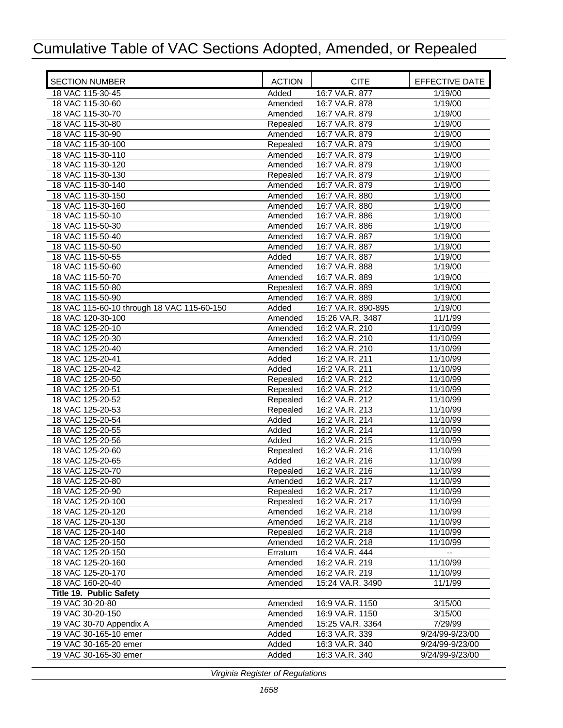| <b>SECTION NUMBER</b>                      | <b>ACTION</b> | <b>CITE</b>        | EFFECTIVE DATE       |
|--------------------------------------------|---------------|--------------------|----------------------|
| 18 VAC 115-30-45                           | Added         | 16:7 VA.R. 877     | 1/19/00              |
| 18 VAC 115-30-60                           | Amended       | 16:7 VA.R. 878     | 1/19/00              |
| 18 VAC 115-30-70                           | Amended       | 16:7 VA.R. 879     | 1/19/00              |
| 18 VAC 115-30-80                           | Repealed      | 16:7 VA.R. 879     | 1/19/00              |
| 18 VAC 115-30-90                           | Amended       | 16:7 VA.R. 879     | 1/19/00              |
| 18 VAC 115-30-100                          | Repealed      | 16:7 VA.R. 879     | 1/19/00              |
| 18 VAC 115-30-110                          | Amended       | 16:7 VA.R. 879     | $\frac{1}{1}$ /19/00 |
| 18 VAC 115-30-120                          | Amended       | 16:7 VA.R. 879     | 1/19/00              |
| 18 VAC 115-30-130                          | Repealed      | 16:7 VA.R. 879     | 1/19/00              |
| 18 VAC 115-30-140                          | Amended       | 16:7 VA.R. 879     | 1/19/00              |
| 18 VAC 115-30-150                          | Amended       | 16:7 VA.R. 880     | 1/19/00              |
| 18 VAC 115-30-160                          | Amended       | 16:7 VA.R. 880     | 1/19/00              |
| 18 VAC 115-50-10                           | Amended       | 16:7 VA.R. 886     | $\frac{1}{1}$ 19/00  |
| 18 VAC 115-50-30                           | Amended       | 16:7 VA.R. 886     | 1/19/00              |
| 18 VAC 115-50-40                           | Amended       | 16:7 VA.R. 887     | 1/19/00              |
| 18 VAC 115-50-50                           | Amended       | 16:7 VA.R. 887     | 1/19/00              |
| 18 VAC 115-50-55                           | Added         | 16:7 VA.R. 887     | 1/19/00              |
| 18 VAC 115-50-60                           | Amended       | 16:7 VA.R. 888     | 1/19/00              |
| 18 VAC 115-50-70                           | Amended       | 16:7 VA.R. 889     | 1/19/00              |
| 18 VAC 115-50-80                           | Repealed      | 16:7 VA.R. 889     | 1/19/00              |
| 18 VAC 115-50-90                           | Amended       | 16:7 VA.R. 889     | 1/19/00              |
| 18 VAC 115-60-10 through 18 VAC 115-60-150 | Added         | 16:7 VA.R. 890-895 | 1/19/00              |
| 18 VAC 120-30-100                          | Amended       | 15:26 VA.R. 3487   | 11/1/99              |
| 18 VAC 125-20-10                           | Amended       | 16:2 VA.R. 210     | 11/10/99             |
| 18 VAC 125-20-30                           | Amended       | 16:2 VA.R. 210     | 11/10/99             |
| 18 VAC 125-20-40                           | Amended       | 16:2 VA.R. 210     | 11/10/99             |
| 18 VAC 125-20-41                           | Added         | 16:2 VA.R. 211     | 11/10/99             |
| 18 VAC 125-20-42                           | Added         | 16:2 VA.R. 211     | 11/10/99             |
| 18 VAC 125-20-50                           | Repealed      | 16:2 VA.R. 212     | 11/10/99             |
| 18 VAC 125-20-51                           | Repealed      | 16:2 VA.R. 212     | 11/10/99             |
| 18 VAC 125-20-52                           | Repealed      | 16:2 VA.R. 212     | 11/10/99             |
| 18 VAC 125-20-53                           | Repealed      | 16:2 VA.R. 213     | 11/10/99             |
| 18 VAC 125-20-54                           | Added         | 16:2 VA.R. 214     | 11/10/99             |
| 18 VAC 125-20-55                           | Added         | 16:2 VA.R. 214     | 11/10/99             |
| 18 VAC 125-20-56                           | Added         | 16:2 VA.R. 215     | 11/10/99             |
| 18 VAC 125-20-60                           | Repealed      | 16:2 VA.R. 216     | 11/10/99             |
| 18 VAC 125-20-65                           | Added         | 16:2 VA.R. 216     | 11/10/99             |
| 18 VAC 125-20-70                           | Repealed      | 16:2 VA.R. 216     | 11/10/99             |
| 18 VAC 125-20-80                           | Amended       | 16:2 VA.R. 217     | 11/10/99             |
| 18 VAC 125-20-90                           | Repealed      | 16:2 VA.R. 217     | 11/10/99             |
| 18 VAC 125-20-100                          | Repealed      | 16:2 VA.R. 217     | 11/10/99             |
| 18 VAC 125-20-120                          | Amended       | 16:2 VA.R. 218     | 11/10/99             |
| 18 VAC 125-20-130                          | Amended       | 16:2 VA.R. 218     | 11/10/99             |
| 18 VAC 125-20-140                          | Repealed      | 16:2 VA.R. 218     | 11/10/99             |
| 18 VAC 125-20-150                          | Amended       | 16:2 VA.R. 218     | 11/10/99             |
| 18 VAC 125-20-150                          | Erratum       | 16:4 VA.R. 444     |                      |
| 18 VAC 125-20-160                          | Amended       | 16:2 VA.R. 219     | 11/10/99             |
| 18 VAC 125-20-170                          | Amended       | 16:2 VA.R. 219     | 11/10/99             |
| 18 VAC 160-20-40                           | Amended       | 15:24 VA.R. 3490   | 11/1/99              |
| Title 19. Public Safety                    |               |                    |                      |
| 19 VAC 30-20-80                            | Amended       | 16:9 VA.R. 1150    | 3/15/00              |
| 19 VAC 30-20-150                           | Amended       | 16:9 VA.R. 1150    | 3/15/00              |
| 19 VAC 30-70 Appendix A                    | Amended       | 15:25 VA.R. 3364   | 7/29/99              |
| 19 VAC 30-165-10 emer                      | Added         | 16:3 VA.R. 339     | 9/24/99-9/23/00      |
| 19 VAC 30-165-20 emer                      | Added         | 16:3 VA.R. 340     | 9/24/99-9/23/00      |
| 19 VAC 30-165-30 emer                      | Added         | 16:3 VA.R. 340     | 9/24/99-9/23/00      |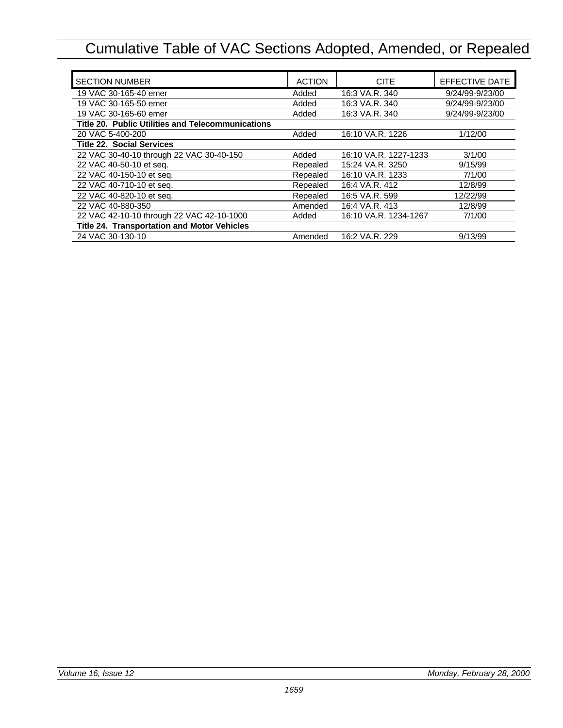| <b>SECTION NUMBER</b>                             | <b>ACTION</b> | <b>CITE</b>           | EFFECTIVE DATE  |
|---------------------------------------------------|---------------|-----------------------|-----------------|
| 19 VAC 30-165-40 emer                             | Added         | 16:3 VA.R. 340        | 9/24/99-9/23/00 |
| 19 VAC 30-165-50 emer                             | Added         | 16:3 VA.R. 340        | 9/24/99-9/23/00 |
| 19 VAC 30-165-60 emer                             | Added         | 16:3 VA.R. 340        | 9/24/99-9/23/00 |
| Title 20. Public Utilities and Telecommunications |               |                       |                 |
| 20 VAC 5-400-200                                  | Added         | 16:10 VA.R. 1226      | 1/12/00         |
| <b>Title 22. Social Services</b>                  |               |                       |                 |
| 22 VAC 30-40-10 through 22 VAC 30-40-150          | Added         | 16:10 VA.R. 1227-1233 | 3/1/00          |
| 22 VAC 40-50-10 et seq.                           | Repealed      | 15:24 VA.R. 3250      | 9/15/99         |
| 22 VAC 40-150-10 et seq.                          | Repealed      | 16:10 VA.R. 1233      | 7/1/00          |
| 22 VAC 40-710-10 et seq.                          | Repealed      | 16:4 VA.R. 412        | 12/8/99         |
| 22 VAC 40-820-10 et seq.                          | Repealed      | 16:5 VA.R. 599        | 12/22/99        |
| 22 VAC 40-880-350                                 | Amended       | 16:4 VA.R. 413        | 12/8/99         |
| 22 VAC 42-10-10 through 22 VAC 42-10-1000         | Added         | 16:10 VA.R. 1234-1267 | 7/1/00          |
| Title 24. Transportation and Motor Vehicles       |               |                       |                 |
| 24 VAC 30-130-10                                  | Amended       | 16:2 VA.R. 229        | 9/13/99         |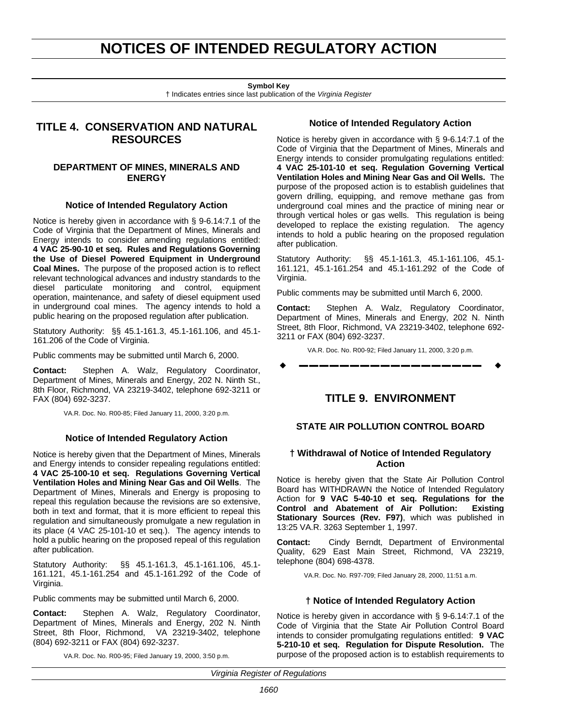# **NOTICES OF INTENDED REGULATORY ACTION**

**Symbol Key**

† Indicates entries since last publication of the *Virginia Register*

# <span id="page-15-0"></span>**TITLE 4. CONSERVATION AND NATURAL RESOURCES**

# **DEPARTMENT OF MINES, MINERALS AND ENERGY**

# **Notice of Intended Regulatory Action**

Notice is hereby given in accordance with § 9-6.14:7.1 of the Code of Virginia that the Department of Mines, Minerals and Energy intends to consider amending regulations entitled: **4 VAC 25-90-10 et seq. Rules and Regulations Governing the Use of Diesel Powered Equipment in Underground Coal Mines.** The purpose of the proposed action is to reflect relevant technological advances and industry standards to the diesel particulate monitoring and control, equipment operation, maintenance, and safety of diesel equipment used in underground coal mines. The agency intends to hold a public hearing on the proposed regulation after publication.

Statutory Authority: §§ 45.1-161.3, 45.1-161.106, and 45.1- 161.206 of the Code of Virginia.

Public comments may be submitted until March 6, 2000.

**Contact:** Stephen A. Walz, Regulatory Coordinator, Department of Mines, Minerals and Energy, 202 N. Ninth St., 8th Floor, Richmond, VA 23219-3402, telephone 692-3211 or FAX (804) 692-3237.

VA.R. Doc. No. R00-85; Filed January 11, 2000, 3:20 p.m.

# **Notice of Intended Regulatory Action**

Notice is hereby given that the Department of Mines, Minerals and Energy intends to consider repealing regulations entitled: **4 VAC 25-100-10 et seq. Regulations Governing Vertical Ventilation Holes and Mining Near Gas and Oil Wells**. The Department of Mines, Minerals and Energy is proposing to repeal this regulation because the revisions are so extensive, both in text and format, that it is more efficient to repeal this regulation and simultaneously promulgate a new regulation in its place (4 VAC 25-101-10 et seq.). The agency intends to hold a public hearing on the proposed repeal of this regulation after publication.

Statutory Authority: §§ 45.1-161.3, 45.1-161.106, 45.1- 161.121, 45.1-161.254 and 45.1-161.292 of the Code of Virginia.

Public comments may be submitted until March 6, 2000.

**Contact:** Stephen A. Walz, Regulatory Coordinator, Department of Mines, Minerals and Energy, 202 N. Ninth Street, 8th Floor, Richmond, VA 23219-3402, telephone (804) 692-3211 or FAX (804) 692-3237.

VA.R. Doc. No. R00-95; Filed January 19, 2000, 3:50 p.m.

### **Notice of Intended Regulatory Action**

Notice is hereby given in accordance with § 9-6.14:7.1 of the Code of Virginia that the Department of Mines, Minerals and Energy intends to consider promulgating regulations entitled: **4 VAC 25-101-10 et seq. Regulation Governing Vertical Ventilation Holes and Mining Near Gas and Oil Wells.** The purpose of the proposed action is to establish guidelines that govern drilling, equipping, and remove methane gas from underground coal mines and the practice of mining near or through vertical holes or gas wells. This regulation is being developed to replace the existing regulation. The agency intends to hold a public hearing on the proposed regulation after publication.

Statutory Authority: §§ 45.1-161.3, 45.1-161.106, 45.1- 161.121, 45.1-161.254 and 45.1-161.292 of the Code of Virginia.

Public comments may be submitted until March 6, 2000.

**Contact:** Stephen A. Walz, Regulatory Coordinator, Department of Mines, Minerals and Energy, 202 N. Ninth Street, 8th Floor, Richmond, VA 23219-3402, telephone 692- 3211 or FAX (804) 692-3237.

VA.R. Doc. No. R00-92; Filed January 11, 2000, 3:20 p.m.

w **––––––––––––––––––** w

# **TITLE 9. ENVIRONMENT**

# **STATE AIR POLLUTION CONTROL BOARD**

### **† Withdrawal of Notice of Intended Regulatory Action**

Notice is hereby given that the State Air Pollution Control Board has WITHDRAWN the Notice of Intended Regulatory Action for **9 VAC 5-40-10 et seq. Regulations for the Control and Abatement of Air Pollution: Existing Stationary Sources (Rev. F97)**, which was published in 13:25 VA.R. 3263 September 1, 1997.

**Contact:** Cindy Berndt, Department of Environmental Quality, 629 East Main Street, Richmond, VA 23219, telephone (804) 698-4378.

VA.R. Doc. No. R97-709; Filed January 28, 2000, 11:51 a.m.

### **† Notice of Intended Regulatory Action**

Notice is hereby given in accordance with § 9-6.14:7.1 of the Code of Virginia that the State Air Pollution Control Board intends to consider promulgating regulations entitled: **9 VAC 5-210-10 et seq. Regulation for Dispute Resolution.** The purpose of the proposed action is to establish requirements to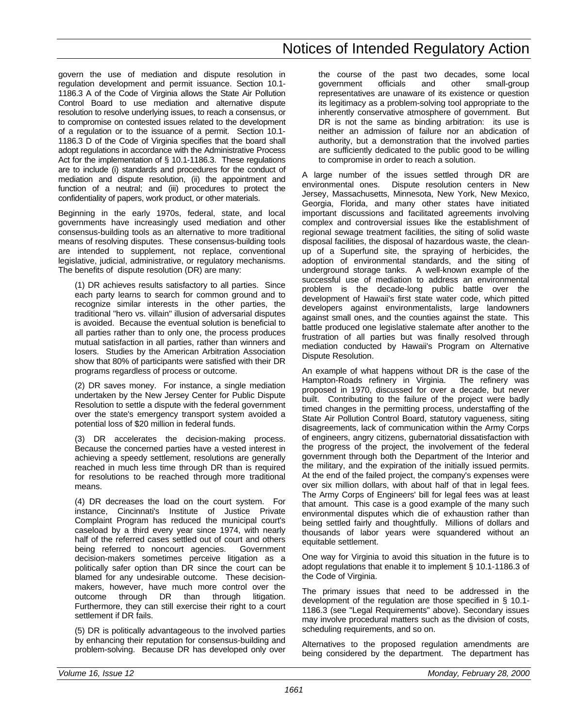govern the use of mediation and dispute resolution in regulation development and permit issuance. Section 10.1- 1186.3 A of the Code of Virginia allows the State Air Pollution Control Board to use mediation and alternative dispute resolution to resolve underlying issues, to reach a consensus, or to compromise on contested issues related to the development of a regulation or to the issuance of a permit. Section 10.1- 1186.3 D of the Code of Virginia specifies that the board shall adopt regulations in accordance with the Administrative Process Act for the implementation of § 10.1-1186.3. These regulations are to include (i) standards and procedures for the conduct of mediation and dispute resolution, (ii) the appointment and function of a neutral; and (iii) procedures to protect the confidentiality of papers, work product, or other materials.

Beginning in the early 1970s, federal, state, and local governments have increasingly used mediation and other consensus-building tools as an alternative to more traditional means of resolving disputes. These consensus-building tools are intended to supplement, not replace, conventional legislative, judicial, administrative, or regulatory mechanisms. The benefits of dispute resolution (DR) are many:

(1) DR achieves results satisfactory to all parties. Since each party learns to search for common ground and to recognize similar interests in the other parties, the traditional "hero vs. villain" illusion of adversarial disputes is avoided. Because the eventual solution is beneficial to all parties rather than to only one, the process produces mutual satisfaction in all parties, rather than winners and losers. Studies by the American Arbitration Association show that 80% of participants were satisfied with their DR programs regardless of process or outcome.

(2) DR saves money. For instance, a single mediation undertaken by the New Jersey Center for Public Dispute Resolution to settle a dispute with the federal government over the state's emergency transport system avoided a potential loss of \$20 million in federal funds.

(3) DR accelerates the decision-making process. Because the concerned parties have a vested interest in achieving a speedy settlement, resolutions are generally reached in much less time through DR than is required for resolutions to be reached through more traditional means.

(4) DR decreases the load on the court system. For instance, Cincinnati's Institute of Justice Private Complaint Program has reduced the municipal court's caseload by a third every year since 1974, with nearly half of the referred cases settled out of court and others being referred to noncourt agencies. Government decision-makers sometimes perceive litigation as a politically safer option than DR since the court can be blamed for any undesirable outcome. These decisionmakers, however, have much more control over the outcome through DR than through litigation. Furthermore, they can still exercise their right to a court settlement if DR fails.

(5) DR is politically advantageous to the involved parties by enhancing their reputation for consensus-building and problem-solving. Because DR has developed only over the course of the past two decades, some local government officials and other small-group representatives are unaware of its existence or question its legitimacy as a problem-solving tool appropriate to the inherently conservative atmosphere of government. But DR is not the same as binding arbitration: its use is neither an admission of failure nor an abdication of authority, but a demonstration that the involved parties are sufficiently dedicated to the public good to be willing to compromise in order to reach a solution.

A large number of the issues settled through DR are environmental ones. Dispute resolution centers in New Jersey, Massachusetts, Minnesota, New York, New Mexico, Georgia, Florida, and many other states have initiated important discussions and facilitated agreements involving complex and controversial issues like the establishment of regional sewage treatment facilities, the siting of solid waste disposal facilities, the disposal of hazardous waste, the cleanup of a Superfund site, the spraying of herbicides, the adoption of environmental standards, and the siting of underground storage tanks. A well-known example of the successful use of mediation to address an environmental problem is the decade-long public battle over the development of Hawaii's first state water code, which pitted developers against environmentalists, large landowners against small ones, and the counties against the state. This battle produced one legislative stalemate after another to the frustration of all parties but was finally resolved through mediation conducted by Hawaii's Program on Alternative Dispute Resolution.

An example of what happens without DR is the case of the Hampton-Roads refinery in Virginia. The refinery was proposed in 1970, discussed for over a decade, but never built. Contributing to the failure of the project were badly timed changes in the permitting process, understaffing of the State Air Pollution Control Board, statutory vagueness, siting disagreements, lack of communication within the Army Corps of engineers, angry citizens, gubernatorial dissatisfaction with the progress of the project, the involvement of the federal government through both the Department of the Interior and the military, and the expiration of the initially issued permits. At the end of the failed project, the company's expenses were over six million dollars, with about half of that in legal fees. The Army Corps of Engineers' bill for legal fees was at least that amount. This case is a good example of the many such environmental disputes which die of exhaustion rather than being settled fairly and thoughtfully. Millions of dollars and thousands of labor years were squandered without an equitable settlement.

One way for Virginia to avoid this situation in the future is to adopt regulations that enable it to implement § 10.1-1186.3 of the Code of Virginia.

The primary issues that need to be addressed in the development of the regulation are those specified in § 10.1- 1186.3 (see "Legal Requirements" above). Secondary issues may involve procedural matters such as the division of costs, scheduling requirements, and so on.

Alternatives to the proposed regulation amendments are being considered by the department. The department has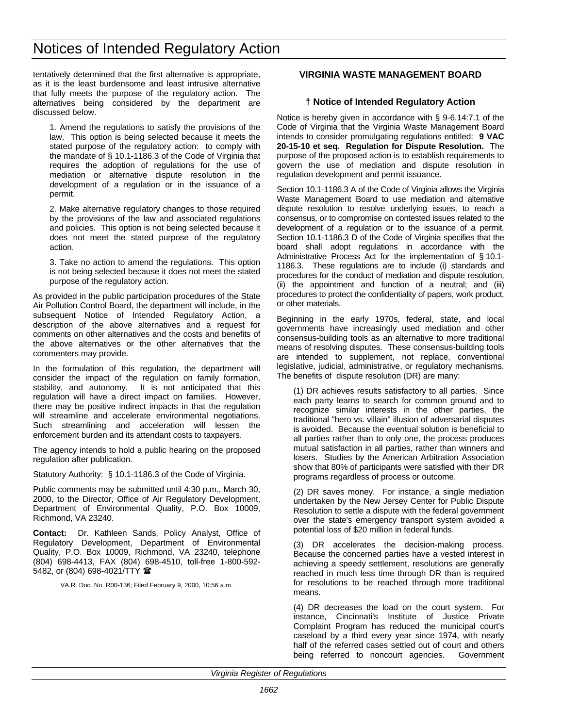<span id="page-17-0"></span>tentatively determined that the first alternative is appropriate, as it is the least burdensome and least intrusive alternative that fully meets the purpose of the regulatory action. The alternatives being considered by the department are discussed below.

1. Amend the regulations to satisfy the provisions of the law. This option is being selected because it meets the stated purpose of the regulatory action: to comply with the mandate of § 10.1-1186.3 of the Code of Virginia that requires the adoption of regulations for the use of mediation or alternative dispute resolution in the development of a regulation or in the issuance of a permit.

2. Make alternative regulatory changes to those required by the provisions of the law and associated regulations and policies. This option is not being selected because it does not meet the stated purpose of the regulatory action.

3. Take no action to amend the regulations. This option is not being selected because it does not meet the stated purpose of the regulatory action.

As provided in the public participation procedures of the State Air Pollution Control Board, the department will include, in the subsequent Notice of Intended Regulatory Action, a description of the above alternatives and a request for comments on other alternatives and the costs and benefits of the above alternatives or the other alternatives that the commenters may provide.

In the formulation of this regulation, the department will consider the impact of the regulation on family formation, stability, and autonomy. It is not anticipated that this regulation will have a direct impact on families. However, there may be positive indirect impacts in that the regulation will streamline and accelerate environmental negotiations. Such streamlining and acceleration will lessen the enforcement burden and its attendant costs to taxpayers.

The agency intends to hold a public hearing on the proposed regulation after publication.

Statutory Authority: § 10.1-1186.3 of the Code of Virginia.

Public comments may be submitted until 4:30 p.m., March 30, 2000, to the Director, Office of Air Regulatory Development, Department of Environmental Quality, P.O. Box 10009, Richmond, VA 23240.

**Contact:** Dr. Kathleen Sands, Policy Analyst, Office of Regulatory Development, Department of Environmental Quality, P.O. Box 10009, Richmond, VA 23240, telephone (804) 698-4413, FAX (804) 698-4510, toll-free 1-800-592- 5482, or (804) 698-4021/TTY 2

VA.R. Doc. No. R00-136; Filed February 9, 2000, 10:56 a.m.

# **VIRGINIA WASTE MANAGEMENT BOARD**

# **† Notice of Intended Regulatory Action**

Notice is hereby given in accordance with § 9-6.14:7.1 of the Code of Virginia that the Virginia Waste Management Board intends to consider promulgating regulations entitled: **9 VAC 20-15-10 et seq. Regulation for Dispute Resolution.** The purpose of the proposed action is to establish requirements to govern the use of mediation and dispute resolution in regulation development and permit issuance.

Section 10.1-1186.3 A of the Code of Virginia allows the Virginia Waste Management Board to use mediation and alternative dispute resolution to resolve underlying issues, to reach a consensus, or to compromise on contested issues related to the development of a regulation or to the issuance of a permit. Section 10.1-1186.3 D of the Code of Virginia specifies that the board shall adopt regulations in accordance with the Administrative Process Act for the implementation of § 10.1- 1186.3. These regulations are to include (i) standards and procedures for the conduct of mediation and dispute resolution, (ii) the appointment and function of a neutral; and (iii) procedures to protect the confidentiality of papers, work product, or other materials.

Beginning in the early 1970s, federal, state, and local governments have increasingly used mediation and other consensus-building tools as an alternative to more traditional means of resolving disputes. These consensus-building tools are intended to supplement, not replace, conventional legislative, judicial, administrative, or regulatory mechanisms. The benefits of dispute resolution (DR) are many:

(1) DR achieves results satisfactory to all parties. Since each party learns to search for common ground and to recognize similar interests in the other parties, the traditional "hero vs. villain" illusion of adversarial disputes is avoided. Because the eventual solution is beneficial to all parties rather than to only one, the process produces mutual satisfaction in all parties, rather than winners and losers. Studies by the American Arbitration Association show that 80% of participants were satisfied with their DR programs regardless of process or outcome.

(2) DR saves money. For instance, a single mediation undertaken by the New Jersey Center for Public Dispute Resolution to settle a dispute with the federal government over the state's emergency transport system avoided a potential loss of \$20 million in federal funds.

(3) DR accelerates the decision-making process. Because the concerned parties have a vested interest in achieving a speedy settlement, resolutions are generally reached in much less time through DR than is required for resolutions to be reached through more traditional means.

(4) DR decreases the load on the court system. For instance, Cincinnati's Institute of Justice Private Complaint Program has reduced the municipal court's caseload by a third every year since 1974, with nearly half of the referred cases settled out of court and others being referred to noncourt agencies. Government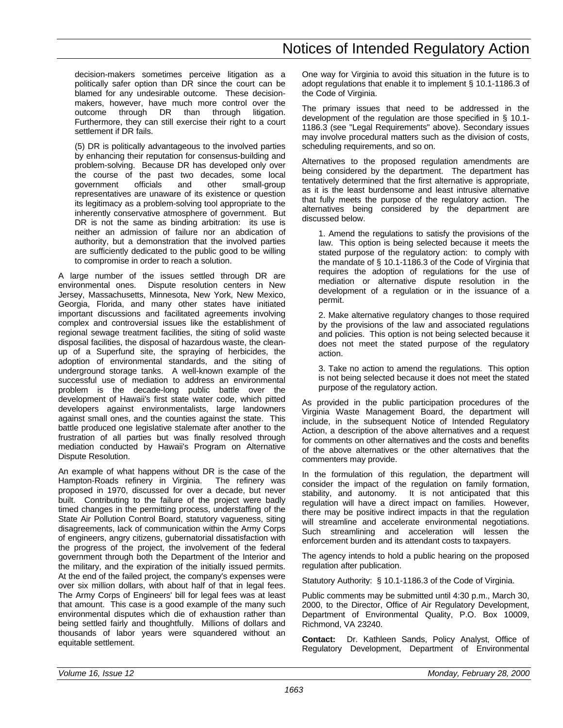decision-makers sometimes perceive litigation as a politically safer option than DR since the court can be blamed for any undesirable outcome. These decisionmakers, however, have much more control over the outcome through DR than through litigation. Furthermore, they can still exercise their right to a court settlement if DR fails.

(5) DR is politically advantageous to the involved parties by enhancing their reputation for consensus-building and problem-solving. Because DR has developed only over the course of the past two decades, some local government officials and other small-group representatives are unaware of its existence or question its legitimacy as a problem-solving tool appropriate to the inherently conservative atmosphere of government. But DR is not the same as binding arbitration: its use is neither an admission of failure nor an abdication of authority, but a demonstration that the involved parties are sufficiently dedicated to the public good to be willing to compromise in order to reach a solution.

A large number of the issues settled through DR are environmental ones. Dispute resolution centers in New Jersey, Massachusetts, Minnesota, New York, New Mexico, Georgia, Florida, and many other states have initiated important discussions and facilitated agreements involving complex and controversial issues like the establishment of regional sewage treatment facilities, the siting of solid waste disposal facilities, the disposal of hazardous waste, the cleanup of a Superfund site, the spraying of herbicides, the adoption of environmental standards, and the siting of underground storage tanks. A well-known example of the successful use of mediation to address an environmental problem is the decade-long public battle over the development of Hawaii's first state water code, which pitted developers against environmentalists, large landowners against small ones, and the counties against the state. This battle produced one legislative stalemate after another to the frustration of all parties but was finally resolved through mediation conducted by Hawaii's Program on Alternative Dispute Resolution.

An example of what happens without DR is the case of the Hampton-Roads refinery in Virginia. The refinery was proposed in 1970, discussed for over a decade, but never built. Contributing to the failure of the project were badly timed changes in the permitting process, understaffing of the State Air Pollution Control Board, statutory vagueness, siting disagreements, lack of communication within the Army Corps of engineers, angry citizens, gubernatorial dissatisfaction with the progress of the project, the involvement of the federal government through both the Department of the Interior and the military, and the expiration of the initially issued permits. At the end of the failed project, the company's expenses were over six million dollars, with about half of that in legal fees. The Army Corps of Engineers' bill for legal fees was at least that amount. This case is a good example of the many such environmental disputes which die of exhaustion rather than being settled fairly and thoughtfully. Millions of dollars and thousands of labor years were squandered without an equitable settlement.

One way for Virginia to avoid this situation in the future is to adopt regulations that enable it to implement § 10.1-1186.3 of the Code of Virginia.

The primary issues that need to be addressed in the development of the regulation are those specified in § 10.1- 1186.3 (see "Legal Requirements" above). Secondary issues may involve procedural matters such as the division of costs, scheduling requirements, and so on.

Alternatives to the proposed regulation amendments are being considered by the department. The department has tentatively determined that the first alternative is appropriate, as it is the least burdensome and least intrusive alternative that fully meets the purpose of the regulatory action. The alternatives being considered by the department are discussed below.

1. Amend the regulations to satisfy the provisions of the law. This option is being selected because it meets the stated purpose of the regulatory action: to comply with the mandate of § 10.1-1186.3 of the Code of Virginia that requires the adoption of regulations for the use of mediation or alternative dispute resolution in the development of a regulation or in the issuance of a permit.

2. Make alternative regulatory changes to those required by the provisions of the law and associated regulations and policies. This option is not being selected because it does not meet the stated purpose of the regulatory action.

3. Take no action to amend the regulations. This option is not being selected because it does not meet the stated purpose of the regulatory action.

As provided in the public participation procedures of the Virginia Waste Management Board, the department will include, in the subsequent Notice of Intended Regulatory Action, a description of the above alternatives and a request for comments on other alternatives and the costs and benefits of the above alternatives or the other alternatives that the commenters may provide.

In the formulation of this regulation, the department will consider the impact of the regulation on family formation, stability, and autonomy. It is not anticipated that this regulation will have a direct impact on families. However, there may be positive indirect impacts in that the regulation will streamline and accelerate environmental negotiations. Such streamlining and acceleration will lessen the enforcement burden and its attendant costs to taxpayers.

The agency intends to hold a public hearing on the proposed regulation after publication.

Statutory Authority: § 10.1-1186.3 of the Code of Virginia.

Public comments may be submitted until 4:30 p.m., March 30, 2000, to the Director, Office of Air Regulatory Development, Department of Environmental Quality, P.O. Box 10009, Richmond, VA 23240.

**Contact:** Dr. Kathleen Sands, Policy Analyst, Office of Regulatory Development, Department of Environmental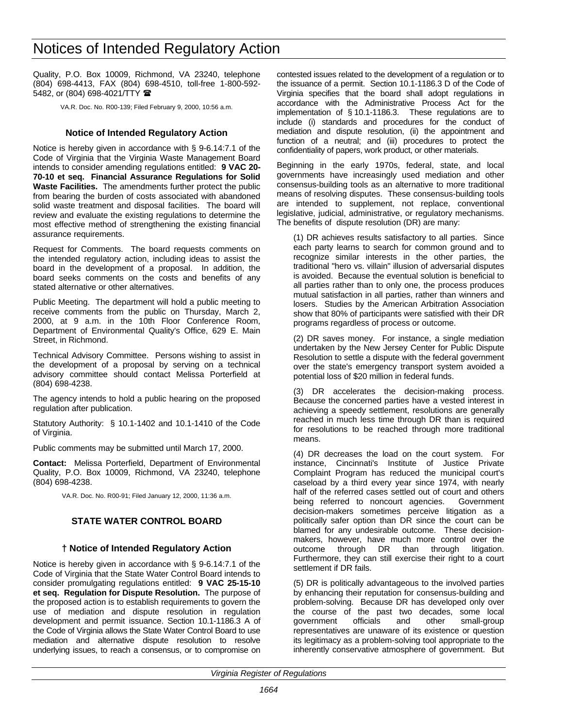<span id="page-19-0"></span>Quality, P.O. Box 10009, Richmond, VA 23240, telephone (804) 698-4413, FAX (804) 698-4510, toll-free 1-800-592- 5482, or (804) 698-4021/TTY <sup>金</sup>

VA.R. Doc. No. R00-139; Filed February 9, 2000, 10:56 a.m.

# **Notice of Intended Regulatory Action**

Notice is hereby given in accordance with § 9-6.14:7.1 of the Code of Virginia that the Virginia Waste Management Board intends to consider amending regulations entitled: **9 VAC 20- 70-10 et seq. Financial Assurance Regulations for Solid Waste Facilities.** The amendments further protect the public from bearing the burden of costs associated with abandoned solid waste treatment and disposal facilities. The board will review and evaluate the existing regulations to determine the most effective method of strengthening the existing financial assurance requirements.

Request for Comments. The board requests comments on the intended regulatory action, including ideas to assist the board in the development of a proposal. In addition, the board seeks comments on the costs and benefits of any stated alternative or other alternatives.

Public Meeting. The department will hold a public meeting to receive comments from the public on Thursday, March 2, 2000, at 9 a.m. in the 10th Floor Conference Room, Department of Environmental Quality's Office, 629 E. Main Street, in Richmond.

Technical Advisory Committee. Persons wishing to assist in the development of a proposal by serving on a technical advisory committee should contact Melissa Porterfield at (804) 698-4238.

The agency intends to hold a public hearing on the proposed regulation after publication.

Statutory Authority: § 10.1-1402 and 10.1-1410 of the Code of Virginia.

Public comments may be submitted until March 17, 2000.

**Contact:** Melissa Porterfield, Department of Environmental Quality, P.O. Box 10009, Richmond, VA 23240, telephone (804) 698-4238.

VA.R. Doc. No. R00-91; Filed January 12, 2000, 11:36 a.m.

# **STATE WATER CONTROL BOARD**

# **† Notice of Intended Regulatory Action**

Notice is hereby given in accordance with § 9-6.14:7.1 of the Code of Virginia that the State Water Control Board intends to consider promulgating regulations entitled: **9 VAC 25-15-10 et seq. Regulation for Dispute Resolution.** The purpose of the proposed action is to establish requirements to govern the use of mediation and dispute resolution in regulation development and permit issuance. Section 10.1-1186.3 A of the Code of Virginia allows the State Water Control Board to use mediation and alternative dispute resolution to resolve underlying issues, to reach a consensus, or to compromise on contested issues related to the development of a regulation or to the issuance of a permit. Section 10.1-1186.3 D of the Code of Virginia specifies that the board shall adopt regulations in accordance with the Administrative Process Act for the implementation of § 10.1-1186.3. These regulations are to include (i) standards and procedures for the conduct of mediation and dispute resolution, (ii) the appointment and function of a neutral; and (iii) procedures to protect the confidentiality of papers, work product, or other materials.

Beginning in the early 1970s, federal, state, and local governments have increasingly used mediation and other consensus-building tools as an alternative to more traditional means of resolving disputes. These consensus-building tools are intended to supplement, not replace, conventional legislative, judicial, administrative, or regulatory mechanisms. The benefits of dispute resolution (DR) are many:

(1) DR achieves results satisfactory to all parties. Since each party learns to search for common ground and to recognize similar interests in the other parties, the traditional "hero vs. villain" illusion of adversarial disputes is avoided. Because the eventual solution is beneficial to all parties rather than to only one, the process produces mutual satisfaction in all parties, rather than winners and losers. Studies by the American Arbitration Association show that 80% of participants were satisfied with their DR programs regardless of process or outcome.

(2) DR saves money. For instance, a single mediation undertaken by the New Jersey Center for Public Dispute Resolution to settle a dispute with the federal government over the state's emergency transport system avoided a potential loss of \$20 million in federal funds.

(3) DR accelerates the decision-making process. Because the concerned parties have a vested interest in achieving a speedy settlement, resolutions are generally reached in much less time through DR than is required for resolutions to be reached through more traditional means.

(4) DR decreases the load on the court system. For instance, Cincinnati's Institute of Justice Private Complaint Program has reduced the municipal court's caseload by a third every year since 1974, with nearly half of the referred cases settled out of court and others being referred to noncourt agencies. Government decision-makers sometimes perceive litigation as a politically safer option than DR since the court can be blamed for any undesirable outcome. These decisionmakers, however, have much more control over the outcome through DR than through litigation. Furthermore, they can still exercise their right to a court settlement if DR fails.

(5) DR is politically advantageous to the involved parties by enhancing their reputation for consensus-building and problem-solving. Because DR has developed only over the course of the past two decades, some local government officials and other small-group representatives are unaware of its existence or question its legitimacy as a problem-solving tool appropriate to the inherently conservative atmosphere of government. But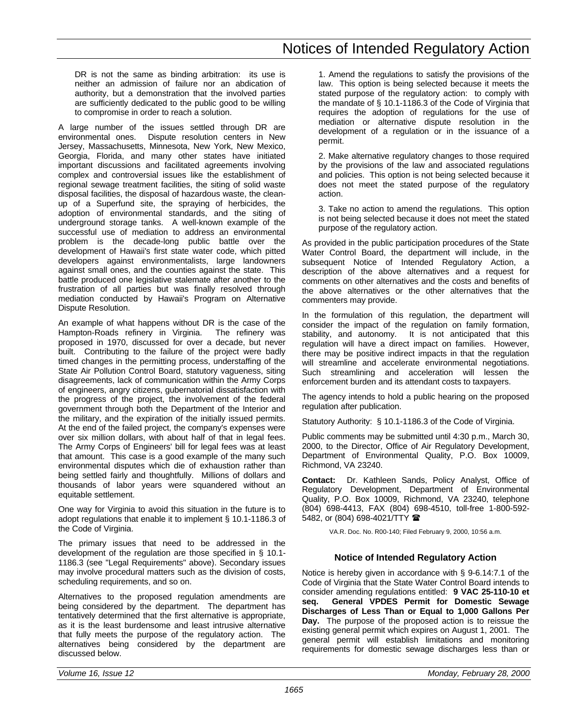DR is not the same as binding arbitration: its use is neither an admission of failure nor an abdication of authority, but a demonstration that the involved parties are sufficiently dedicated to the public good to be willing to compromise in order to reach a solution.

A large number of the issues settled through DR are environmental ones. Dispute resolution centers in New Jersey, Massachusetts, Minnesota, New York, New Mexico, Georgia, Florida, and many other states have initiated important discussions and facilitated agreements involving complex and controversial issues like the establishment of regional sewage treatment facilities, the siting of solid waste disposal facilities, the disposal of hazardous waste, the cleanup of a Superfund site, the spraying of herbicides, the adoption of environmental standards, and the siting of underground storage tanks. A well-known example of the successful use of mediation to address an environmental problem is the decade-long public battle over the development of Hawaii's first state water code, which pitted developers against environmentalists, large landowners against small ones, and the counties against the state. This battle produced one legislative stalemate after another to the frustration of all parties but was finally resolved through mediation conducted by Hawaii's Program on Alternative Dispute Resolution.

An example of what happens without DR is the case of the Hampton-Roads refinery in Virginia. The refinery was proposed in 1970, discussed for over a decade, but never built. Contributing to the failure of the project were badly timed changes in the permitting process, understaffing of the State Air Pollution Control Board, statutory vagueness, siting disagreements, lack of communication within the Army Corps of engineers, angry citizens, gubernatorial dissatisfaction with the progress of the project, the involvement of the federal government through both the Department of the Interior and the military, and the expiration of the initially issued permits. At the end of the failed project, the company's expenses were over six million dollars, with about half of that in legal fees. The Army Corps of Engineers' bill for legal fees was at least that amount. This case is a good example of the many such environmental disputes which die of exhaustion rather than being settled fairly and thoughtfully. Millions of dollars and thousands of labor years were squandered without an equitable settlement.

One way for Virginia to avoid this situation in the future is to adopt regulations that enable it to implement § 10.1-1186.3 of the Code of Virginia.

The primary issues that need to be addressed in the development of the regulation are those specified in § 10.1- 1186.3 (see "Legal Requirements" above). Secondary issues may involve procedural matters such as the division of costs, scheduling requirements, and so on.

Alternatives to the proposed regulation amendments are being considered by the department. The department has tentatively determined that the first alternative is appropriate, as it is the least burdensome and least intrusive alternative that fully meets the purpose of the regulatory action. The alternatives being considered by the department are discussed below.

1. Amend the regulations to satisfy the provisions of the law. This option is being selected because it meets the stated purpose of the regulatory action: to comply with the mandate of § 10.1-1186.3 of the Code of Virginia that requires the adoption of regulations for the use of mediation or alternative dispute resolution in the development of a regulation or in the issuance of a permit.

2. Make alternative regulatory changes to those required by the provisions of the law and associated regulations and policies. This option is not being selected because it does not meet the stated purpose of the regulatory action.

3. Take no action to amend the regulations. This option is not being selected because it does not meet the stated purpose of the regulatory action.

As provided in the public participation procedures of the State Water Control Board, the department will include, in the subsequent Notice of Intended Regulatory Action, a description of the above alternatives and a request for comments on other alternatives and the costs and benefits of the above alternatives or the other alternatives that the commenters may provide.

In the formulation of this regulation, the department will consider the impact of the regulation on family formation, stability, and autonomy. It is not anticipated that this regulation will have a direct impact on families. However, there may be positive indirect impacts in that the regulation will streamline and accelerate environmental negotiations. Such streamlining and acceleration will lessen the enforcement burden and its attendant costs to taxpayers.

The agency intends to hold a public hearing on the proposed regulation after publication.

Statutory Authority: § 10.1-1186.3 of the Code of Virginia.

Public comments may be submitted until 4:30 p.m., March 30, 2000, to the Director, Office of Air Regulatory Development, Department of Environmental Quality, P.O. Box 10009, Richmond, VA 23240.

**Contact:** Dr. Kathleen Sands, Policy Analyst, Office of Regulatory Development, Department of Environmental Quality, P.O. Box 10009, Richmond, VA 23240, telephone (804) 698-4413, FAX (804) 698-4510, toll-free 1-800-592- 5482, or (804) 698-4021/TTY 2

VA.R. Doc. No. R00-140; Filed February 9, 2000, 10:56 a.m.

# **Notice of Intended Regulatory Action**

Notice is hereby given in accordance with § 9-6.14:7.1 of the Code of Virginia that the State Water Control Board intends to consider amending regulations entitled: **9 VAC 25-110-10 et seq. General VPDES Permit for Domestic Sewage Discharges of Less Than or Equal to 1,000 Gallons Per Day.** The purpose of the proposed action is to reissue the existing general permit which expires on August 1, 2001. The general permit will establish limitations and monitoring requirements for domestic sewage discharges less than or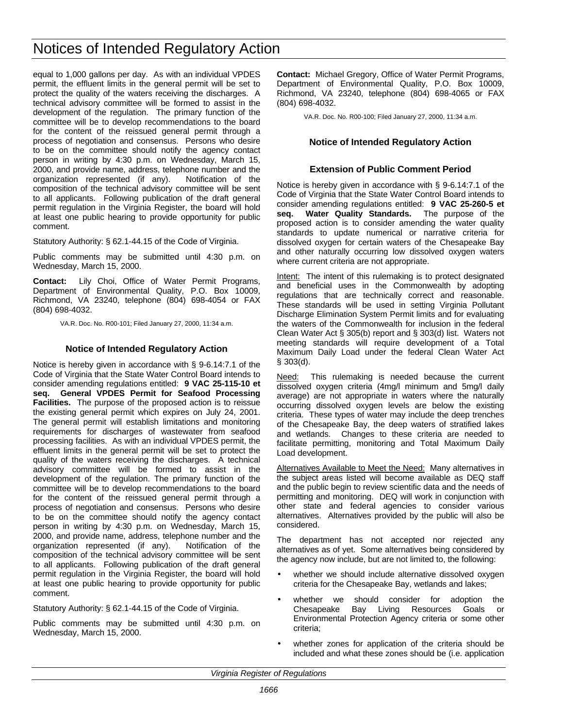equal to 1,000 gallons per day. As with an individual VPDES permit, the effluent limits in the general permit will be set to protect the quality of the waters receiving the discharges. A technical advisory committee will be formed to assist in the development of the regulation. The primary function of the committee will be to develop recommendations to the board for the content of the reissued general permit through a process of negotiation and consensus. Persons who desire to be on the committee should notify the agency contact person in writing by 4:30 p.m. on Wednesday, March 15, 2000, and provide name, address, telephone number and the organization represented (if any). Notification of the composition of the technical advisory committee will be sent to all applicants. Following publication of the draft general permit regulation in the Virginia Register, the board will hold at least one public hearing to provide opportunity for public comment.

Statutory Authority: § 62.1-44.15 of the Code of Virginia.

Public comments may be submitted until 4:30 p.m. on Wednesday, March 15, 2000.

**Contact:** Lily Choi, Office of Water Permit Programs, Department of Environmental Quality, P.O. Box 10009, Richmond, VA 23240, telephone (804) 698-4054 or FAX (804) 698-4032.

VA.R. Doc. No. R00-101; Filed January 27, 2000, 11:34 a.m.

# **Notice of Intended Regulatory Action**

Notice is hereby given in accordance with § 9-6.14:7.1 of the Code of Virginia that the State Water Control Board intends to consider amending regulations entitled: **9 VAC 25-115-10 et seq. General VPDES Permit for Seafood Processing Facilities.** The purpose of the proposed action is to reissue the existing general permit which expires on July 24, 2001. The general permit will establish limitations and monitoring requirements for discharges of wastewater from seafood processing facilities. As with an individual VPDES permit, the effluent limits in the general permit will be set to protect the quality of the waters receiving the discharges. A technical advisory committee will be formed to assist in the development of the regulation. The primary function of the committee will be to develop recommendations to the board for the content of the reissued general permit through a process of negotiation and consensus. Persons who desire to be on the committee should notify the agency contact person in writing by 4:30 p.m. on Wednesday, March 15, 2000, and provide name, address, telephone number and the organization represented (if any). Notification of the composition of the technical advisory committee will be sent to all applicants. Following publication of the draft general permit regulation in the Virginia Register, the board will hold at least one public hearing to provide opportunity for public comment.

Statutory Authority: § 62.1-44.15 of the Code of Virginia.

Public comments may be submitted until 4:30 p.m. on Wednesday, March 15, 2000.

**Contact:** Michael Gregory, Office of Water Permit Programs, Department of Environmental Quality, P.O. Box 10009, Richmond, VA 23240, telephone (804) 698-4065 or FAX (804) 698-4032.

VA.R. Doc. No. R00-100; Filed January 27, 2000, 11:34 a.m.

# **Notice of Intended Regulatory Action**

# **Extension of Public Comment Period**

Notice is hereby given in accordance with § 9-6.14:7.1 of the Code of Virginia that the State Water Control Board intends to consider amending regulations entitled: **9 VAC 25-260-5 et** Water Quality Standards. The purpose of the proposed action is to consider amending the water quality standards to update numerical or narrative criteria for dissolved oxygen for certain waters of the Chesapeake Bay and other naturally occurring low dissolved oxygen waters where current criteria are not appropriate.

Intent: The intent of this rulemaking is to protect designated and beneficial uses in the Commonwealth by adopting regulations that are technically correct and reasonable. These standards will be used in setting Virginia Pollutant Discharge Elimination System Permit limits and for evaluating the waters of the Commonwealth for inclusion in the federal Clean Water Act § 305(b) report and § 303(d) list. Waters not meeting standards will require development of a Total Maximum Daily Load under the federal Clean Water Act § 303(d).

Need: This rulemaking is needed because the current dissolved oxygen criteria (4mg/l minimum and 5mg/l daily average) are not appropriate in waters where the naturally occurring dissolved oxygen levels are below the existing criteria. These types of water may include the deep trenches of the Chesapeake Bay, the deep waters of stratified lakes and wetlands. Changes to these criteria are needed to facilitate permitting, monitoring and Total Maximum Daily Load development.

Alternatives Available to Meet the Need: Many alternatives in the subject areas listed will become available as DEQ staff and the public begin to review scientific data and the needs of permitting and monitoring. DEQ will work in conjunction with other state and federal agencies to consider various alternatives. Alternatives provided by the public will also be considered.

The department has not accepted nor rejected any alternatives as of yet. Some alternatives being considered by the agency now include, but are not limited to, the following:

- whether we should include alternative dissolved oxygen criteria for the Chesapeake Bay, wetlands and lakes;
- whether we should consider for adoption the Chesapeake Bay Living Resources Goals or Environmental Protection Agency criteria or some other criteria;
- whether zones for application of the criteria should be included and what these zones should be (i.e. application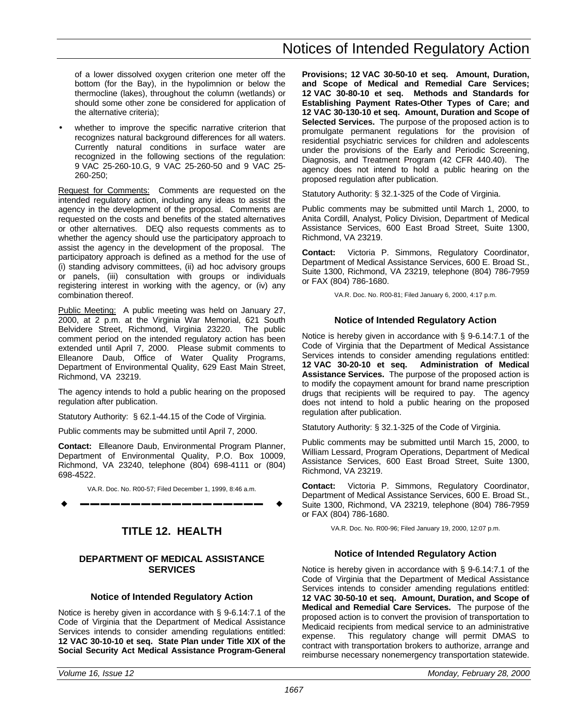of a lower dissolved oxygen criterion one meter off the bottom (for the Bay), in the hypolimnion or below the thermocline (lakes), throughout the column (wetlands) or should some other zone be considered for application of the alternative criteria);

<span id="page-22-0"></span>whether to improve the specific narrative criterion that recognizes natural background differences for all waters. Currently natural conditions in surface water are recognized in the following sections of the regulation: 9 VAC 25-260-10.G, 9 VAC 25-260-50 and 9 VAC 25- 260-250;

Request for Comments: Comments are requested on the intended regulatory action, including any ideas to assist the agency in the development of the proposal. Comments are requested on the costs and benefits of the stated alternatives or other alternatives. DEQ also requests comments as to whether the agency should use the participatory approach to assist the agency in the development of the proposal. The participatory approach is defined as a method for the use of (i) standing advisory committees, (ii) ad hoc advisory groups or panels, (iii) consultation with groups or individuals registering interest in working with the agency, or (iv) any combination thereof.

Public Meeting: A public meeting was held on January 27, 2000, at 2 p.m. at the Virginia War Memorial, 621 South Belvidere Street, Richmond, Virginia 23220. The public comment period on the intended regulatory action has been extended until April 7, 2000. Please submit comments to Elleanore Daub, Office of Water Quality Programs, Department of Environmental Quality, 629 East Main Street, Richmond, VA 23219.

The agency intends to hold a public hearing on the proposed regulation after publication.

Statutory Authority: § 62.1-44.15 of the Code of Virginia.

Public comments may be submitted until April 7, 2000.

**Contact:** Elleanore Daub, Environmental Program Planner, Department of Environmental Quality, P.O. Box 10009, Richmond, VA 23240, telephone (804) 698-4111 or (804) 698-4522.

VA.R. Doc. No. R00-57; Filed December 1, 1999, 8:46 a.m. w **––––––––––––––––––** w

# **TITLE 12. HEALTH**

# **DEPARTMENT OF MEDICAL ASSISTANCE SERVICES**

# **Notice of Intended Regulatory Action**

Notice is hereby given in accordance with § 9-6.14:7.1 of the Code of Virginia that the Department of Medical Assistance Services intends to consider amending regulations entitled: **12 VAC 30-10-10 et seq. State Plan under Title XIX of the Social Security Act Medical Assistance Program-General** **Provisions; 12 VAC 30-50-10 et seq. Amount, Duration, and Scope of Medical and Remedial Care Services; 12 VAC 30-80-10 et seq. Methods and Standards for Establishing Payment Rates-Other Types of Care; and 12 VAC 30-130-10 et seq. Amount, Duration and Scope of Selected Services.** The purpose of the proposed action is to promulgate permanent regulations for the provision of residential psychiatric services for children and adolescents under the provisions of the Early and Periodic Screening, Diagnosis, and Treatment Program (42 CFR 440.40). The agency does not intend to hold a public hearing on the proposed regulation after publication.

Statutory Authority: § 32.1-325 of the Code of Virginia.

Public comments may be submitted until March 1, 2000, to Anita Cordill, Analyst, Policy Division, Department of Medical Assistance Services, 600 East Broad Street, Suite 1300, Richmond, VA 23219.

**Contact:** Victoria P. Simmons, Regulatory Coordinator, Department of Medical Assistance Services, 600 E. Broad St., Suite 1300, Richmond, VA 23219, telephone (804) 786-7959 or FAX (804) 786-1680.

VA.R. Doc. No. R00-81; Filed January 6, 2000, 4:17 p.m.

### **Notice of Intended Regulatory Action**

Notice is hereby given in accordance with § 9-6.14:7.1 of the Code of Virginia that the Department of Medical Assistance Services intends to consider amending regulations entitled:<br>12 VAC 30-20-10 et seg. Administration of Medical **Administration of Medical Assistance Services.** The purpose of the proposed action is to modify the copayment amount for brand name prescription drugs that recipients will be required to pay. The agency does not intend to hold a public hearing on the proposed regulation after publication.

Statutory Authority: § 32.1-325 of the Code of Virginia.

Public comments may be submitted until March 15, 2000, to William Lessard, Program Operations, Department of Medical Assistance Services, 600 East Broad Street, Suite 1300, Richmond, VA 23219.

**Contact:** Victoria P. Simmons, Regulatory Coordinator, Department of Medical Assistance Services, 600 E. Broad St., Suite 1300, Richmond, VA 23219, telephone (804) 786-7959 or FAX (804) 786-1680.

VA.R. Doc. No. R00-96; Filed January 19, 2000, 12:07 p.m.

# **Notice of Intended Regulatory Action**

Notice is hereby given in accordance with § 9-6.14:7.1 of the Code of Virginia that the Department of Medical Assistance Services intends to consider amending regulations entitled: **12 VAC 30-50-10 et seq. Amount, Duration, and Scope of Medical and Remedial Care Services.** The purpose of the proposed action is to convert the provision of transportation to Medicaid recipients from medical service to an administrative expense. This regulatory change will permit DMAS to contract with transportation brokers to authorize, arrange and reimburse necessary nonemergency transportation statewide.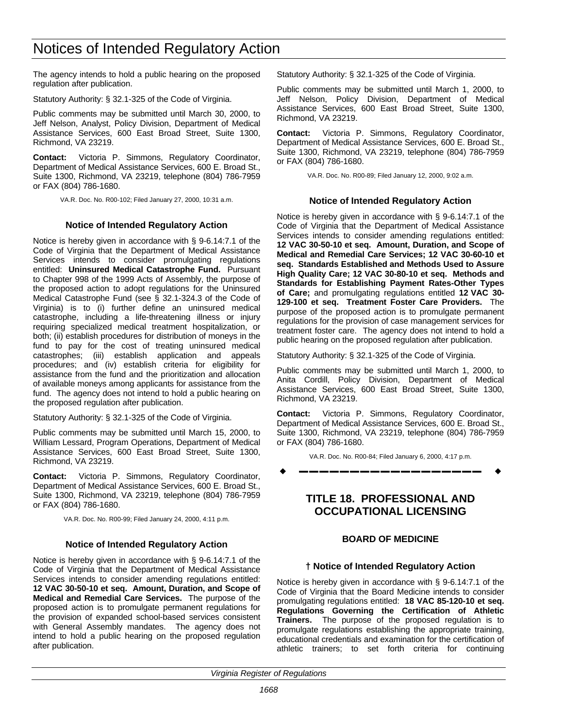The agency intends to hold a public hearing on the proposed regulation after publication.

Statutory Authority: § 32.1-325 of the Code of Virginia.

<span id="page-23-0"></span>Public comments may be submitted until March 30, 2000, to Jeff Nelson, Analyst, Policy Division, Department of Medical Assistance Services, 600 East Broad Street, Suite 1300, Richmond, VA 23219.

**Contact:** Victoria P. Simmons, Regulatory Coordinator, Department of Medical Assistance Services, 600 E. Broad St., Suite 1300, Richmond, VA 23219, telephone (804) 786-7959 or FAX (804) 786-1680.

VA.R. Doc. No. R00-102; Filed January 27, 2000, 10:31 a.m.

# **Notice of Intended Regulatory Action**

Notice is hereby given in accordance with § 9-6.14:7.1 of the Code of Virginia that the Department of Medical Assistance Services intends to consider promulgating regulations entitled: **Uninsured Medical Catastrophe Fund.** Pursuant to Chapter 998 of the 1999 Acts of Assembly, the purpose of the proposed action to adopt regulations for the Uninsured Medical Catastrophe Fund (see § 32.1-324.3 of the Code of Virginia) is to (i) further define an uninsured medical catastrophe, including a life-threatening illness or injury requiring specialized medical treatment hospitalization, or both; (ii) establish procedures for distribution of moneys in the fund to pay for the cost of treating uninsured medical catastrophes; (iii) establish application and appeals procedures; and (iv) establish criteria for eligibility for assistance from the fund and the prioritization and allocation of available moneys among applicants for assistance from the fund. The agency does not intend to hold a public hearing on the proposed regulation after publication.

Statutory Authority: § 32.1-325 of the Code of Virginia.

Public comments may be submitted until March 15, 2000, to William Lessard, Program Operations, Department of Medical Assistance Services, 600 East Broad Street, Suite 1300, Richmond, VA 23219.

**Contact:** Victoria P. Simmons, Regulatory Coordinator, Department of Medical Assistance Services, 600 E. Broad St., Suite 1300, Richmond, VA 23219, telephone (804) 786-7959 or FAX (804) 786-1680.

VA.R. Doc. No. R00-99; Filed January 24, 2000, 4:11 p.m.

#### **Notice of Intended Regulatory Action**

Notice is hereby given in accordance with § 9-6.14:7.1 of the Code of Virginia that the Department of Medical Assistance Services intends to consider amending regulations entitled: **12 VAC 30-50-10 et seq. Amount, Duration, and Scope of Medical and Remedial Care Services.** The purpose of the proposed action is to promulgate permanent regulations for the provision of expanded school-based services consistent with General Assembly mandates. The agency does not intend to hold a public hearing on the proposed regulation after publication.

Statutory Authority: § 32.1-325 of the Code of Virginia.

Public comments may be submitted until March 1, 2000, to Jeff Nelson, Policy Division, Department of Medical Assistance Services, 600 East Broad Street, Suite 1300, Richmond, VA 23219.

**Contact:** Victoria P. Simmons, Regulatory Coordinator, Department of Medical Assistance Services, 600 E. Broad St., Suite 1300, Richmond, VA 23219, telephone (804) 786-7959 or FAX (804) 786-1680.

VA.R. Doc. No. R00-89; Filed January 12, 2000, 9:02 a.m.

### **Notice of Intended Regulatory Action**

Notice is hereby given in accordance with § 9-6.14:7.1 of the Code of Virginia that the Department of Medical Assistance Services intends to consider amending regulations entitled: **12 VAC 30-50-10 et seq. Amount, Duration, and Scope of Medical and Remedial Care Services; 12 VAC 30-60-10 et seq. Standards Established and Methods Used to Assure High Quality Care; 12 VAC 30-80-10 et seq. Methods and Standards for Establishing Payment Rates-Other Types of Care;** and promulgating regulations entitled **12 VAC 30- 129-100 et seq. Treatment Foster Care Providers.** The purpose of the proposed action is to promulgate permanent regulations for the provision of case management services for treatment foster care. The agency does not intend to hold a public hearing on the proposed regulation after publication.

Statutory Authority: § 32.1-325 of the Code of Virginia.

Public comments may be submitted until March 1, 2000, to Anita Cordill, Policy Division, Department of Medical Assistance Services, 600 East Broad Street, Suite 1300, Richmond, VA 23219.

**Contact:** Victoria P. Simmons, Regulatory Coordinator, Department of Medical Assistance Services, 600 E. Broad St., Suite 1300, Richmond, VA 23219, telephone (804) 786-7959 or FAX (804) 786-1680.

VA.R. Doc. No. R00-84; Filed January 6, 2000, 4:17 p.m.

w **––––––––––––––––––** w

# **TITLE 18. PROFESSIONAL AND OCCUPATIONAL LICENSING**

# **BOARD OF MEDICINE**

#### **† Notice of Intended Regulatory Action**

Notice is hereby given in accordance with § 9-6.14:7.1 of the Code of Virginia that the Board Medicine intends to consider promulgating regulations entitled: **18 VAC 85-120-10 et seq. Regulations Governing the Certification of Athletic Trainers.** The purpose of the proposed regulation is to promulgate regulations establishing the appropriate training, educational credentials and examination for the certification of athletic trainers; to set forth criteria for continuing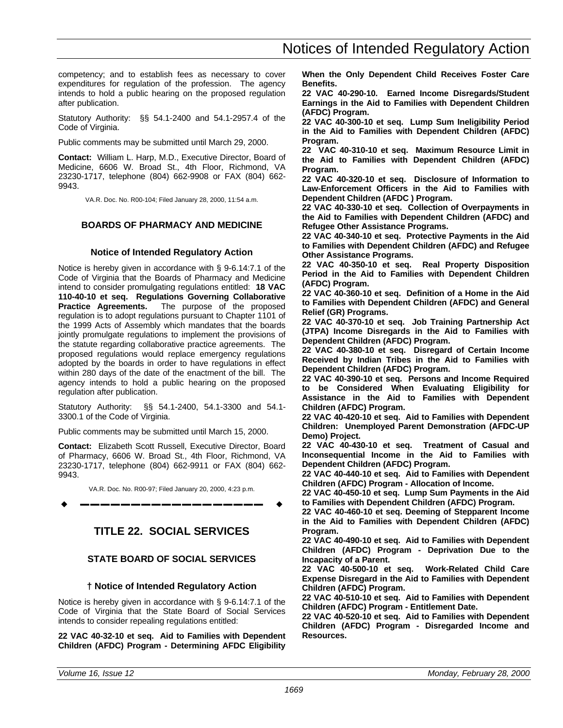<span id="page-24-0"></span>competency; and to establish fees as necessary to cover expenditures for regulation of the profession. The agency intends to hold a public hearing on the proposed regulation after publication.

Statutory Authority: §§ 54.1-2400 and 54.1-2957.4 of the Code of Virginia.

Public comments may be submitted until March 29, 2000.

**Contact:** William L. Harp, M.D., Executive Director, Board of Medicine, 6606 W. Broad St., 4th Floor, Richmond, VA 23230-1717, telephone (804) 662-9908 or FAX (804) 662- 9943.

VA.R. Doc. No. R00-104; Filed January 28, 2000, 11:54 a.m.

# **BOARDS OF PHARMACY AND MEDICINE**

# **Notice of Intended Regulatory Action**

Notice is hereby given in accordance with § 9-6.14:7.1 of the Code of Virginia that the Boards of Pharmacy and Medicine intend to consider promulgating regulations entitled: **18 VAC 110-40-10 et seq. Regulations Governing Collaborative Practice Agreements.** The purpose of the proposed regulation is to adopt regulations pursuant to Chapter 1101 of the 1999 Acts of Assembly which mandates that the boards jointly promulgate regulations to implement the provisions of the statute regarding collaborative practice agreements. The proposed regulations would replace emergency regulations adopted by the boards in order to have regulations in effect within 280 days of the date of the enactment of the bill. The agency intends to hold a public hearing on the proposed regulation after publication.

Statutory Authority: §§ 54.1-2400, 54.1-3300 and 54.1- 3300.1 of the Code of Virginia.

Public comments may be submitted until March 15, 2000.

**Contact:** Elizabeth Scott Russell, Executive Director, Board of Pharmacy, 6606 W. Broad St., 4th Floor, Richmond, VA 23230-1717, telephone (804) 662-9911 or FAX (804) 662- 9943.

VA.R. Doc. No. R00-97; Filed January 20, 2000, 4:23 p.m.

w **––––––––––––––––––** w

# **TITLE 22. SOCIAL SERVICES**

# **STATE BOARD OF SOCIAL SERVICES**

# **† Notice of Intended Regulatory Action**

Notice is hereby given in accordance with § 9-6.14:7.1 of the Code of Virginia that the State Board of Social Services intends to consider repealing regulations entitled:

**22 VAC 40-32-10 et seq. Aid to Families with Dependent Children (AFDC) Program - Determining AFDC Eligibility** **When the Only Dependent Child Receives Foster Care Benefits.**

**22 VAC 40-290-10. Earned Income Disregards/Student Earnings in the Aid to Families with Dependent Children (AFDC) Program.**

**22 VAC 40-300-10 et seq. Lump Sum Ineligibility Period in the Aid to Families with Dependent Children (AFDC) Program.**

**22 VAC 40-310-10 et seq. Maximum Resource Limit in the Aid to Families with Dependent Children (AFDC) Program.**

**22 VAC 40-320-10 et seq. Disclosure of Information to Law-Enforcement Officers in the Aid to Families with Dependent Children (AFDC ) Program.**

**22 VAC 40-330-10 et seq. Collection of Overpayments in the Aid to Families with Dependent Children (AFDC) and Refugee Other Assistance Programs.**

**22 VAC 40-340-10 et seq. Protective Payments in the Aid to Families with Dependent Children (AFDC) and Refugee Other Assistance Programs.**

**22 VAC 40-350-10 et seq. Real Property Disposition Period in the Aid to Families with Dependent Children (AFDC) Program.**

**22 VAC 40-360-10 et seq. Definition of a Home in the Aid to Families with Dependent Children (AFDC) and General Relief (GR) Programs.**

**22 VAC 40-370-10 et seq. Job Training Partnership Act (JTPA) Income Disregards in the Aid to Families with Dependent Children (AFDC) Program.**

**22 VAC 40-380-10 et seq. Disregard of Certain Income Received by Indian Tribes in the Aid to Families with Dependent Children (AFDC) Program.**

**22 VAC 40-390-10 et seq. Persons and Income Required to be Considered When Evaluating Eligibility for Assistance in the Aid to Families with Dependent Children (AFDC) Program.**

**22 VAC 40-420-10 et seq. Aid to Families with Dependent Children: Unemployed Parent Demonstration (AFDC-UP Demo) Project.**

**22 VAC 40-430-10 et seq. Treatment of Casual and Inconsequential Income in the Aid to Families with Dependent Children (AFDC) Program.**

**22 VAC 40-440-10 et seq. Aid to Families with Dependent Children (AFDC) Program - Allocation of Income.**

**22 VAC 40-450-10 et seq. Lump Sum Payments in the Aid to Families with Dependent Children (AFDC) Program.**

**22 VAC 40-460-10 et seq. Deeming of Stepparent Income in the Aid to Families with Dependent Children (AFDC) Program.**

**22 VAC 40-490-10 et seq. Aid to Families with Dependent Children (AFDC) Program - Deprivation Due to the Incapacity of a Parent.**

**22 VAC 40-500-10 et seq. Work-Related Child Care Expense Disregard in the Aid to Families with Dependent Children (AFDC) Program.**

**22 VAC 40-510-10 et seq. Aid to Families with Dependent Children (AFDC) Program - Entitlement Date.**

**22 VAC 40-520-10 et seq. Aid to Families with Dependent Children (AFDC) Program - Disregarded Income and Resources.**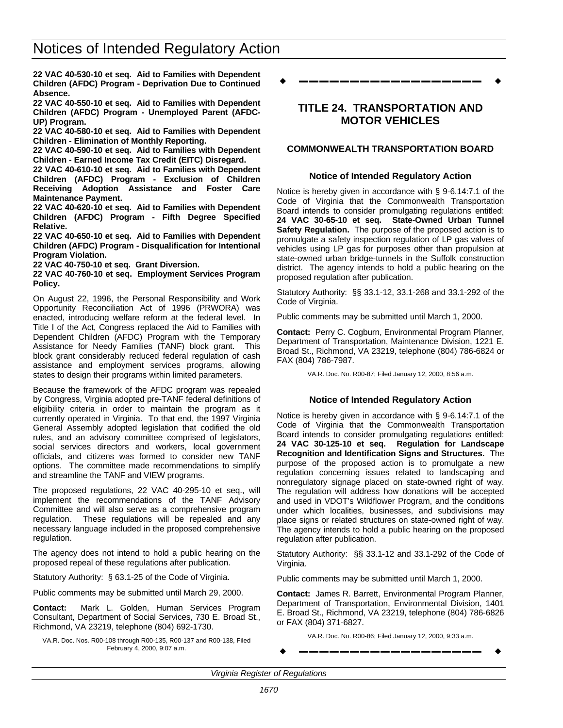<span id="page-25-0"></span>**22 VAC 40-530-10 et seq. Aid to Families with Dependent Children (AFDC) Program - Deprivation Due to Continued Absence.**

**22 VAC 40-550-10 et seq. Aid to Families with Dependent Children (AFDC) Program - Unemployed Parent (AFDC-UP) Program.**

**22 VAC 40-580-10 et seq. Aid to Families with Dependent Children - Elimination of Monthly Reporting.**

**22 VAC 40-590-10 et seq. Aid to Families with Dependent Children - Earned Income Tax Credit (EITC) Disregard.**

**22 VAC 40-610-10 et seq. Aid to Families with Dependent Children (AFDC) Program - Exclusion of Children Receiving Adoption Assistance and Foster Care Maintenance Payment.**

**22 VAC 40-620-10 et seq. Aid to Families with Dependent Children (AFDC) Program - Fifth Degree Specified Relative.**

**22 VAC 40-650-10 et seq. Aid to Families with Dependent Children (AFDC) Program - Disqualification for Intentional Program Violation.**

**22 VAC 40-750-10 et seq. Grant Diversion.**

**22 VAC 40-760-10 et seq. Employment Services Program Policy.**

On August 22, 1996, the Personal Responsibility and Work Opportunity Reconciliation Act of 1996 (PRWORA) was enacted, introducing welfare reform at the federal level. In Title I of the Act, Congress replaced the Aid to Families with Dependent Children (AFDC) Program with the Temporary Assistance for Needy Families (TANF) block grant. This block grant considerably reduced federal regulation of cash assistance and employment services programs, allowing states to design their programs within limited parameters.

Because the framework of the AFDC program was repealed by Congress, Virginia adopted pre-TANF federal definitions of eligibility criteria in order to maintain the program as it currently operated in Virginia. To that end, the 1997 Virginia General Assembly adopted legislation that codified the old rules, and an advisory committee comprised of legislators, social services directors and workers, local government officials, and citizens was formed to consider new TANF options. The committee made recommendations to simplify and streamline the TANF and VIEW programs.

The proposed regulations, 22 VAC 40-295-10 et seq., will implement the recommendations of the TANF Advisory Committee and will also serve as a comprehensive program regulation. These regulations will be repealed and any necessary language included in the proposed comprehensive regulation.

The agency does not intend to hold a public hearing on the proposed repeal of these regulations after publication.

Statutory Authority: § 63.1-25 of the Code of Virginia.

Public comments may be submitted until March 29, 2000.

**Contact:** Mark L. Golden, Human Services Program Consultant, Department of Social Services, 730 E. Broad St., Richmond, VA 23219, telephone (804) 692-1730.

VA.R. Doc. Nos. R00-108 through R00-135, R00-137 and R00-138, Filed February 4, 2000, 9:07 a.m.

w **––––––––––––––––––** w

# **TITLE 24. TRANSPORTATION AND MOTOR VEHICLES**

# **COMMONWEALTH TRANSPORTATION BOARD**

### **Notice of Intended Regulatory Action**

Notice is hereby given in accordance with § 9-6.14:7.1 of the Code of Virginia that the Commonwealth Transportation Board intends to consider promulgating regulations entitled: **24 VAC 30-65-10 et seq. State-Owned Urban Tunnel Safety Regulation.** The purpose of the proposed action is to promulgate a safety inspection regulation of LP gas valves of vehicles using LP gas for purposes other than propulsion at state-owned urban bridge-tunnels in the Suffolk construction district. The agency intends to hold a public hearing on the proposed regulation after publication.

Statutory Authority: §§ 33.1-12, 33.1-268 and 33.1-292 of the Code of Virginia.

Public comments may be submitted until March 1, 2000.

**Contact:** Perry C. Cogburn, Environmental Program Planner, Department of Transportation, Maintenance Division, 1221 E. Broad St., Richmond, VA 23219, telephone (804) 786-6824 or FAX (804) 786-7987.

VA.R. Doc. No. R00-87; Filed January 12, 2000, 8:56 a.m.

# **Notice of Intended Regulatory Action**

Notice is hereby given in accordance with § 9-6.14:7.1 of the Code of Virginia that the Commonwealth Transportation Board intends to consider promulgating regulations entitled: **24 VAC 30-125-10 et seq. Regulation for Landscape Recognition and Identification Signs and Structures.** The purpose of the proposed action is to promulgate a new regulation concerning issues related to landscaping and nonregulatory signage placed on state-owned right of way. The regulation will address how donations will be accepted and used in VDOT's Wildflower Program, and the conditions under which localities, businesses, and subdivisions may place signs or related structures on state-owned right of way. The agency intends to hold a public hearing on the proposed regulation after publication.

Statutory Authority: §§ 33.1-12 and 33.1-292 of the Code of Virginia.

Public comments may be submitted until March 1, 2000.

**Contact:** James R. Barrett, Environmental Program Planner, Department of Transportation, Environmental Division, 1401 E. Broad St., Richmond, VA 23219, telephone (804) 786-6826 or FAX (804) 371-6827.

VA.R. Doc. No. R00-86; Filed January 12, 2000, 9:33 a.m.

w **––––––––––––––––––** w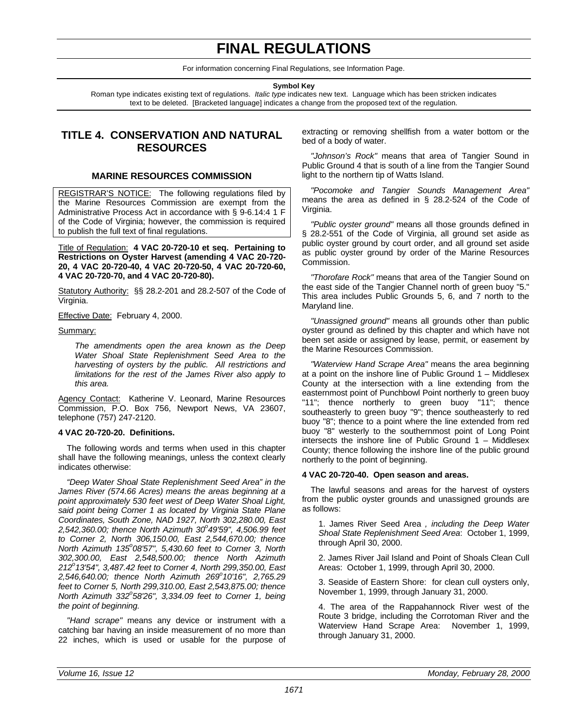# **FINAL REGULATIONS**

For information concerning Final Regulations, see Information Page.

**Symbol Key**

Roman type indicates existing text of regulations. *Italic type* indicates new text. Language which has been stricken indicates text to be deleted. [Bracketed language] indicates a change from the proposed text of the regulation.

# <span id="page-26-0"></span>**TITLE 4. CONSERVATION AND NATURAL RESOURCES**

# **MARINE RESOURCES COMMISSION**

REGISTRAR'S NOTICE: The following regulations filed by the Marine Resources Commission are exempt from the Administrative Process Act in accordance with § 9-6.14:4 1 F of the Code of Virginia; however, the commission is required to publish the full text of final regulations.

Title of Regulation: **4 VAC 20-720-10 et seq. Pertaining to Restrictions on Oyster Harvest (amending 4 VAC 20-720- 20, 4 VAC 20-720-40, 4 VAC 20-720-50, 4 VAC 20-720-60, 4 VAC 20-720-70, and 4 VAC 20-720-80).**

Statutory Authority: §§ 28.2-201 and 28.2-507 of the Code of Virginia.

Effective Date: February 4, 2000.

#### Summary:

*The amendments open the area known as the Deep Water Shoal State Replenishment Seed Area to the harvesting of oysters by the public. All restrictions and limitations for the rest of the James River also apply to this area.*

Agency Contact: Katherine V. Leonard, Marine Resources Commission, P.O. Box 756, Newport News, VA 23607, telephone (757) 247-2120.

#### **4 VAC 20-720-20. Definitions.**

The following words and terms when used in this chapter shall have the following meanings, unless the context clearly indicates otherwise:

*"Deep Water Shoal State Replenishment Seed Area" in the James River (574.66 Acres) means the areas beginning at a point approximately 530 feet west of Deep Water Shoal Light, said point being Corner 1 as located by Virginia State Plane Coordinates, South Zone, NAD 1927, North 302,280.00, East 2,542,360.00; thence North Azimuth 30<sup>o</sup> 49'59", 4,506.99 feet to Corner 2, North 306,150.00, East 2,544,670.00; thence North Azimuth 135<sup>o</sup> 08'57", 5,430.60 feet to Corner 3, North 302,300.00, East 2,548,500.00; thence North Azimuth 212<sup>o</sup> 13'54", 3,487.42 feet to Corner 4, North 299,350.00, East 2,546,640.00; thence North Azimuth 269<sup>o</sup> 10'16", 2,765.29 feet to Corner 5, North 299,310.00, East 2,543,875.00; thence North Azimuth 332<sup>o</sup> 58'26", 3,334.09 feet to Corner 1, being the point of beginning.*

*"Hand scrape"* means any device or instrument with a catching bar having an inside measurement of no more than 22 inches, which is used or usable for the purpose of extracting or removing shellfish from a water bottom or the bed of a body of water.

*"Johnson's Rock"* means that area of Tangier Sound in Public Ground 4 that is south of a line from the Tangier Sound light to the northern tip of Watts Island.

*"Pocomoke and Tangier Sounds Management Area"* means the area as defined in § 28.2-524 of the Code of Virginia.

*"Public oyster ground"* means all those grounds defined in § 28.2-551 of the Code of Virginia, all ground set aside as public oyster ground by court order, and all ground set aside as public oyster ground by order of the Marine Resources Commission.

*"Thorofare Rock"* means that area of the Tangier Sound on the east side of the Tangier Channel north of green buoy "5." This area includes Public Grounds 5, 6, and 7 north to the Maryland line.

*"Unassigned ground"* means all grounds other than public oyster ground as defined by this chapter and which have not been set aside or assigned by lease, permit, or easement by the Marine Resources Commission.

*"Waterview Hand Scrape Area"* means the area beginning at a point on the inshore line of Public Ground 1 – Middlesex County at the intersection with a line extending from the easternmost point of Punchbowl Point northerly to green buoy "11"; thence northerly to green buoy "11"; thence southeasterly to green buoy "9"; thence southeasterly to red buoy "8"; thence to a point where the line extended from red buoy "8" westerly to the southernmost point of Long Point intersects the inshore line of Public Ground 1 – Middlesex County; thence following the inshore line of the public ground northerly to the point of beginning.

#### **4 VAC 20-720-40. Open season and areas.**

The lawful seasons and areas for the harvest of oysters from the public oyster grounds and unassigned grounds are as follows:

1. James River Seed Area *, including the Deep Water Shoal State Replenishment Seed Area*: October 1, 1999, through April 30, 2000.

2. James River Jail Island and Point of Shoals Clean Cull Areas: October 1, 1999, through April 30, 2000.

3. Seaside of Eastern Shore: for clean cull oysters only, November 1, 1999, through January 31, 2000.

4. The area of the Rappahannock River west of the Route 3 bridge, including the Corrotoman River and the Waterview Hand Scrape Area: November 1, 1999, through January 31, 2000.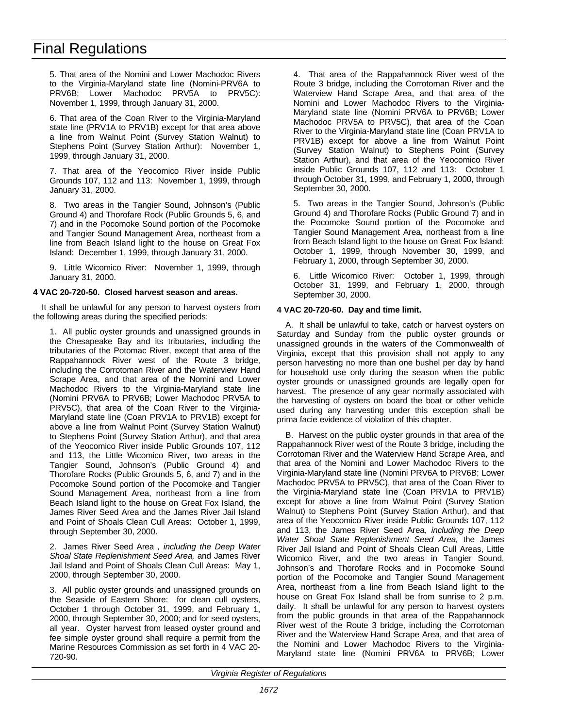5. That area of the Nomini and Lower Machodoc Rivers to the Virginia-Maryland state line (Nomini-PRV6A to PRV6B; Lower Machodoc PRV5A to PRV5C): November 1, 1999, through January 31, 2000.

6. That area of the Coan River to the Virginia-Maryland state line (PRV1A to PRV1B) except for that area above a line from Walnut Point (Survey Station Walnut) to Stephens Point (Survey Station Arthur): November 1, 1999, through January 31, 2000.

7. That area of the Yeocomico River inside Public Grounds 107, 112 and 113: November 1, 1999, through January 31, 2000.

8. Two areas in the Tangier Sound, Johnson's (Public Ground 4) and Thorofare Rock (Public Grounds 5, 6, and 7) and in the Pocomoke Sound portion of the Pocomoke and Tangier Sound Management Area, northeast from a line from Beach Island light to the house on Great Fox Island: December 1, 1999, through January 31, 2000.

9. Little Wicomico River: November 1, 1999, through January 31, 2000.

### **4 VAC 20-720-50. Closed harvest season and areas.**

It shall be unlawful for any person to harvest oysters from the following areas during the specified periods:

1. All public oyster grounds and unassigned grounds in the Chesapeake Bay and its tributaries, including the tributaries of the Potomac River, except that area of the Rappahannock River west of the Route 3 bridge, including the Corrotoman River and the Waterview Hand Scrape Area, and that area of the Nomini and Lower Machodoc Rivers to the Virginia-Maryland state line (Nomini PRV6A to PRV6B; Lower Machodoc PRV5A to PRV5C), that area of the Coan River to the Virginia-Maryland state line (Coan PRV1A to PRV1B) except for above a line from Walnut Point (Survey Station Walnut) to Stephens Point (Survey Station Arthur), and that area of the Yeocomico River inside Public Grounds 107, 112 and 113, the Little Wicomico River, two areas in the Tangier Sound, Johnson's (Public Ground 4) and Thorofare Rocks (Public Grounds 5, 6, and 7) and in the Pocomoke Sound portion of the Pocomoke and Tangier Sound Management Area, northeast from a line from Beach Island light to the house on Great Fox Island, the James River Seed Area and the James River Jail Island and Point of Shoals Clean Cull Areas: October 1, 1999, through September 30, 2000.

2. James River Seed Area *, including the Deep Water Shoal State Replenishment Seed Area,* and James River Jail Island and Point of Shoals Clean Cull Areas: May 1, 2000, through September 30, 2000.

3. All public oyster grounds and unassigned grounds on the Seaside of Eastern Shore: for clean cull oysters, October 1 through October 31, 1999, and February 1, 2000, through September 30, 2000; and for seed oysters, all year. Oyster harvest from leased oyster ground and fee simple oyster ground shall require a permit from the Marine Resources Commission as set forth in 4 VAC 20- 720-90.

4. That area of the Rappahannock River west of the Route 3 bridge, including the Corrotoman River and the Waterview Hand Scrape Area, and that area of the Nomini and Lower Machodoc Rivers to the Virginia-Maryland state line (Nomini PRV6A to PRV6B; Lower Machodoc PRV5A to PRV5C), that area of the Coan River to the Virginia-Maryland state line (Coan PRV1A to PRV1B) except for above a line from Walnut Point (Survey Station Walnut) to Stephens Point (Survey Station Arthur), and that area of the Yeocomico River inside Public Grounds 107, 112 and 113: October 1 through October 31, 1999, and February 1, 2000, through September 30, 2000.

5. Two areas in the Tangier Sound, Johnson's (Public Ground 4) and Thorofare Rocks (Public Ground 7) and in the Pocomoke Sound portion of the Pocomoke and Tangier Sound Management Area, northeast from a line from Beach Island light to the house on Great Fox Island: October 1, 1999, through November 30, 1999, and February 1, 2000, through September 30, 2000.

6. Little Wicomico River: October 1, 1999, through October 31, 1999, and February 1, 2000, through September 30, 2000.

#### **4 VAC 20-720-60. Day and time limit.**

A. It shall be unlawful to take, catch or harvest oysters on Saturday and Sunday from the public oyster grounds or unassigned grounds in the waters of the Commonwealth of Virginia, except that this provision shall not apply to any person harvesting no more than one bushel per day by hand for household use only during the season when the public oyster grounds or unassigned grounds are legally open for harvest. The presence of any gear normally associated with the harvesting of oysters on board the boat or other vehicle used during any harvesting under this exception shall be prima facie evidence of violation of this chapter.

B. Harvest on the public oyster grounds in that area of the Rappahannock River west of the Route 3 bridge, including the Corrotoman River and the Waterview Hand Scrape Area, and that area of the Nomini and Lower Machodoc Rivers to the Virginia-Maryland state line (Nomini PRV6A to PRV6B; Lower Machodoc PRV5A to PRV5C), that area of the Coan River to the Virginia-Maryland state line (Coan PRV1A to PRV1B) except for above a line from Walnut Point (Survey Station Walnut) to Stephens Point (Survey Station Arthur), and that area of the Yeocomico River inside Public Grounds 107, 112 and 113, the James River Seed Area, *including the Deep Water Shoal State Replenishment Seed Area,* the James River Jail Island and Point of Shoals Clean Cull Areas, Little Wicomico River, and the two areas in Tangier Sound, Johnson's and Thorofare Rocks and in Pocomoke Sound portion of the Pocomoke and Tangier Sound Management Area, northeast from a line from Beach Island light to the house on Great Fox Island shall be from sunrise to 2 p.m. daily. It shall be unlawful for any person to harvest oysters from the public grounds in that area of the Rappahannock River west of the Route 3 bridge, including the Corrotoman River and the Waterview Hand Scrape Area, and that area of the Nomini and Lower Machodoc Rivers to the Virginia-Maryland state line (Nomini PRV6A to PRV6B; Lower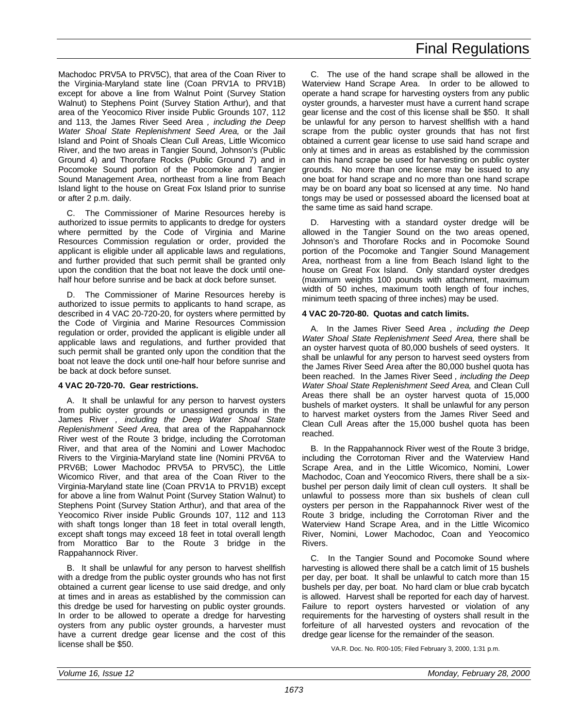Machodoc PRV5A to PRV5C), that area of the Coan River to the Virginia-Maryland state line (Coan PRV1A to PRV1B) except for above a line from Walnut Point (Survey Station Walnut) to Stephens Point (Survey Station Arthur), and that area of the Yeocomico River inside Public Grounds 107, 112 and 113, the James River Seed Area *, including the Deep Water Shoal State Replenishment Seed Area,* or the Jail Island and Point of Shoals Clean Cull Areas, Little Wicomico River, and the two areas in Tangier Sound, Johnson's (Public Ground 4) and Thorofare Rocks (Public Ground 7) and in Pocomoke Sound portion of the Pocomoke and Tangier Sound Management Area, northeast from a line from Beach Island light to the house on Great Fox Island prior to sunrise or after 2 p.m. daily.

The Commissioner of Marine Resources hereby is authorized to issue permits to applicants to dredge for oysters where permitted by the Code of Virginia and Marine Resources Commission regulation or order, provided the applicant is eligible under all applicable laws and regulations, and further provided that such permit shall be granted only upon the condition that the boat not leave the dock until onehalf hour before sunrise and be back at dock before sunset.

D. The Commissioner of Marine Resources hereby is authorized to issue permits to applicants to hand scrape, as described in 4 VAC 20-720-20, for oysters where permitted by the Code of Virginia and Marine Resources Commission regulation or order, provided the applicant is eligible under all applicable laws and regulations, and further provided that such permit shall be granted only upon the condition that the boat not leave the dock until one-half hour before sunrise and be back at dock before sunset.

# **4 VAC 20-720-70. Gear restrictions.**

A. It shall be unlawful for any person to harvest oysters from public oyster grounds or unassigned grounds in the James River *, including the Deep Water Shoal State Replenishment Seed Area,* that area of the Rappahannock River west of the Route 3 bridge, including the Corrotoman River, and that area of the Nomini and Lower Machodoc Rivers to the Virginia-Maryland state line (Nomini PRV6A to PRV6B; Lower Machodoc PRV5A to PRV5C), the Little Wicomico River, and that area of the Coan River to the Virginia-Maryland state line (Coan PRV1A to PRV1B) except for above a line from Walnut Point (Survey Station Walnut) to Stephens Point (Survey Station Arthur), and that area of the Yeocomico River inside Public Grounds 107, 112 and 113 with shaft tongs longer than 18 feet in total overall length, except shaft tongs may exceed 18 feet in total overall length from Morattico Bar to the Route 3 bridge in the Rappahannock River.

B. It shall be unlawful for any person to harvest shellfish with a dredge from the public oyster grounds who has not first obtained a current gear license to use said dredge, and only at times and in areas as established by the commission can this dredge be used for harvesting on public oyster grounds. In order to be allowed to operate a dredge for harvesting oysters from any public oyster grounds, a harvester must have a current dredge gear license and the cost of this license shall be \$50.

C. The use of the hand scrape shall be allowed in the Waterview Hand Scrape Area. In order to be allowed to operate a hand scrape for harvesting oysters from any public oyster grounds, a harvester must have a current hand scrape gear license and the cost of this license shall be \$50. It shall be unlawful for any person to harvest shellfish with a hand scrape from the public oyster grounds that has not first obtained a current gear license to use said hand scrape and only at times and in areas as established by the commission can this hand scrape be used for harvesting on public oyster grounds. No more than one license may be issued to any one boat for hand scrape and no more than one hand scrape may be on board any boat so licensed at any time. No hand tongs may be used or possessed aboard the licensed boat at the same time as said hand scrape.

D. Harvesting with a standard oyster dredge will be allowed in the Tangier Sound on the two areas opened, Johnson's and Thorofare Rocks and in Pocomoke Sound portion of the Pocomoke and Tangier Sound Management Area, northeast from a line from Beach Island light to the house on Great Fox Island. Only standard oyster dredges (maximum weights 100 pounds with attachment, maximum width of 50 inches, maximum tooth length of four inches, minimum teeth spacing of three inches) may be used.

# **4 VAC 20-720-80. Quotas and catch limits.**

A. In the James River Seed Area *, including the Deep Water Shoal State Replenishment Seed Area,* there shall be an oyster harvest quota of 80,000 bushels of seed oysters. It shall be unlawful for any person to harvest seed oysters from the James River Seed Area after the 80,000 bushel quota has been reached. In the James River Seed *, including the Deep Water Shoal State Replenishment Seed Area,* and Clean Cull Areas there shall be an oyster harvest quota of 15,000 bushels of market oysters. It shall be unlawful for any person to harvest market oysters from the James River Seed and Clean Cull Areas after the 15,000 bushel quota has been reached.

B. In the Rappahannock River west of the Route 3 bridge, including the Corrotoman River and the Waterview Hand Scrape Area, and in the Little Wicomico, Nomini, Lower Machodoc, Coan and Yeocomico Rivers, there shall be a sixbushel per person daily limit of clean cull oysters. It shall be unlawful to possess more than six bushels of clean cull oysters per person in the Rappahannock River west of the Route 3 bridge, including the Corrotoman River and the Waterview Hand Scrape Area, and in the Little Wicomico River, Nomini, Lower Machodoc, Coan and Yeocomico Rivers.

C. In the Tangier Sound and Pocomoke Sound where harvesting is allowed there shall be a catch limit of 15 bushels per day, per boat. It shall be unlawful to catch more than 15 bushels per day, per boat. No hard clam or blue crab bycatch is allowed. Harvest shall be reported for each day of harvest. Failure to report oysters harvested or violation of any requirements for the harvesting of oysters shall result in the forfeiture of all harvested oysters and revocation of the dredge gear license for the remainder of the season.

VA.R. Doc. No. R00-105; Filed February 3, 2000, 1:31 p.m.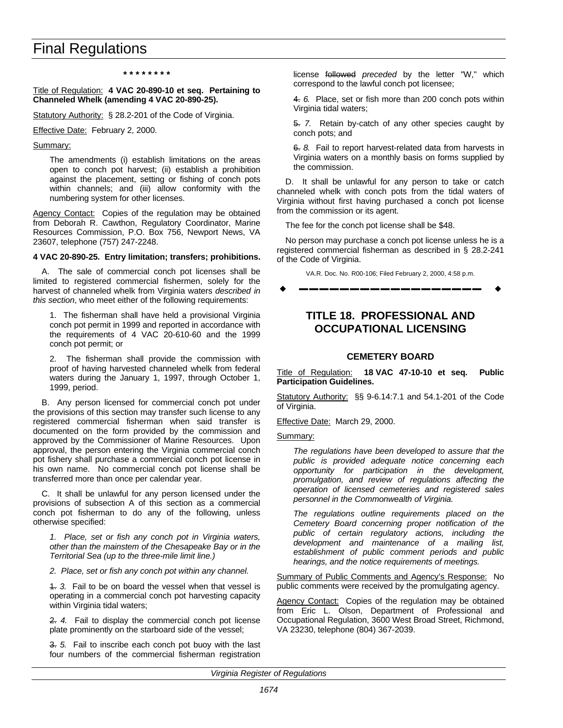#### **\* \* \* \* \* \* \* \***

#### <span id="page-29-0"></span>Title of Regulation: **4 VAC 20-890-10 et seq. Pertaining to Channeled Whelk (amending 4 VAC 20-890-25).**

Statutory Authority: § 28.2-201 of the Code of Virginia.

Effective Date: February 2, 2000.

#### Summary:

The amendments (i) establish limitations on the areas open to conch pot harvest; (ii) establish a prohibition against the placement, setting or fishing of conch pots within channels; and (iii) allow conformity with the numbering system for other licenses.

Agency Contact: Copies of the regulation may be obtained from Deborah R. Cawthon, Regulatory Coordinator, Marine Resources Commission, P.O. Box 756, Newport News, VA 23607, telephone (757) 247-2248.

#### **4 VAC 20-890-25. Entry limitation; transfers; prohibitions.**

A. The sale of commercial conch pot licenses shall be limited to registered commercial fishermen, solely for the harvest of channeled whelk from Virginia waters *described in this section*, who meet either of the following requirements:

1. The fisherman shall have held a provisional Virginia conch pot permit in 1999 and reported in accordance with the requirements of 4 VAC 20-610-60 and the 1999 conch pot permit; or

2. The fisherman shall provide the commission with proof of having harvested channeled whelk from federal waters during the January 1, 1997, through October 1, 1999, period.

B. Any person licensed for commercial conch pot under the provisions of this section may transfer such license to any registered commercial fisherman when said transfer is documented on the form provided by the commission and approved by the Commissioner of Marine Resources. Upon approval, the person entering the Virginia commercial conch pot fishery shall purchase a commercial conch pot license in his own name. No commercial conch pot license shall be transferred more than once per calendar year.

C. It shall be unlawful for any person licensed under the provisions of subsection A of this section as a commercial conch pot fisherman to do any of the following, unless otherwise specified:

*1. Place, set or fish any conch pot in Virginia waters, other than the mainstem of the Chesapeake Bay or in the Territorial Sea (up to the three-mile limit line.)*

*2. Place, set or fish any conch pot within any channel.*

1. *3.* Fail to be on board the vessel when that vessel is operating in a commercial conch pot harvesting capacity within Virginia tidal waters;

2. *4.* Fail to display the commercial conch pot license plate prominently on the starboard side of the vessel;

3. *5.* Fail to inscribe each conch pot buoy with the last four numbers of the commercial fisherman registration

license followed *preceded* by the letter "W," which correspond to the lawful conch pot licensee;

4. *6.* Place, set or fish more than 200 conch pots within Virginia tidal waters;

5. *7.* Retain by-catch of any other species caught by conch pots; and

6. *8.* Fail to report harvest-related data from harvests in Virginia waters on a monthly basis on forms supplied by the commission.

D. It shall be unlawful for any person to take or catch channeled whelk with conch pots from the tidal waters of Virginia without first having purchased a conch pot license from the commission or its agent.

The fee for the conch pot license shall be \$48.

No person may purchase a conch pot license unless he is a registered commercial fisherman as described in § 28.2-241 of the Code of Virginia.

VA.R. Doc. No. R00-106; Filed February 2, 2000, 4:58 p.m.

w **––––––––––––––––––** w

# **TITLE 18. PROFESSIONAL AND OCCUPATIONAL LICENSING**

# **CEMETERY BOARD**

Title of Regulation: **18 VAC 47-10-10 et seq. Public Participation Guidelines.**

Statutory Authority: §§ 9-6.14:7.1 and 54.1-201 of the Code of Virginia.

Effective Date: March 29, 2000.

Summary:

*The regulations have been developed to assure that the public is provided adequate notice concerning each opportunity for participation in the development, promulgation, and review of regulations affecting the operation of licensed cemeteries and registered sales personnel in the Commonwealth of Virginia.*

*The regulations outline requirements placed on the Cemetery Board concerning proper notification of the public of certain regulatory actions, including the development and maintenance of a mailing list, establishment of public comment periods and public hearings, and the notice requirements of meetings.*

Summary of Public Comments and Agency's Response: No public comments were received by the promulgating agency.

Agency Contact: Copies of the regulation may be obtained from Eric L. Olson, Department of Professional and Occupational Regulation, 3600 West Broad Street, Richmond, VA 23230, telephone (804) 367-2039.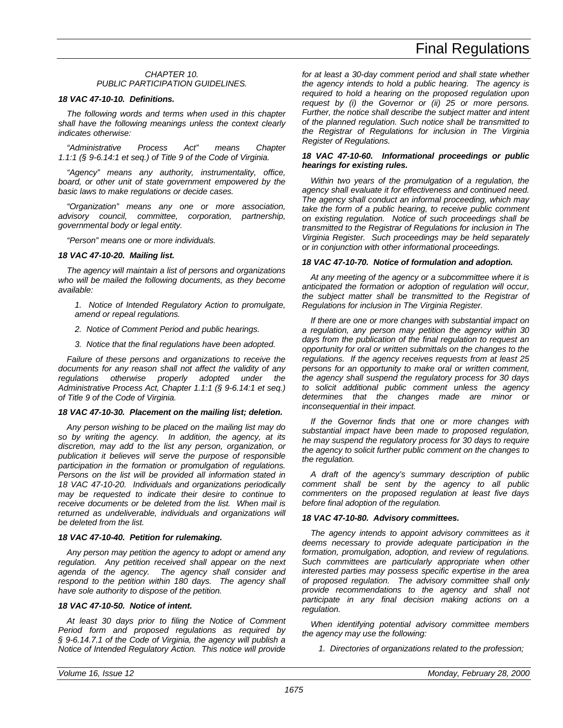### *CHAPTER 10. PUBLIC PARTICIPATION GUIDELINES.*

#### *18 VAC 47-10-10. Definitions.*

*The following words and terms when used in this chapter shall have the following meanings unless the context clearly indicates otherwise:*

*"Administrative Process Act" means Chapter 1.1:1 (§ 9-6.14:1 et seq.) of Title 9 of the Code of Virginia.*

*"Agency" means any authority, instrumentality, office, board, or other unit of state government empowered by the basic laws to make regulations or decide cases.*

*"Organization" means any one or more association, advisory council, committee, corporation, partnership, governmental body or legal entity.*

*"Person" means one or more individuals.*

#### *18 VAC 47-10-20. Mailing list.*

*The agency will maintain a list of persons and organizations who will be mailed the following documents, as they become available:*

- *1. Notice of Intended Regulatory Action to promulgate, amend or repeal regulations.*
- *2. Notice of Comment Period and public hearings.*
- *3. Notice that the final regulations have been adopted.*

*Failure of these persons and organizations to receive the documents for any reason shall not affect the validity of any regulations otherwise properly adopted under the Administrative Process Act, Chapter 1.1:1 (§ 9-6.14:1 et seq.) of Title 9 of the Code of Virginia.*

#### *18 VAC 47-10-30. Placement on the mailing list; deletion.*

*Any person wishing to be placed on the mailing list may do so by writing the agency. In addition, the agency, at its discretion, may add to the list any person, organization, or publication it believes will serve the purpose of responsible participation in the formation or promulgation of regulations. Persons on the list will be provided all information stated in 18 VAC 47-10-20. Individuals and organizations periodically may be requested to indicate their desire to continue to receive documents or be deleted from the list. When mail is returned as undeliverable, individuals and organizations will be deleted from the list.*

#### *18 VAC 47-10-40. Petition for rulemaking.*

*Any person may petition the agency to adopt or amend any regulation. Any petition received shall appear on the next agenda of the agency. The agency shall consider and respond to the petition within 180 days. The agency shall have sole authority to dispose of the petition.*

### *18 VAC 47-10-50. Notice of intent.*

*At least 30 days prior to filing the Notice of Comment Period form and proposed regulations as required by § 9-6.14.7.1 of the Code of Virginia, the agency will publish a Notice of Intended Regulatory Action. This notice will provide*

*for at least a 30-day comment period and shall state whether the agency intends to hold a public hearing. The agency is required to hold a hearing on the proposed regulation upon request by (i) the Governor or (ii) 25 or more persons. Further, the notice shall describe the subject matter and intent of the planned regulation. Such notice shall be transmitted to the Registrar of Regulations for inclusion in The Virginia Register of Regulations.*

#### *18 VAC 47-10-60. Informational proceedings or public hearings for existing rules.*

*Within two years of the promulgation of a regulation, the agency shall evaluate it for effectiveness and continued need. The agency shall conduct an informal proceeding, which may take the form of a public hearing, to receive public comment on existing regulation. Notice of such proceedings shall be transmitted to the Registrar of Regulations for inclusion in The Virginia Register. Such proceedings may be held separately or in conjunction with other informational proceedings.*

#### *18 VAC 47-10-70. Notice of formulation and adoption.*

*At any meeting of the agency or a subcommittee where it is anticipated the formation or adoption of regulation will occur, the subject matter shall be transmitted to the Registrar of Regulations for inclusion in The Virginia Register.*

*If there are one or more changes with substantial impact on a regulation, any person may petition the agency within 30 days from the publication of the final regulation to request an opportunity for oral or written submittals on the changes to the regulations. If the agency receives requests from at least 25 persons for an opportunity to make oral or written comment, the agency shall suspend the regulatory process for 30 days to solicit additional public comment unless the agency determines that the changes made are minor or inconsequential in their impact.*

*If the Governor finds that one or more changes with substantial impact have been made to proposed regulation, he may suspend the regulatory process for 30 days to require the agency to solicit further public comment on the changes to the regulation.*

*A draft of the agency's summary description of public comment shall be sent by the agency to all public commenters on the proposed regulation at least five days before final adoption of the regulation.*

#### *18 VAC 47-10-80. Advisory committees.*

*The agency intends to appoint advisory committees as it deems necessary to provide adequate participation in the formation, promulgation, adoption, and review of regulations. Such committees are particularly appropriate when other interested parties may possess specific expertise in the area of proposed regulation. The advisory committee shall only provide recommendations to the agency and shall not participate in any final decision making actions on a regulation.*

*When identifying potential advisory committee members the agency may use the following:*

*1. Directories of organizations related to the profession;*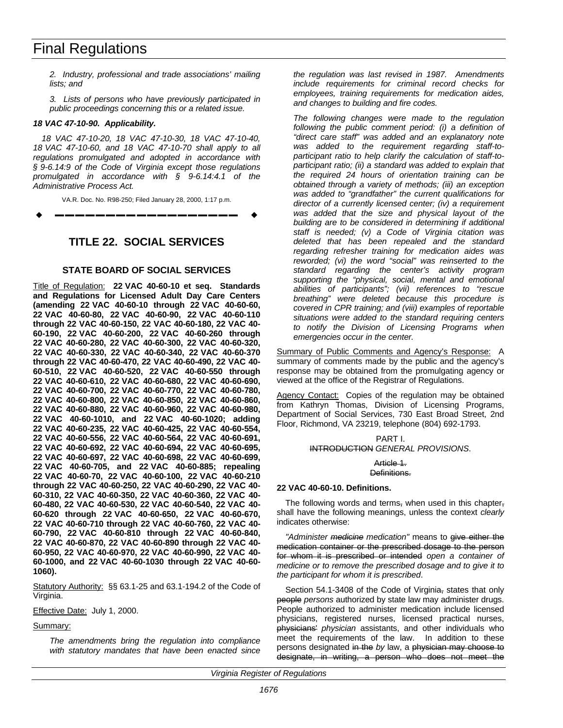*2. Industry, professional and trade associations' mailing lists; and*

*3. Lists of persons who have previously participated in public proceedings concerning this or a related issue.*

#### <span id="page-31-0"></span>*18 VAC 47-10-90. Applicability.*

*18 VAC 47-10-20, 18 VAC 47-10-30, 18 VAC 47-10-40, 18 VAC 47-10-60, and 18 VAC 47-10-70 shall apply to all regulations promulgated and adopted in accordance with § 9-6.14:9 of the Code of Virginia except those regulations promulgated in accordance with § 9-6.14:4.1 of the Administrative Process Act.*

VA.R. Doc. No. R98-250; Filed January 28, 2000, 1:17 p.m.

w **––––––––––––––––––** w

# **TITLE 22. SOCIAL SERVICES**

# **STATE BOARD OF SOCIAL SERVICES**

Title of Regulation: **22 VAC 40-60-10 et seq. Standards and Regulations for Licensed Adult Day Care Centers (amending 22 VAC 40-60-10 through 22 VAC 40-60-60, 22 VAC 40-60-80, 22 VAC 40-60-90, 22 VAC 40-60-110 through 22 VAC 40-60-150, 22 VAC 40-60-180, 22 VAC 40- 60-190, 22 VAC 40-60-200, 22 VAC 40-60-260 through 22 VAC 40-60-280, 22 VAC 40-60-300, 22 VAC 40-60-320, 22 VAC 40-60-330, 22 VAC 40-60-340, 22 VAC 40-60-370 through 22 VAC 40-60-470, 22 VAC 40-60-490, 22 VAC 40- 60-510, 22 VAC 40-60-520, 22 VAC 40-60-550 through 22 VAC 40-60-610, 22 VAC 40-60-680, 22 VAC 40-60-690, 22 VAC 40-60-700, 22 VAC 40-60-770, 22 VAC 40-60-780, 22 VAC 40-60-800, 22 VAC 40-60-850, 22 VAC 40-60-860, 22 VAC 40-60-880, 22 VAC 40-60-960, 22 VAC 40-60-980, 22 VAC 40-60-1010, and 22 VAC 40-60-1020; adding 22 VAC 40-60-235, 22 VAC 40-60-425, 22 VAC 40-60-554, 22 VAC 40-60-556, 22 VAC 40-60-564, 22 VAC 40-60-691, 22 VAC 40-60-692, 22 VAC 40-60-694, 22 VAC 40-60-695, 22 VAC 40-60-697, 22 VAC 40-60-698, 22 VAC 40-60-699, 22 VAC 40-60-705, and 22 VAC 40-60-885; repealing 22 VAC 40-60-70, 22 VAC 40-60-100, 22 VAC 40-60-210 through 22 VAC 40-60-250, 22 VAC 40-60-290, 22 VAC 40- 60-310, 22 VAC 40-60-350, 22 VAC 40-60-360, 22 VAC 40- 60-480, 22 VAC 40-60-530, 22 VAC 40-60-540, 22 VAC 40- 60-620 through 22 VAC 40-60-650, 22 VAC 40-60-670, 22 VAC 40-60-710 through 22 VAC 40-60-760, 22 VAC 40- 60-790, 22 VAC 40-60-810 through 22 VAC 40-60-840, 22 VAC 40-60-870, 22 VAC 40-60-890 through 22 VAC 40- 60-950, 22 VAC 40-60-970, 22 VAC 40-60-990, 22 VAC 40- 60-1000, and 22 VAC 40-60-1030 through 22 VAC 40-60- 1060).**

Statutory Authority: §§ 63.1-25 and 63.1-194.2 of the Code of Virginia.

Effective Date: July 1, 2000.

#### Summary:

*The amendments bring the regulation into compliance with statutory mandates that have been enacted since*

*the regulation was last revised in 1987. Amendments include requirements for criminal record checks for employees, training requirements for medication aides, and changes to building and fire codes.*

*The following changes were made to the regulation following the public comment period: (i) a definition of "direct care staff" was added and an explanatory note was added to the requirement regarding staff-toparticipant ratio to help clarify the calculation of staff-toparticipant ratio; (ii) a standard was added to explain that the required 24 hours of orientation training can be obtained through a variety of methods; (iii) an exception was added to "grandfather" the current qualifications for director of a currently licensed center; (iv) a requirement was added that the size and physical layout of the building are to be considered in determining if additional staff is needed; (v) a Code of Virginia citation was deleted that has been repealed and the standard regarding refresher training for medication aides was reworded; (vi) the word "social" was reinserted to the standard regarding the center's activity program supporting the "physical, social, mental and emotional abilities of participants"; (vii) references to "rescue breathing" were deleted because this procedure is covered in CPR training; and (viii) examples of reportable situations were added to the standard requiring centers to notify the Division of Licensing Programs when emergencies occur in the center.*

Summary of Public Comments and Agency's Response: A summary of comments made by the public and the agency's response may be obtained from the promulgating agency or viewed at the office of the Registrar of Regulations.

Agency Contact: Copies of the regulation may be obtained from Kathryn Thomas, Division of Licensing Programs, Department of Social Services, 730 East Broad Street, 2nd Floor, Richmond, VA 23219, telephone (804) 692-1793.

# PART I. INTRODUCTION *GENERAL PROVISIONS*.

Article 1. Definitions.

#### **22 VAC 40-60-10. Definitions.**

The following words and terms, when used in this chapter, shall have the following meanings, unless the context *clearly* indicates otherwise:

*"Administer medicine medication"* means to give either the medication container or the prescribed dosage to the person for whom it is prescribed or intended *open a container of medicine or to remove the prescribed dosage and to give it to the participant for whom it is prescribed*.

Section 54.1-3408 of the Code of Virginia, states that only people *persons* authorized by state law may administer drugs. People authorized to administer medication include licensed physicians, registered nurses, licensed practical nurses, physicians' *physician* assistants, and other individuals who meet the requirements of the law. In addition to these persons designated in the *by* law, a physician may choose to designate, in writing, a person who does not meet the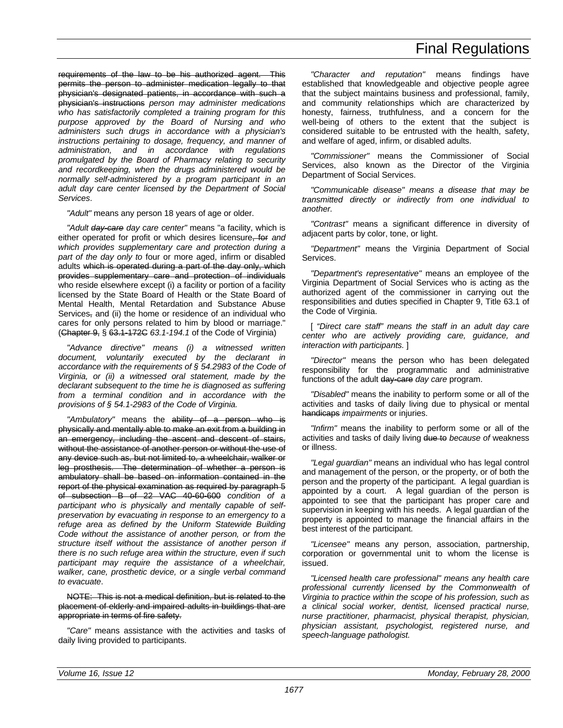requirements of the law to be his authorized agent. This permits the person to administer medication legally to that physician's designated patients, in accordance with such a physician's instructions *person may administer medications who has satisfactorily completed a training program for this purpose approved by the Board of Nursing and who administers such drugs in accordance with a physician's instructions pertaining to dosage, frequency, and manner of administration, and in accordance with regulations promulgated by the Board of Pharmacy relating to security and recordkeeping, when the drugs administered would be normally self-administered by a program participant in an adult day care center licensed by the Department of Social Services*.

*"Adult"* means any person 18 years of age or older.

*"Adult day-care day care center"* means "a facility, which is either operated for profit or which desires licensure, for *and which provides supplementary care and protection during a part of the day only to* four or more aged, infirm or disabled adults which is operated during a part of the day only, which provides supplementary care and protection of individuals who reside elsewhere except (i) a facility or portion of a facility licensed by the State Board of Health or the State Board of Mental Health, Mental Retardation and Substance Abuse Services, and (ii) the home or residence of an individual who cares for only persons related to him by blood or marriage." (Chapter 9, § 63.1-172C *63.1-194.1* of the Code of Virginia)

*"Advance directive" means (i) a witnessed written document, voluntarily executed by the declarant in accordance with the requirements of § 54.2983 of the Code of Virginia, or (ii) a witnessed oral statement, made by the declarant subsequent to the time he is diagnosed as suffering from a terminal condition and in accordance with the provisions of § 54.1-2983 of the Code of Virginia.*

*"Ambulatory"* means the ability of a person who is physically and mentally able to make an exit from a building in an emergency, including the ascent and descent of stairs, without the assistance of another person or without the use of any device such as, but not limited to, a wheelchair, walker or leg prosthesis. The determination of whether a person is ambulatory shall be based on information contained in the report of the physical examination as required by paragraph 5 of subsection B of 22 VAC 40-60-600 *condition of a participant who is physically and mentally capable of selfpreservation by evacuating in response to an emergency to a refuge area as defined by the Uniform Statewide Building Code without the assistance of another person, or from the structure itself without the assistance of another person if there is no such refuge area within the structure, even if such participant may require the assistance of a wheelchair, walker, cane, prosthetic device, or a single verbal command to evacuate*.

NOTE: This is not a medical definition, but is related to the placement of elderly and impaired adults in buildings that are appropriate in terms of fire safety.

*"Care"* means assistance with the activities and tasks of daily living provided to participants.

*"Character and reputation"* means findings have established that knowledgeable and objective people agree that the subject maintains business and professional, family, and community relationships which are characterized by honesty, fairness, truthfulness, and a concern for the well-being of others to the extent that the subject is considered suitable to be entrusted with the health, safety, and welfare of aged, infirm, or disabled adults.

*"Commissioner"* means the Commissioner of Social Services, also known as the Director of the Virginia Department of Social Services.

*"Communicable disease" means a disease that may be transmitted directly or indirectly from one individual to another.*

*"Contrast"* means a significant difference in diversity of adjacent parts by color, tone, or light.

*"Department"* means the Virginia Department of Social Services.

*"Department's representative"* means an employee of the Virginia Department of Social Services who is acting as the authorized agent of the commissioner in carrying out the responsibilities and duties specified in Chapter 9, Title 63.1 of the Code of Virginia.

[ *"Direct care staff" means the staff in an adult day care center who are actively providing care, guidance, and interaction with participants.* ]

*"Director"* means the person who has been delegated responsibility for the programmatic and administrative functions of the adult day-care *day care* program.

*"Disabled"* means the inability to perform some or all of the activities and tasks of daily living due to physical or mental handicaps *impairments* or injuries.

*"Infirm"* means the inability to perform some or all of the activities and tasks of daily living due to *because of* weakness or illness.

*"Legal guardian"* means an individual who has legal control and management of the person, or the property, or of both the person and the property of the participant. A legal guardian is appointed by a court. A legal guardian of the person is appointed to see that the participant has proper care and supervision in keeping with his needs. A legal guardian of the property is appointed to manage the financial affairs in the best interest of the participant.

*"Licensee"* means any person, association, partnership, corporation or governmental unit to whom the license is issued.

*"Licensed health care professional" means any health care professional currently licensed by the Commonwealth of Virginia to practice within the scope of his profession, such as a clinical social worker, dentist, licensed practical nurse, nurse practitioner, pharmacist, physical therapist, physician, physician assistant, psychologist, registered nurse, and speech-language pathologist.*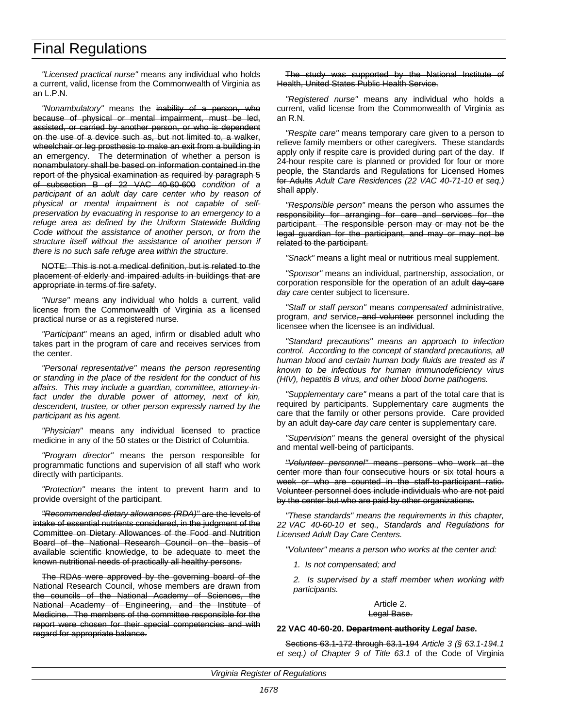*"Licensed practical nurse"* means any individual who holds a current, valid, license from the Commonwealth of Virginia as an L.P.N.

*"Nonambulatory"* means the inability of a person, who because of physical or mental impairment, must be led, assisted, or carried by another person, or who is dependent on the use of a device such as, but not limited to, a walker, wheelchair or leg prosthesis to make an exit from a building in an emergency. The determination of whether a person is nonambulatory shall be based on information contained in the report of the physical examination as required by paragraph 5 of subsection B of 22 VAC 40-60-600 *condition of a participant of an adult day care center who by reason of physical or mental impairment is not capable of selfpreservation by evacuating in response to an emergency to a refuge area as defined by the Uniform Statewide Building Code without the assistance of another person, or from the structure itself without the assistance of another person if there is no such safe refuge area within the structure*.

#### NOTE: This is not a medical definition, but is related to the placement of elderly and impaired adults in buildings that are appropriate in terms of fire safety.

*"Nurse"* means any individual who holds a current, valid license from the Commonwealth of Virginia as a licensed practical nurse or as a registered nurse.

*"Participant"* means an aged, infirm or disabled adult who takes part in the program of care and receives services from the center.

*"Personal representative" means the person representing or standing in the place of the resident for the conduct of his affairs. This may include a guardian, committee, attorney-infact under the durable power of attorney, next of kin, descendent, trustee, or other person expressly named by the participant as his agent.*

*"Physician"* means any individual licensed to practice medicine in any of the 50 states or the District of Columbia.

*"Program director"* means the person responsible for programmatic functions and supervision of all staff who work directly with participants.

*"Protection"* means the intent to prevent harm and to provide oversight of the participant.

*"Recommended dietary allowances (RDA)"* are the levels of intake of essential nutrients considered, in the judgment of the Committee on Dietary Allowances of the Food and Nutrition Board of the National Research Council on the basis of available scientific knowledge, to be adequate to meet the known nutritional needs of practically all healthy persons.

The RDAs were approved by the governing board of the National Research Council, whose members are drawn from the councils of the National Academy of Sciences, the National Academy of Engineering, and the Institute of Medicine. The members of the committee responsible for the report were chosen for their special competencies and with regard for appropriate balance.

The study was supported by the National Institute of Health, United States Public Health Service.

*"Registered nurse"* means any individual who holds a current, valid license from the Commonwealth of Virginia as an R.N.

*"Respite care"* means temporary care given to a person to relieve family members or other caregivers. These standards apply only if respite care is provided during part of the day. If 24-hour respite care is planned or provided for four or more people, the Standards and Regulations for Licensed Homes for Adults Adult Care Residences (22 VAC 40-71-10 et seq.) shall apply.

*"Responsible person"* means the person who assumes the responsibility for arranging for care and services for the participant. The responsible person may or may not be the legal guardian for the participant, and may or may not be related to the participant.

*"Snack"* means a light meal or nutritious meal supplement.

*"Sponsor"* means an individual, partnership, association, or corporation responsible for the operation of an adult day-care *day care* center subject to licensure.

*"Staff or staff person"* means *compensated* administrative, program, *and* service, and volunteer personnel including the licensee when the licensee is an individual.

*"Standard precautions" means an approach to infection control. According to the concept of standard precautions, all human blood and certain human body fluids are treated as if known to be infectious for human immunodeficiency virus (HIV), hepatitis B virus, and other blood borne pathogens.*

*"Supplementary care"* means a part of the total care that is required by participants. Supplementary care augments the care that the family or other persons provide. Care provided by an adult day-care *day care* center is supplementary care.

*"Supervision"* means the general oversight of the physical and mental well-being of participants.

*"Volunteer personnel"* means persons who work at the center more than four consecutive hours or six total hours a week or who are counted in the staff-to-participant ratio. Volunteer personnel does include individuals who are not paid by the center but who are paid by other organizations.

*"These standards" means the requirements in this chapter, 22 VAC 40-60-10 et seq., Standards and Regulations for Licensed Adult Day Care Centers.*

*"Volunteer" means a person who works at the center and:*

*1. Is not compensated; and*

*2. Is supervised by a staff member when working with participants.*

#### Article 2. Legal Base.

#### **22 VAC 40-60-20. Department authority** *Legal base***.**

Sections 63.1-172 through 63.1-194 *Article 3 (§ 63.1-194.1 et seq.) of Chapter 9 of Title 63.1* of the Code of Virginia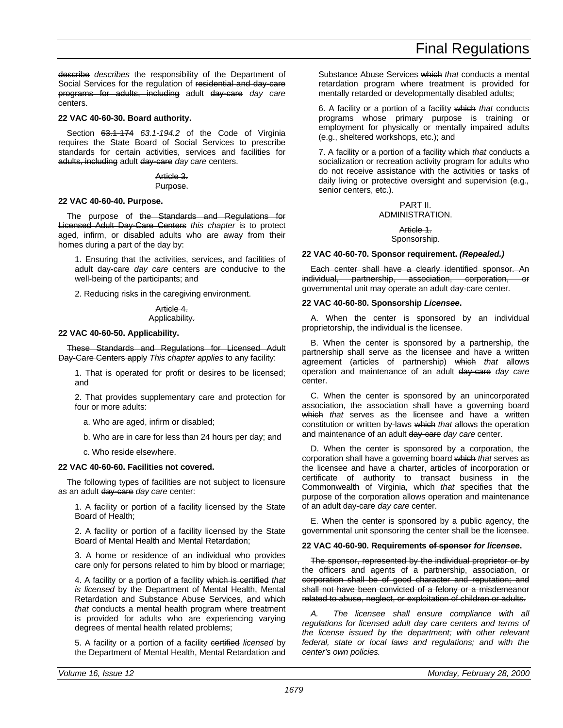describe *describes* the responsibility of the Department of Social Services for the regulation of residential and day-care programs for adults, including adult day-care *day care* centers.

#### **22 VAC 40-60-30. Board authority.**

Section 63.1-174 *63.1-194.2* of the Code of Virginia requires the State Board of Social Services to prescribe standards for certain activities, services and facilities for adults, including adult day-care *day care* centers.

### Article 3.

#### Purpose.

#### **22 VAC 40-60-40. Purpose.**

The purpose of the Standards and Regulations for Licensed Adult Day-Care Centers *this chapter* is to protect aged, infirm, or disabled adults who are away from their homes during a part of the day by:

1. Ensuring that the activities, services, and facilities of adult day-care *day care* centers are conducive to the well-being of the participants; and

2. Reducing risks in the caregiving environment.

#### Article 4. Applicability.

#### **22 VAC 40-60-50. Applicability.**

These Standards and Regulations for Licensed Adult Day-Care Centers apply *This chapter applies* to any facility:

1. That is operated for profit or desires to be licensed; and

2. That provides supplementary care and protection for four or more adults:

a. Who are aged, infirm or disabled;

b. Who are in care for less than 24 hours per day; and

c. Who reside elsewhere.

#### **22 VAC 40-60-60. Facilities not covered.**

The following types of facilities are not subject to licensure as an adult day-care *day care* center:

1. A facility or portion of a facility licensed by the State Board of Health;

2. A facility or portion of a facility licensed by the State Board of Mental Health and Mental Retardation;

3. A home or residence of an individual who provides care only for persons related to him by blood or marriage;

4. A facility or a portion of a facility which is certified *that is licensed* by the Department of Mental Health, Mental Retardation and Substance Abuse Services, and which *that* conducts a mental health program where treatment is provided for adults who are experiencing varying degrees of mental health related problems;

5. A facility or a portion of a facility certified *licensed* by the Department of Mental Health, Mental Retardation and Substance Abuse Services which *that* conducts a mental retardation program where treatment is provided for mentally retarded or developmentally disabled adults;

6. A facility or a portion of a facility which *that* conducts programs whose primary purpose is training or employment for physically or mentally impaired adults (e.g., sheltered workshops, etc.); and

7. A facility or a portion of a facility which *that* conducts a socialization or recreation activity program for adults who do not receive assistance with the activities or tasks of daily living or protective oversight and supervision (e.g.*,* senior centers, etc.).

### PART II. ADMINISTRATION.

#### Article 1. Sponsorship.

#### **22 VAC 40-60-70. Sponsor requirement.** *(Repealed.)*

Each center shall have a clearly identified sponsor. An individual, partnership, association, corporation, or governmental unit may operate an adult day-care center.

#### **22 VAC 40-60-80. Sponsorship** *Licensee***.**

A. When the center is sponsored by an individual proprietorship, the individual is the licensee.

B. When the center is sponsored by a partnership, the partnership shall serve as the licensee and have a written agreement (articles of partnership) which *that* allows operation and maintenance of an adult day-care *day care* center.

C. When the center is sponsored by an unincorporated association, the association shall have a governing board which *that* serves as the licensee and have a written constitution or written by-laws which *that* allows the operation and maintenance of an adult day-care *day care* center.

D. When the center is sponsored by a corporation, the corporation shall have a governing board which *that* serves as the licensee and have a charter, articles of incorporation or certificate of authority to transact business in the Commonwealth of Virginia, which *that* specifies that the purpose of the corporation allows operation and maintenance of an adult day-care *day care* center.

E. When the center is sponsored by a public agency, the governmental unit sponsoring the center shall be the licensee.

#### **22 VAC 40-60-90. Requirements of sponsor** *for licensee***.**

The sponsor, represented by the individual proprietor or by the officers and agents of a partnership, association, or corporation shall be of good character and reputation; and shall not have been convicted of a felony or a misdemeanor related to abuse, neglect, or exploitation of children or adults.

*A. The licensee shall ensure compliance with all regulations for licensed adult day care centers and terms of the license issued by the department; with other relevant federal, state or local laws and regulations; and with the center's own policies.*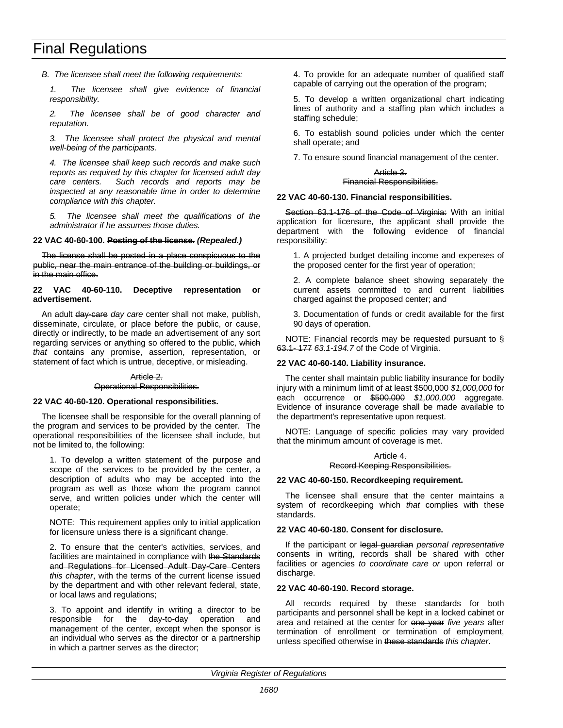*B. The licensee shall meet the following requirements:*

*1. The licensee shall give evidence of financial responsibility.*

*2. The licensee shall be of good character and reputation.*

*3. The licensee shall protect the physical and mental well-being of the participants.*

*4. The licensee shall keep such records and make such reports as required by this chapter for licensed adult day care centers. Such records and reports may be inspected at any reasonable time in order to determine compliance with this chapter.*

*5. The licensee shall meet the qualifications of the administrator if he assumes those duties.*

#### **22 VAC 40-60-100. Posting of the license.** *(Repealed.)*

The license shall be posted in a place conspicuous to the public, near the main entrance of the building or buildings, or in the main office.

#### **22 VAC 40-60-110. Deceptive representation or advertisement.**

An adult day-care *day care* center shall not make, publish, disseminate, circulate, or place before the public, or cause, directly or indirectly, to be made an advertisement of any sort regarding services or anything so offered to the public, which *that* contains any promise, assertion, representation, or statement of fact which is untrue, deceptive, or misleading.

#### Article 2.

Operational Responsibilities.

#### **22 VAC 40-60-120. Operational responsibilities.**

The licensee shall be responsible for the overall planning of the program and services to be provided by the center. The operational responsibilities of the licensee shall include, but not be limited to, the following:

1. To develop a written statement of the purpose and scope of the services to be provided by the center, a description of adults who may be accepted into the program as well as those whom the program cannot serve, and written policies under which the center will operate;

NOTE: This requirement applies only to initial application for licensure unless there is a significant change.

2. To ensure that the center's activities, services, and facilities are maintained in compliance with the Standards and Regulations for Licensed Adult Day-Care Centers *this chapter*, with the terms of the current license issued by the department and with other relevant federal, state, or local laws and regulations;

3. To appoint and identify in writing a director to be responsible for the day-to-day operation and management of the center, except when the sponsor is an individual who serves as the director or a partnership in which a partner serves as the director;

4. To provide for an adequate number of qualified staff capable of carrying out the operation of the program;

5. To develop a written organizational chart indicating lines of authority and a staffing plan which includes a staffing schedule;

6. To establish sound policies under which the center shall operate; and

7. To ensure sound financial management of the center.

#### Article 3. Financial Responsibilities.

#### **22 VAC 40-60-130. Financial responsibilities.**

Section 63.1-176 of the Code of Virginia: With an initial application for licensure, the applicant shall provide the department with the following evidence of financial responsibility:

1. A projected budget detailing income and expenses of the proposed center for the first year of operation;

2. A complete balance sheet showing separately the current assets committed to and current liabilities charged against the proposed center; and

3. Documentation of funds or credit available for the first 90 days of operation.

NOTE: Financial records may be requested pursuant to § 63.1- 177 *63.1-194.7* of the Code of Virginia.

#### **22 VAC 40-60-140. Liability insurance.**

The center shall maintain public liability insurance for bodily injury with a minimum limit of at least \$500,000 *\$1,000,000* for each occurrence or \$500,000 *\$1,000,000* aggregate. Evidence of insurance coverage shall be made available to the department's representative upon request.

NOTE: Language of specific policies may vary provided that the minimum amount of coverage is met.

#### Article 4. Record Keeping Responsibilities.

# **22 VAC 40-60-150. Recordkeeping requirement.**

The licensee shall ensure that the center maintains a system of recordkeeping which *that* complies with these standards.

#### **22 VAC 40-60-180. Consent for disclosure.**

If the participant or legal guardian *personal representative* consents in writing, records shall be shared with other facilities or agencies *to coordinate care or* upon referral or discharge.

#### **22 VAC 40-60-190. Record storage.**

All records required by these standards for both participants and personnel shall be kept in a locked cabinet or area and retained at the center for one year *five years* after termination of enrollment or termination of employment, unless specified otherwise in these standards *this chapter*.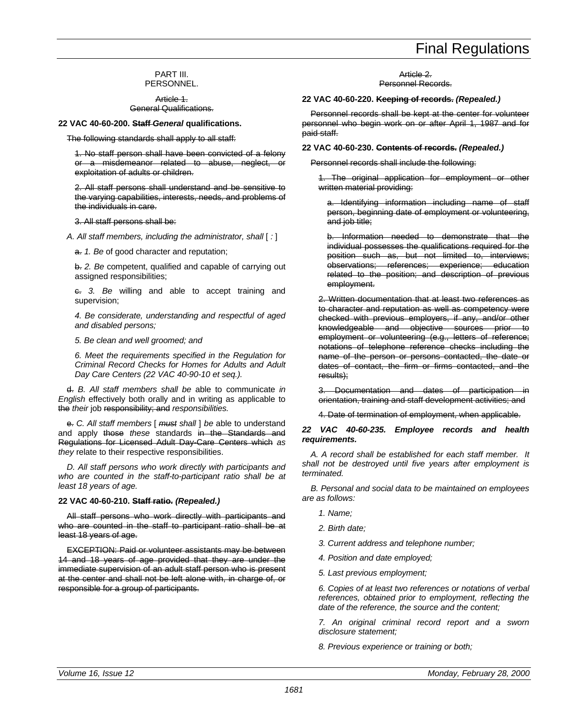## PART III. PERSONNEL.

Article 1. General Qualifications.

**22 VAC 40-60-200. Staff** *General* **qualifications.**

The following standards shall apply to all staff:

1. No staff person shall have been convicted of a felony or a misdemeanor related to abuse, neglect, or exploitation of adults or children.

2. All staff persons shall understand and be sensitive to the varying capabilities, interests, needs, and problems of the individuals in care.

#### 3. All staff persons shall be:

*A. All staff members, including the administrator, shall* [ *:* ]

a. *1. Be* of good character and reputation;

b. *2. Be* competent, qualified and capable of carrying out assigned responsibilities;

c. *3. Be* willing and able to accept training and supervision;

*4. Be considerate, understanding and respectful of aged and disabled persons;*

*5. Be clean and well groomed; and*

*6. Meet the requirements specified in the Regulation for Criminal Record Checks for Homes for Adults and Adult Day Care Centers (22 VAC 40-90-10 et seq.).*

d. *B. All staff members shall be* able to communicate *in English* effectively both orally and in writing as applicable to the *their* job responsibility; and *responsibilities.*

e. *C. All staff members* [ *must shall* ] *be* able to understand and apply those *these* standards in the Standards and Regulations for Licensed Adult Day-Care Centers which *as they* relate to their respective responsibilities.

*D. All staff persons who work directly with participants and who are counted in the staff-to-participant ratio shall be at least 18 years of age.*

### **22 VAC 40-60-210. Staff ratio.** *(Repealed.)*

All staff persons who work directly with participants and who are counted in the staff to participant ratio shall be at least 18 years of age.

EXCEPTION: Paid or volunteer assistants may be between 14 and 18 years of age provided that they are under the immediate supervision of an adult staff person who is present at the center and shall not be left alone with, in charge of, or responsible for a group of participants.

#### Article<sub>2</sub>. Personnel Records.

#### **22 VAC 40-60-220. Keeping of records.** *(Repealed.)*

Personnel records shall be kept at the center for volunteer personnel who begin work on or after April 1, 1987 and for paid staff.

### **22 VAC 40-60-230. Contents of records.** *(Repealed.)*

Personnel records shall include the following:

1. The original application for employment or other written material providing:

a. Identifying information including name of staff person, beginning date of employment or volunteering, and job title;

b. Information needed to demonstrate that the individual possesses the qualifications required for the position such as, but not limited to, interviews; observations; references; experience; education related to the position; and description of previous employment.

2. Written documentation that at least two references as to character and reputation as well as competency were checked with previous employers, if any, and/or other knowledgeable and objective sources prior to employment or volunteering (e.g., letters of reference; notations of telephone reference checks including the name of the person or persons contacted, the date or dates of contact, the firm or firms contacted, and the results);

3. Documentation and dates of participation in orientation, training and staff development activities; and

4. Date of termination of employment, when applicable.

## *22 VAC 40-60-235. Employee records and health requirements.*

*A. A record shall be established for each staff member. It shall not be destroyed until five years after employment is terminated.*

*B. Personal and social data to be maintained on employees are as follows:*

- *1. Name;*
- *2. Birth date;*
- *3. Current address and telephone number;*
- *4. Position and date employed;*
- *5. Last previous employment;*

*6. Copies of at least two references or notations of verbal references, obtained prior to employment, reflecting the date of the reference, the source and the content;*

*7. An original criminal record report and a sworn disclosure statement;*

*8. Previous experience or training or both;*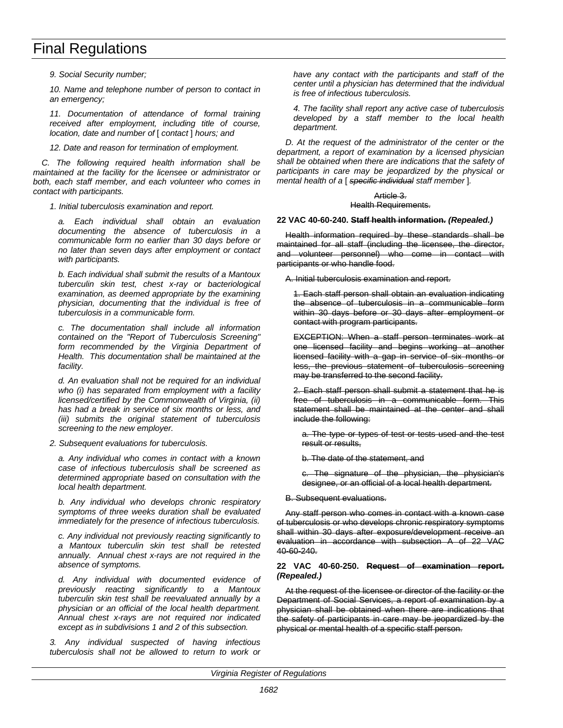*9. Social Security number;*

*10. Name and telephone number of person to contact in an emergency;*

*11. Documentation of attendance of formal training received after employment, including title of course, location, date and number of* [ *contact* ] *hours; and*

*12. Date and reason for termination of employment.*

*C. The following required health information shall be maintained at the facility for the licensee or administrator or both, each staff member, and each volunteer who comes in contact with participants.*

*1. Initial tuberculosis examination and report.*

*a. Each individual shall obtain an evaluation documenting the absence of tuberculosis in a communicable form no earlier than 30 days before or no later than seven days after employment or contact with participants.*

*b. Each individual shall submit the results of a Mantoux tuberculin skin test, chest x-ray or bacteriological examination, as deemed appropriate by the examining physician, documenting that the individual is free of tuberculosis in a communicable form.*

*c. The documentation shall include all information contained on the "Report of Tuberculosis Screening" form recommended by the Virginia Department of Health. This documentation shall be maintained at the facility.*

*d. An evaluation shall not be required for an individual who (i) has separated from employment with a facility licensed/certified by the Commonwealth of Virginia, (ii) has had a break in service of six months or less, and (iii) submits the original statement of tuberculosis screening to the new employer.*

## *2. Subsequent evaluations for tuberculosis.*

*a. Any individual who comes in contact with a known case of infectious tuberculosis shall be screened as determined appropriate based on consultation with the local health department.*

*b. Any individual who develops chronic respiratory symptoms of three weeks duration shall be evaluated immediately for the presence of infectious tuberculosis.*

*c. Any individual not previously reacting significantly to a Mantoux tuberculin skin test shall be retested annually. Annual chest x-rays are not required in the absence of symptoms.*

*d. Any individual with documented evidence of previously reacting significantly to a Mantoux tuberculin skin test shall be reevaluated annually by a physician or an official of the local health department. Annual chest x-rays are not required nor indicated except as in subdivisions 1 and 2 of this subsection.*

*3. Any individual suspected of having infectious tuberculosis shall not be allowed to return to work or* *have any contact with the participants and staff of the center until a physician has determined that the individual is free of infectious tuberculosis.*

*4. The facility shall report any active case of tuberculosis developed by a staff member to the local health department.*

*D. At the request of the administrator of the center or the department, a report of examination by a licensed physician shall be obtained when there are indications that the safety of participants in care may be jeopardized by the physical or mental health of a* [ *specific individual staff member* ]*.*

### Article 3. Health Requirements.

## **22 VAC 40-60-240. Staff health information.** *(Repealed.)*

Health information required by these standards shall be maintained for all staff (including the licensee, the director, and volunteer personnel) who come in contact with participants or who handle food.

A. Initial tuberculosis examination and report.

1. Each staff person shall obtain an evaluation indicating the absence of tuberculosis in a communicable form within 30 days before or 30 days after employment or contact with program participants.

EXCEPTION: When a staff person terminates work at one licensed facility and begins working at another licensed facility with a gap in service of six months or less, the previous statement of tuberculosis screening may be transferred to the second facility.

2. Each staff person shall submit a statement that he is free of tuberculosis in a communicable form. This statement shall be maintained at the center and shall include the following:

a. The type or types of test or tests used and the test result or results,

b. The date of the statement, and

c. The signature of the physician, the physician's designee, or an official of a local health department.

B. Subsequent evaluations.

Any staff person who comes in contact with a known case of tuberculosis or who develops chronic respiratory symptoms shall within 30 days after exposure/development receive an evaluation in accordance with subsection A of 22 VAC 40-60-240.

## **22 VAC 40-60-250. Request of examination report.** *(Repealed.)*

At the request of the licensee or director of the facility or the Department of Social Services, a report of examination by a physician shall be obtained when there are indications that the safety of participants in care may be jeopardized by the physical or mental health of a specific staff person.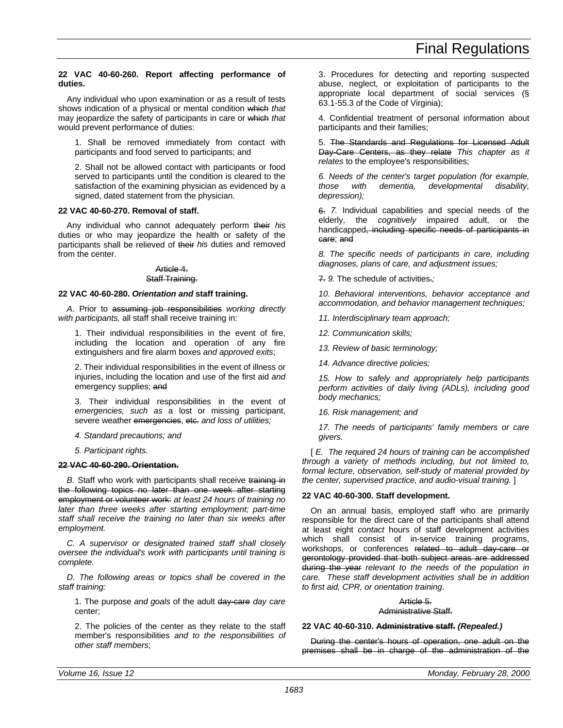## **22 VAC 40-60-260. Report affecting performance of duties.**

Any individual who upon examination or as a result of tests shows indication of a physical or mental condition which *that* may jeopardize the safety of participants in care or which *that* would prevent performance of duties:

1. Shall be removed immediately from contact with participants and food served to participants; and

2. Shall not be allowed contact with participants or food served to participants until the condition is cleared to the satisfaction of the examining physician as evidenced by a signed, dated statement from the physician.

## **22 VAC 40-60-270. Removal of staff.**

Any individual who cannot adequately perform their *his* duties or who may jeopardize the health or safety of the participants shall be relieved of their *his* duties and removed from the center.

## Article 4.

## Staff Training.

## **22 VAC 40-60-280.** *Orientation and* **staff training.**

*A.* Prior to assuming job responsibilities *working directly with participants,* all staff shall receive training in:

1. Their individual responsibilities in the event of fire, including the location and operation of any fire extinguishers and fire alarm boxes *and approved exits*;

2. Their individual responsibilities in the event of illness or injuries, including the location and use of the first aid *and* emergency supplies; and

3. Their individual responsibilities in the event of *emergencies, such as* a lost or missing participant, severe weather emergencies, etc. and loss of utilities;

*4. Standard precautions; and*

*5. Participant rights.*

## **22 VAC 40-60-290. Orientation.**

**B.** Staff who work with participants shall receive training in the following topics no later than one week after starting employment or volunteer work: *at least 24 hours of training no later than three weeks after starting employment; part-time staff shall receive the training no later than six weeks after employment.*

*C. A supervisor or designated trained staff shall closely oversee the individual's work with participants until training is complete.*

*D. The following areas or topics shall be covered in the staff training:*

1. The purpose *and goals* of the adult day-care *day care* center;

2. The policies of the center as they relate to the staff member's responsibilities *and to the responsibilities of other staff members*;

3. Procedures for detecting and reporting suspected abuse, neglect, or exploitation of participants to the appropriate local department of social services (§ 63.1-55.3 of the Code of Virginia);

4. Confidential treatment of personal information about participants and their families;

5. The Standards and Regulations for Licensed Adult Day-Care Centers, as they relate *This chapter as it relates* to the employee's responsibilities;

*6. Needs of the center's target population (for example, those with dementia, developmental disability, depression);*

6. *7.* Individual capabilities and special needs of the elderly, the *cognitively* impaired adult, or the handicapped, including specific needs of participants in care; and

*8. The specific needs of participants in care, including diagnoses, plans of care, and adjustment issues;*

7. *9.* The schedule of activities.*;*

*10. Behavioral interventions, behavior acceptance and accommodation, and behavior management techniques;*

*11. Interdisciplinary team approach;*

*12. Communication skills;*

*13. Review of basic terminology;*

*14. Advance directive policies;*

*15. How to safely and appropriately help participants perform activities of daily living (ADLs), including good body mechanics;*

*16. Risk management; and*

*17. The needs of participants' family members or care givers.*

[ *E. The required 24 hours of training can be accomplished through a variety of methods including, but not limited to, formal lecture, observation, self-study of material provided by the center, supervised practice, and audio-visual training.* ]

## **22 VAC 40-60-300. Staff development.**

On an annual basis, employed staff who are primarily responsible for the direct care of the participants shall attend at least eight *contact* hours of staff development activities which shall consist of in-service training programs, workshops, or conferences related to adult day-care or gerontology provided that both subject areas are addressed during the year *relevant to the needs of the population in care. These staff development activities shall be in addition to first aid, CPR, or orientation training*.

## Article 5.

Administrative Staff.

## **22 VAC 40-60-310. Administrative staff.** *(Repealed.)*

During the center's hours of operation, one adult on the premises shall be in charge of the administration of the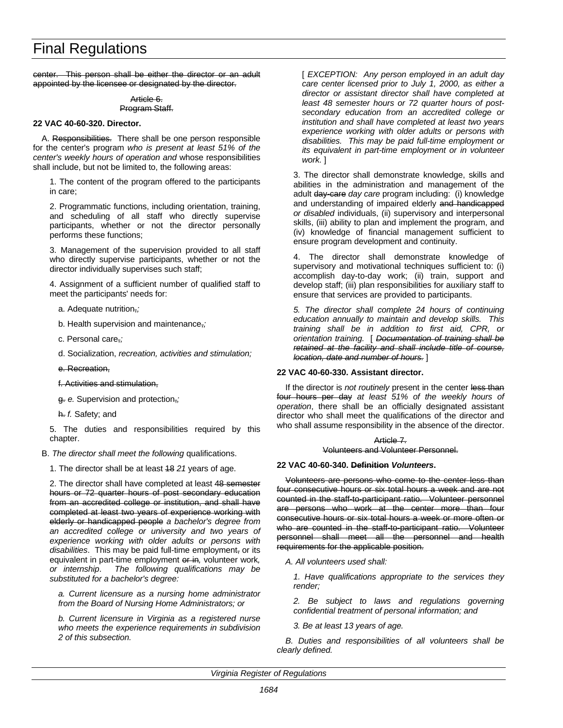center. This person shall be either the director or an adult appointed by the licensee or designated by the director.

## Article 6. Program Staff.

## **22 VAC 40-60-320. Director.**

A. Responsibilities. There shall be one person responsible for the center's program *who is present at least 51% of the center's weekly hours of operation and* whose responsibilities shall include, but not be limited to, the following areas:

1. The content of the program offered to the participants in care;

2. Programmatic functions, including orientation, training, and scheduling of all staff who directly supervise participants, whether or not the director personally performs these functions;

3. Management of the supervision provided to all staff who directly supervise participants, whether or not the director individually supervises such staff;

4. Assignment of a sufficient number of qualified staff to meet the participants' needs for:

a. Adequate nutrition,*;*

b. Health supervision and maintenance,*;*

c. Personal care,*;*

d. Socialization, *recreation, activities and stimulation;*

e. Recreation,

f. Activities and stimulation,

g. *e.* Supervision and protection,*;*

h. *f.* Safety; and

5. The duties and responsibilities required by this chapter.

B. *The director shall meet the following* qualifications.

1. The director shall be at least 18 *21* years of age.

2. The director shall have completed at least 48 semester hours or 72 quarter hours of post secondary education from an accredited college or institution, and shall have completed at least two years of experience working with elderly or handicapped people *a bachelor's degree from an accredited college or university and two years of experience working with older adults or persons with disabilities*. This may be paid full-time employment, or its equivalent in part-time employment or in*,* volunteer work*, or internship*. *The following qualifications may be substituted for a bachelor's degree:*

*a. Current licensure as a nursing home administrator from the Board of Nursing Home Administrators; or*

*b. Current licensure in Virginia as a registered nurse who meets the experience requirements in subdivision 2 of this subsection.*

[ *EXCEPTION: Any person employed in an adult day care center licensed prior to July 1, 2000, as either a director or assistant director shall have completed at least 48 semester hours or 72 quarter hours of postsecondary education from an accredited college or institution and shall have completed at least two years experience working with older adults or persons with disabilities. This may be paid full-time employment or its equivalent in part-time employment or in volunteer work.* ]

3. The director shall demonstrate knowledge, skills and abilities in the administration and management of the adult day-care *day care* program including: (i) knowledge and understanding of impaired elderly and handicapped *or disabled* individuals, (ii) supervisory and interpersonal skills, (iii) ability to plan and implement the program, and (iv) knowledge of financial management sufficient to ensure program development and continuity.

4. The director shall demonstrate knowledge of supervisory and motivational techniques sufficient to: (i) accomplish day-to-day work; (ii) train, support and develop staff; (iii) plan responsibilities for auxiliary staff to ensure that services are provided to participants.

*5. The director shall complete 24 hours of continuing education annually to maintain and develop skills. This training shall be in addition to first aid, CPR, or orientation training.* [ *Documentation of training shall be retained at the facility and shall include title of course, location, date and number of hours.* ]

## **22 VAC 40-60-330. Assistant director.**

If the director is *not routinely* present in the center less than four hours per day *at least 51% of the weekly hours of operation*, there shall be an officially designated assistant director who shall meet the qualifications of the director and who shall assume responsibility in the absence of the director.

## Article 7. Volunteers and Volunteer Personnel.

## **22 VAC 40-60-340. Definition** *Volunteers***.**

Volunteers are persons who come to the center less than four consecutive hours or six total hours a week and are not counted in the staff-to-participant ratio. Volunteer personnel are persons who work at the center more than four consecutive hours or six total hours a week or more often or who are counted in the staff-to-participant ratio. Volunteer personnel shall meet all the personnel and health requirements for the applicable position.

*A. All volunteers used shall:*

*1. Have qualifications appropriate to the services they render;*

*2. Be subject to laws and regulations governing confidential treatment of personal information; and*

*3. Be at least 13 years of age.*

*B. Duties and responsibilities of all volunteers shall be clearly defined.*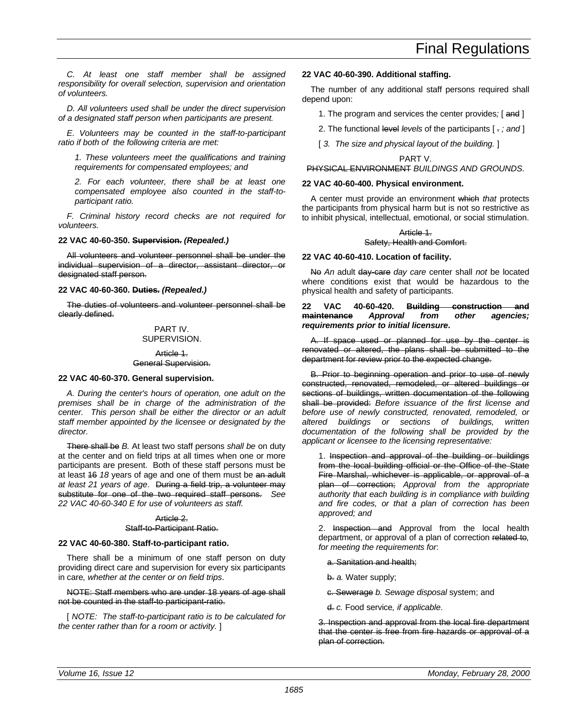*C. At least one staff member shall be assigned responsibility for overall selection, supervision and orientation of volunteers.*

*D. All volunteers used shall be under the direct supervision of a designated staff person when participants are present.*

*E. Volunteers may be counted in the staff-to-participant ratio if both of the following criteria are met:*

*1. These volunteers meet the qualifications and training requirements for compensated employees; and*

*2. For each volunteer, there shall be at least one compensated employee also counted in the staff-toparticipant ratio.*

*F. Criminal history record checks are not required for volunteers.*

### **22 VAC 40-60-350. Supervision.** *(Repealed.)*

All volunteers and volunteer personnel shall be under the individual supervision of a director, assistant director, or designated staff person.

### **22 VAC 40-60-360. Duties.** *(Repealed.)*

The duties of volunteers and volunteer personnel shall be clearly defined.

### PART IV. SUPERVISION.

Article 1. General Supervision.

### **22 VAC 40-60-370. General supervision.**

*A. During the center's hours of operation, one adult on the premises shall be in charge of the administration of the center. This person shall be either the director or an adult staff member appointed by the licensee or designated by the director.*

There shall be *B.* At least two staff persons *shall be* on duty at the center and on field trips at all times when one or more participants are present. Both of these staff persons must be at least 16 *18* years of age and one of them must be an adult *at least 21 years of age*. During a field trip, a volunteer may substitute for one of the two required staff persons. *See 22 VAC 40-60-340 E for use of volunteers as staff.*

## Article<sub>2</sub> Staff-to-Participant Ratio.

### **22 VAC 40-60-380. Staff-to-participant ratio.**

There shall be a minimum of one staff person on duty providing direct care and supervision for every six participants in care*, whether at the center or on field trips*.

### NOTE: Staff members who are under 18 years of age shall not be counted in the staff-to participant-ratio.

[ *NOTE: The staff-to-participant ratio is to be calculated for the center rather than for a room or activity.* ]

### **22 VAC 40-60-390. Additional staffing.**

The number of any additional staff persons required shall depend upon:

- 1. The program and services the center provides*;* [ and ]
- 2. The functional level *levels* of the participants [ . *; and* ]

[ 3. The size and physical layout of the building. ]

#### PART V.

## PHYSICAL ENVIRONMENT *BUILDINGS AND GROUNDS*.

### **22 VAC 40-60-400. Physical environment.**

A center must provide an environment which *that* protects the participants from physical harm but is not so restrictive as to inhibit physical, intellectual, emotional, or social stimulation.

#### Article 1. Safety, Health and Comfort.

## **22 VAC 40-60-410. Location of facility.**

No *An* adult day-care *day care* center shall *not* be located where conditions exist that would be hazardous to the physical health and safety of participants.

## **22 VAC 40-60-420. Building construction and maintenance** *Approval from other agencies; requirements prior to initial licensure***.**

A. If space used or planned for use by the center is renovated or altered, the plans shall be submitted to the department for review prior to the expected change.

B. Prior to beginning operation and prior to use of newly constructed, renovated, remodeled, or altered buildings or sections of buildings, written documentation of the following shall be provided: *Before issuance of the first license and before use of newly constructed, renovated, remodeled, or altered buildings or sections of buildings, written documentation of the following shall be provided by the applicant or licensee to the licensing representative:*

1. Inspection and approval of the building or buildings from the local building official or the Office of the State Fire Marshal, whichever is applicable, or approval of a plan of correction; *Approval from the appropriate authority that each building is in compliance with building and fire codes, or that a plan of correction has been approved; and*

2. Inspection and Approval from the local health department, or approval of a plan of correction related to*, for meeting the requirements for*:

a. Sanitation and health;

b. *a.* Water supply;

c. Sewerage *b. Sewage disposal* system; and

d. *c.* Food service*, if applicable*.

3. Inspection and approval from the local fire department that the center is free from fire hazards or approval of a plan of correction.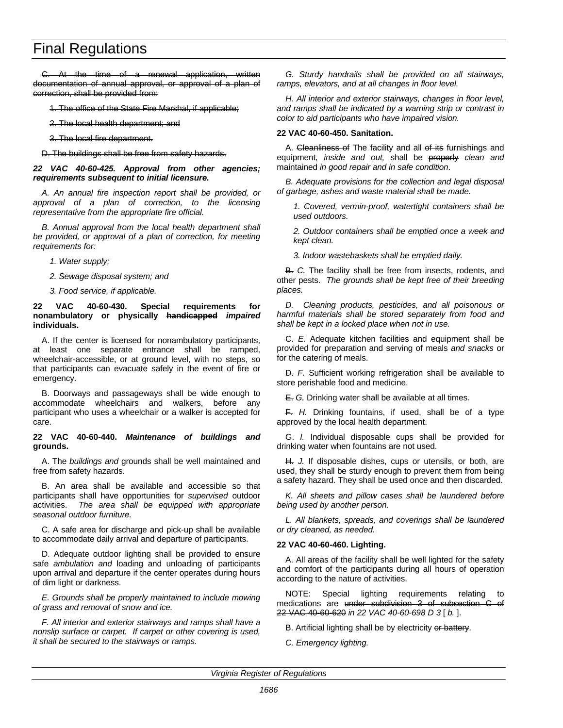C. At the time of a renewal application, written documentation of annual approval, or approval of a plan of correction, shall be provided from:

- 1. The office of the State Fire Marshal, if applicable;
- 2. The local health department; and
- 3. The local fire department.

D. The buildings shall be free from safety hazards.

#### *22 VAC 40-60-425. Approval from other agencies; requirements subsequent to initial licensure.*

*A. An annual fire inspection report shall be provided, or approval of a plan of correction, to the licensing representative from the appropriate fire official.*

*B. Annual approval from the local health department shall be provided, or approval of a plan of correction, for meeting requirements for:*

*1. Water supply;*

- *2. Sewage disposal system; and*
- *3. Food service, if applicable.*

## **22 VAC 40-60-430. Special requirements for nonambulatory or physically handicapped** *impaired* **individuals.**

A. If the center is licensed for nonambulatory participants, at least one separate entrance shall be ramped, wheelchair-accessible, or at ground level, with no steps, so that participants can evacuate safely in the event of fire or emergency.

B. Doorways and passageways shall be wide enough to accommodate wheelchairs and walkers, before any participant who uses a wheelchair or a walker is accepted for care.

### **22 VAC 40-60-440.** *Maintenance of buildings and* **grounds.**

A. The *buildings and* grounds shall be well maintained and free from safety hazards.

B. An area shall be available and accessible so that participants shall have opportunities for *supervised* outdoor activities. *The area shall be equipped with appropriate seasonal outdoor furniture.*

C. A safe area for discharge and pick-up shall be available to accommodate daily arrival and departure of participants.

D. Adequate outdoor lighting shall be provided to ensure safe *ambulation and* loading and unloading of participants upon arrival and departure if the center operates during hours of dim light or darkness.

*E. Grounds shall be properly maintained to include mowing of grass and removal of snow and ice.*

*F. All interior and exterior stairways and ramps shall have a nonslip surface or carpet. If carpet or other covering is used, it shall be secured to the stairways or ramps.*

*G. Sturdy handrails shall be provided on all stairways, ramps, elevators, and at all changes in floor level.*

*H. All interior and exterior stairways, changes in floor level, and ramps shall be indicated by a warning strip or contrast in color to aid participants who have impaired vision.*

## **22 VAC 40-60-450. Sanitation.**

A. Cleanliness of The facility and all of its furnishings and equipment*, inside and out,* shall be properly *clean and* maintained *in good repair and in safe condition*.

*B. Adequate provisions for the collection and legal disposal of garbage, ashes and waste material shall be made.*

*1. Covered, vermin-proof, watertight containers shall be used outdoors.*

*2. Outdoor containers shall be emptied once a week and kept clean.*

*3. Indoor wastebaskets shall be emptied daily.*

B. *C.* The facility shall be free from insects, rodents, and other pests. *The grounds shall be kept free of their breeding places.*

*D. Cleaning products, pesticides, and all poisonous or harmful materials shall be stored separately from food and shall be kept in a locked place when not in use.*

C. *E.* Adequate kitchen facilities and equipment shall be provided for preparation and serving of meals *and snacks* or for the catering of meals.

D. *F.* Sufficient working refrigeration shall be available to store perishable food and medicine.

E. *G.* Drinking water shall be available at all times.

F. *H.* Drinking fountains, if used, shall be of a type approved by the local health department.

G. *I.* Individual disposable cups shall be provided for drinking water when fountains are not used.

H. *J.* If disposable dishes, cups or utensils, or both, are used, they shall be sturdy enough to prevent them from being a safety hazard. They shall be used once and then discarded.

*K. All sheets and pillow cases shall be laundered before being used by another person.*

*L. All blankets, spreads, and coverings shall be laundered or dry cleaned, as needed.*

## **22 VAC 40-60-460. Lighting.**

A. All areas of the facility shall be well lighted for the safety and comfort of the participants during all hours of operation according to the nature of activities.

NOTE: Special lighting requirements relating to medications are under subdivision 3 of subsection C of 22 VAC 40-60-620 *in 22 VAC 40-60-698 D 3* [ *b.* ].

B. Artificial lighting shall be by electricity or battery.

*C. Emergency lighting.*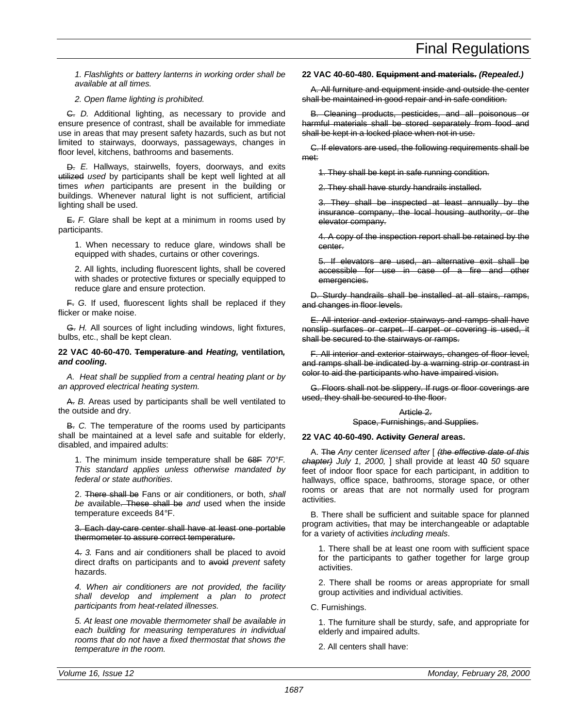*1. Flashlights or battery lanterns in working order shall be available at all times.*

*2. Open flame lighting is prohibited.*

C. *D.* Additional lighting, as necessary to provide and ensure presence of contrast, shall be available for immediate use in areas that may present safety hazards, such as but not limited to stairways, doorways, passageways, changes in floor level, kitchens, bathrooms and basements.

D. *E.* Hallways, stairwells, foyers, doorways, and exits utilized *used* by participants shall be kept well lighted at all times *when* participants are present in the building or buildings. Whenever natural light is not sufficient, artificial lighting shall be used.

E. *F.* Glare shall be kept at a minimum in rooms used by participants.

1. When necessary to reduce glare, windows shall be equipped with shades, curtains or other coverings.

2. All lights, including fluorescent lights, shall be covered with shades or protective fixtures or specially equipped to reduce glare and ensure protection.

F. *G.* If used, fluorescent lights shall be replaced if they flicker or make noise.

G. *H.* All sources of light including windows, light fixtures, bulbs, etc., shall be kept clean.

**22 VAC 40-60-470. Temperature and** *Heating,* **ventilation***, and cooling***.**

*A. Heat shall be supplied from a central heating plant or by an approved electrical heating system.*

A. *B.* Areas used by participants shall be well ventilated to the outside and dry.

B. *C.* The temperature of the rooms used by participants shall be maintained at a level safe and suitable for elderly, disabled, and impaired adults:

1. The minimum inside temperature shall be 68F *70°F. This standard applies unless otherwise mandated by federal or state authorities*.

2. There shall be Fans or air conditioners, or both, *shall be* available. These shall be *and* used when the inside temperature exceeds 84*°*F.

3. Each day-care center shall have at least one portable thermometer to assure correct temperature.

4. *3.* Fans and air conditioners shall be placed to avoid direct drafts on participants and to avoid *prevent* safety hazards.

*4. When air conditioners are not provided, the facility shall develop and implement a plan to protect participants from heat-related illnesses.*

*5. At least one movable thermometer shall be available in each building for measuring temperatures in individual rooms that do not have a fixed thermostat that shows the temperature in the room.*

## **22 VAC 40-60-480. Equipment and materials.** *(Repealed.)*

A. All furniture and equipment inside and outside the center shall be maintained in good repair and in safe condition.

B. Cleaning products, pesticides, and all poisonous or harmful materials shall be stored separately from food and shall be kept in a locked place when not in use.

C. If elevators are used, the following requirements shall be met:

1. They shall be kept in safe running condition.

2. They shall have sturdy handrails installed.

3. They shall be inspected at least annually by the insurance company, the local housing authority, or the elevator company.

4. A copy of the inspection report shall be retained by the center.

5. If elevators are used, an alternative exit shall be accessible for use in case of a fire and other emergencies.

D. Sturdy handrails shall be installed at all stairs, ramps, and changes in floor levels.

E. All interior and exterior stairways and ramps shall have nonslip surfaces or carpet. If carpet or covering is used, it shall be secured to the stairways or ramps.

F. All interior and exterior stairways, changes of floor level, and ramps shall be indicated by a warning strip or contrast in color to aid the participants who have impaired vision.

G. Floors shall not be slippery. If rugs or floor coverings are used, they shall be secured to the floor.

## Article 2. Space, Furnishings, and Supplies.

## **22 VAC 40-60-490. Activity** *General* **areas.**

A. The *Any* center *licensed after* [ *(the effective date of this chapter) July 1, 2000,* ] shall provide at least 40 *50* square feet of indoor floor space for each participant, in addition to hallways, office space, bathrooms, storage space, or other rooms or areas that are not normally used for program activities.

B. There shall be sufficient and suitable space for planned program activities, that may be interchangeable or adaptable for a variety of activities *including meals*.

1. There shall be at least one room with sufficient space for the participants to gather together for large group activities.

2. There shall be rooms or areas appropriate for small group activities and individual activities.

C. Furnishings.

1. The furniture shall be sturdy, safe, and appropriate for elderly and impaired adults.

2. All centers shall have: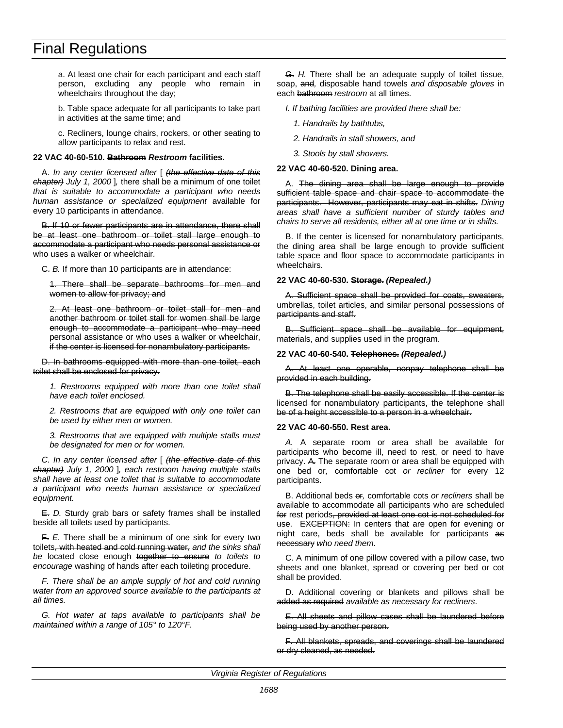a. At least one chair for each participant and each staff person, excluding any people who remain in wheelchairs throughout the day;

b. Table space adequate for all participants to take part in activities at the same time; and

c. Recliners, lounge chairs, rockers, or other seating to allow participants to relax and rest.

## **22 VAC 40-60-510. Bathroom** *Restroom* **facilities.**

A. *In any center licensed after* [ *(the effective date of this chapter) July 1, 2000* ]*,* there shall be a minimum of one toilet *that is suitable to accommodate a participant who needs human assistance or specialized equipment* available for every 10 participants in attendance.

B. If 10 or fewer participants are in attendance, there shall be at least one bathroom or toilet stall large enough to accommodate a participant who needs personal assistance or who uses a walker or wheelchair.

C. *B.* If more than 10 participants are in attendance:

1. There shall be separate bathrooms for men and women to allow for privacy; and

2. At least one bathroom or toilet stall for men and another bathroom or toilet stall for women shall be large enough to accommodate a participant who may need personal assistance or who uses a walker or wheelchair, if the center is licensed for nonambulatory participants.

D. In bathrooms equipped with more than one toilet, each toilet shall be enclosed for privacy.

*1. Restrooms equipped with more than one toilet shall have each toilet enclosed.*

*2. Restrooms that are equipped with only one toilet can be used by either men or women.*

*3. Restrooms that are equipped with multiple stalls must be designated for men or for women.*

*C. In any center licensed after* [ *(the effective date of this chapter) July 1, 2000* ]*, each restroom having multiple stalls shall have at least one toilet that is suitable to accommodate a participant who needs human assistance or specialized equipment.*

E. *D.* Sturdy grab bars or safety frames shall be installed beside all toilets used by participants.

F. *E.* There shall be a minimum of one sink for every two toilets, with heated and cold running water, *and the sinks shall be* located close enough together to ensure *to toilets to encourage* washing of hands after each toileting procedure.

*F. There shall be an ample supply of hot and cold running water from an approved source available to the participants at all times.*

*G. Hot water at taps available to participants shall be maintained within a range of 105° to 120°F.*

G. *H.* There shall be an adequate supply of toilet tissue, soap, and*,* disposable hand towels *and disposable gloves* in each bathroom *restroom* at all times.

*I. If bathing facilities are provided there shall be:*

*1. Handrails by bathtubs,*

*2. Handrails in stall showers, and*

*3. Stools by stall showers.*

### **22 VAC 40-60-520. Dining area.**

A. The dining area shall be large enough to provide sufficient table space and chair space to accommodate the participants. However, participants may eat in shifts. *Dining areas shall have a sufficient number of sturdy tables and chairs to serve all residents, either all at one time or in shifts.*

B. If the center is licensed for nonambulatory participants, the dining area shall be large enough to provide sufficient table space and floor space to accommodate participants in wheelchairs.

## **22 VAC 40-60-530. Storage.** *(Repealed.)*

A. Sufficient space shall be provided for coats, sweaters, umbrellas, toilet articles, and similar personal possessions of participants and staff.

Sufficient space shall be available for equipment, materials, and supplies used in the program.

### **22 VAC 40-60-540. Telephones.** *(Repealed.)*

At least one operable, nonpay telephone shall be provided in each building.

B. The telephone shall be easily accessible. If the center is licensed for nonambulatory participants, the telephone shall be of a height accessible to a person in a wheelchair.

### **22 VAC 40-60-550. Rest area.**

*A.* A separate room or area shall be available for participants who become ill, need to rest, or need to have privacy. A. The separate room or area shall be equipped with one bed or*,* comfortable cot *or recliner* for every 12 participants.

B. Additional beds or*,* comfortable cots *or recliners* shall be available to accommodate all participants who are scheduled for rest periods, provided at least one cot is not scheduled for use. EXCEPTION: In centers that are open for evening or night care, beds shall be available for participants as necessary *who need them*.

C. A minimum of one pillow covered with a pillow case, two sheets and one blanket, spread or covering per bed or cot shall be provided.

D. Additional covering or blankets and pillows shall be added as required *available as necessary for recliners*.

E. All sheets and pillow cases shall be laundered before being used by another person.

F. All blankets, spreads, and coverings shall be laundered or dry cleaned, as needed.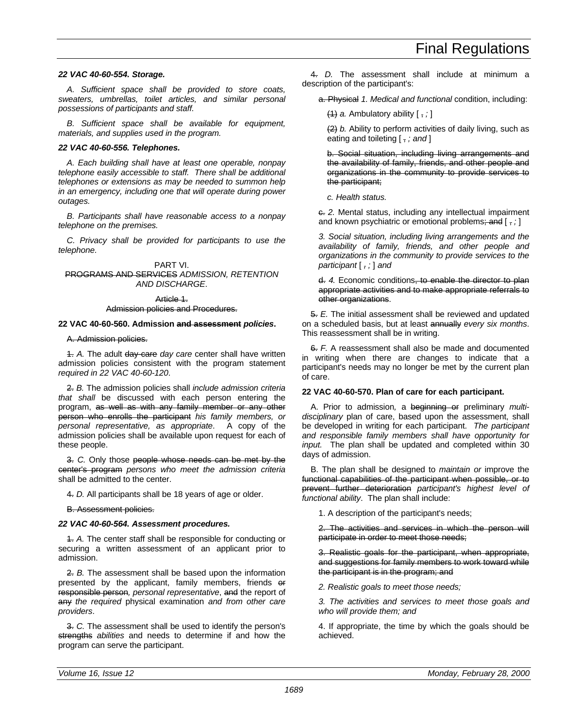## *22 VAC 40-60-554. Storage.*

*A. Sufficient space shall be provided to store coats, sweaters, umbrellas, toilet articles, and similar personal possessions of participants and staff.*

*B. Sufficient space shall be available for equipment, materials, and supplies used in the program.*

## *22 VAC 40-60-556. Telephones.*

*A. Each building shall have at least one operable, nonpay telephone easily accessible to staff. There shall be additional telephones or extensions as may be needed to summon help in an emergency, including one that will operate during power outages.*

*B. Participants shall have reasonable access to a nonpay telephone on the premises.*

*C. Privacy shall be provided for participants to use the telephone.*

PART VI. PROGRAMS AND SERVICES *ADMISSION, RETENTION AND DISCHARGE*.

Article 1.

## Admission policies and Procedures.

## **22 VAC 40-60-560. Admission and assessment** *policies***.**

### A. Admission policies.

1. *A.* The adult day-care *day care* center shall have written admission policies consistent with the program statement *required in 22 VAC 40-60-120*.

2. *B.* The admission policies shall *include admission criteria that shall* be discussed with each person entering the program, as well as with any family member or any other person who enrolls the participant *his family members, or personal representative, as appropriate*. A copy of the admission policies shall be available upon request for each of these people.

3. *C.* Only those people whose needs can be met by the center's program *persons who meet the admission criteria* shall be admitted to the center.

4. *D.* All participants shall be 18 years of age or older.

B. Assessment policies.

## *22 VAC 40-60-564. Assessment procedures.*

1. *A.* The center staff shall be responsible for conducting or securing a written assessment of an applicant prior to admission.

2. *B.* The assessment shall be based upon the information presented by the applicant, family members, friends or responsible person*, personal representative*, and the report of any *the required* physical examination *and from other care providers*.

3. *C.* The assessment shall be used to identify the person's strengths *abilities* and needs to determine if and how the program can serve the participant.

4. *D.* The assessment shall include at minimum a description of the participant's:

a. Physical *1. Medical and functional* condition, including:

(1) *a.* Ambulatory ability [ , *;* ]

(2) *b.* Ability to perform activities of daily living, such as eating and toileting [ , *; and* ]

b. Social situation, including living arrangements and the availability of family, friends, and other people and organizations in the community to provide services to the participant;

*c. Health status.*

 $e$ . *2.* Mental status, including any intellectual impairment and known psychiatric or emotional problems; and [, ; ]

*3. Social situation, including living arrangements and the availability of family, friends, and other people and organizations in the community to provide services to the participant* [ *, ;* ] *and*

d. *4.* Economic conditions, to enable the director to plan appropriate activities and to make appropriate referrals to other organizations.

5. *E.* The initial assessment shall be reviewed and updated on a scheduled basis, but at least annually *every six months*. This reassessment shall be in writing.

6. *F.* A reassessment shall also be made and documented in writing when there are changes to indicate that a participant's needs may no longer be met by the current plan of care.

## **22 VAC 40-60-570. Plan of care for each participant.**

A. Prior to admission*,* a beginning or preliminary *multidisciplinary* plan of care, based upon the assessment, shall be developed in writing for each participant. *The participant and responsible family members shall have opportunity for input.* The plan shall be updated and completed within 30 days of admission.

B. The plan shall be designed to *maintain or* improve the functional capabilities of the participant when possible, or to prevent further deterioration *participant's highest level of functional ability*. The plan shall include:

1. A description of the participant's needs;

2. The activities and services in which the person will participate in order to meet those needs;

3. Realistic goals for the participant, when appropriate, and suggestions for family members to work toward while the participant is in the program; and

*2. Realistic goals to meet those needs;*

*3. The activities and services to meet those goals and who will provide them; and*

4. If appropriate, the time by which the goals should be achieved.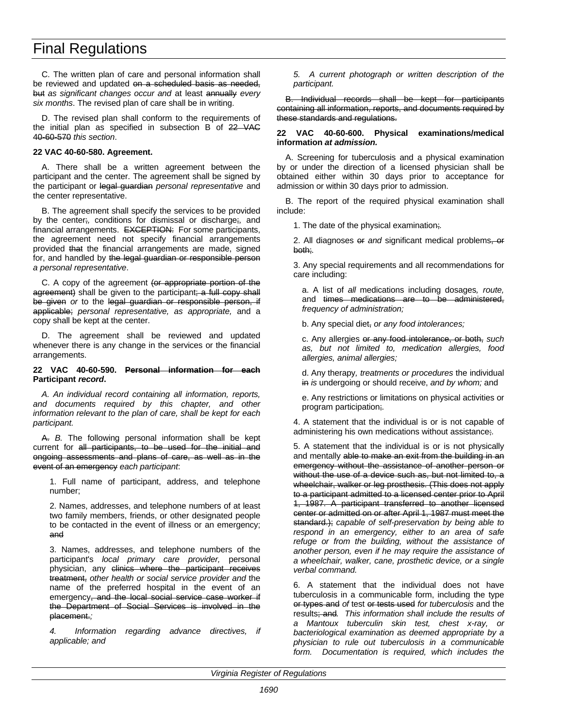C. The written plan of care and personal information shall be reviewed and updated on a scheduled basis as needed, but *as significant changes occur and* at least annually *every six months*. The revised plan of care shall be in writing.

D. The revised plan shall conform to the requirements of the initial plan as specified in subsection B of 22 VAC 40-60-570 *this section*.

## **22 VAC 40-60-580. Agreement.**

A. There shall be a written agreement between the participant and the center. The agreement shall be signed by the participant or legal guardian *personal representative* and the center representative.

B. The agreement shall specify the services to be provided by the center;*,* conditions for dismissal or discharge;*,* and financial arrangements. EXCEPTION: For some participants, the agreement need not specify financial arrangements provided that the financial arrangements are made, signed for, and handled by the legal guardian or responsible person *a personal representative*.

C. A copy of the agreement (or appropriate portion of the agreement) shall be given to the participant; a full copy shall be given *or* to the legal guardian or responsible person, if applicable; *personal representative, as appropriate,* and a copy shall be kept at the center.

D. The agreement shall be reviewed and updated whenever there is any change in the services or the financial arrangements.

## **22 VAC 40-60-590. Personal information for each Participant** *record***.**

*A. An individual record containing all information, reports, and documents required by this chapter, and other information relevant to the plan of care, shall be kept for each participant.*

A. *B.* The following personal information shall be kept current for all participants, to be used for the initial and ongoing assessments and plans of care, as well as in the event of an emergency *each participant*:

1. Full name of participant, address, and telephone number;

2. Names, addresses, and telephone numbers of at least two family members, friends, or other designated people to be contacted in the event of illness or an emergency; and

3. Names, addresses, and telephone numbers of the participant's *local primary care provider,* personal physician, any clinics where the participant receives treatment, *other health or social service provider and* the name of the preferred hospital in the event of an emergency, and the local social service case worker if the Department of Social Services is involved in the placement.*;*

*4. Information regarding advance directives, if applicable; and*

*5. A current photograph or written description of the participant.*

B. Individual records shall be kept for participants containing all information, reports, and documents required by these standards and regulations.

### **22 VAC 40-60-600. Physical examinations/medical information** *at admission.*

A. Screening for tuberculosis and a physical examination by or under the direction of a licensed physician shall be obtained either within 30 days prior to acceptance for admission or within 30 days prior to admission.

B. The report of the required physical examination shall include:

1. The date of the physical examination;*.*

2. All diagnoses or *and* significant medical problems, or both;*.*

3. Any special requirements and all recommendations for care including:

a. A list of *all* medications including dosages*, route,* and times medications are to be administered, *frequency of administration;*

b. Any special diet, *or any food intolerances;*

c. Any allergies or any food intolerance, or both, *such as, but not limited to, medication allergies, food allergies, animal allergies;*

d. Any therapy*, treatments or procedures* the individual in *is* undergoing or should receive, *and by whom;* and

e. Any restrictions or limitations on physical activities or program participation;*.*

4. A statement that the individual is or is not capable of administering his own medications without assistance;*.*

5. A statement that the individual is or is not physically and mentally able to make an exit from the building in an emergency without the assistance of another person or without the use of a device such as, but not limited to, a wheelchair, walker or leg prosthesis. (This does not apply to a participant admitted to a licensed center prior to April 1, 1987. A participant transferred to another licensed center or admitted on or after April 1, 1987 must meet the standard.); *capable of self-preservation by being able to respond in an emergency, either to an area of safe refuge or from the building, without the assistance of another person, even if he may require the assistance of a wheelchair, walker, cane, prosthetic device, or a single verbal command.*

6. A statement that the individual does not have tuberculosis in a communicable form, including the type or types and *of* test or tests used *for tuberculosis* and the results; and*. This information shall include the results of a Mantoux tuberculin skin test, chest x-ray, or bacteriological examination as deemed appropriate by a physician to rule out tuberculosis in a communicable form. Documentation is required, which includes the*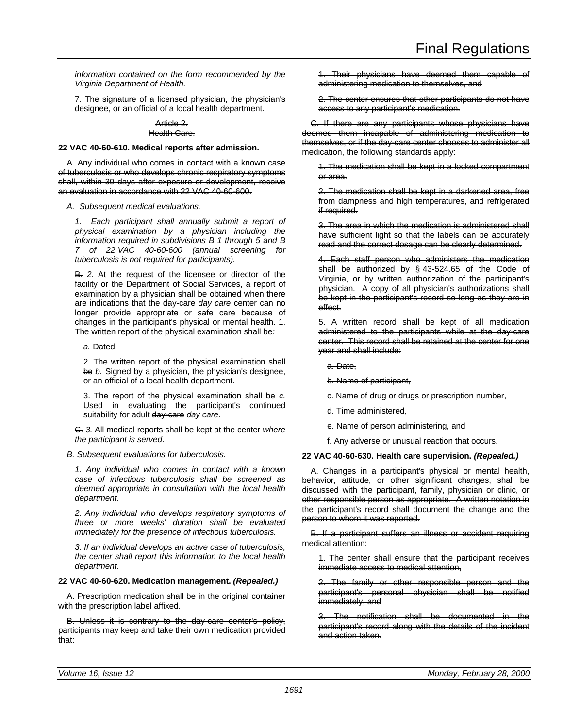*information contained on the form recommended by the Virginia Department of Health.*

7. The signature of a licensed physician, the physician's designee, or an official of a local health department.

### Article 2. Health Care.

### **22 VAC 40-60-610. Medical reports after admission.**

A. Any individual who comes in contact with a known case of tuberculosis or who develops chronic respiratory symptoms shall, within 30 days after exposure or development, receive an evaluation in accordance with 22 VAC 40-60-600.

### *A. Subsequent medical evaluations.*

*1. Each participant shall annually submit a report of physical examination by a physician including the information required in subdivisions B 1 through 5 and B 7 of 22 VAC 40-60-600 (annual screening for tuberculosis is not required for participants).*

B. *2.* At the request of the licensee or director of the facility or the Department of Social Services, a report of examination by a physician shall be obtained when there are indications that the day-care *day care* center can no longer provide appropriate or safe care because of changes in the participant's physical or mental health.  $4$ . The written report of the physical examination shall be*:*

*a.* Dated.

2. The written report of the physical examination shall be *b.* Signed by a physician, the physician's designee, or an official of a local health department.

3. The report of the physical examination shall be *c.* Used in evaluating the participant's continued suitability for adult day-care *day care*.

C. *3.* All medical reports shall be kept at the center *where the participant is served*.

*B. Subsequent evaluations for tuberculosis.*

*1. Any individual who comes in contact with a known case of infectious tuberculosis shall be screened as deemed appropriate in consultation with the local health department.*

*2. Any individual who develops respiratory symptoms of three or more weeks' duration shall be evaluated immediately for the presence of infectious tuberculosis.*

*3. If an individual develops an active case of tuberculosis, the center shall report this information to the local health department.*

### **22 VAC 40-60-620. Medication management.** *(Repealed.)*

A. Prescription medication shall be in the original container with the prescription label affixed.

B. Unless it is contrary to the day-care center's policy, participants may keep and take their own medication provided .<br>that:

1. Their physicians have deemed them capable of administering medication to themselves, and

2. The center ensures that other participants do not have access to any participant's medication.

C. If there are any participants whose physicians have deemed them incapable of administering medication to themselves, or if the day-care center chooses to administer all medication, the following standards apply:

1. The medication shall be kept in a locked compartment or area.

2. The medication shall be kept in a darkened area, free from dampness and high temperatures, and refrigerated if required.

3. The area in which the medication is administered shall have sufficient light so that the labels can be accurately read and the correct dosage can be clearly determined.

4. Each staff person who administers the medication shall be authorized by § 43-524.65 of the Code of Virginia, or by written authorization of the participant's physician. A copy of all physician's authorizations shall be kept in the participant's record so long as they are in effect.

5. A written record shall be kept of all medication administered to the participants while at the day-care center. This record shall be retained at the center for one year and shall include:

a. Date,

b. Name of participant,

c. Name of drug or drugs or prescription number,

d. Time administered,

e. Name of person administering, and

f. Any adverse or unusual reaction that occurs.

### **22 VAC 40-60-630. Health care supervision.** *(Repealed.)*

A. Changes in a participant's physical or mental health, behavior, attitude, or other significant changes, shall be discussed with the participant, family, physician or clinic, or other responsible person as appropriate. A written notation in the participant's record shall document the change and the person to whom it was reported.

B. If a participant suffers an illness or accident requiring medical attention:

1. The center shall ensure that the participant receives immediate access to medical attention,

2. The family or other responsible person and the participant's personal physician shall be notified immediately, and

3. The notification shall be documented in the participant's record along with the details of the incident and action taken.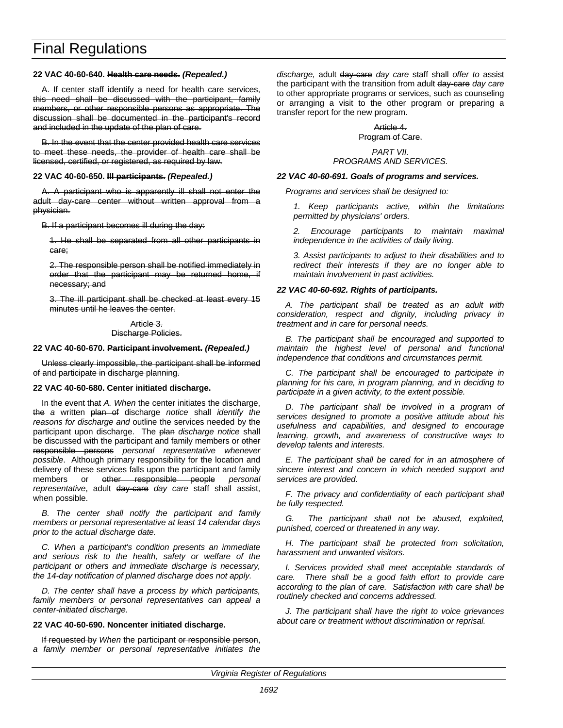## **22 VAC 40-60-640. Health care needs.** *(Repealed.)*

A. If center staff identify a need for health care services, this need shall be discussed with the participant, family members, or other responsible persons as appropriate. The discussion shall be documented in the participant's record and included in the update of the plan of care.

B. In the event that the center provided health care services to meet these needs, the provider of health care shall be licensed, certified, or registered, as required by law.

### **22 VAC 40-60-650. Ill participants.** *(Repealed.)*

A. A participant who is apparently ill shall not enter the adult day-care center without written approval from a physician.

B. If a participant becomes ill during the day:

1. He shall be separated from all other participants in care;

2. The responsible person shall be notified immediately in order that the participant may be returned home, if necessary; and

3. The ill participant shall be checked at least every 15 minutes until he leaves the center.

> Article 3. Discharge Policies.

### **22 VAC 40-60-670. Participant involvement.** *(Repealed.)*

Unless clearly impossible, the participant shall be informed of and participate in discharge planning.

## **22 VAC 40-60-680. Center initiated discharge.**

In the event that *A. When* the center initiates the discharge, the *a* written plan of discharge *notice* shall *identify the reasons for discharge and* outline the services needed by the participant upon discharge. The plan *discharge notice* shall be discussed with the participant and family members or other responsible persons *personal representative whenever possible*. Although primary responsibility for the location and delivery of these services falls upon the participant and family members or other responsible people *personal representative*, adult day-care *day care* staff shall assist, when possible.

*B. The center shall notify the participant and family members or personal representative at least 14 calendar days prior to the actual discharge date.*

*C. When a participant's condition presents an immediate and serious risk to the health, safety or welfare of the participant or others and immediate discharge is necessary, the 14-day notification of planned discharge does not apply.*

*D. The center shall have a process by which participants, family members or personal representatives can appeal a center-initiated discharge.*

## **22 VAC 40-60-690. Noncenter initiated discharge.**

If requested by *When* the participant or responsible person, *a family member or personal representative initiates the*

*discharge,* adult day-care *day care* staff shall *offer to* assist the participant with the transition from adult day-care *day care* to other appropriate programs or services, such as counseling or arranging a visit to the other program or preparing a transfer report for the new program.

## Article 4. Program of Care.

## *PART VII. PROGRAMS AND SERVICES.*

## *22 VAC 40-60-691. Goals of programs and services.*

*Programs and services shall be designed to:*

*1. Keep participants active, within the limitations permitted by physicians' orders.*

*2. Encourage participants to maintain maximal independence in the activities of daily living.*

*3. Assist participants to adjust to their disabilities and to redirect their interests if they are no longer able to maintain involvement in past activities.*

## *22 VAC 40-60-692. Rights of participants.*

*A. The participant shall be treated as an adult with consideration, respect and dignity, including privacy in treatment and in care for personal needs.*

*B. The participant shall be encouraged and supported to maintain the highest level of personal and functional independence that conditions and circumstances permit.*

*C. The participant shall be encouraged to participate in planning for his care, in program planning, and in deciding to participate in a given activity, to the extent possible.*

*D. The participant shall be involved in a program of services designed to promote a positive attitude about his usefulness and capabilities, and designed to encourage learning, growth, and awareness of constructive ways to develop talents and interests.*

*E. The participant shall be cared for in an atmosphere of sincere interest and concern in which needed support and services are provided.*

*F. The privacy and confidentiality of each participant shall be fully respected.*

*G. The participant shall not be abused, exploited, punished, coerced or threatened in any way.*

*H. The participant shall be protected from solicitation, harassment and unwanted visitors.*

*I. Services provided shall meet acceptable standards of care. There shall be a good faith effort to provide care according to the plan of care. Satisfaction with care shall be routinely checked and concerns addressed.*

*J. The participant shall have the right to voice grievances about care or treatment without discrimination or reprisal.*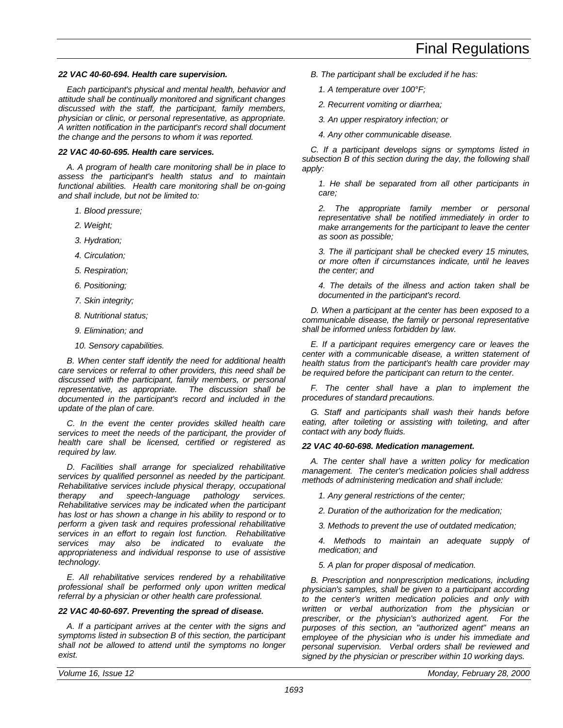## *22 VAC 40-60-694. Health care supervision.*

*Each participant's physical and mental health, behavior and attitude shall be continually monitored and significant changes discussed with the staff, the participant, family members, physician or clinic, or personal representative, as appropriate. A written notification in the participant's record shall document the change and the persons to whom it was reported.*

## *22 VAC 40-60-695. Health care services.*

*A. A program of health care monitoring shall be in place to assess the participant's health status and to maintain functional abilities. Health care monitoring shall be on-going and shall include, but not be limited to:*

- *1. Blood pressure;*
- *2. Weight;*
- *3. Hydration;*
- *4. Circulation;*
- *5. Respiration;*
- *6. Positioning;*
- *7. Skin integrity;*
- *8. Nutritional status;*
- *9. Elimination; and*
- *10. Sensory capabilities.*

*B. When center staff identify the need for additional health care services or referral to other providers, this need shall be discussed with the participant, family members, or personal representative, as appropriate. The discussion shall be documented in the participant's record and included in the update of the plan of care.*

*C. In the event the center provides skilled health care services to meet the needs of the participant, the provider of health care shall be licensed, certified or registered as required by law.*

*D. Facilities shall arrange for specialized rehabilitative services by qualified personnel as needed by the participant. Rehabilitative services include physical therapy, occupational therapy and speech-language pathology services. Rehabilitative services may be indicated when the participant has lost or has shown a change in his ability to respond or to perform a given task and requires professional rehabilitative services in an effort to regain lost function. Rehabilitative services may also be indicated to evaluate the appropriateness and individual response to use of assistive technology.*

*E. All rehabilitative services rendered by a rehabilitative professional shall be performed only upon written medical referral by a physician or other health care professional.*

### *22 VAC 40-60-697. Preventing the spread of disease.*

*A. If a participant arrives at the center with the signs and symptoms listed in subsection B of this section, the participant shall not be allowed to attend until the symptoms no longer exist.*

- *B. The participant shall be excluded if he has:*
	- *1. A temperature over 100°F;*
	- *2. Recurrent vomiting or diarrhea;*
	- *3. An upper respiratory infection; or*
	- *4. Any other communicable disease.*

*C. If a participant develops signs or symptoms listed in subsection B of this section during the day, the following shall apply:*

*1. He shall be separated from all other participants in care;*

*2. The appropriate family member or personal representative shall be notified immediately in order to make arrangements for the participant to leave the center as soon as possible;*

*3. The ill participant shall be checked every 15 minutes, or more often if circumstances indicate, until he leaves the center; and*

*4. The details of the illness and action taken shall be documented in the participant's record.*

*D. When a participant at the center has been exposed to a communicable disease, the family or personal representative shall be informed unless forbidden by law.*

*E. If a participant requires emergency care or leaves the center with a communicable disease, a written statement of health status from the participant's health care provider may be required before the participant can return to the center.*

*F. The center shall have a plan to implement the procedures of standard precautions.*

*G. Staff and participants shall wash their hands before eating, after toileting or assisting with toileting, and after contact with any body fluids.*

### *22 VAC 40-60-698. Medication management.*

*A. The center shall have a written policy for medication management. The center's medication policies shall address methods of administering medication and shall include:*

*1. Any general restrictions of the center;*

*2. Duration of the authorization for the medication;*

*3. Methods to prevent the use of outdated medication;*

*4. Methods to maintain an adequate supply of medication; and*

*5. A plan for proper disposal of medication.*

*B. Prescription and nonprescription medications, including physician's samples, shall be given to a participant according to the center's written medication policies and only with written or verbal authorization from the physician or prescriber, or the physician's authorized agent. For the purposes of this section, an "authorized agent" means an employee of the physician who is under his immediate and personal supervision. Verbal orders shall be reviewed and signed by the physician or prescriber within 10 working days.*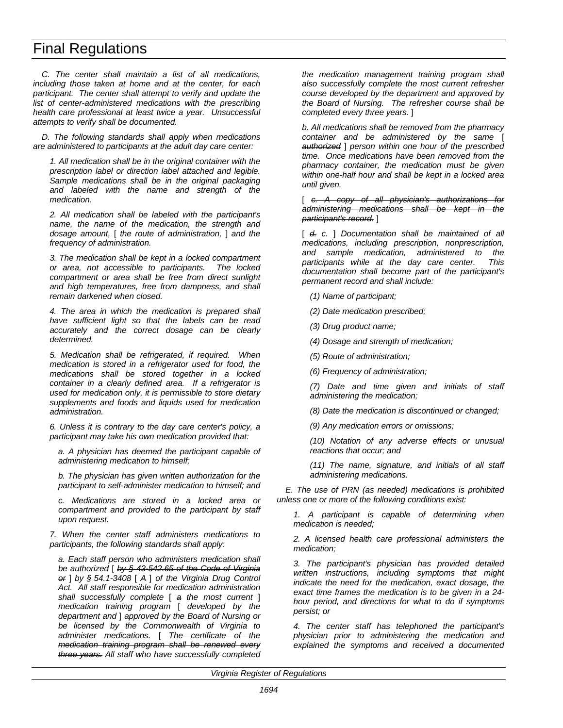*C. The center shall maintain a list of all medications, including those taken at home and at the center, for each participant. The center shall attempt to verify and update the list of center-administered medications with the prescribing health care professional at least twice a year. Unsuccessful attempts to verify shall be documented.*

*D. The following standards shall apply when medications are administered to participants at the adult day care center:*

*1. All medication shall be in the original container with the prescription label or direction label attached and legible. Sample medications shall be in the original packaging and labeled with the name and strength of the medication.*

*2. All medication shall be labeled with the participant's name, the name of the medication, the strength and dosage amount,* [ *the route of administration,* ] *and the frequency of administration.*

*3. The medication shall be kept in a locked compartment or area, not accessible to participants. The locked compartment or area shall be free from direct sunlight and high temperatures, free from dampness, and shall remain darkened when closed.*

*4. The area in which the medication is prepared shall have sufficient light so that the labels can be read accurately and the correct dosage can be clearly determined.*

*5. Medication shall be refrigerated, if required. When medication is stored in a refrigerator used for food, the medications shall be stored together in a locked container in a clearly defined area. If a refrigerator is used for medication only, it is permissible to store dietary supplements and foods and liquids used for medication administration.*

*6. Unless it is contrary to the day care center's policy, a participant may take his own medication provided that:*

*a. A physician has deemed the participant capable of administering medication to himself;*

*b. The physician has given written authorization for the participant to self-administer medication to himself; and*

*c. Medications are stored in a locked area or compartment and provided to the participant by staff upon request.*

*7. When the center staff administers medications to participants, the following standards shall apply:*

*a. Each staff person who administers medication shall be authorized* [ *by § 43-542.65 of the Code of Virginia or* ] *by § 54.1-3408* [ *A* ] *of the Virginia Drug Control Act. All staff responsible for medication administration shall successfully complete* [ *a the most current* ] *medication training program* [ *developed by the department and* ] *approved by the Board of Nursing or be licensed by the Commonwealth of Virginia to administer medications.* [ *The certificate of the medication training program shall be renewed every three years. All staff who have successfully completed* *the medication management training program shall also successfully complete the most current refresher course developed by the department and approved by the Board of Nursing. The refresher course shall be completed every three years.* ]

*b. All medications shall be removed from the pharmacy container and be administered by the same* [ *authorized* ] *person within one hour of the prescribed time. Once medications have been removed from the pharmacy container, the medication must be given within one-half hour and shall be kept in a locked area until given.*

[ *c. A copy of all physician's authorizations for administering medications shall be kept in the participant's record.* ]

[ *d. c.* ] *Documentation shall be maintained of all medications, including prescription, nonprescription, and sample medication, administered to the participants while at the day care center. This documentation shall become part of the participant's permanent record and shall include:*

*(1) Name of participant;*

*(2) Date medication prescribed;*

*(3) Drug product name;*

*(4) Dosage and strength of medication;*

*(5) Route of administration;*

*(6) Frequency of administration;*

*(7) Date and time given and initials of staff administering the medication;*

*(8) Date the medication is discontinued or changed;*

*(9) Any medication errors or omissions;*

*(10) Notation of any adverse effects or unusual reactions that occur; and*

*(11) The name, signature, and initials of all staff administering medications.*

*E. The use of PRN (as needed) medications is prohibited unless one or more of the following conditions exist:*

*1. A participant is capable of determining when medication is needed;*

*2. A licensed health care professional administers the medication;*

*3. The participant's physician has provided detailed written instructions, including symptoms that might indicate the need for the medication, exact dosage, the exact time frames the medication is to be given in a 24 hour period, and directions for what to do if symptoms persist; or*

*4. The center staff has telephoned the participant's physician prior to administering the medication and explained the symptoms and received a documented*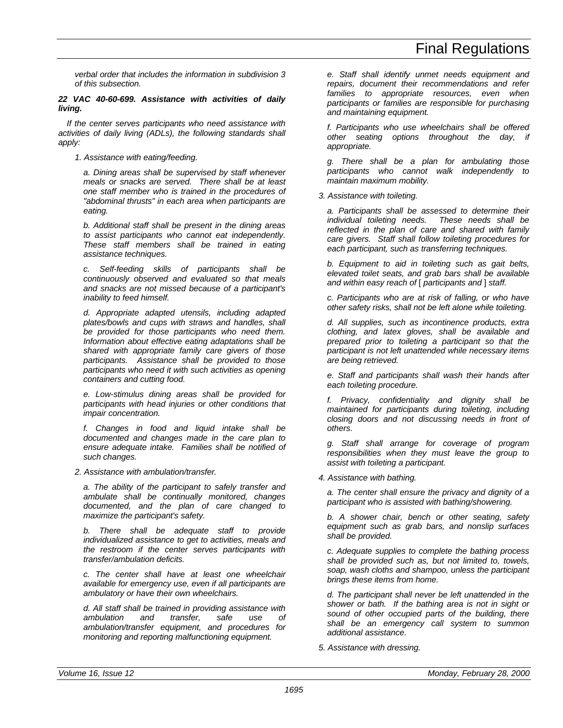*verbal order that includes the information in subdivision 3 of this subsection.*

## *22 VAC 40-60-699. Assistance with activities of daily living.*

*If the center serves participants who need assistance with activities of daily living (ADLs), the following standards shall apply:*

*1. Assistance with eating/feeding.*

*a. Dining areas shall be supervised by staff whenever meals or snacks are served. There shall be at least one staff member who is trained in the procedures of "abdominal thrusts" in each area when participants are eating.*

*b. Additional staff shall be present in the dining areas to assist participants who cannot eat independently. These staff members shall be trained in eating assistance techniques.*

*c. Self-feeding skills of participants shall be continuously observed and evaluated so that meals and snacks are not missed because of a participant's inability to feed himself.*

*d. Appropriate adapted utensils, including adapted plates/bowls and cups with straws and handles, shall be provided for those participants who need them. Information about effective eating adaptations shall be shared with appropriate family care givers of those participants. Assistance shall be provided to those participants who need it with such activities as opening containers and cutting food.*

*e. Low-stimulus dining areas shall be provided for participants with head injuries or other conditions that impair concentration.*

*f. Changes in food and liquid intake shall be documented and changes made in the care plan to ensure adequate intake. Families shall be notified of such changes.*

*2. Assistance with ambulation/transfer.*

*a. The ability of the participant to safely transfer and ambulate shall be continually monitored, changes documented, and the plan of care changed to maximize the participant's safety.*

*b. There shall be adequate staff to provide individualized assistance to get to activities, meals and the restroom if the center serves participants with transfer/ambulation deficits.*

*c. The center shall have at least one wheelchair available for emergency use, even if all participants are ambulatory or have their own wheelchairs.*

*d. All staff shall be trained in providing assistance with ambulation and transfer, safe use of ambulation/transfer equipment, and procedures for monitoring and reporting malfunctioning equipment.*

*e. Staff shall identify unmet needs equipment and repairs, document their recommendations and refer families to appropriate resources, even when participants or families are responsible for purchasing and maintaining equipment.*

*f. Participants who use wheelchairs shall be offered other seating options throughout the day, if appropriate.*

*g. There shall be a plan for ambulating those participants who cannot walk independently to maintain maximum mobility.*

## *3. Assistance with toileting.*

*a. Participants shall be assessed to determine their individual toileting needs. These needs shall be reflected in the plan of care and shared with family care givers. Staff shall follow toileting procedures for each participant, such as transferring techniques.*

*b. Equipment to aid in toileting such as gait belts, elevated toilet seats, and grab bars shall be available and within easy reach of* [ *participants and* ] *staff.*

*c. Participants who are at risk of falling, or who have other safety risks, shall not be left alone while toileting.*

*d. All supplies, such as incontinence products, extra clothing, and latex gloves, shall be available and prepared prior to toileting a participant so that the participant is not left unattended while necessary items are being retrieved.*

*e. Staff and participants shall wash their hands after each toileting procedure.*

*f. Privacy, confidentiality and dignity shall be maintained for participants during toileting, including closing doors and not discussing needs in front of others.*

*g. Staff shall arrange for coverage of program responsibilities when they must leave the group to assist with toileting a participant.*

*4. Assistance with bathing.*

*a. The center shall ensure the privacy and dignity of a participant who is assisted with bathing/showering.*

*b. A shower chair, bench or other seating, safety equipment such as grab bars, and nonslip surfaces shall be provided.*

*c. Adequate supplies to complete the bathing process shall be provided such as, but not limited to, towels, soap, wash cloths and shampoo, unless the participant brings these items from home.*

*d. The participant shall never be left unattended in the shower or bath. If the bathing area is not in sight or sound of other occupied parts of the building, there shall be an emergency call system to summon additional assistance.*

*5. Assistance with dressing.*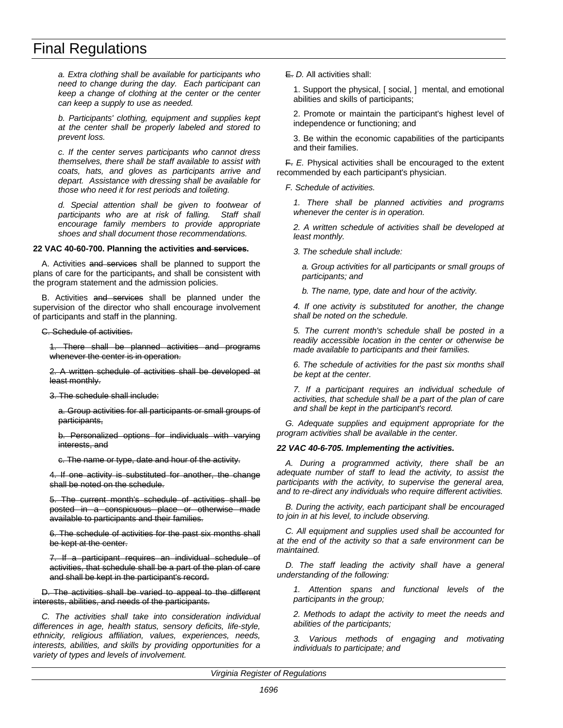*a. Extra clothing shall be available for participants who need to change during the day. Each participant can keep a change of clothing at the center or the center can keep a supply to use as needed.*

*b. Participants' clothing, equipment and supplies kept at the center shall be properly labeled and stored to prevent loss.*

*c. If the center serves participants who cannot dress themselves, there shall be staff available to assist with coats, hats, and gloves as participants arrive and depart. Assistance with dressing shall be available for those who need it for rest periods and toileting.*

*d. Special attention shall be given to footwear of participants who are at risk of falling. Staff shall encourage family members to provide appropriate shoes and shall document those recommendations.*

### **22 VAC 40-60-700. Planning the activities and services.**

A. Activities and services shall be planned to support the plans of care for the participants, and shall be consistent with the program statement and the admission policies.

B. Activities and services shall be planned under the supervision of the director who shall encourage involvement of participants and staff in the planning.

C. Schedule of activities.

1. There shall be planned activities and programs whenever the center is in operation.

2. A written schedule of activities shall be developed at least monthly.

3. The schedule shall include:

a. Group activities for all participants or small groups of participants,

b. Personalized options for individuals with varying interests, and

c. The name or type, date and hour of the activity.

4. If one activity is substituted for another, the change shall be noted on the schedule.

5. The current month's schedule of activities shall be posted in a conspicuous place or otherwise made available to participants and their families.

6. The schedule of activities for the past six months shall be kept at the center.

7. If a participant requires an individual schedule of activities, that schedule shall be a part of the plan of care and shall be kept in the participant's record.

D. The activities shall be varied to appeal to the different interests, abilities, and needs of the participants.

*C. The activities shall take into consideration individual differences in age, health status, sensory deficits, life-style, ethnicity, religious affiliation, values, experiences, needs, interests, abilities, and skills by providing opportunities for a variety of types and levels of involvement.*

E. *D.* All activities shall:

1. Support the physical, [ social, ] mental, and emotional abilities and skills of participants;

2. Promote or maintain the participant's highest level of independence or functioning; and

3. Be within the economic capabilities of the participants and their families.

F. *E.* Physical activities shall be encouraged to the extent recommended by each participant's physician.

*F. Schedule of activities.*

*1. There shall be planned activities and programs whenever the center is in operation.*

*2. A written schedule of activities shall be developed at least monthly.*

*3. The schedule shall include:*

*a. Group activities for all participants or small groups of participants; and*

*b. The name, type, date and hour of the activity.*

*4. If one activity is substituted for another, the change shall be noted on the schedule.*

*5. The current month's schedule shall be posted in a readily accessible location in the center or otherwise be made available to participants and their families.*

*6. The schedule of activities for the past six months shall be kept at the center.*

*7. If a participant requires an individual schedule of activities, that schedule shall be a part of the plan of care and shall be kept in the participant's record.*

*G. Adequate supplies and equipment appropriate for the program activities shall be available in the center.*

## *22 VAC 40-6-705. Implementing the activities.*

*A. During a programmed activity, there shall be an adequate number of staff to lead the activity, to assist the participants with the activity, to supervise the general area, and to re-direct any individuals who require different activities.*

*B. During the activity, each participant shall be encouraged to join in at his level, to include observing.*

*C. All equipment and supplies used shall be accounted for at the end of the activity so that a safe environment can be maintained.*

*D. The staff leading the activity shall have a general understanding of the following:*

*1. Attention spans and functional levels of the participants in the group;*

*2. Methods to adapt the activity to meet the needs and abilities of the participants;*

*3. Various methods of engaging and motivating individuals to participate; and*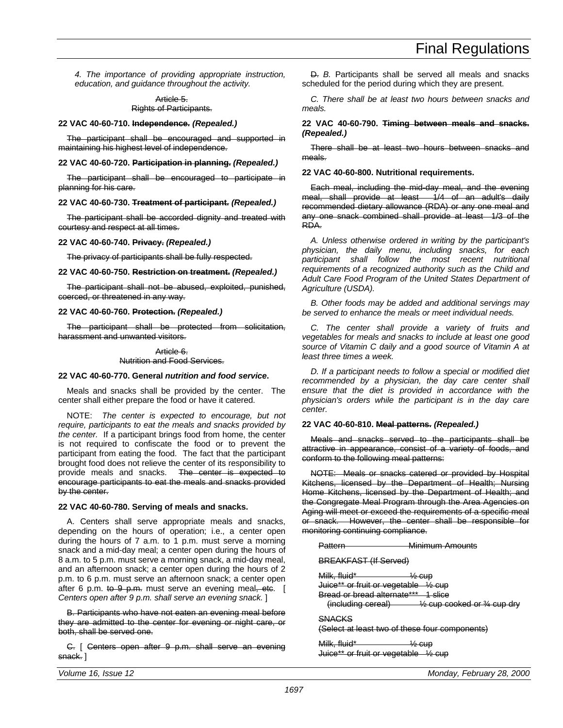*4. The importance of providing appropriate instruction, education, and guidance throughout the activity.*

## Article 5. Rights of Participants.

## **22 VAC 40-60-710. Independence.** *(Repealed.)*

The participant shall be encouraged and supported in maintaining his highest level of independence.

## **22 VAC 40-60-720. Participation in planning.** *(Repealed.)*

The participant shall be encouraged to participate in planning for his care.

## **22 VAC 40-60-730. Treatment of participant.** *(Repealed.)*

The participant shall be accorded dignity and treated with courtesy and respect at all times.

## **22 VAC 40-60-740. Privacy.** *(Repealed.)*

The privacy of participants shall be fully respected.

## **22 VAC 40-60-750. Restriction on treatment.** *(Repealed.)*

The participant shall not be abused, exploited, punished, coerced, or threatened in any way.

## **22 VAC 40-60-760. Protection.** *(Repealed.)*

The participant shall be protected from solicitation, harassment and unwanted visitors.

> Article 6. Nutrition and Food Services.

## **22 VAC 40-60-770. General** *nutrition and food service***.**

Meals and snacks shall be provided by the center. The center shall either prepare the food or have it catered.

NOTE: *The center is expected to encourage, but not require, participants to eat the meals and snacks provided by the center.* If a participant brings food from home, the center is not required to confiscate the food or to prevent the participant from eating the food. The fact that the participant brought food does not relieve the center of its responsibility to provide meals and snacks. The center is expected to encourage participants to eat the meals and snacks provided by the center.

## **22 VAC 40-60-780. Serving of meals and snacks.**

A. Centers shall serve appropriate meals and snacks, depending on the hours of operation; i.e., a center open during the hours of 7 a.m. to 1 p.m. must serve a morning snack and a mid-day meal; a center open during the hours of 8 a.m. to 5 p.m. must serve a morning snack, a mid-day meal, and an afternoon snack; a center open during the hours of 2 p.m. to 6 p.m. must serve an afternoon snack; a center open after 6 p.m. to 9 p.m. must serve an evening meal, etc. [ *Centers open after 9 p.m. shall serve an evening snack.* ]

B. Participants who have not eaten an evening meal before they are admitted to the center for evening or night care, or both, shall be served one.

C. [ Centers open after 9 p.m. shall serve an evening snack. ]

D. *B.* Participants shall be served all meals and snacks scheduled for the period during which they are present.

*C. There shall be at least two hours between snacks and meals.*

## **22 VAC 40-60-790. Timing between meals and snacks.** *(Repealed.)*

There shall be at least two hours between snacks and meals.

## **22 VAC 40-60-800. Nutritional requirements.**

Each meal, including the mid-day meal, and the evening meal, shall provide at least 1/4 of an adult's daily recommended dietary allowance (RDA) or any one meal and any one snack combined shall provide at least 1/3 of the RDA.

*A. Unless otherwise ordered in writing by the participant's physician, the daily menu, including snacks, for each participant shall follow the most recent nutritional requirements of a recognized authority such as the Child and Adult Care Food Program of the United States Department of Agriculture (USDA).*

*B. Other foods may be added and additional servings may be served to enhance the meals or meet individual needs.*

*C. The center shall provide a variety of fruits and vegetables for meals and snacks to include at least one good source of Vitamin C daily and a good source of Vitamin A at least three times a week.*

*D. If a participant needs to follow a special or modified diet recommended by a physician, the day care center shall ensure that the diet is provided in accordance with the physician's orders while the participant is in the day care center.*

## **22 VAC 40-60-810. Meal patterns.** *(Repealed.)*

Meals and snacks served to the participants shall be attractive in appearance, consist of a variety of foods, and conform to the following meal patterns:

NOTE: Meals or snacks catered or provided by Hospital Kitchens, licensed by the Department of Health; Nursing Home Kitchens, licensed by the Department of Health; and the Congregate Meal Program through the Area Agencies on Aging will meet or exceed the requirements of a specific meal or snack. However, the center shall be responsible for monitoring continuing compliance.

Pattern Minimum Amounts

BREAKFAST (If Served)

Milk, fluid\*  $\frac{1}{2}$  cup

Juice\*\* or fruit or vegetable ½ cup

Bread or bread alternate\*\*\* 1 slice

(including cereal) ½ cup cooked or ¾ cup dry

## **SNACKS**

(Select at least two of these four components)

Milk, fluid<sup>\*</sup>  $\frac{1}{2}$  cup Juice\*\* or fruit or vegetable ½ cup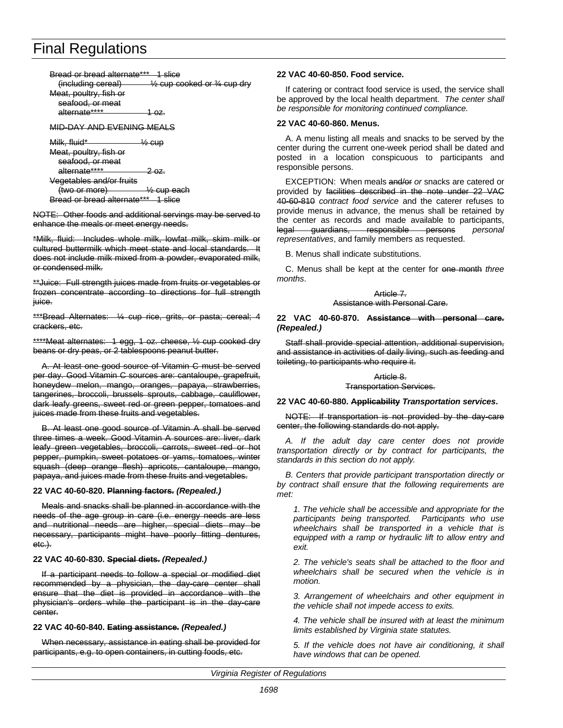Bread or bread alternate\*\*\* 1 slice (including cereal)  $\frac{1}{2}$  cup cooked or  $\frac{3}{4}$  cup dry Meat, poultry, fish or seafood, or meat alternate\*\*\*\* 1 oz.

MID-DAY AND EVENING MEALS

Milk, fluid\*  $\frac{1}{2}$  cup Meat, poultry, fish or seafood, or meat alternate\*\*\*\* 2 oz. Vegetables and/or fruits

(two or more) ½ cup each Bread or bread alternate\*\*\* 1 slice

NOTE: Other foods and additional servings may be served to enhance the meals or meet energy needs.

\*Milk, fluid: Includes whole milk, lowfat milk, skim milk or cultured buttermilk which meet state and local standards. It does not include milk mixed from a powder, evaporated milk, or condensed milk.

\*\*Juice: Full strength juices made from fruits or vegetables or frozen concentrate according to directions for full strength juice.

\*\*\*Bread Alternates: 1/4 cup rice, grits, or pasta; cereal; 4 crackers, etc.

\*\*\*\*Meat alternates: 1 egg, 1 oz. cheese, ½ cup cooked dry beans or dry peas, or 2 tablespoons peanut butter.

A. At least one good source of Vitamin C must be served per day. Good Vitamin C sources are: cantaloupe, grapefruit, honeydew melon, mango, oranges, papaya, strawberries, tangerines, broccoli, brussels sprouts, cabbage, cauliflower, dark leafy greens, sweet red or green pepper, tomatoes and juices made from these fruits and vegetables.

B. At least one good source of Vitamin A shall be served three times a week. Good Vitamin A sources are: liver, dark leafy green vegetables, broccoli, carrots, sweet red or hot pepper, pumpkin, sweet potatoes or yams, tomatoes, winter squash (deep orange flesh) apricots, cantaloupe, mango, papaya, and juices made from these fruits and vegetables.

## **22 VAC 40-60-820. Planning factors.** *(Repealed.)*

Meals and snacks shall be planned in accordance with the needs of the age group in care (i.e. energy needs are less and nutritional needs are higher, special diets may be necessary, participants might have poorly fitting dentures, etc.).

## **22 VAC 40-60-830. Special diets.** *(Repealed.)*

If a participant needs to follow a special or modified diet recommended by a physician, the day-care center shall ensure that the diet is provided in accordance with the physician's orders while the participant is in the day-care center.

## **22 VAC 40-60-840. Eating assistance.** *(Repealed.)*

When necessary, assistance in eating shall be provided for participants, e.g. to open containers, in cutting foods, etc.

## **22 VAC 40-60-850. Food service.**

If catering or contract food service is used, the service shall be approved by the local health department. *The center shall be responsible for monitoring continued compliance.*

## **22 VAC 40-60-860. Menus.**

A. A menu listing all meals and snacks to be served by the center during the current one-week period shall be dated and posted in a location conspicuous to participants and responsible persons.

EXCEPTION: When meals and/or *or* snacks are catered or provided by facilities described in the note under 22 VAC 40-60-810 *contract food service* and the caterer refuses to provide menus in advance, the menus shall be retained by the center as records and made available to participants, legal guardians, responsible persons *personal representatives*, and family members as requested.

B. Menus shall indicate substitutions.

C. Menus shall be kept at the center for one month *three months*.

#### Article 7. Assistance with Personal Care.

## **22 VAC 40-60-870. Assistance with personal care.** *(Repealed.)*

Staff shall provide special attention, additional supervision, and assistance in activities of daily living, such as feeding and toileting, to participants who require it.

## Article 8.

### Transportation Services.

### **22 VAC 40-60-880. Applicability** *Transportation services***.**

NOTE: If transportation is not provided by the day-care center, the following standards do not apply.

*A. If the adult day care center does not provide transportation directly or by contract for participants, the standards in this section do not apply.*

*B. Centers that provide participant transportation directly or by contract shall ensure that the following requirements are met:*

*1. The vehicle shall be accessible and appropriate for the participants being transported. Participants who use wheelchairs shall be transported in a vehicle that is equipped with a ramp or hydraulic lift to allow entry and exit.*

*2. The vehicle's seats shall be attached to the floor and wheelchairs shall be secured when the vehicle is in motion.*

*3. Arrangement of wheelchairs and other equipment in the vehicle shall not impede access to exits.*

*4. The vehicle shall be insured with at least the minimum limits established by Virginia state statutes.*

*5. If the vehicle does not have air conditioning, it shall have windows that can be opened.*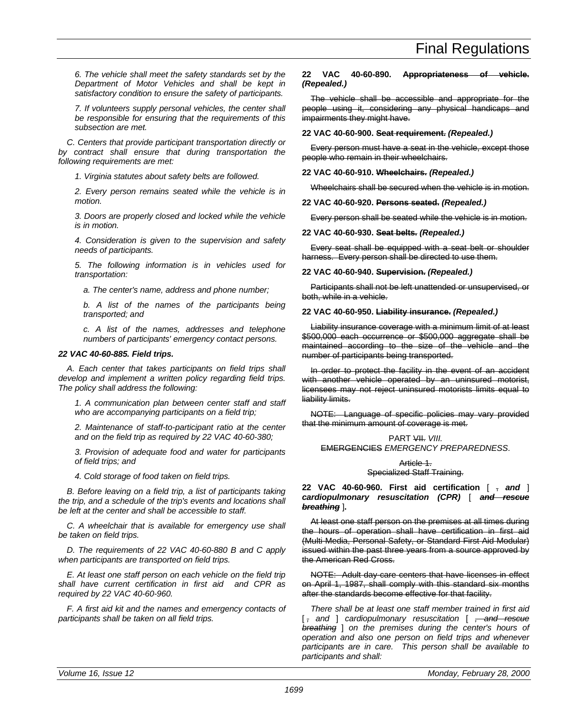*6. The vehicle shall meet the safety standards set by the Department of Motor Vehicles and shall be kept in satisfactory condition to ensure the safety of participants.*

*7. If volunteers supply personal vehicles, the center shall be responsible for ensuring that the requirements of this subsection are met.*

*C. Centers that provide participant transportation directly or by contract shall ensure that during transportation the following requirements are met:*

*1. Virginia statutes about safety belts are followed.*

*2. Every person remains seated while the vehicle is in motion.*

*3. Doors are properly closed and locked while the vehicle is in motion.*

*4. Consideration is given to the supervision and safety needs of participants.*

*5. The following information is in vehicles used for transportation:*

*a. The center's name, address and phone number;*

*b. A list of the names of the participants being transported; and*

*c. A list of the names, addresses and telephone numbers of participants' emergency contact persons.*

## *22 VAC 40-60-885. Field trips.*

*A. Each center that takes participants on field trips shall develop and implement a written policy regarding field trips. The policy shall address the following:*

*1. A communication plan between center staff and staff who are accompanying participants on a field trip;*

*2. Maintenance of staff-to-participant ratio at the center and on the field trip as required by 22 VAC 40-60-380;*

*3. Provision of adequate food and water for participants of field trips; and*

*4. Cold storage of food taken on field trips.*

*B. Before leaving on a field trip, a list of participants taking the trip, and a schedule of the trip's events and locations shall be left at the center and shall be accessible to staff.*

*C. A wheelchair that is available for emergency use shall be taken on field trips.*

*D. The requirements of 22 VAC 40-60-880 B and C apply when participants are transported on field trips.*

*E. At least one staff person on each vehicle on the field trip shall have current certification in first aid and CPR as required by 22 VAC 40-60-960.*

*F. A first aid kit and the names and emergency contacts of participants shall be taken on all field trips.*

## **22 VAC 40-60-890. Appropriateness of vehicle.** *(Repealed.)*

The vehicle shall be accessible and appropriate for the people using it, considering any physical handicaps and impairments they might have.

**22 VAC 40-60-900. Seat requirement.** *(Repealed.)*

Every person must have a seat in the vehicle, except those people who remain in their wheelchairs.

**22 VAC 40-60-910. Wheelchairs.** *(Repealed.)*

Wheelchairs shall be secured when the vehicle is in motion.

## **22 VAC 40-60-920. Persons seated.** *(Repealed.)*

Every person shall be seated while the vehicle is in motion.

## **22 VAC 40-60-930. Seat belts.** *(Repealed.)*

Every seat shall be equipped with a seat belt or shoulder harness. Every person shall be directed to use them.

## **22 VAC 40-60-940. Supervision.** *(Repealed.)*

Participants shall not be left unattended or unsupervised, or both, while in a vehicle.

## **22 VAC 40-60-950. Liability insurance.** *(Repealed.)*

Liability insurance coverage with a minimum limit of at least \$500,000 each occurrence or \$500,000 aggregate shall be maintained according to the size of the vehicle and the number of participants being transported.

In order to protect the facility in the event of an accident with another vehicle operated by an uninsured motorist, licensees may not reject uninsured motorists limits equal to liability limits.

NOTE: Language of specific policies may vary provided that the minimum amount of coverage is met.

## PART VII. *VIII.* EMERGENCIES *EMERGENCY PREPAREDNESS*.

## Article 1. Specialized Staff Training.

**22 VAC 40-60-960. First aid certification** [ , *and* ] *cardiopulmonary resuscitation (CPR)* [ *and rescue breathing* ]**.**

At least one staff person on the premises at all times during the hours of operation shall have certification in first aid (Multi-Media, Personal Safety, or Standard First Aid Modular) issued within the past three years from a source approved by the American Red Cross.

NOTE: Adult day-care centers that have licenses in effect on April 1, 1987, shall comply with this standard six months after the standards become effective for that facility.

*There shall be at least one staff member trained in first aid* [ *, and* ] *cardiopulmonary resuscitation* [ *, and rescue breathing* ] *on the premises during the center's hours of operation and also one person on field trips and whenever participants are in care. This person shall be available to participants and shall:*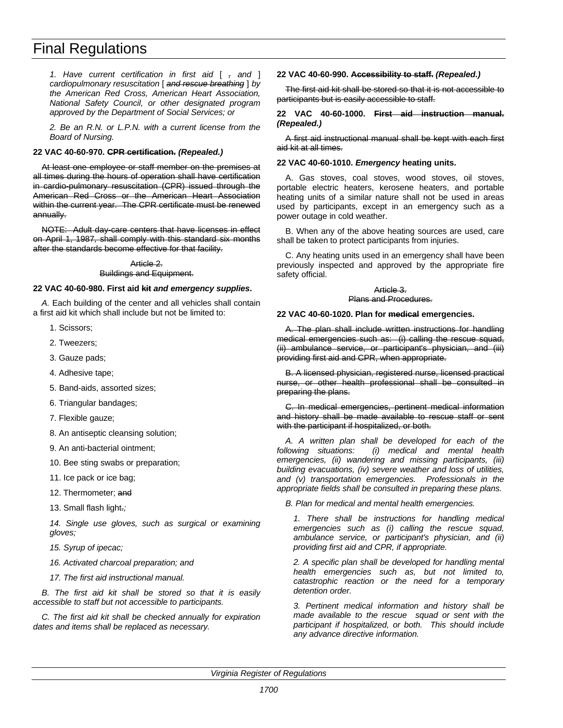*1. Have current certification in first aid* [ *, and* ] *cardiopulmonary resuscitation* [ *and rescue breathing* ] *by the American Red Cross, American Heart Association, National Safety Council, or other designated program approved by the Department of Social Services; or*

*2. Be an R.N. or L.P.N. with a current license from the Board of Nursing.*

## **22 VAC 40-60-970. CPR certification.** *(Repealed.)*

At least one employee or staff member on the premises at all times during the hours of operation shall have certification in cardio-pulmonary resuscitation (CPR) issued through the American Red Cross or the American Heart Association within the current year. The CPR certificate must be renewed annually.

NOTE: Adult day-care centers that have licenses in effect on April 1, 1987, shall comply with this standard six months after the standards become effective for that facility.

### Article 2. Buildings and Equipment.

### **22 VAC 40-60-980. First aid kit** *and emergency supplies***.**

*A.* Each building of the center and all vehicles shall contain a first aid kit which shall include but not be limited to:

- 1. Scissors;
- 2. Tweezers;
- 3. Gauze pads;
- 4. Adhesive tape;
- 5. Band-aids, assorted sizes;
- 6. Triangular bandages;
- 7. Flexible gauze;
- 8. An antiseptic cleansing solution;
- 9. An anti-bacterial ointment;
- 10. Bee sting swabs or preparation;
- 11. Ice pack or ice bag;
- 12. Thermometer: and
- 13. Small flash light.*;*

*14. Single use gloves, such as surgical or examining gloves;*

- *15. Syrup of ipecac;*
- *16. Activated charcoal preparation; and*
- *17. The first aid instructional manual.*

*B. The first aid kit shall be stored so that it is easily accessible to staff but not accessible to participants.*

*C. The first aid kit shall be checked annually for expiration dates and items shall be replaced as necessary.*

### **22 VAC 40-60-990. Accessibility to staff.** *(Repealed.)*

The first aid kit shall be stored so that it is not accessible to participants but is easily accessible to staff.

### **22 VAC 40-60-1000. First aid instruction manual.** *(Repealed.)*

A first aid instructional manual shall be kept with each first aid kit at all times.

### **22 VAC 40-60-1010.** *Emergency* **heating units.**

A. Gas stoves, coal stoves, wood stoves, oil stoves, portable electric heaters, kerosene heaters, and portable heating units of a similar nature shall not be used in areas used by participants, except in an emergency such as a power outage in cold weather.

B. When any of the above heating sources are used, care shall be taken to protect participants from injuries.

C. Any heating units used in an emergency shall have been previously inspected and approved by the appropriate fire safety official.

#### Article 3. Plans and Procedures.

### **22 VAC 40-60-1020. Plan for medical emergencies.**

A. The plan shall include written instructions for handling medical emergencies such as: (i) calling the rescue squad, (ii) ambulance service, or participant's physician, and (iii) providing first aid and CPR, when appropriate.

B. A licensed physician, registered nurse, licensed practical nurse, or other health professional shall be consulted in preparing the plans.

C. In medical emergencies, pertinent medical information and history shall be made available to rescue staff or sent with the participant if hospitalized, or both.

*A. A written plan shall be developed for each of the following situations: (i) medical and mental health emergencies, (ii) wandering and missing participants, (iii) building evacuations, (iv) severe weather and loss of utilities, and (v) transportation emergencies. Professionals in the appropriate fields shall be consulted in preparing these plans.*

*B. Plan for medical and mental health emergencies.*

*1. There shall be instructions for handling medical emergencies such as (i) calling the rescue squad, ambulance service, or participant's physician, and (ii) providing first aid and CPR, if appropriate.*

*2. A specific plan shall be developed for handling mental health emergencies such as, but not limited to, catastrophic reaction or the need for a temporary detention order.*

*3. Pertinent medical information and history shall be made available to the rescue squad or sent with the participant if hospitalized, or both. This should include any advance directive information.*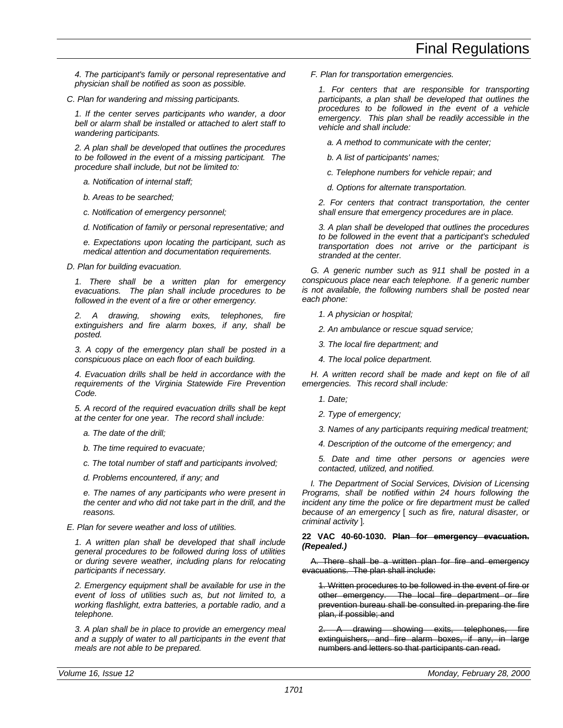*4. The participant's family or personal representative and physician shall be notified as soon as possible.*

*C. Plan for wandering and missing participants.*

*1. If the center serves participants who wander, a door bell or alarm shall be installed or attached to alert staff to wandering participants.*

*2. A plan shall be developed that outlines the procedures to be followed in the event of a missing participant. The procedure shall include, but not be limited to:*

*a. Notification of internal staff;*

*b. Areas to be searched;*

*c. Notification of emergency personnel;*

*d. Notification of family or personal representative; and*

*e. Expectations upon locating the participant, such as medical attention and documentation requirements.*

*D. Plan for building evacuation.*

*1. There shall be a written plan for emergency evacuations. The plan shall include procedures to be followed in the event of a fire or other emergency.*

*2. A drawing, showing exits, telephones, fire extinguishers and fire alarm boxes, if any, shall be posted.*

*3. A copy of the emergency plan shall be posted in a conspicuous place on each floor of each building.*

*4. Evacuation drills shall be held in accordance with the requirements of the Virginia Statewide Fire Prevention Code.*

*5. A record of the required evacuation drills shall be kept at the center for one year. The record shall include:*

- *a. The date of the drill;*
- *b. The time required to evacuate;*

*c. The total number of staff and participants involved;*

*d. Problems encountered, if any; and*

*e. The names of any participants who were present in the center and who did not take part in the drill, and the reasons.*

*E. Plan for severe weather and loss of utilities.*

*1. A written plan shall be developed that shall include general procedures to be followed during loss of utilities or during severe weather, including plans for relocating participants if necessary.*

*2. Emergency equipment shall be available for use in the event of loss of utilities such as, but not limited to, a working flashlight, extra batteries, a portable radio, and a telephone.*

*3. A plan shall be in place to provide an emergency meal and a supply of water to all participants in the event that meals are not able to be prepared.*

*F. Plan for transportation emergencies.*

*1. For centers that are responsible for transporting participants, a plan shall be developed that outlines the procedures to be followed in the event of a vehicle emergency. This plan shall be readily accessible in the vehicle and shall include:*

*a. A method to communicate with the center;*

*b. A list of participants' names;*

*c. Telephone numbers for vehicle repair; and*

*d. Options for alternate transportation.*

*2. For centers that contract transportation, the center shall ensure that emergency procedures are in place.*

*3. A plan shall be developed that outlines the procedures to be followed in the event that a participant's scheduled transportation does not arrive or the participant is stranded at the center.*

*G. A generic number such as 911 shall be posted in a conspicuous place near each telephone. If a generic number is not available, the following numbers shall be posted near each phone:*

*1. A physician or hospital;*

*2. An ambulance or rescue squad service;*

*3. The local fire department; and*

*4. The local police department.*

*H. A written record shall be made and kept on file of all emergencies. This record shall include:*

*1. Date;*

*2. Type of emergency;*

*3. Names of any participants requiring medical treatment;*

*4. Description of the outcome of the emergency; and*

*5. Date and time other persons or agencies were contacted, utilized, and notified.*

*I. The Department of Social Services, Division of Licensing Programs, shall be notified within 24 hours following the incident any time the police or fire department must be called because of an emergency* [ *such as fire, natural disaster, or criminal activity* ]*.*

## **22 VAC 40-60-1030. Plan for emergency evacuation.** *(Repealed.)*

A. There shall be a written plan for fire and emergency evacuations. The plan shall include:

1. Written procedures to be followed in the event of fire or other emergency. The local fire department or fire prevention bureau shall be consulted in preparing the fire plan, if possible; and

drawing showing exits, telephones, fire extinguishers, and fire alarm boxes, if any, in large numbers and letters so that participants can read.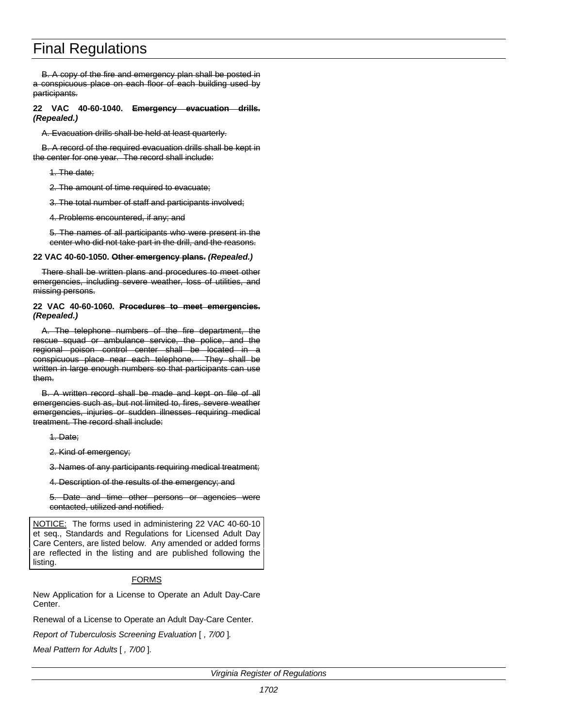B. A copy of the fire and emergency plan shall be posted in a conspicuous place on each floor of each building used by participants.

**22 VAC 40-60-1040. Emergency evacuation drills.** *(Repealed.)*

A. Evacuation drills shall be held at least quarterly.

B. A record of the required evacuation drills shall be kept in the center for one year. The record shall include:

1. The date;

2. The amount of time required to evacuate;

3. The total number of staff and participants involved;

4. Problems encountered, if any; and

5. The names of all participants who were present in the center who did not take part in the drill, and the reasons.

## **22 VAC 40-60-1050. Other emergency plans.** *(Repealed.)*

There shall be written plans and procedures to meet other emergencies, including severe weather, loss of utilities, and missing persons.

## **22 VAC 40-60-1060. Procedures to meet emergencies.** *(Repealed.)*

A. The telephone numbers of the fire department, the rescue squad or ambulance service, the police, and the regional poison control center shall be located in a conspicuous place near each telephone. They shall be written in large enough numbers so that participants can use them.

B. A written record shall be made and kept on file of all emergencies such as, but not limited to, fires, severe weather emergencies, injuries or sudden illnesses requiring medical treatment. The record shall include:

1. Date;

2. Kind of emergency;

3. Names of any participants requiring medical treatment;

4. Description of the results of the emergency; and

5. Date and time other persons or agencies were contacted, utilized and notified.

NOTICE: The forms used in administering 22 VAC 40-60-10 et seq., Standards and Regulations for Licensed Adult Day Care Centers, are listed below. Any amended or added forms are reflected in the listing and are published following the listing.

## FORMS

New Application for a License to Operate an Adult Day-Care Center.

Renewal of a License to Operate an Adult Day-Care Center.

*Report of Tuberculosis Screening Evaluation* [ *, 7/00* ]*.*

*Meal Pattern for Adults* [ *, 7/00* ]*.*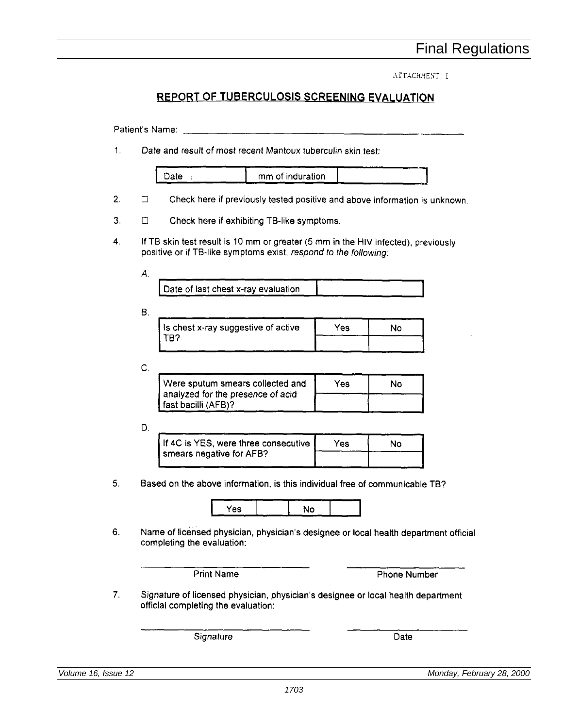ATTACHMENT I

## REPORT OF TUBERCULOSIS SCREENING EVALUATION

Date and result of most recent Mantoux tuberculin skin test:  $1<sub>1</sub>$ 

| mm of induration |  |
|------------------|--|
|                  |  |

- $2.$  $\Box$ Check here if previously tested positive and above information is unknown.
- $3<sub>1</sub>$ Check here if exhibiting TB-like symptoms.  $\Box$
- 4. If TB skin test result is 10 mm or greater (5 mm in the HIV infected), previously positive or if TB-like symptoms exist, respond to the following:

an di Kabupatèn Termasuk Kebupaten Kabupatèn Bandar Propinsi Jawa Bandar Bandar Bandar Bandar Bandar Bandar B<br>Kabupatèn Propinsi Jawa Bandar Bandar Bandar Bandar Bandar Bandar Bandar Bandar Bandar Bandar Bandar Bandar Ba

А.

| Date of last chest x-ray evaluation |  |
|-------------------------------------|--|
|-------------------------------------|--|

В.

| I is chest x-ray suggestive of active | Yes. | งด |
|---------------------------------------|------|----|
| -מ"                                   |      |    |

C.

| Were sputum smears collected and                         | Yes | No |
|----------------------------------------------------------|-----|----|
| analyzed for the presence of acid<br>fast bacilli (AFB)? |     |    |
|                                                          |     |    |

D.

| If 4C is YES, were three consecutive | Yes. | N٥ |
|--------------------------------------|------|----|
| smears negative for AFB?             |      |    |

 $5.$ Based on the above information, is this individual free of communicable TB?

| 78 Y<br>- |  |      |
|-----------|--|------|
| -         |  | ---- |

6. Name of licensed physician, physician's designee or local health department official completing the evaluation:

**Phone Number** 

 $7<sub>1</sub>$ Signature of licensed physician, physician's designee or local health department official completing the evaluation:

Signature

Date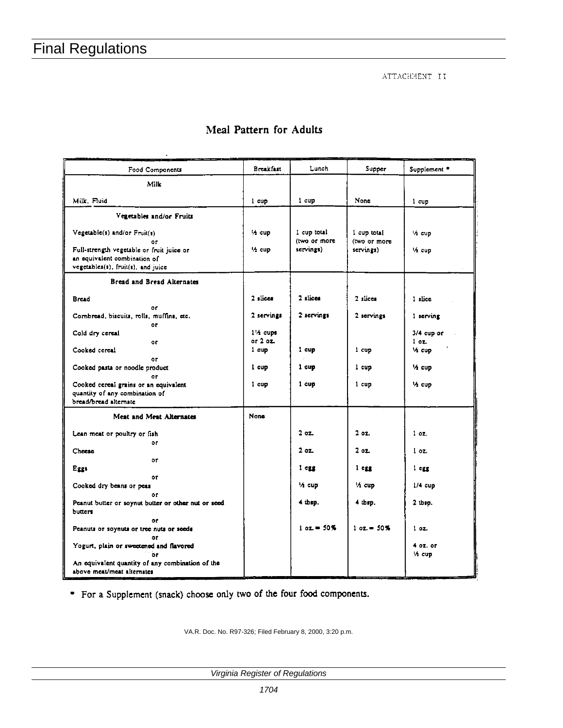${\tt ATTACHMENT\_II}$ 

|  | Meal Pattern for Adults |  |  |
|--|-------------------------|--|--|
|--|-------------------------|--|--|

| Food Components                                                                                                                                       | Breakfast               | Lunch                                    | Supper                                 | Supplement *            |
|-------------------------------------------------------------------------------------------------------------------------------------------------------|-------------------------|------------------------------------------|----------------------------------------|-------------------------|
| <b>Milk</b>                                                                                                                                           |                         |                                          |                                        |                         |
| Milk, Fluid                                                                                                                                           | i cup                   | 1 cup                                    | None                                   | 1 cup                   |
| Vegetables and/or Fruits                                                                                                                              |                         |                                          |                                        |                         |
| Vegetable(s) and/or Fruit(s)<br>0r<br>Full-strength vegetable or fruit juice or<br>an equivalent combination of<br>vegetables(s), fruit(s), and juice | 1⁄2 cup<br>1/2 cup      | 1 cup total<br>(two or more<br>servings) | 1 cup total<br>(two or more<br>serving | 1/2 cup<br>'A cup       |
| <b>Bread and Bread Alternates</b>                                                                                                                     |                         |                                          |                                        |                         |
| <b>Bread</b>                                                                                                                                          | 2 slices                | 2 slices                                 | 2 slices                               | 1 slice                 |
| or<br>Combread, biscuits, rolls, muffins, etc.<br>٥r                                                                                                  | 2 servings              | 2 servings                               | 2 servings                             | $1$ serving             |
| Cold dry cereal                                                                                                                                       | $14$ cups<br>or $2$ or. |                                          |                                        | $3/4$ cup or<br>$1$ oz. |
| or.<br>Cooked cereal                                                                                                                                  | 1 cup                   | 1 cup                                    | 1 cup                                  | 'A cup                  |
| ٥r<br>Cooked pasta or noodle product<br>or                                                                                                            | l cup                   | 1 <sub>cup</sub>                         | 1 cup                                  | 14 cup                  |
| Cooked cereal grains or an equivalent<br>quantity of any combination of<br>bread/bread alternate                                                      | I cup                   | 1 <sub>cup</sub>                         | 1 cup                                  | 14 cup                  |
| Meat and Meat Alternates                                                                                                                              | None                    |                                          |                                        |                         |
| Lean meat or poultry or fish                                                                                                                          |                         | 202                                      | 20Z                                    | $1$ oz.                 |
| or<br>Cheese                                                                                                                                          |                         | 202                                      | 202                                    | 1 <sub>oz</sub>         |
| or<br>Eggs                                                                                                                                            |                         | 1 <sub>czz</sub>                         | $1$ egg                                | $1 \, \text{erg}$       |
| 0ľ<br>Cooked dry beans or peas                                                                                                                        |                         | 1⁄2 cup                                  | 1/2 cup                                | $1/4$ cup               |
| 0f.<br>Peanut butter or soynut butter or other nut or seed<br>butters                                                                                 |                         | $4$ thep.                                | 4 thsp.                                | $2$ then.               |
| ٥ŕ<br>Peanuts or soynuts or tree nuts or seeds<br>٥r                                                                                                  |                         | $1 \text{ oz} = 50\%$                    | $1 oz = 50%$                           | $1$ oz.                 |
| Yogurt, plain or sweetened and flavored<br>òг                                                                                                         |                         |                                          |                                        | 4 oz. or<br>M cup       |
| An equivalent quantity of any combination of the<br>above meat/meat alternates                                                                        |                         |                                          |                                        |                         |

\* For a Supplement (snack) choose only two of the four food components.

VA.R. Doc. No. R97-326; Filed February 8, 2000, 3:20 p.m.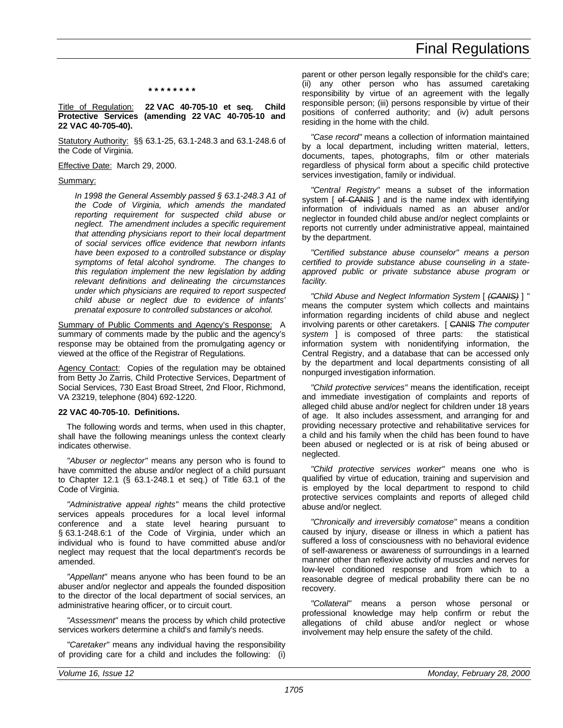## **\* \* \* \* \* \* \* \***

Title of Regulation: **22 VAC 40-705-10 et seq. Child Protective Services (amending 22 VAC 40-705-10 and 22 VAC 40-705-40).**

Statutory Authority: §§ 63.1-25, 63.1-248.3 and 63.1-248.6 of the Code of Virginia.

Effective Date: March 29, 2000.

### Summary:

*In 1998 the General Assembly passed § 63.1-248.3 A1 of the Code of Virginia, which amends the mandated reporting requirement for suspected child abuse or neglect. The amendment includes a specific requirement that attending physicians report to their local department of social services office evidence that newborn infants have been exposed to a controlled substance or display symptoms of fetal alcohol syndrome. The changes to this regulation implement the new legislation by adding relevant definitions and delineating the circumstances under which physicians are required to report suspected child abuse or neglect due to evidence of infants' prenatal exposure to controlled substances or alcohol.*

Summary of Public Comments and Agency's Response: A summary of comments made by the public and the agency's response may be obtained from the promulgating agency or viewed at the office of the Registrar of Regulations.

Agency Contact: Copies of the regulation may be obtained from Betty Jo Zarris, Child Protective Services, Department of Social Services, 730 East Broad Street, 2nd Floor, Richmond, VA 23219, telephone (804) 692-1220.

### **22 VAC 40-705-10. Definitions.**

The following words and terms, when used in this chapter, shall have the following meanings unless the context clearly indicates otherwise.

*"Abuser or neglector"* means any person who is found to have committed the abuse and/or neglect of a child pursuant to Chapter 12.1 (§ 63.1-248.1 et seq.) of Title 63.1 of the Code of Virginia.

*"Administrative appeal rights"* means the child protective services appeals procedures for a local level informal conference and a state level hearing pursuant to § 63.1-248.6:1 of the Code of Virginia, under which an individual who is found to have committed abuse and/or neglect may request that the local department's records be amended.

*"Appellant"* means anyone who has been found to be an abuser and/or neglector and appeals the founded disposition to the director of the local department of social services, an administrative hearing officer, or to circuit court.

*"Assessment"* means the process by which child protective services workers determine a child's and family's needs.

*"Caretaker"* means any individual having the responsibility of providing care for a child and includes the following: (i) parent or other person legally responsible for the child's care; (ii) any other person who has assumed caretaking responsibility by virtue of an agreement with the legally responsible person; (iii) persons responsible by virtue of their positions of conferred authority; and (iv) adult persons residing in the home with the child.

*"Case record"* means a collection of information maintained by a local department, including written material, letters, documents, tapes, photographs, film or other materials regardless of physical form about a specific child protective services investigation, family or individual.

*"Central Registry"* means a subset of the information system [ of CANIS ] and is the name index with identifying information of individuals named as an abuser and/or neglector in founded child abuse and/or neglect complaints or reports not currently under administrative appeal, maintained by the department.

*"Certified substance abuse counselor" means a person certified to provide substance abuse counseling in a stateapproved public or private substance abuse program or facility.*

*"Child Abuse and Neglect Information System* [ *(CANIS)* ] *"* means the computer system which collects and maintains information regarding incidents of child abuse and neglect involving parents or other caretakers. [ CANIS *The computer system* ] is composed of three parts: the statistical information system with nonidentifying information, the Central Registry, and a database that can be accessed only by the department and local departments consisting of all nonpurged investigation information.

*"Child protective services"* means the identification, receipt and immediate investigation of complaints and reports of alleged child abuse and/or neglect for children under 18 years of age. It also includes assessment, and arranging for and providing necessary protective and rehabilitative services for a child and his family when the child has been found to have been abused or neglected or is at risk of being abused or neglected.

*"Child protective services worker"* means one who is qualified by virtue of education, training and supervision and is employed by the local department to respond to child protective services complaints and reports of alleged child abuse and/or neglect.

*"Chronically and irreversibly comatose"* means a condition caused by injury, disease or illness in which a patient has suffered a loss of consciousness with no behavioral evidence of self-awareness or awareness of surroundings in a learned manner other than reflexive activity of muscles and nerves for low-level conditioned response and from which to a reasonable degree of medical probability there can be no recovery.

*"Collateral"* means a person whose personal or professional knowledge may help confirm or rebut the allegations of child abuse and/or neglect or whose involvement may help ensure the safety of the child.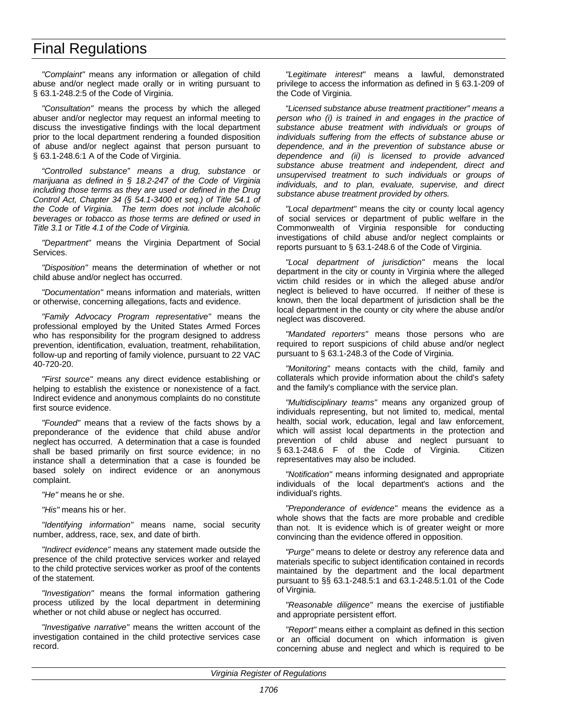*"Complaint"* means any information or allegation of child abuse and/or neglect made orally or in writing pursuant to § 63.1-248.2:5 of the Code of Virginia.

*"Consultation"* means the process by which the alleged abuser and/or neglector may request an informal meeting to discuss the investigative findings with the local department prior to the local department rendering a founded disposition of abuse and/or neglect against that person pursuant to § 63.1-248.6:1 A of the Code of Virginia.

*"Controlled substance" means a drug, substance or marijuana as defined in § 18.2-247 of the Code of Virginia including those terms as they are used or defined in the Drug Control Act, Chapter 34 (§ 54.1-3400 et seq.) of Title 54.1 of the Code of Virginia. The term does not include alcoholic beverages or tobacco as those terms are defined or used in Title 3.1 or Title 4.1 of the Code of Virginia.*

*"Department"* means the Virginia Department of Social Services.

*"Disposition"* means the determination of whether or not child abuse and/or neglect has occurred.

*"Documentation"* means information and materials, written or otherwise, concerning allegations, facts and evidence.

*"Family Advocacy Program representative"* means the professional employed by the United States Armed Forces who has responsibility for the program designed to address prevention, identification, evaluation, treatment, rehabilitation, follow-up and reporting of family violence, pursuant to 22 VAC 40-720-20.

*"First source"* means any direct evidence establishing or helping to establish the existence or nonexistence of a fact. Indirect evidence and anonymous complaints do no constitute first source evidence.

*"Founded"* means that a review of the facts shows by a preponderance of the evidence that child abuse and/or neglect has occurred. A determination that a case is founded shall be based primarily on first source evidence; in no instance shall a determination that a case is founded be based solely on indirect evidence or an anonymous complaint.

*"He"* means he or she.

*"His"* means his or her.

*"Identifying information"* means name, social security number, address, race, sex, and date of birth.

*"Indirect evidence"* means any statement made outside the presence of the child protective services worker and relayed to the child protective services worker as proof of the contents of the statement.

*"Investigation"* means the formal information gathering process utilized by the local department in determining whether or not child abuse or neglect has occurred.

*"Investigative narrative"* means the written account of the investigation contained in the child protective services case record.

*"Legitimate interest"* means a lawful, demonstrated privilege to access the information as defined in § 63.1-209 of the Code of Virginia.

*"Licensed substance abuse treatment practitioner" means a person who (i) is trained in and engages in the practice of substance abuse treatment with individuals or groups of individuals suffering from the effects of substance abuse or dependence, and in the prevention of substance abuse or dependence and (ii) is licensed to provide advanced substance abuse treatment and independent, direct and unsupervised treatment to such individuals or groups of individuals, and to plan, evaluate, supervise, and direct substance abuse treatment provided by others.*

*"Local department"* means the city or county local agency of social services or department of public welfare in the Commonwealth of Virginia responsible for conducting investigations of child abuse and/or neglect complaints or reports pursuant to § 63.1-248.6 of the Code of Virginia.

*"Local department of jurisdiction"* means the local department in the city or county in Virginia where the alleged victim child resides or in which the alleged abuse and/or neglect is believed to have occurred. If neither of these is known, then the local department of jurisdiction shall be the local department in the county or city where the abuse and/or neglect was discovered.

*"Mandated reporters"* means those persons who are required to report suspicions of child abuse and/or neglect pursuant to § 63.1-248.3 of the Code of Virginia.

*"Monitoring"* means contacts with the child, family and collaterals which provide information about the child's safety and the family's compliance with the service plan.

*"Multidisciplinary teams"* means any organized group of individuals representing, but not limited to, medical, mental health, social work, education, legal and law enforcement, which will assist local departments in the protection and prevention of child abuse and neglect pursuant to § 63.1-248.6 F of the Code of Virginia. Citizen representatives may also be included.

*"Notification"* means informing designated and appropriate individuals of the local department's actions and the individual's rights.

*"Preponderance of evidence"* means the evidence as a whole shows that the facts are more probable and credible than not. It is evidence which is of greater weight or more convincing than the evidence offered in opposition.

*"Purge"* means to delete or destroy any reference data and materials specific to subject identification contained in records maintained by the department and the local department pursuant to §§ 63.1-248.5:1 and 63.1-248.5:1.01 of the Code of Virginia.

*"Reasonable diligence"* means the exercise of justifiable and appropriate persistent effort.

*"Report"* means either a complaint as defined in this section or an official document on which information is given concerning abuse and neglect and which is required to be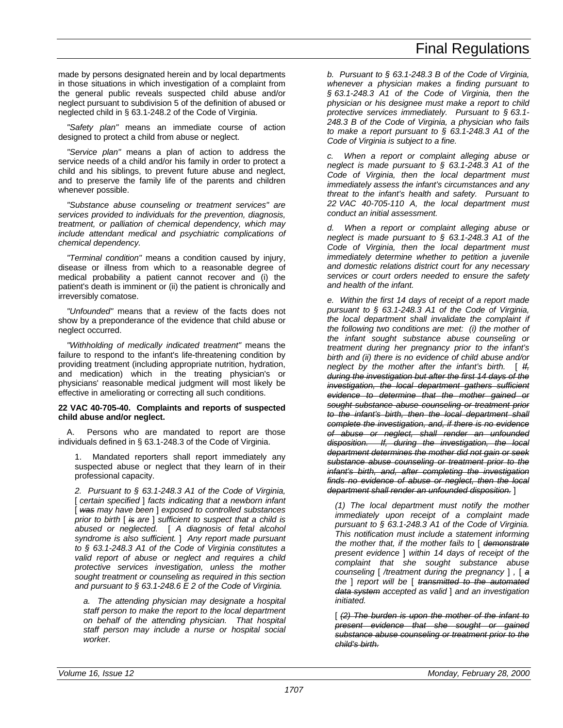made by persons designated herein and by local departments in those situations in which investigation of a complaint from the general public reveals suspected child abuse and/or neglect pursuant to subdivision 5 of the definition of abused or neglected child in § 63.1-248.2 of the Code of Virginia.

*"Safety plan"* means an immediate course of action designed to protect a child from abuse or neglect.

*"Service plan"* means a plan of action to address the service needs of a child and/or his family in order to protect a child and his siblings, to prevent future abuse and neglect, and to preserve the family life of the parents and children whenever possible.

*"Substance abuse counseling or treatment services" are services provided to individuals for the prevention, diagnosis, treatment, or palliation of chemical dependency, which may include attendant medical and psychiatric complications of chemical dependency.*

*"Terminal condition"* means a condition caused by injury, disease or illness from which to a reasonable degree of medical probability a patient cannot recover and (i) the patient's death is imminent or (ii) the patient is chronically and irreversibly comatose.

*"Unfounded"* means that a review of the facts does not show by a preponderance of the evidence that child abuse or neglect occurred.

*"Withholding of medically indicated treatment"* means the failure to respond to the infant's life-threatening condition by providing treatment (including appropriate nutrition, hydration, and medication) which in the treating physician's or physicians' reasonable medical judgment will most likely be effective in ameliorating or correcting all such conditions.

## **22 VAC 40-705-40. Complaints and reports of suspected child abuse and/or neglect.**

A. Persons who are mandated to report are those individuals defined in § 63.1-248.3 of the Code of Virginia.

1. Mandated reporters shall report immediately any suspected abuse or neglect that they learn of in their professional capacity.

*2. Pursuant to § 63.1-248.3 A1 of the Code of Virginia,* [ *certain specified* ] *facts indicating that a newborn infant* [ *was may have been* ] *exposed to controlled substances prior to birth* [ *is are* ] *sufficient to suspect that a child is abused or neglected.* [ *A diagnosis of fetal alcohol syndrome is also sufficient.* ] *Any report made pursuant to § 63.1-248.3 A1 of the Code of Virginia constitutes a valid report of abuse or neglect and requires a child protective services investigation, unless the mother sought treatment or counseling as required in this section and pursuant to § 63.1-248.6 E 2 of the Code of Virginia.*

*a. The attending physician may designate a hospital staff person to make the report to the local department on behalf of the attending physician. That hospital staff person may include a nurse or hospital social worker.*

*b. Pursuant to § 63.1-248.3 B of the Code of Virginia, whenever a physician makes a finding pursuant to § 63.1-248.3 A1 of the Code of Virginia, then the physician or his designee must make a report to child protective services immediately. Pursuant to § 63.1- 248.3 B of the Code of Virginia, a physician who fails to make a report pursuant to § 63.1-248.3 A1 of the Code of Virginia is subject to a fine.*

*c. When a report or complaint alleging abuse or neglect is made pursuant to § 63.1-248.3 A1 of the Code of Virginia, then the local department must immediately assess the infant's circumstances and any threat to the infant's health and safety. Pursuant to 22 VAC 40-705-110 A, the local department must conduct an initial assessment.*

*d. When a report or complaint alleging abuse or neglect is made pursuant to § 63.1-248.3 A1 of the Code of Virginia, then the local department must immediately determine whether to petition a juvenile and domestic relations district court for any necessary services or court orders needed to ensure the safety and health of the infant.*

*e. Within the first 14 days of receipt of a report made pursuant to § 63.1-248.3 A1 of the Code of Virginia, the local department shall invalidate the complaint if the following two conditions are met: (i) the mother of the infant sought substance abuse counseling or treatment during her pregnancy prior to the infant's birth and (ii) there is no evidence of child abuse and/or neglect by the mother after the infant's birth.* [ *If, during the investigation but after the first 14 days of the investigation, the local department gathers sufficient evidence to determine that the mother gained or sought substance abuse counseling or treatment prior to the infant's birth, then the local department shall complete the investigation, and, if there is no evidence of abuse or neglect, shall render an unfounded disposition. If, during the investigation, the local department determines the mother did not gain or seek substance abuse counseling or treatment prior to the infant's birth, and, after completing the investigation finds no evidence of abuse or neglect, then the local department shall render an unfounded disposition.* ]

*(1) The local department must notify the mother immediately upon receipt of a complaint made pursuant to § 63.1-248.3 A1 of the Code of Virginia. This notification must include a statement informing the mother that, if the mother fails to* [ *demonstrate present evidence* ] *within 14 days of receipt of the complaint that she sought substance abuse counseling* [ */treatment during the pregnancy* ] *,* [ *a the* ] *report will be* [ *transmitted to the automated data system accepted as valid* ] *and an investigation initiated.*

[ *(2) The burden is upon the mother of the infant to present evidence that she sought or gained substance abuse counseling or treatment prior to the child's birth.*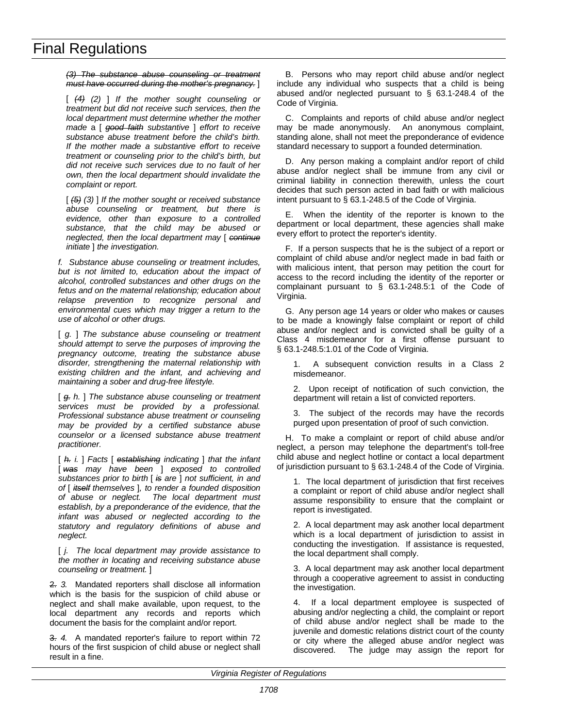*(3) The substance abuse counseling or treatment must have occurred during the mother's pregnancy.* ]

[ *(4) (2)* ] *If the mother sought counseling or treatment but did not receive such services, then the local department must determine whether the mother made* a [ *good faith substantive* ] *effort to receive substance abuse treatment before the child's birth. If the mother made a substantive effort to receive treatment or counseling prior to the child's birth, but did not receive such services due to no fault of her own, then the local department should invalidate the complaint or report.*

[ *(5) (3)* ] *If the mother sought or received substance abuse counseling or treatment, but there is evidence, other than exposure to a controlled substance, that the child may be abused or neglected, then the local department may* [ *continue initiate* ] *the investigation.*

*f. Substance abuse counseling or treatment includes, but is not limited to, education about the impact of alcohol, controlled substances and other drugs on the fetus and on the maternal relationship; education about relapse prevention to recognize personal and environmental cues which may trigger a return to the use of alcohol or other drugs.*

[ *g.* ] *The substance abuse counseling or treatment should attempt to serve the purposes of improving the pregnancy outcome, treating the substance abuse disorder, strengthening the maternal relationship with existing children and the infant, and achieving and maintaining a sober and drug-free lifestyle.*

[ *g. h.* ] *The substance abuse counseling or treatment services must be provided by a professional. Professional substance abuse treatment or counseling may be provided by a certified substance abuse counselor or a licensed substance abuse treatment practitioner.*

[ *h. i.* ] *Facts* [ *establishing indicating* ] *that the infant* [ *was may have been* ] *exposed to controlled substances prior to birth* [ *is are* ] *not sufficient, in and of* [ *itself themselves* ]*, to render a founded disposition of abuse or neglect. The local department must establish, by a preponderance of the evidence, that the infant was abused or neglected according to the statutory and regulatory definitions of abuse and neglect.*

[ *j. The local department may provide assistance to the mother in locating and receiving substance abuse counseling or treatment.* ]

2. *3.* Mandated reporters shall disclose all information which is the basis for the suspicion of child abuse or neglect and shall make available, upon request, to the local department any records and reports which document the basis for the complaint and/or report.

3. *4.* A mandated reporter's failure to report within 72 hours of the first suspicion of child abuse or neglect shall result in a fine.

B. Persons who may report child abuse and/or neglect include any individual who suspects that a child is being abused and/or neglected pursuant to § 63.1-248.4 of the Code of Virginia.

C. Complaints and reports of child abuse and/or neglect may be made anonymously. An anonymous complaint, standing alone, shall not meet the preponderance of evidence standard necessary to support a founded determination.

D. Any person making a complaint and/or report of child abuse and/or neglect shall be immune from any civil or criminal liability in connection therewith, unless the court decides that such person acted in bad faith or with malicious intent pursuant to § 63.1-248.5 of the Code of Virginia.

E. When the identity of the reporter is known to the department or local department, these agencies shall make every effort to protect the reporter's identity.

F. If a person suspects that he is the subject of a report or complaint of child abuse and/or neglect made in bad faith or with malicious intent, that person may petition the court for access to the record including the identity of the reporter or complainant pursuant to § 63.1-248.5:1 of the Code of Virginia.

G. Any person age 14 years or older who makes or causes to be made a knowingly false complaint or report of child abuse and/or neglect and is convicted shall be guilty of a Class 4 misdemeanor for a first offense pursuant to § 63.1-248.5:1.01 of the Code of Virginia.

1. A subsequent conviction results in a Class 2 misdemeanor.

2. Upon receipt of notification of such conviction, the department will retain a list of convicted reporters.

3. The subject of the records may have the records purged upon presentation of proof of such conviction.

H. To make a complaint or report of child abuse and/or neglect, a person may telephone the department's toll-free child abuse and neglect hotline or contact a local department of jurisdiction pursuant to § 63.1-248.4 of the Code of Virginia.

1. The local department of jurisdiction that first receives a complaint or report of child abuse and/or neglect shall assume responsibility to ensure that the complaint or report is investigated.

2. A local department may ask another local department which is a local department of jurisdiction to assist in conducting the investigation. If assistance is requested, the local department shall comply.

3. A local department may ask another local department through a cooperative agreement to assist in conducting the investigation.

4. If a local department employee is suspected of abusing and/or neglecting a child, the complaint or report of child abuse and/or neglect shall be made to the juvenile and domestic relations district court of the county or city where the alleged abuse and/or neglect was discovered. The judge may assign the report for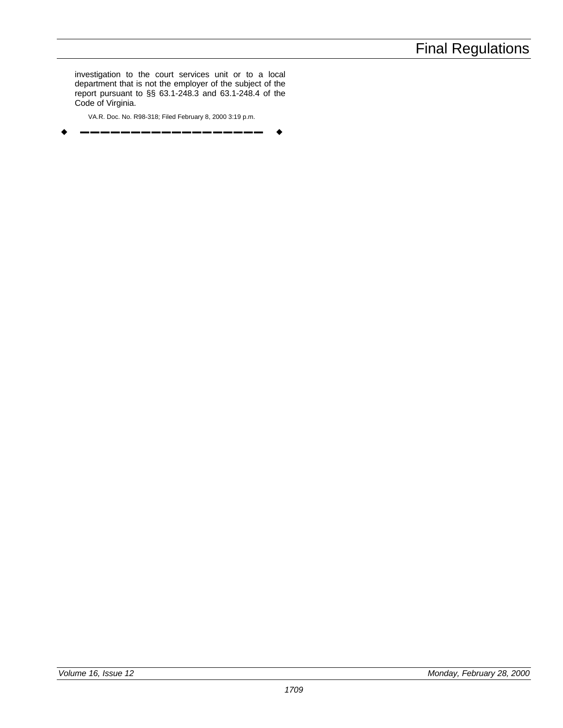investigation to the court services unit or to a local department that is not the employer of the subject of the report pursuant to §§ 63.1-248.3 and 63.1-248.4 of the Code of Virginia.

VA.R. Doc. No. R98-318; Filed February 8, 2000 3:19 p.m. w **––––––––––––––––––** w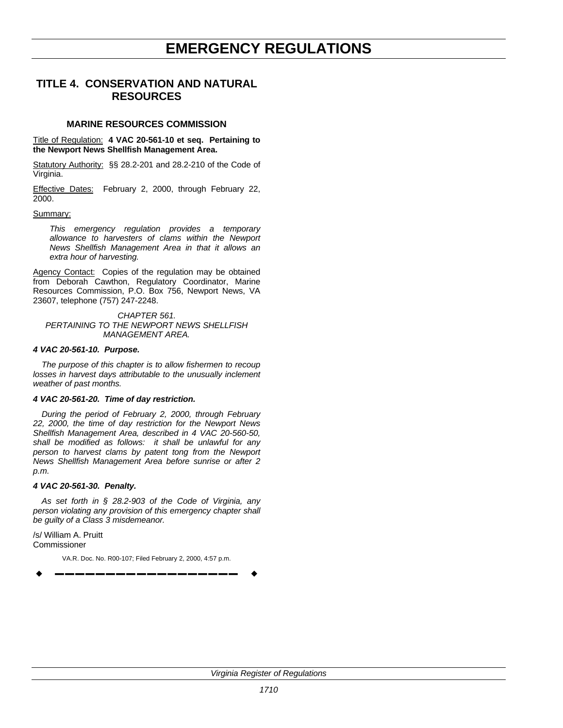# **EMERGENCY REGULATIONS**

## **TITLE 4. CONSERVATION AND NATURAL RESOURCES**

## **MARINE RESOURCES COMMISSION**

Title of Regulation: **4 VAC 20-561-10 et seq. Pertaining to the Newport News Shellfish Management Area.**

Statutory Authority: §§ 28.2-201 and 28.2-210 of the Code of Virginia.

Effective Dates: February 2, 2000, through February 22, 2000.

## Summary:

*This emergency regulation provides a temporary allowance to harvesters of clams within the Newport News Shellfish Management Area in that it allows an extra hour of harvesting.*

Agency Contact: Copies of the regulation may be obtained from Deborah Cawthon, Regulatory Coordinator, Marine Resources Commission, P.O. Box 756, Newport News, VA 23607, telephone (757) 247-2248.

*CHAPTER 561. PERTAINING TO THE NEWPORT NEWS SHELLFISH MANAGEMENT AREA.*

## *4 VAC 20-561-10. Purpose.*

*The purpose of this chapter is to allow fishermen to recoup losses in harvest days attributable to the unusually inclement weather of past months.*

## *4 VAC 20-561-20. Time of day restriction.*

*During the period of February 2, 2000, through February 22, 2000, the time of day restriction for the Newport News Shellfish Management Area, described in 4 VAC 20-560-50, shall be modified as follows: it shall be unlawful for any person to harvest clams by patent tong from the Newport News Shellfish Management Area before sunrise or after 2 p.m.*

## *4 VAC 20-561-30. Penalty.*

*As set forth in § 28.2-903 of the Code of Virginia, any person violating any provision of this emergency chapter shall be guilty of a Class 3 misdemeanor.*

/s/ William A. Pruitt Commissioner

VA.R. Doc. No. R00-107; Filed February 2, 2000, 4:57 p.m. w **––––––––––––––––––** w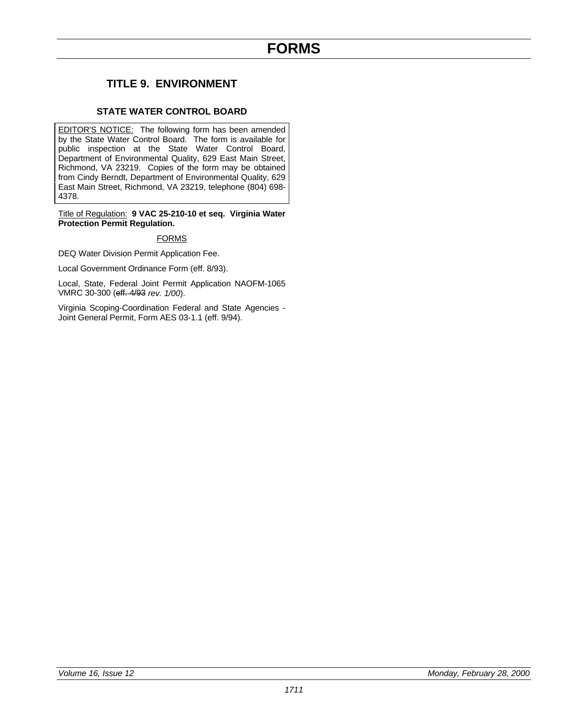## **TITLE 9. ENVIRONMENT**

## **STATE WATER CONTROL BOARD**

EDITOR'S NOTICE: The following form has been amended by the State Water Control Board. The form is available for public inspection at the State Water Control Board, Department of Environmental Quality, 629 East Main Street, Richmond, VA 23219. Copies of the form may be obtained from Cindy Berndt, Department of Environmental Quality, 629 East Main Street, Richmond, VA 23219, telephone (804) 698- 4378.

Title of Regulation: **9 VAC 25-210-10 et seq. Virginia Water Protection Permit Regulation.**

## FORMS

DEQ Water Division Permit Application Fee.

Local Government Ordinance Form (eff. 8/93).

Local, State, Federal Joint Permit Application NAOFM-1065 VMRC 30-300 (eff. 4/93 *rev. 1/00*).

Virginia Scoping-Coordination Federal and State Agencies - Joint General Permit, Form AES 03-1.1 (eff. 9/94).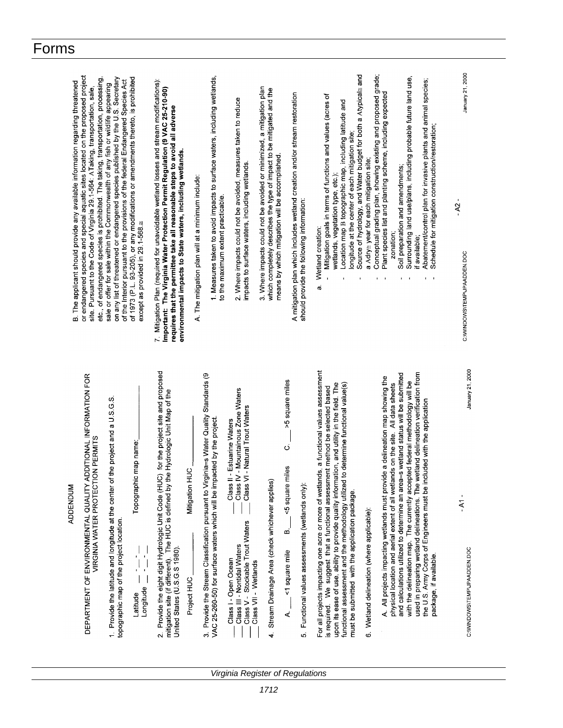| B. The applicant should provide any available information regarding threatened | or endangered species and special aquatic sites located on the proposed project<br>etc., of endangered species is prohibited. The taking, transportation, processing,<br>site. Pursuant to the Code of Virginia 29.1-564: ATaking, transportation, sale, | on any list of threatened or endangered species published by the U.S. Secretary<br>of the Interior pursuant to the provisions of the federal Endangered Species Act<br>sale or offer for sale within the Commonwealth of any fish or wildlife appearing | of 1973 (P.L. 93-205), or any modifications or amendments thereto, is prohibited<br>except as provided in 29.1-568.≅ | 7. Mitigation Plan (required for unavoidable wetland losses and stream modifications):<br>Important: The Virginia Water Protection Permit Regulation (9 VAC 25-210-90)<br>requires that the permittee take all reasonable steps to avoid all adverse<br>environmental impacts to State waters, including wetlands. | A. The mitigation plan will at a minimum include: | 1. Measures taken to avoid impacts to surface waters, including wetlands,<br>to the maximum extent practicable.                                                   | 2. Where impacts could not be avoided, measures taken to reduce<br>impacts to surface waters, including wetlands.                                                                                                              | 3. Where impacts could not be avoided or minimized, a mitigation plan<br>which completely describes the type of impact to be mitigated and the<br>means by which mitigation will be accomplished. | A mitigation plan which includes wetland creation and/or stream restoration<br>should provide the following information:                   | Source of hydrology, and Water budget for both a Atypical≅ and<br>Mitigation goals in terms of functions and values (acres of<br>Location map B topographic map, including latitude and<br>longitude at the center of each mitigation site;<br>wetlands, vegetation type, etc.);<br>Wetland creation:<br>a,                                                                                                          | a Adry= year for each mitigation site;     | Conceptual grading plan, showing existing and proposed grade;<br>Plant species list and planting scheme, including expected<br>zonation;<br>$1 - 1$               | Surrounding land use/plans, including probable future land use,<br>Abatement/control plan for invasive plants and animal species;<br>Schedule for mitigation construction/restoration;<br>Soil preparation and amendments;<br>if available;<br>$1 - 1$                                                                                                     | January 21, 2000<br>$\mathbf{I}$<br>$-2$<br>C: WINDOWS\TEMP\JPAADDEN.DOC |
|--------------------------------------------------------------------------------|----------------------------------------------------------------------------------------------------------------------------------------------------------------------------------------------------------------------------------------------------------|---------------------------------------------------------------------------------------------------------------------------------------------------------------------------------------------------------------------------------------------------------|----------------------------------------------------------------------------------------------------------------------|--------------------------------------------------------------------------------------------------------------------------------------------------------------------------------------------------------------------------------------------------------------------------------------------------------------------|---------------------------------------------------|-------------------------------------------------------------------------------------------------------------------------------------------------------------------|--------------------------------------------------------------------------------------------------------------------------------------------------------------------------------------------------------------------------------|---------------------------------------------------------------------------------------------------------------------------------------------------------------------------------------------------|--------------------------------------------------------------------------------------------------------------------------------------------|----------------------------------------------------------------------------------------------------------------------------------------------------------------------------------------------------------------------------------------------------------------------------------------------------------------------------------------------------------------------------------------------------------------------|--------------------------------------------|-------------------------------------------------------------------------------------------------------------------------------------------------------------------|------------------------------------------------------------------------------------------------------------------------------------------------------------------------------------------------------------------------------------------------------------------------------------------------------------------------------------------------------------|--------------------------------------------------------------------------|
| ADDENDUM                                                                       | DEPARTMENT OF ENVIRONMENTAL QUALITY ADDITIONAL INFORMATION FOR<br>VIRGINIA WATER PROTECTION PERMITS                                                                                                                                                      | the project and a U.S.G.S.<br>1. Provide the latitude and longitude at the center of<br>topographic map of the project location.                                                                                                                        | Topographic map name:<br>Ċ<br>$\begin{bmatrix} 1 \\ 1 \\ 1 \end{bmatrix}$<br>ا.<br>ا<br>ongitude<br>Latitude         | Provide the eight digit Hydrologic Unit Code (HUC) for the project site and proposed<br>mitigation site (if different). The HUC is defined by the Hydrologic Unit Map of the<br>United States (U.S.G.S 1980).<br>$\overline{\mathbf{v}}$                                                                           | Mitigation HUC<br>Project HUC                     | 3. Provide the Stream Classification pursuant to Virginia=s Water Quality Standards (9<br>VAC 25-260-50) for surface waters which will be impacted by the project | Class IV - Mountainous Zone Waters<br>I - Natural Trout Waters<br>- Estuarine Waters<br>Class II<br>Class V<br>Class V - Stockable Trout Waters<br>Class III - Nontidal Waters<br>Class I - Open Ocean<br>Class VII - Wetlands | Stream Drainage Area (check whichever applies)<br>4.                                                                                                                                              | >5 square miles<br>$\vec{\circ}$<br><5 square miles<br>5. Functional values assessments (wetlands only):<br>œ<br><1 square mile<br>.<br>نم | For all projects impacting one acre or more of wetlands, a functional values assessment<br>upon its ease of use, ability to provide quality information, and utility in the field. The<br>to determine functional value(s)<br>is required. We suggest that a functional assessment method be selected based<br>functional assessment and the methodology utilized<br>must be submitted with the application package. | 6. Wetland delineation (where applicable): | A. All projects impacting wetlands must provide a delineation map showing the<br>physical location and aerial extent of all wetlands on the site. All data sheets | with the delineation map. The currently accepted federal methodology will be<br>used in preparing wetland delineations. The wetland delineation verification from<br>and calculations utilized to determine an area=s wetland status will be submitted<br>the U.S. Army Corps of Engineers must be included with the application<br>package, if available. | January 21, 2000<br>$-14-$<br>C: WINDOWS\TEMP\JPAADDEN.DOC               |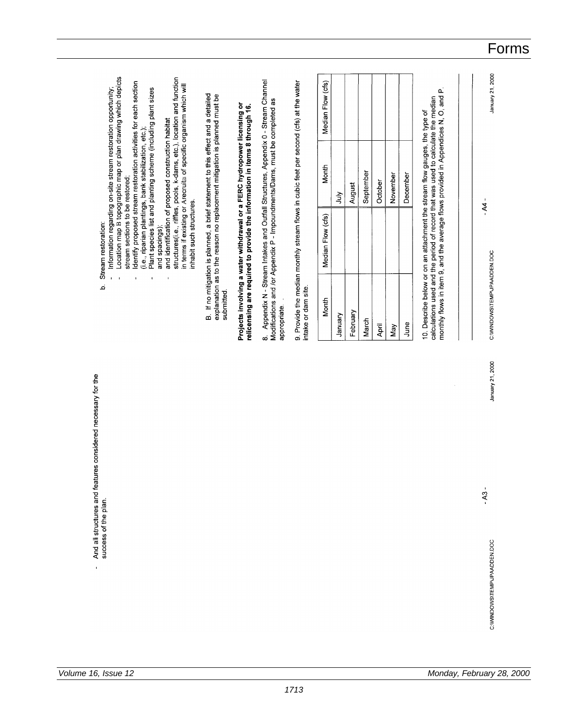| 9. Provide the median monthly stream flows in cubic feet per second (cfs) at the water<br>Median Flow (cfs)<br>ρÚ<br>monthly flows in item 9, and the average flows provided in Appendices N, O, and<br>calculations used and the period of record that was used to calculate the median<br>10. Describe below or on an attachment the stream flow gauges, the type of<br>Month<br>September<br>November<br>December<br>October<br>August<br>July<br>Median Flow (cfs)<br>intake or dam site.<br>Month<br>February<br>January<br>March<br>June<br>April<br>Nay |                                   | submitted.<br>appropriate. | 8. Appendix N - Stream Intakes and Outfall Structures, Appendix 0 - Stream Channel<br>Modifications and /or Appendix P - Impoundments/Dams, must be completed as<br>B. If no mitigation is planned, a brief statement to this effect and a detailed<br>explanation as to the reason no replacement mitigation is planned must be<br>Projects involving a water withdrawal or a FERC hydropower licensing or<br>relicensing are required to provide the information in items 8 through 16.<br>stream sections to be restored;<br>inhabit such structures.<br>and spacings); | Location map B topographic map or plan drawing which depicts<br>and identification of proposed construction habitat<br>structures(i.e., riffles, pools, k-dams, etc.), location and function<br>Identify proposed stream restoration activities for each section<br>in terms if existing or Arecruite of specific organism which will<br>Information regarding on-site stream restoration opportunity;<br>Plant species list and planting scheme (including plant sizes<br>(i.e., riparian plantings, bank stabilization, etc.); |  |
|----------------------------------------------------------------------------------------------------------------------------------------------------------------------------------------------------------------------------------------------------------------------------------------------------------------------------------------------------------------------------------------------------------------------------------------------------------------------------------------------------------------------------------------------------------------|-----------------------------------|----------------------------|----------------------------------------------------------------------------------------------------------------------------------------------------------------------------------------------------------------------------------------------------------------------------------------------------------------------------------------------------------------------------------------------------------------------------------------------------------------------------------------------------------------------------------------------------------------------------|----------------------------------------------------------------------------------------------------------------------------------------------------------------------------------------------------------------------------------------------------------------------------------------------------------------------------------------------------------------------------------------------------------------------------------------------------------------------------------------------------------------------------------|--|
|                                                                                                                                                                                                                                                                                                                                                                                                                                                                                                                                                                |                                   |                            |                                                                                                                                                                                                                                                                                                                                                                                                                                                                                                                                                                            |                                                                                                                                                                                                                                                                                                                                                                                                                                                                                                                                  |  |
|                                                                                                                                                                                                                                                                                                                                                                                                                                                                                                                                                                |                                   |                            |                                                                                                                                                                                                                                                                                                                                                                                                                                                                                                                                                                            |                                                                                                                                                                                                                                                                                                                                                                                                                                                                                                                                  |  |
|                                                                                                                                                                                                                                                                                                                                                                                                                                                                                                                                                                |                                   |                            |                                                                                                                                                                                                                                                                                                                                                                                                                                                                                                                                                                            |                                                                                                                                                                                                                                                                                                                                                                                                                                                                                                                                  |  |
|                                                                                                                                                                                                                                                                                                                                                                                                                                                                                                                                                                |                                   |                            |                                                                                                                                                                                                                                                                                                                                                                                                                                                                                                                                                                            |                                                                                                                                                                                                                                                                                                                                                                                                                                                                                                                                  |  |
|                                                                                                                                                                                                                                                                                                                                                                                                                                                                                                                                                                |                                   |                            |                                                                                                                                                                                                                                                                                                                                                                                                                                                                                                                                                                            |                                                                                                                                                                                                                                                                                                                                                                                                                                                                                                                                  |  |
|                                                                                                                                                                                                                                                                                                                                                                                                                                                                                                                                                                |                                   |                            |                                                                                                                                                                                                                                                                                                                                                                                                                                                                                                                                                                            |                                                                                                                                                                                                                                                                                                                                                                                                                                                                                                                                  |  |
|                                                                                                                                                                                                                                                                                                                                                                                                                                                                                                                                                                | $\overline{\phantom{a}}$<br>$-43$ |                            | $AA -$<br>C: WINDOWS\TEMP\JPAADDEN.DOC                                                                                                                                                                                                                                                                                                                                                                                                                                                                                                                                     | $\blacksquare$                                                                                                                                                                                                                                                                                                                                                                                                                                                                                                                   |  |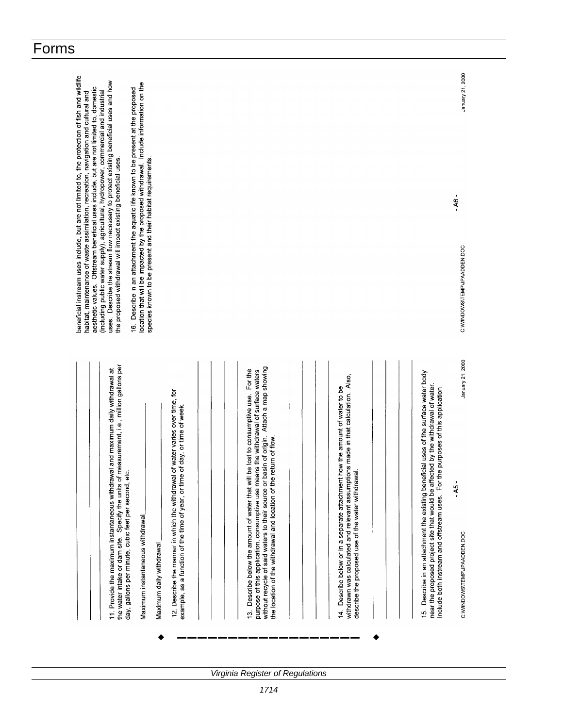| and maximum daily withdrawal at<br>11. Provide the maximum instantaneous withdrawal                                                                                                                                                                                                                                                            | beneficial instream uses include, but are not limited to, the protection of fish and wildlife<br>uses. Describe the stream flow necessary to protect existing beneficial uses and how<br>aesthetic values. Offstream beneficial uses include, but are not limited to, domestic<br>(including public water supply), agricultural, hydropower, commercial and industrial<br>habitat, maintenance of waste assimilation, recreation, navigation and cultural and |
|------------------------------------------------------------------------------------------------------------------------------------------------------------------------------------------------------------------------------------------------------------------------------------------------------------------------------------------------|---------------------------------------------------------------------------------------------------------------------------------------------------------------------------------------------------------------------------------------------------------------------------------------------------------------------------------------------------------------------------------------------------------------------------------------------------------------|
| the water intake or dam site. Specify the units of measurement, i.e., million gallons per<br>day, gallons per minute, cubic feet per second, etc.                                                                                                                                                                                              | location that will be impacted by the proposed withdrawal. Include information on the<br>16. Describe in an attachment the aquatic life known to be present at the proposed<br>the proposed withdrawal will impact existing beneficial uses.                                                                                                                                                                                                                  |
| Maximum instantaneous withdrawal<br>Maximum daily withdrawal                                                                                                                                                                                                                                                                                   | species known to be present and their habitat requirements.                                                                                                                                                                                                                                                                                                                                                                                                   |
| 12. Describe the manner in which the withdrawal of water varies over time, for<br>example, as a function of the time of year, or time of day, or time of week.                                                                                                                                                                                 |                                                                                                                                                                                                                                                                                                                                                                                                                                                               |
|                                                                                                                                                                                                                                                                                                                                                |                                                                                                                                                                                                                                                                                                                                                                                                                                                               |
| without recycle of said waters to their source or basin of origin. Attach a map showing<br>Describe below the amount of water that will be lost to consumptive use. For the<br>purpose of this application, consumptive use means the withdrawal of surface waters<br>the location of the withdrawal and location of the return of flow.<br>ć, |                                                                                                                                                                                                                                                                                                                                                                                                                                                               |
|                                                                                                                                                                                                                                                                                                                                                |                                                                                                                                                                                                                                                                                                                                                                                                                                                               |
| withdrawn was calculated and relevant assumptions made in that calculation. Also,<br>Describe below or in a separate attachment how the amount of water to be<br>describe the proposed use of the water withdrawal.<br>$\tilde{4}$                                                                                                             |                                                                                                                                                                                                                                                                                                                                                                                                                                                               |
|                                                                                                                                                                                                                                                                                                                                                |                                                                                                                                                                                                                                                                                                                                                                                                                                                               |
| Describe in an attachment the existing beneficial uses of the surface water body<br>near the proposed project site that would be affected by the withdrawal of water.<br>purposes of this application<br>Include both instream and offstream uses. For the<br>$\ddot{5}$                                                                       |                                                                                                                                                                                                                                                                                                                                                                                                                                                               |
| January 21, 2000<br>$-45-$<br>C: WWINDOWS\TEMP\JPAADDEN.DOC                                                                                                                                                                                                                                                                                    | January 21, 2000<br>$-98 -$<br>C:WWINDOWS\TEMP\JPAADDEN.DOC                                                                                                                                                                                                                                                                                                                                                                                                   |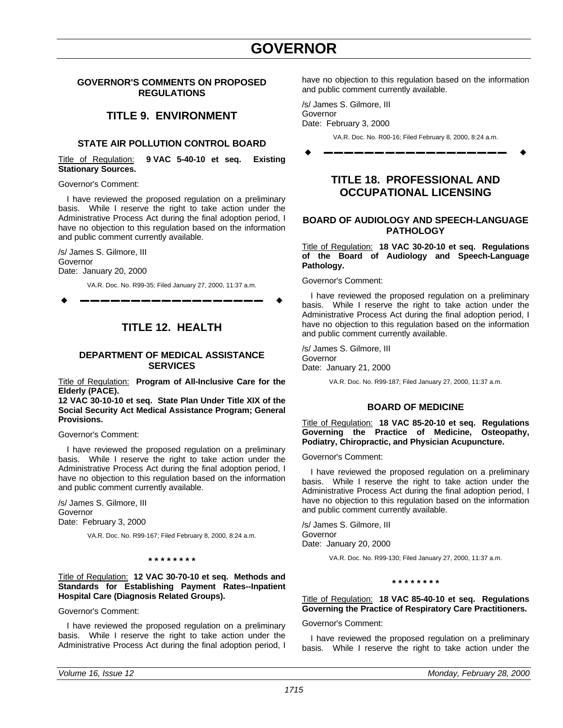## GOVERNOR **GOVERNOR'S COMMENTS ON PROPOSED REGULATIONS**

## **TITLE 9. ENVIRONMENT**

## **STATE AIR POLLUTION CONTROL BOARD**

Title of Regulation: **9 VAC 5-40-10 et seq. Existing Stationary Sources.**

Governor's Comment:

I have reviewed the proposed regulation on a preliminary basis. While I reserve the right to take action under the Administrative Process Act during the final adoption period, I have no objection to this regulation based on the information and public comment currently available.

/s/ James S. Gilmore, III Governor Date: January 20, 2000

VA.R. Doc. No. R99-35; Filed January 27, 2000, 11:37 a.m.

w **––––––––––––––––––** w

## **TITLE 12. HEALTH**

## **DEPARTMENT OF MEDICAL ASSISTANCE SERVICES**

Title of Regulation: **Program of All-Inclusive Care for the Elderly (PACE).**

**12 VAC 30-10-10 et seq. State Plan Under Title XIX of the Social Security Act Medical Assistance Program; General Provisions.**

Governor's Comment:

I have reviewed the proposed regulation on a preliminary basis. While I reserve the right to take action under the Administrative Process Act during the final adoption period, I have no objection to this regulation based on the information and public comment currently available.

/s/ James S. Gilmore, III Governor Date: February 3, 2000

VA.R. Doc. No. R99-167; Filed February 8, 2000, 8:24 a.m.

**\* \* \* \* \* \* \* \***

Title of Regulation: **12 VAC 30-70-10 et seq. Methods and Standards for Establishing Payment Rates--Inpatient Hospital Care (Diagnosis Related Groups).**

Governor's Comment:

I have reviewed the proposed regulation on a preliminary basis. While I reserve the right to take action under the Administrative Process Act during the final adoption period, I have no objection to this regulation based on the information and public comment currently available.

/s/ James S. Gilmore, III Governor Date: February 3, 2000

VA.R. Doc. No. R00-16; Filed February 8, 2000, 8:24 a.m.

w **––––––––––––––––––** w

## **TITLE 18. PROFESSIONAL AND OCCUPATIONAL LICENSING**

## **BOARD OF AUDIOLOGY AND SPEECH-LANGUAGE PATHOLOGY**

Title of Regulation: **18 VAC 30-20-10 et seq. Regulations of the Board of Audiology and Speech-Language Pathology.**

Governor's Comment:

I have reviewed the proposed regulation on a preliminary basis. While I reserve the right to take action under the Administrative Process Act during the final adoption period, I have no objection to this regulation based on the information and public comment currently available.

/s/ James S. Gilmore, III Governor Date: January 21, 2000

VA.R. Doc. No. R99-187; Filed January 27, 2000, 11:37 a.m.

## **BOARD OF MEDICINE**

Title of Regulation: **18 VAC 85-20-10 et seq. Regulations Governing the Practice of Medicine, Osteopathy, Podiatry, Chiropractic, and Physician Acupuncture.**

Governor's Comment:

I have reviewed the proposed regulation on a preliminary basis. While I reserve the right to take action under the Administrative Process Act during the final adoption period, I have no objection to this regulation based on the information and public comment currently available.

/s/ James S. Gilmore, III Governor Date: January 20, 2000

VA.R. Doc. No. R99-130; Filed January 27, 2000, 11:37 a.m.

**\* \* \* \* \* \* \* \***

Title of Regulation: **18 VAC 85-40-10 et seq. Regulations Governing the Practice of Respiratory Care Practitioners.**

Governor's Comment:

I have reviewed the proposed regulation on a preliminary basis. While I reserve the right to take action under the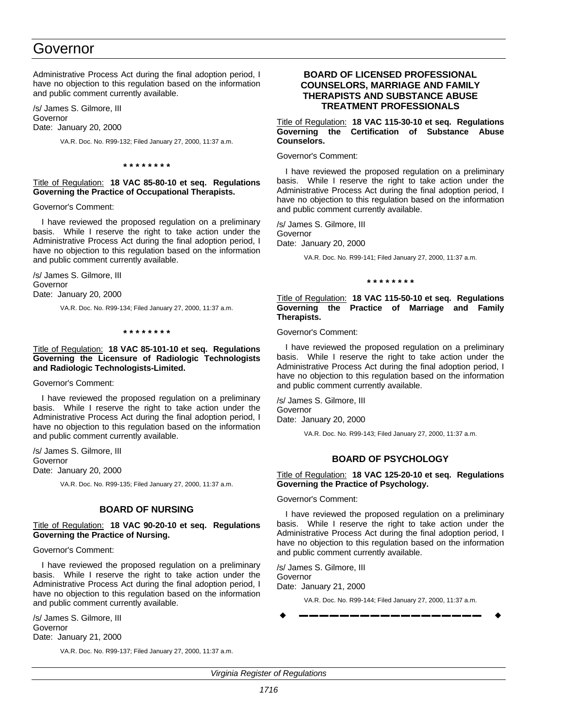## Governor

Administrative Process Act during the final adoption period, I have no objection to this regulation based on the information and public comment currently available.

/s/ James S. Gilmore, III Governor Date: January 20, 2000

VA.R. Doc. No. R99-132; Filed January 27, 2000, 11:37 a.m.

**\* \* \* \* \* \* \* \***

## Title of Regulation: **18 VAC 85-80-10 et seq. Regulations Governing the Practice of Occupational Therapists.**

Governor's Comment:

I have reviewed the proposed regulation on a preliminary basis. While I reserve the right to take action under the Administrative Process Act during the final adoption period, I have no objection to this regulation based on the information and public comment currently available.

/s/ James S. Gilmore, III Governor Date: January 20, 2000

VA.R. Doc. No. R99-134; Filed January 27, 2000, 11:37 a.m.

**\* \* \* \* \* \* \* \***

## Title of Regulation: **18 VAC 85-101-10 et seq. Regulations Governing the Licensure of Radiologic Technologists and Radiologic Technologists-Limited.**

Governor's Comment:

I have reviewed the proposed regulation on a preliminary basis. While I reserve the right to take action under the Administrative Process Act during the final adoption period, I have no objection to this regulation based on the information and public comment currently available.

/s/ James S. Gilmore, III Governor Date: January 20, 2000

VA.R. Doc. No. R99-135; Filed January 27, 2000, 11:37 a.m.

### **BOARD OF NURSING**

Title of Regulation: **18 VAC 90-20-10 et seq. Regulations Governing the Practice of Nursing.**

Governor's Comment:

I have reviewed the proposed regulation on a preliminary basis. While I reserve the right to take action under the Administrative Process Act during the final adoption period, I have no objection to this regulation based on the information and public comment currently available.

/s/ James S. Gilmore, III Governor Date: January 21, 2000

VA.R. Doc. No. R99-137; Filed January 27, 2000, 11:37 a.m.

## **BOARD OF LICENSED PROFESSIONAL COUNSELORS, MARRIAGE AND FAMILY THERAPISTS AND SUBSTANCE ABUSE TREATMENT PROFESSIONALS**

Title of Regulation: **18 VAC 115-30-10 et seq. Regulations Governing the Certification of Substance Abuse Counselors.**

Governor's Comment:

I have reviewed the proposed regulation on a preliminary basis. While I reserve the right to take action under the Administrative Process Act during the final adoption period, I have no objection to this regulation based on the information and public comment currently available.

/s/ James S. Gilmore, III Governor Date: January 20, 2000

VA.R. Doc. No. R99-141; Filed January 27, 2000, 11:37 a.m.

**\* \* \* \* \* \* \* \***

Title of Regulation: **18 VAC 115-50-10 et seq. Regulations Governing the Practice of Marriage and Family Therapists.**

Governor's Comment:

I have reviewed the proposed regulation on a preliminary basis. While I reserve the right to take action under the Administrative Process Act during the final adoption period, I have no objection to this regulation based on the information and public comment currently available.

/s/ James S. Gilmore, III Governor Date: January 20, 2000

VA.R. Doc. No. R99-143; Filed January 27, 2000, 11:37 a.m.

## **BOARD OF PSYCHOLOGY**

## Title of Regulation: **18 VAC 125-20-10 et seq. Regulations Governing the Practice of Psychology.**

## Governor's Comment:

I have reviewed the proposed regulation on a preliminary basis. While I reserve the right to take action under the Administrative Process Act during the final adoption period, I have no objection to this regulation based on the information and public comment currently available.

/s/ James S. Gilmore, III Governor Date: January 21, 2000

VA.R. Doc. No. R99-144; Filed January 27, 2000, 11:37 a.m.

w **––––––––––––––––––** w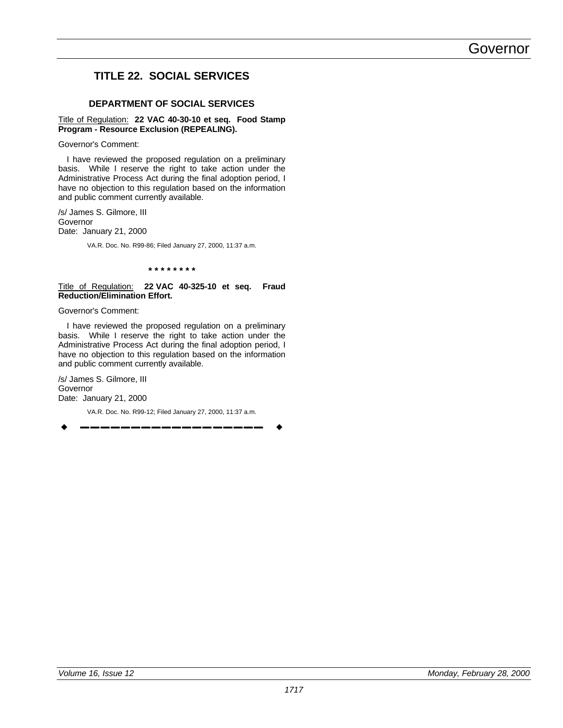# Governor

## **TITLE 22. SOCIAL SERVICES**

## **DEPARTMENT OF SOCIAL SERVICES**

#### Title of Regulation: **22 VAC 40-30-10 et seq. Food Stamp Program - Resource Exclusion (REPEALING).**

Governor's Comment:

I have reviewed the proposed regulation on a preliminary basis. While I reserve the right to take action under the Administrative Process Act during the final adoption period, I have no objection to this regulation based on the information and public comment currently available.

/s/ James S. Gilmore, III Governor Date: January 21, 2000

VA.R. Doc. No. R99-86; Filed January 27, 2000, 11:37 a.m.

**\* \* \* \* \* \* \* \***

#### Title of Regulation: **22 VAC 40-325-10 et seq. Fraud Reduction/Elimination Effort.**

Governor's Comment:

I have reviewed the proposed regulation on a preliminary basis. While I reserve the right to take action under the Administrative Process Act during the final adoption period, I have no objection to this regulation based on the information and public comment currently available.

/s/ James S. Gilmore, III Governor Date: January 21, 2000

VA.R. Doc. No. R99-12; Filed January 27, 2000, 11:37 a.m.

w **––––––––––––––––––** w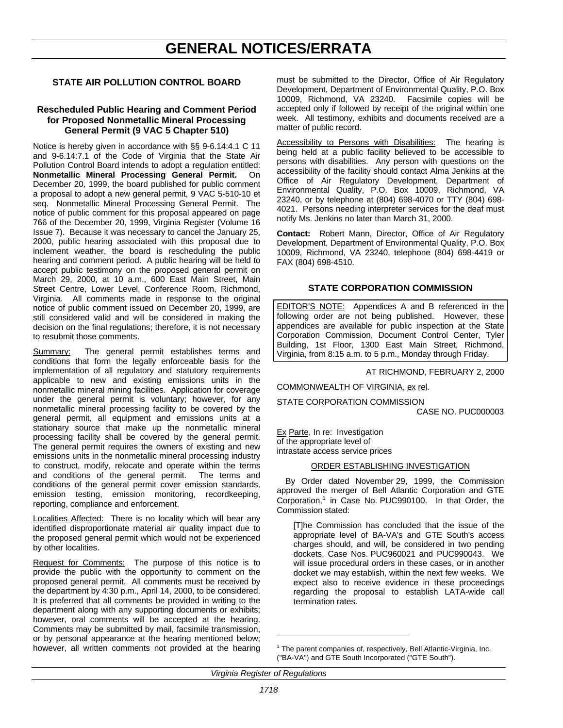# **GENERAL NOTICES/ERRATA**

## **STATE AIR POLLUTION CONTROL BOARD**

### **Rescheduled Public Hearing and Comment Period for Proposed Nonmetallic Mineral Processing General Permit (9 VAC 5 Chapter 510)**

Notice is hereby given in accordance with §§ 9-6.14:4.1 C 11 and 9-6.14:7.1 of the Code of Virginia that the State Air Pollution Control Board intends to adopt a regulation entitled: **Nonmetallic Mineral Processing General Permit.** On December 20, 1999, the board published for public comment a proposal to adopt a new general permit, 9 VAC 5-510-10 et seq. Nonmetallic Mineral Processing General Permit. The notice of public comment for this proposal appeared on page 766 of the December 20, 1999, Virginia Register (Volume 16 Issue 7). Because it was necessary to cancel the January 25, 2000, public hearing associated with this proposal due to inclement weather, the board is rescheduling the public hearing and comment period. A public hearing will be held to accept public testimony on the proposed general permit on March 29, 2000, at 10 a.m., 600 East Main Street, Main Street Centre, Lower Level, Conference Room, Richmond, Virginia. All comments made in response to the original notice of public comment issued on December 20, 1999, are still considered valid and will be considered in making the decision on the final regulations; therefore, it is not necessary to resubmit those comments.

Summary: The general permit establishes terms and conditions that form the legally enforceable basis for the implementation of all regulatory and statutory requirements applicable to new and existing emissions units in the nonmetallic mineral mining facilities. Application for coverage under the general permit is voluntary; however, for any nonmetallic mineral processing facility to be covered by the general permit, all equipment and emissions units at a stationary source that make up the nonmetallic mineral processing facility shall be covered by the general permit. The general permit requires the owners of existing and new emissions units in the nonmetallic mineral processing industry to construct, modify, relocate and operate within the terms and conditions of the general permit. The terms and conditions of the general permit cover emission standards, emission testing, emission monitoring, recordkeeping, reporting, compliance and enforcement.

Localities Affected: There is no locality which will bear any identified disproportionate material air quality impact due to the proposed general permit which would not be experienced by other localities.

Request for Comments: The purpose of this notice is to provide the public with the opportunity to comment on the proposed general permit. All comments must be received by the department by 4:30 p.m., April 14, 2000, to be considered. It is preferred that all comments be provided in writing to the department along with any supporting documents or exhibits; however, oral comments will be accepted at the hearing. Comments may be submitted by mail, facsimile transmission, or by personal appearance at the hearing mentioned below; however, all written comments not provided at the hearing

must be submitted to the Director, Office of Air Regulatory Development, Department of Environmental Quality, P.O. Box 10009, Richmond, VA 23240. Facsimile copies will be accepted only if followed by receipt of the original within one week. All testimony, exhibits and documents received are a matter of public record.

Accessibility to Persons with Disabilities: The hearing is being held at a public facility believed to be accessible to persons with disabilities. Any person with questions on the accessibility of the facility should contact Alma Jenkins at the Office of Air Regulatory Development, Department of Environmental Quality, P.O. Box 10009, Richmond, VA 23240, or by telephone at (804) 698-4070 or TTY (804) 698- 4021. Persons needing interpreter services for the deaf must notify Ms. Jenkins no later than March 31, 2000.

**Contact:** Robert Mann, Director, Office of Air Regulatory Development, Department of Environmental Quality, P.O. Box 10009, Richmond, VA 23240, telephone (804) 698-4419 or FAX (804) 698-4510.

## **STATE CORPORATION COMMISSION**

EDITOR'S NOTE: Appendices A and B referenced in the following order are not being published. However, these appendices are available for public inspection at the State Corporation Commission, Document Control Center, Tyler Building, 1st Floor, 1300 East Main Street, Richmond, Virginia, from 8:15 a.m. to 5 p.m., Monday through Friday.

AT RICHMOND, FEBRUARY 2, 2000

COMMONWEALTH OF VIRGINIA, ex rel.

STATE CORPORATION COMMISSION

CASE NO. PUC000003

Ex Parte, In re: Investigation of the appropriate level of intrastate access service prices

#### ORDER ESTABLISHING INVESTIGATION

By Order dated November 29, 1999, the Commission approved the merger of Bell Atlantic Corporation and GTE Corporation, $<sup>1</sup>$  in Case No. PUC990100. In that Order, the</sup> Commission stated:

[T]he Commission has concluded that the issue of the appropriate level of BA-VA's and GTE South's access charges should, and will, be considered in two pending dockets, Case Nos. PUC960021 and PUC990043. We will issue procedural orders in these cases, or in another docket we may establish, within the next few weeks. We expect also to receive evidence in these proceedings regarding the proposal to establish LATA-wide call termination rates.

l

 $1$  The parent companies of, respectively, Bell Atlantic-Virginia, Inc. ("BA-VA") and GTE South Incorporated ("GTE South").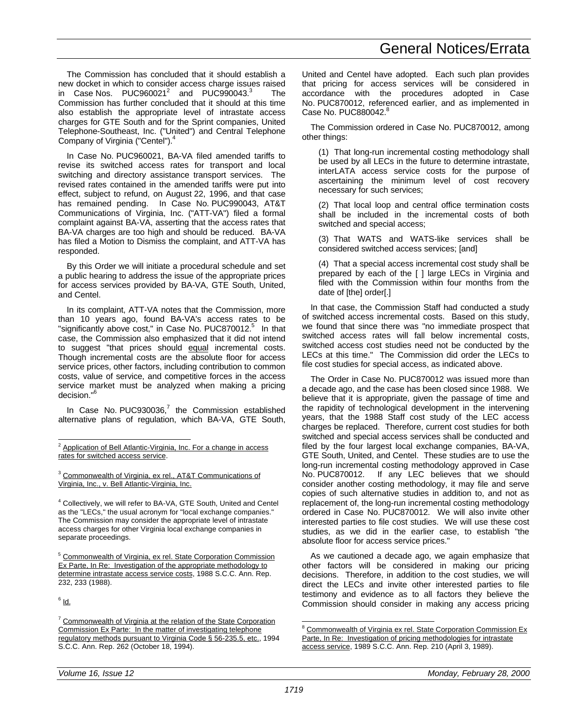The Commission has concluded that it should establish a new docket in which to consider access charge issues raised in Case Nos.  $PUC960021^2$  and  $PUC990043.^3$  The Commission has further concluded that it should at this time also establish the appropriate level of intrastate access charges for GTE South and for the Sprint companies, United Telephone-Southeast, Inc. ("United") and Central Telephone Company of Virginia ("Centel").<sup>4</sup>

In Case No. PUC960021, BA-VA filed amended tariffs to revise its switched access rates for transport and local switching and directory assistance transport services. The revised rates contained in the amended tariffs were put into effect, subject to refund, on August 22, 1996, and that case has remained pending. In Case No. PUC990043, AT&T Communications of Virginia, Inc. ("ATT-VA") filed a formal complaint against BA-VA, asserting that the access rates that BA-VA charges are too high and should be reduced. BA-VA has filed a Motion to Dismiss the complaint, and ATT-VA has responded.

By this Order we will initiate a procedural schedule and set a public hearing to address the issue of the appropriate prices for access services provided by BA-VA, GTE South, United, and Centel.

In its complaint, ATT-VA notes that the Commission, more than 10 years ago, found BA-VA's access rates to be "significantly above cost," in Case No. PUC870012.<sup>5</sup> In that case, the Commission also emphasized that it did not intend to suggest "that prices should equal incremental costs. Though incremental costs are the absolute floor for access service prices, other factors, including contribution to common costs, value of service, and competitive forces in the access service market must be analyzed when making a pricing decision."<sup>6</sup>

In Case No.  $PUC930036$ ,<sup>7</sup> the Commission established alternative plans of regulation, which BA-VA, GTE South,

<sup>3</sup> Commonwealth of Virginia, ex rel., AT&T Communications of Virginia, Inc., v. Bell Atlantic-Virginia, Inc.

<sup>4</sup> Collectively, we will refer to BA-VA, GTE South, United and Centel as the "LECs," the usual acronym for "local exchange companies." The Commission may consider the appropriate level of intrastate access charges for other Virginia local exchange companies in separate proceedings.

<sup>5</sup> Commonwealth of Virginia, ex rel. State Corporation Commission Ex Parte, In Re: Investigation of the appropriate methodology to determine intrastate access service costs, 1988 S.C.C. Ann. Rep. 232, 233 (1988).

<sup>6</sup> ld.

-

United and Centel have adopted. Each such plan provides that pricing for access services will be considered in accordance with the procedures adopted in Case No. PUC870012, referenced earlier, and as implemented in Case No. PUC880042.<sup>8</sup>

The Commission ordered in Case No. PUC870012, among other things:

(1) That long-run incremental costing methodology shall be used by all LECs in the future to determine intrastate, interLATA access service costs for the purpose of ascertaining the minimum level of cost recovery necessary for such services;

(2) That local loop and central office termination costs shall be included in the incremental costs of both switched and special access;

(3) That WATS and WATS-like services shall be considered switched access services; [and]

(4) That a special access incremental cost study shall be prepared by each of the [ ] large LECs in Virginia and filed with the Commission within four months from the date of [the] order[.]

In that case, the Commission Staff had conducted a study of switched access incremental costs. Based on this study, we found that since there was "no immediate prospect that switched access rates will fall below incremental costs, switched access cost studies need not be conducted by the LECs at this time." The Commission did order the LECs to file cost studies for special access, as indicated above.

The Order in Case No. PUC870012 was issued more than a decade ago, and the case has been closed since 1988. We believe that it is appropriate, given the passage of time and the rapidity of technological development in the intervening years, that the 1988 Staff cost study of the LEC access charges be replaced. Therefore, current cost studies for both switched and special access services shall be conducted and filed by the four largest local exchange companies, BA-VA, GTE South, United, and Centel. These studies are to use the long-run incremental costing methodology approved in Case No. PUC870012. If any LEC believes that we should consider another costing methodology, it may file and serve copies of such alternative studies in addition to, and not as replacement of, the long-run incremental costing methodology ordered in Case No. PUC870012. We will also invite other interested parties to file cost studies. We will use these cost studies, as we did in the earlier case, to establish "the absolute floor for access service prices."

As we cautioned a decade ago, we again emphasize that other factors will be considered in making our pricing decisions. Therefore, in addition to the cost studies, we will direct the LECs and invite other interested parties to file testimony and evidence as to all factors they believe the Commission should consider in making any access pricing

 $\overline{a}$ 

<sup>&</sup>lt;sup>2</sup> Application of Bell Atlantic-Virginia, Inc. For a change in access rates for switched access service.

<sup>&</sup>lt;sup>7</sup> Commonwealth of Virginia at the relation of the State Corporation Commission Ex Parte: In the matter of investigating telephone regulatory methods pursuant to Virginia Code § 56-235.5, etc., 1994 S.C.C. Ann. Rep. 262 (October 18, 1994).

Commonwealth of Virginia ex rel. State Corporation Commission Ex Parte, In Re: Investigation of pricing methodologies for intrastate access service, 1989 S.C.C. Ann. Rep. 210 (April 3, 1989).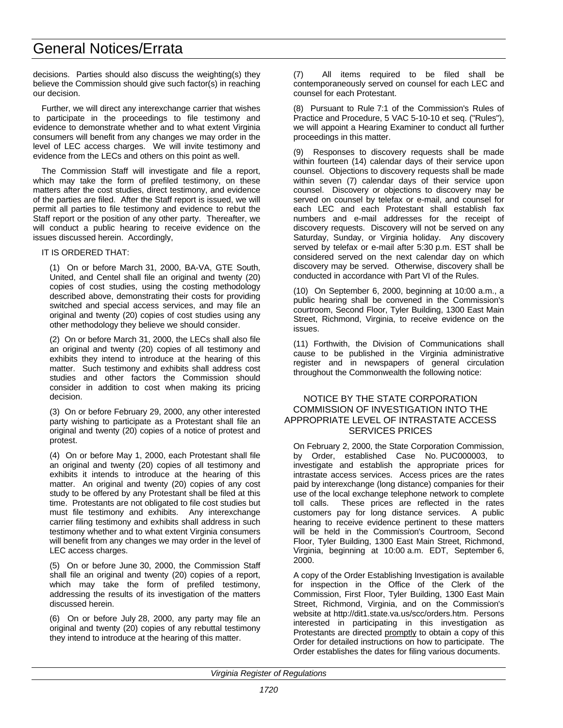# General Notices/Errata

decisions. Parties should also discuss the weighting(s) they believe the Commission should give such factor(s) in reaching our decision.

Further, we will direct any interexchange carrier that wishes to participate in the proceedings to file testimony and evidence to demonstrate whether and to what extent Virginia consumers will benefit from any changes we may order in the level of LEC access charges. We will invite testimony and evidence from the LECs and others on this point as well.

The Commission Staff will investigate and file a report, which may take the form of prefiled testimony, on these matters after the cost studies, direct testimony, and evidence of the parties are filed. After the Staff report is issued, we will permit all parties to file testimony and evidence to rebut the Staff report or the position of any other party. Thereafter, we will conduct a public hearing to receive evidence on the issues discussed herein. Accordingly,

IT IS ORDERED THAT:

(1) On or before March 31, 2000, BA-VA, GTE South, United, and Centel shall file an original and twenty (20) copies of cost studies, using the costing methodology described above, demonstrating their costs for providing switched and special access services, and may file an original and twenty (20) copies of cost studies using any other methodology they believe we should consider.

(2) On or before March 31, 2000, the LECs shall also file an original and twenty (20) copies of all testimony and exhibits they intend to introduce at the hearing of this matter. Such testimony and exhibits shall address cost studies and other factors the Commission should consider in addition to cost when making its pricing decision.

(3) On or before February 29, 2000, any other interested party wishing to participate as a Protestant shall file an original and twenty (20) copies of a notice of protest and protest.

(4) On or before May 1, 2000, each Protestant shall file an original and twenty (20) copies of all testimony and exhibits it intends to introduce at the hearing of this matter. An original and twenty (20) copies of any cost study to be offered by any Protestant shall be filed at this time. Protestants are not obligated to file cost studies but must file testimony and exhibits. Any interexchange carrier filing testimony and exhibits shall address in such testimony whether and to what extent Virginia consumers will benefit from any changes we may order in the level of LEC access charges.

(5) On or before June 30, 2000, the Commission Staff shall file an original and twenty (20) copies of a report, which may take the form of prefiled testimony, addressing the results of its investigation of the matters discussed herein.

(6) On or before July 28, 2000, any party may file an original and twenty (20) copies of any rebuttal testimony they intend to introduce at the hearing of this matter.

(7) All items required to be filed shall be contemporaneously served on counsel for each LEC and counsel for each Protestant.

(8) Pursuant to Rule 7:1 of the Commission's Rules of Practice and Procedure, 5 VAC 5-10-10 et seq. ("Rules"), we will appoint a Hearing Examiner to conduct all further proceedings in this matter.

Responses to discovery requests shall be made within fourteen (14) calendar days of their service upon counsel. Objections to discovery requests shall be made within seven (7) calendar days of their service upon counsel. Discovery or objections to discovery may be served on counsel by telefax or e-mail, and counsel for each LEC and each Protestant shall establish fax numbers and e-mail addresses for the receipt of discovery requests. Discovery will not be served on any Saturday, Sunday, or Virginia holiday. Any discovery served by telefax or e-mail after 5:30 p.m. EST shall be considered served on the next calendar day on which discovery may be served. Otherwise, discovery shall be conducted in accordance with Part VI of the Rules.

(10) On September 6, 2000, beginning at 10:00 a.m., a public hearing shall be convened in the Commission's courtroom, Second Floor, Tyler Building, 1300 East Main Street, Richmond, Virginia, to receive evidence on the issues.

(11) Forthwith, the Division of Communications shall cause to be published in the Virginia administrative register and in newspapers of general circulation throughout the Commonwealth the following notice:

## NOTICE BY THE STATE CORPORATION COMMISSION OF INVESTIGATION INTO THE APPROPRIATE LEVEL OF INTRASTATE ACCESS SERVICES PRICES

On February 2, 2000, the State Corporation Commission, by Order, established Case No. PUC000003, to investigate and establish the appropriate prices for intrastate access services. Access prices are the rates paid by interexchange (long distance) companies for their use of the local exchange telephone network to complete toll calls. These prices are reflected in the rates customers pay for long distance services. A public hearing to receive evidence pertinent to these matters will be held in the Commission's Courtroom, Second Floor, Tyler Building, 1300 East Main Street, Richmond, Virginia, beginning at 10:00 a.m. EDT, September 6, 2000.

A copy of the Order Establishing Investigation is available for inspection in the Office of the Clerk of the Commission, First Floor, Tyler Building, 1300 East Main Street, Richmond, Virginia, and on the Commission's website at http://dit1.state.va.us/scc/orders.htm. Persons interested in participating in this investigation as Protestants are directed promptly to obtain a copy of this Order for detailed instructions on how to participate. The Order establishes the dates for filing various documents.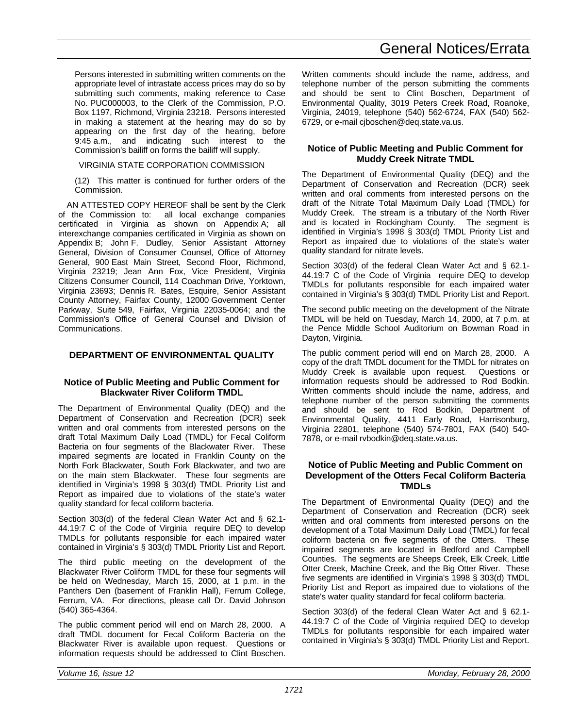Persons interested in submitting written comments on the appropriate level of intrastate access prices may do so by submitting such comments, making reference to Case No. PUC000003, to the Clerk of the Commission, P.O. Box 1197, Richmond, Virginia 23218. Persons interested in making a statement at the hearing may do so by appearing on the first day of the hearing, before 9:45 a.m., and indicating such interest to the Commission's bailiff on forms the bailiff will supply.

VIRGINIA STATE CORPORATION COMMISSION

(12) This matter is continued for further orders of the Commission.

AN ATTESTED COPY HEREOF shall be sent by the Clerk of the Commission to: all local exchange companies certificated in Virginia as shown on Appendix A; all interexchange companies certificated in Virginia as shown on Appendix B; John F. Dudley, Senior Assistant Attorney General, Division of Consumer Counsel, Office of Attorney General, 900 East Main Street, Second Floor, Richmond, Virginia 23219; Jean Ann Fox, Vice President, Virginia Citizens Consumer Council, 114 Coachman Drive, Yorktown, Virginia 23693; Dennis R. Bates, Esquire, Senior Assistant County Attorney, Fairfax County, 12000 Government Center Parkway, Suite 549, Fairfax, Virginia 22035-0064; and the Commission's Office of General Counsel and Division of Communications.

## **DEPARTMENT OF ENVIRONMENTAL QUALITY**

#### **Notice of Public Meeting and Public Comment for Blackwater River Coliform TMDL**

The Department of Environmental Quality (DEQ) and the Department of Conservation and Recreation (DCR) seek written and oral comments from interested persons on the draft Total Maximum Daily Load (TMDL) for Fecal Coliform Bacteria on four segments of the Blackwater River. These impaired segments are located in Franklin County on the North Fork Blackwater, South Fork Blackwater, and two are on the main stem Blackwater. These four segments are identified in Virginia's 1998 § 303(d) TMDL Priority List and Report as impaired due to violations of the state's water quality standard for fecal coliform bacteria.

Section 303(d) of the federal Clean Water Act and § 62.1- 44.19:7 C of the Code of Virginia require DEQ to develop TMDLs for pollutants responsible for each impaired water contained in Virginia's § 303(d) TMDL Priority List and Report.

The third public meeting on the development of the Blackwater River Coliform TMDL for these four segments will be held on Wednesday, March 15, 2000, at 1 p.m. in the Panthers Den (basement of Franklin Hall), Ferrum College, Ferrum, VA. For directions, please call Dr. David Johnson (540) 365-4364.

The public comment period will end on March 28, 2000. A draft TMDL document for Fecal Coliform Bacteria on the Blackwater River is available upon request. Questions or information requests should be addressed to Clint Boschen.

# General Notices/Errata

Written comments should include the name, address, and telephone number of the person submitting the comments and should be sent to Clint Boschen, Department of Environmental Quality, 3019 Peters Creek Road, Roanoke, Virginia, 24019, telephone (540) 562-6724, FAX (540) 562- 6729, or e-mail cjboschen@deq.state.va.us.

### **Notice of Public Meeting and Public Comment for Muddy Creek Nitrate TMDL**

The Department of Environmental Quality (DEQ) and the Department of Conservation and Recreation (DCR) seek written and oral comments from interested persons on the draft of the Nitrate Total Maximum Daily Load (TMDL) for Muddy Creek. The stream is a tributary of the North River and is located in Rockingham County. The segment is identified in Virginia's 1998 § 303(d) TMDL Priority List and Report as impaired due to violations of the state's water quality standard for nitrate levels.

Section 303(d) of the federal Clean Water Act and § 62.1- 44.19:7 C of the Code of Virginia require DEQ to develop TMDLs for pollutants responsible for each impaired water contained in Virginia's § 303(d) TMDL Priority List and Report.

The second public meeting on the development of the Nitrate TMDL will be held on Tuesday, March 14, 2000, at 7 p.m. at the Pence Middle School Auditorium on Bowman Road in Dayton, Virginia.

The public comment period will end on March 28, 2000. A copy of the draft TMDL document for the TMDL for nitrates on Muddy Creek is available upon request. Questions or information requests should be addressed to Rod Bodkin. Written comments should include the name, address, and telephone number of the person submitting the comments and should be sent to Rod Bodkin, Department of Environmental Quality, 4411 Early Road, Harrisonburg, Virginia 22801, telephone (540) 574-7801, FAX (540) 540- 7878, or e-mail rvbodkin@deq.state.va.us.

#### **Notice of Public Meeting and Public Comment on Development of the Otters Fecal Coliform Bacteria TMDLs**

The Department of Environmental Quality (DEQ) and the Department of Conservation and Recreation (DCR) seek written and oral comments from interested persons on the development of a Total Maximum Daily Load (TMDL) for fecal coliform bacteria on five segments of the Otters. These impaired segments are located in Bedford and Campbell Counties. The segments are Sheeps Creek, Elk Creek, Little Otter Creek, Machine Creek, and the Big Otter River. These five segments are identified in Virginia's 1998 § 303(d) TMDL Priority List and Report as impaired due to violations of the state's water quality standard for fecal coliform bacteria.

Section 303(d) of the federal Clean Water Act and § 62.1- 44.19:7 C of the Code of Virginia required DEQ to develop TMDLs for pollutants responsible for each impaired water contained in Virginia's § 303(d) TMDL Priority List and Report.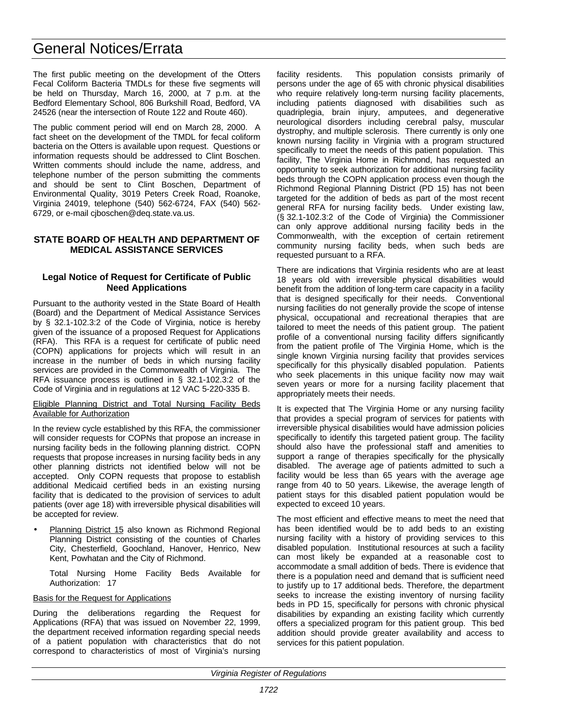# General Notices/Errata

The first public meeting on the development of the Otters Fecal Coliform Bacteria TMDLs for these five segments will be held on Thursday, March 16, 2000, at 7 p.m. at the Bedford Elementary School, 806 Burkshill Road, Bedford, VA 24526 (near the intersection of Route 122 and Route 460).

The public comment period will end on March 28, 2000. A fact sheet on the development of the TMDL for fecal coliform bacteria on the Otters is available upon request. Questions or information requests should be addressed to Clint Boschen. Written comments should include the name, address, and telephone number of the person submitting the comments and should be sent to Clint Boschen, Department of Environmental Quality, 3019 Peters Creek Road, Roanoke, Virginia 24019, telephone (540) 562-6724, FAX (540) 562- 6729, or e-mail cjboschen@deq.state.va.us.

## **STATE BOARD OF HEALTH AND DEPARTMENT OF MEDICAL ASSISTANCE SERVICES**

## **Legal Notice of Request for Certificate of Public Need Applications**

Pursuant to the authority vested in the State Board of Health (Board) and the Department of Medical Assistance Services by § 32.1-102.3:2 of the Code of Virginia, notice is hereby given of the issuance of a proposed Request for Applications (RFA). This RFA is a request for certificate of public need (COPN) applications for projects which will result in an increase in the number of beds in which nursing facility services are provided in the Commonwealth of Virginia. The RFA issuance process is outlined in § 32.1-102.3:2 of the Code of Virginia and in regulations at 12 VAC 5-220-335 B.

#### Eligible Planning District and Total Nursing Facility Beds Available for Authorization

In the review cycle established by this RFA, the commissioner will consider requests for COPNs that propose an increase in nursing facility beds in the following planning district. COPN requests that propose increases in nursing facility beds in any other planning districts not identified below will not be accepted. Only COPN requests that propose to establish additional Medicaid certified beds in an existing nursing facility that is dedicated to the provision of services to adult patients (over age 18) with irreversible physical disabilities will be accepted for review.

Planning District 15 also known as Richmond Regional Planning District consisting of the counties of Charles City, Chesterfield, Goochland, Hanover, Henrico, New Kent, Powhatan and the City of Richmond.

Total Nursing Home Facility Beds Available for Authorization: 17

#### Basis for the Request for Applications

During the deliberations regarding the Request for Applications (RFA) that was issued on November 22, 1999, the department received information regarding special needs of a patient population with characteristics that do not correspond to characteristics of most of Virginia's nursing facility residents. This population consists primarily of persons under the age of 65 with chronic physical disabilities who require relatively long-term nursing facility placements, including patients diagnosed with disabilities such as quadriplegia, brain injury, amputees, and degenerative neurological disorders including cerebral palsy, muscular dystrophy, and multiple sclerosis. There currently is only one known nursing facility in Virginia with a program structured specifically to meet the needs of this patient population. This facility, The Virginia Home in Richmond, has requested an opportunity to seek authorization for additional nursing facility beds through the COPN application process even though the Richmond Regional Planning District (PD 15) has not been targeted for the addition of beds as part of the most recent general RFA for nursing facility beds. Under existing law, (§ 32.1-102.3:2 of the Code of Virginia) the Commissioner can only approve additional nursing facility beds in the Commonwealth, with the exception of certain retirement community nursing facility beds, when such beds are requested pursuant to a RFA.

There are indications that Virginia residents who are at least 18 years old with irreversible physical disabilities would benefit from the addition of long-term care capacity in a facility that is designed specifically for their needs. Conventional nursing facilities do not generally provide the scope of intense physical, occupational and recreational therapies that are tailored to meet the needs of this patient group. The patient profile of a conventional nursing facility differs significantly from the patient profile of The Virginia Home, which is the single known Virginia nursing facility that provides services specifically for this physically disabled population. Patients who seek placements in this unique facility now may wait seven years or more for a nursing facility placement that appropriately meets their needs.

It is expected that The Virginia Home or any nursing facility that provides a special program of services for patients with irreversible physical disabilities would have admission policies specifically to identify this targeted patient group. The facility should also have the professional staff and amenities to support a range of therapies specifically for the physically disabled. The average age of patients admitted to such a facility would be less than 65 years with the average age range from 40 to 50 years. Likewise, the average length of patient stays for this disabled patient population would be expected to exceed 10 years.

The most efficient and effective means to meet the need that has been identified would be to add beds to an existing nursing facility with a history of providing services to this disabled population. Institutional resources at such a facility can most likely be expanded at a reasonable cost to accommodate a small addition of beds. There is evidence that there is a population need and demand that is sufficient need to justify up to 17 additional beds. Therefore, the department seeks to increase the existing inventory of nursing facility beds in PD 15, specifically for persons with chronic physical disabilities by expanding an existing facility which currently offers a specialized program for this patient group. This bed addition should provide greater availability and access to services for this patient population.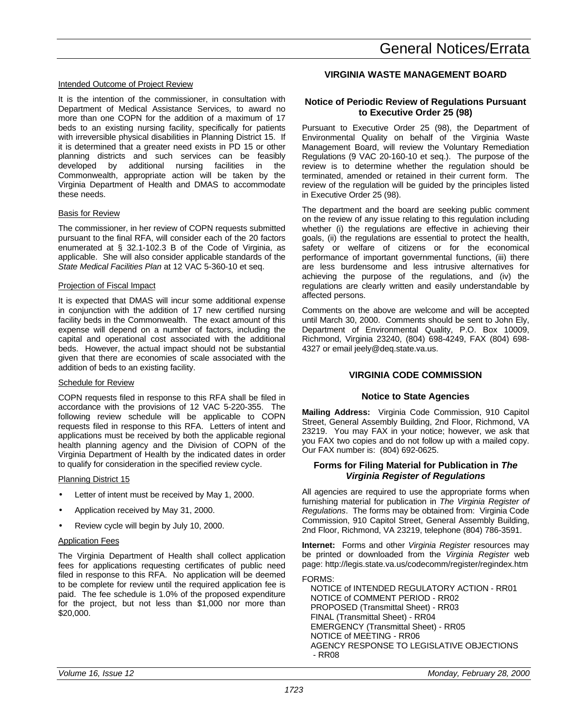### Intended Outcome of Project Review

It is the intention of the commissioner, in consultation with Department of Medical Assistance Services, to award no more than one COPN for the addition of a maximum of 17 beds to an existing nursing facility, specifically for patients with irreversible physical disabilities in Planning District 15. If it is determined that a greater need exists in PD 15 or other planning districts and such services can be feasibly developed by additional nursing facilities in the Commonwealth, appropriate action will be taken by the Virginia Department of Health and DMAS to accommodate these needs.

#### Basis for Review

The commissioner, in her review of COPN requests submitted pursuant to the final RFA, will consider each of the 20 factors enumerated at § 32.1-102.3 B of the Code of Virginia, as applicable. She will also consider applicable standards of the *State Medical Facilities Plan* at 12 VAC 5-360-10 et seq.

#### Projection of Fiscal Impact

It is expected that DMAS will incur some additional expense in conjunction with the addition of 17 new certified nursing facility beds in the Commonwealth. The exact amount of this expense will depend on a number of factors, including the capital and operational cost associated with the additional beds. However, the actual impact should not be substantial given that there are economies of scale associated with the addition of beds to an existing facility.

#### Schedule for Review

COPN requests filed in response to this RFA shall be filed in accordance with the provisions of 12 VAC 5-220-355. The following review schedule will be applicable to COPN requests filed in response to this RFA. Letters of intent and applications must be received by both the applicable regional health planning agency and the Division of COPN of the Virginia Department of Health by the indicated dates in order to qualify for consideration in the specified review cycle.

#### Planning District 15

- Letter of intent must be received by May 1, 2000.
- Application received by May 31, 2000.
- Review cycle will begin by July 10, 2000.

#### Application Fees

The Virginia Department of Health shall collect application fees for applications requesting certificates of public need filed in response to this RFA. No application will be deemed to be complete for review until the required application fee is paid. The fee schedule is 1.0% of the proposed expenditure for the project, but not less than \$1,000 nor more than \$20,000.

# General Notices/Errata

## **VIRGINIA WASTE MANAGEMENT BOARD**

## **Notice of Periodic Review of Regulations Pursuant to Executive Order 25 (98)**

Pursuant to Executive Order 25 (98), the Department of Environmental Quality on behalf of the Virginia Waste Management Board, will review the Voluntary Remediation Regulations (9 VAC 20-160-10 et seq.). The purpose of the review is to determine whether the regulation should be terminated, amended or retained in their current form. The review of the regulation will be guided by the principles listed in Executive Order 25 (98).

The department and the board are seeking public comment on the review of any issue relating to this regulation including whether (i) the regulations are effective in achieving their goals, (ii) the regulations are essential to protect the health, safety or welfare of citizens or for the economical performance of important governmental functions, (iii) there are less burdensome and less intrusive alternatives for achieving the purpose of the regulations, and (iv) the regulations are clearly written and easily understandable by affected persons.

Comments on the above are welcome and will be accepted until March 30, 2000. Comments should be sent to John Ely, Department of Environmental Quality, P.O. Box 10009, Richmond, Virginia 23240, (804) 698-4249, FAX (804) 698- 4327 or email jeely@deq.state.va.us.

## **VIRGINIA CODE COMMISSION**

#### **Notice to State Agencies**

**Mailing Address:** Virginia Code Commission, 910 Capitol Street, General Assembly Building, 2nd Floor, Richmond, VA 23219. You may FAX in your notice; however, we ask that you FAX two copies and do not follow up with a mailed copy. Our FAX number is: (804) 692-0625.

#### **Forms for Filing Material for Publication in** *The Virginia Register of Regulations*

All agencies are required to use the appropriate forms when furnishing material for publication in *The Virginia Register of Regulations*. The forms may be obtained from: Virginia Code Commission, 910 Capitol Street, General Assembly Building, 2nd Floor, Richmond, VA 23219, telephone (804) 786-3591.

**Internet:** Forms and other *Virginia Register* resources may be printed or downloaded from the *Virginia Register* web page: http://legis.state.va.us/codecomm/register/regindex.htm

FORMS:

NOTICE of INTENDED REGULATORY ACTION - RR01 NOTICE of COMMENT PERIOD - RR02 PROPOSED (Transmittal Sheet) - RR03 FINAL (Transmittal Sheet) - RR04 EMERGENCY (Transmittal Sheet) - RR05 NOTICE of MEETING - RR06 AGENCY RESPONSE TO LEGISLATIVE OBJECTIONS - RR08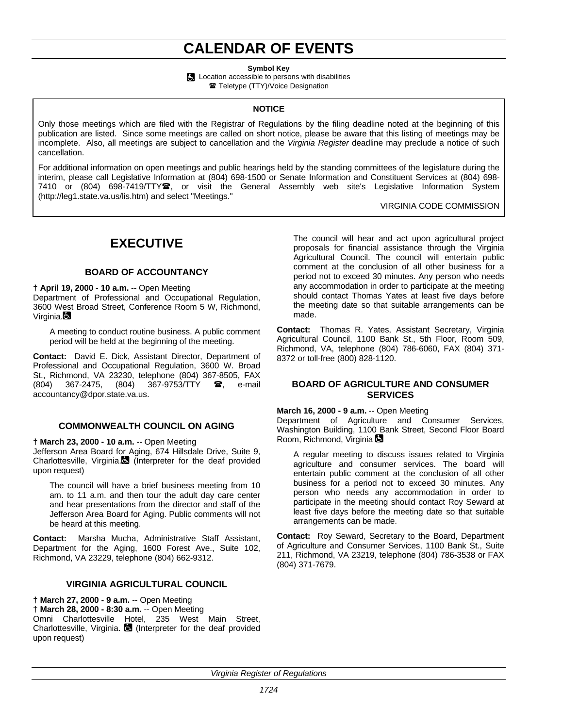# **CALENDAR OF EVENTS**

**Symbol Key**

**Location accessible to persons with disabilities** 

Teletype (TTY)/Voice Designation

### **NOTICE**

Only those meetings which are filed with the Registrar of Regulations by the filing deadline noted at the beginning of this publication are listed. Since some meetings are called on short notice, please be aware that this listing of meetings may be incomplete. Also, all meetings are subject to cancellation and the *Virginia Register* deadline may preclude a notice of such cancellation.

For additional information on open meetings and public hearings held by the standing committees of the legislature during the interim, please call Legislative Information at (804) 698-1500 or Senate Information and Constituent Services at (804) 698- 7410 or (804) 698-7419/TTY雪, or visit the General Assembly web site's Legislative Information System (http://leg1.state.va.us/lis.htm) and select "Meetings."

VIRGINIA CODE COMMISSION

# **EXECUTIVE**

## **BOARD OF ACCOUNTANCY**

**† April 19, 2000 - 10 a.m.** -- Open Meeting Department of Professional and Occupational Regulation, 3600 West Broad Street, Conference Room 5 W, Richmond, Virginia.**D** 

A meeting to conduct routine business. A public comment period will be held at the beginning of the meeting.

**Contact:** David E. Dick, Assistant Director, Department of Professional and Occupational Regulation, 3600 W. Broad St., Richmond, VA 23230, telephone (804) 367-8505, FAX (804) 367-2475, (804) 367-9753/TTY  $\bullet$ , e-mail (804) 367-2475, (804) 367-9753/TTY  $\bullet$ , e-mail accountancy@dpor.state.va.us.

## **COMMONWEALTH COUNCIL ON AGING**

**† March 23, 2000 - 10 a.m.** -- Open Meeting

Jefferson Area Board for Aging, 674 Hillsdale Drive, Suite 9, Charlottesville, Virginia. (Interpreter for the deaf provided upon request)

The council will have a brief business meeting from 10 am. to 11 a.m. and then tour the adult day care center and hear presentations from the director and staff of the Jefferson Area Board for Aging. Public comments will not be heard at this meeting.

**Contact:** Marsha Mucha, Administrative Staff Assistant, Department for the Aging, 1600 Forest Ave., Suite 102, Richmond, VA 23229, telephone (804) 662-9312.

## **VIRGINIA AGRICULTURAL COUNCIL**

**† March 27, 2000 - 9 a.m.** -- Open Meeting **† March 28, 2000 - 8:30 a.m.** -- Open Meeting Omni Charlottesville Hotel, 235 West Main Street, Charlottesville, Virginia. **(3)** (Interpreter for the deaf provided upon request)

The council will hear and act upon agricultural project proposals for financial assistance through the Virginia Agricultural Council. The council will entertain public comment at the conclusion of all other business for a period not to exceed 30 minutes. Any person who needs any accommodation in order to participate at the meeting should contact Thomas Yates at least five days before the meeting date so that suitable arrangements can be made.

**Contact:** Thomas R. Yates, Assistant Secretary, Virginia Agricultural Council, 1100 Bank St., 5th Floor, Room 509, Richmond, VA, telephone (804) 786-6060, FAX (804) 371- 8372 or toll-free (800) 828-1120.

### **BOARD OF AGRICULTURE AND CONSUMER SERVICES**

#### **March 16, 2000 - 9 a.m.** -- Open Meeting

Department of Agriculture and Consumer Services, Washington Building, 1100 Bank Street, Second Floor Board Room, Richmond, Virginia **Com** 

A regular meeting to discuss issues related to Virginia agriculture and consumer services. The board will entertain public comment at the conclusion of all other business for a period not to exceed 30 minutes. Any person who needs any accommodation in order to participate in the meeting should contact Roy Seward at least five days before the meeting date so that suitable arrangements can be made.

**Contact:** Roy Seward, Secretary to the Board, Department of Agriculture and Consumer Services, 1100 Bank St., Suite 211, Richmond, VA 23219, telephone (804) 786-3538 or FAX (804) 371-7679.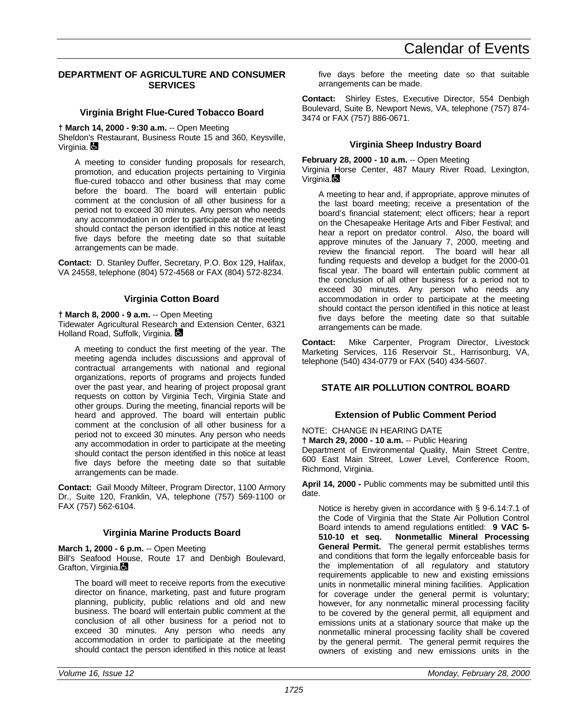## **DEPARTMENT OF AGRICULTURE AND CONSUMER SERVICES**

## **Virginia Bright Flue-Cured Tobacco Board**

**† March 14, 2000 - 9:30 a.m.** -- Open Meeting

Sheldon's Restaurant, Business Route 15 and 360, Keysville, Virginia. **D** 

A meeting to consider funding proposals for research, promotion, and education projects pertaining to Virginia flue-cured tobacco and other business that may come before the board. The board will entertain public comment at the conclusion of all other business for a period not to exceed 30 minutes. Any person who needs any accommodation in order to participate at the meeting should contact the person identified in this notice at least five days before the meeting date so that suitable arrangements can be made.

**Contact:** D. Stanley Duffer, Secretary, P.O. Box 129, Halifax, VA 24558, telephone (804) 572-4568 or FAX (804) 572-8234.

## **Virginia Cotton Board**

**† March 8, 2000 - 9 a.m.** -- Open Meeting

Tidewater Agricultural Research and Extension Center, 6321 Holland Road, Suffolk, Virginia.

A meeting to conduct the first meeting of the year. The meeting agenda includes discussions and approval of contractual arrangements with national and regional organizations, reports of programs and projects funded over the past year, and hearing of project proposal grant requests on cotton by Virginia Tech, Virginia State and other groups. During the meeting, financial reports will be heard and approved. The board will entertain public comment at the conclusion of all other business for a period not to exceed 30 minutes. Any person who needs any accommodation in order to participate at the meeting should contact the person identified in this notice at least five days before the meeting date so that suitable arrangements can be made.

**Contact:** Gail Moody Milteer, Program Director, 1100 Armory Dr., Suite 120, Franklin, VA, telephone (757) 569-1100 or FAX (757) 562-6104.

## **Virginia Marine Products Board**

**March 1, 2000 - 6 p.m.** -- Open Meeting Bill's Seafood House, Route 17 and Denbigh Boulevard, Grafton, Virginia.

The board will meet to receive reports from the executive director on finance, marketing, past and future program planning, publicity, public relations and old and new business. The board will entertain public comment at the conclusion of all other business for a period not to exceed 30 minutes. Any person who needs any accommodation in order to participate at the meeting should contact the person identified in this notice at least five days before the meeting date so that suitable arrangements can be made.

**Contact:** Shirley Estes, Executive Director, 554 Denbigh Boulevard, Suite B, Newport News, VA, telephone (757) 874- 3474 or FAX (757) 886-0671.

## **Virginia Sheep Industry Board**

**February 28, 2000 - 10 a.m.** -- Open Meeting

Virginia Horse Center, 487 Maury River Road, Lexington, Virginia. $\blacksquare$ 

A meeting to hear and, if appropriate, approve minutes of the last board meeting; receive a presentation of the board's financial statement; elect officers; hear a report on the Chesapeake Heritage Arts and Fiber Festival; and hear a report on predator control. Also, the board will approve minutes of the January 7, 2000, meeting and review the financial report. The board will hear all funding requests and develop a budget for the 2000-01 fiscal year. The board will entertain public comment at the conclusion of all other business for a period not to exceed 30 minutes. Any person who needs any accommodation in order to participate at the meeting should contact the person identified in this notice at least five days before the meeting date so that suitable arrangements can be made.

**Contact:** Mike Carpenter, Program Director, Livestock Marketing Services, 116 Reservoir St., Harrisonburg, VA, telephone (540) 434-0779 or FAX (540) 434-5607.

## **STATE AIR POLLUTION CONTROL BOARD**

## **Extension of Public Comment Period**

NOTE: CHANGE IN HEARING DATE

**† March 29, 2000 - 10 a.m.** -- Public Hearing

Department of Environmental Quality, Main Street Centre, 600 East Main Street, Lower Level, Conference Room, Richmond, Virginia.

**April 14, 2000 -** Public comments may be submitted until this date.

Notice is hereby given in accordance with § 9-6.14:7.1 of the Code of Virginia that the State Air Pollution Control Board intends to amend regulations entitled: **9 VAC 5- 510-10 et seq. Nonmetallic Mineral Processing General Permit.** The general permit establishes terms and conditions that form the legally enforceable basis for the implementation of all regulatory and statutory requirements applicable to new and existing emissions units in nonmetallic mineral mining facilities. Application for coverage under the general permit is voluntary; however, for any nonmetallic mineral processing facility to be covered by the general permit, all equipment and emissions units at a stationary source that make up the nonmetallic mineral processing facility shall be covered by the general permit. The general permit requires the owners of existing and new emissions units in the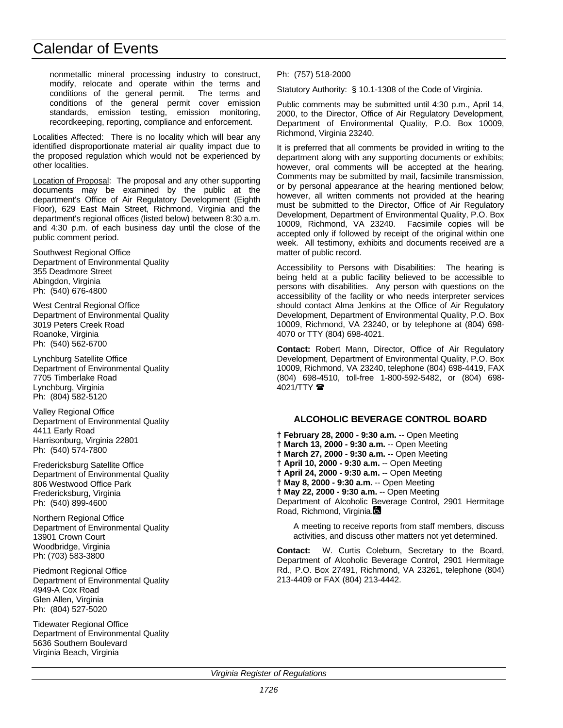nonmetallic mineral processing industry to construct, modify, relocate and operate within the terms and conditions of the general permit. The terms and conditions of the general permit cover emission standards, emission testing, emission monitoring, recordkeeping, reporting, compliance and enforcement.

Localities Affected: There is no locality which will bear any identified disproportionate material air quality impact due to the proposed regulation which would not be experienced by other localities.

Location of Proposal: The proposal and any other supporting documents may be examined by the public at the department's Office of Air Regulatory Development (Eighth Floor), 629 East Main Street, Richmond, Virginia and the department's regional offices (listed below) between 8:30 a.m. and 4:30 p.m. of each business day until the close of the public comment period.

Southwest Regional Office Department of Environmental Quality 355 Deadmore Street Abingdon, Virginia Ph: (540) 676-4800

West Central Regional Office Department of Environmental Quality 3019 Peters Creek Road Roanoke, Virginia Ph: (540) 562-6700

Lynchburg Satellite Office Department of Environmental Quality 7705 Timberlake Road Lynchburg, Virginia Ph: (804) 582-5120

Valley Regional Office Department of Environmental Quality 4411 Early Road Harrisonburg, Virginia 22801 Ph: (540) 574-7800

Fredericksburg Satellite Office Department of Environmental Quality 806 Westwood Office Park Fredericksburg, Virginia Ph: (540) 899-4600

Northern Regional Office Department of Environmental Quality 13901 Crown Court Woodbridge, Virginia Ph: (703) 583-3800

Piedmont Regional Office Department of Environmental Quality 4949-A Cox Road Glen Allen, Virginia Ph: (804) 527-5020

Tidewater Regional Office Department of Environmental Quality 5636 Southern Boulevard Virginia Beach, Virginia

Ph: (757) 518-2000

Statutory Authority: § 10.1-1308 of the Code of Virginia.

Public comments may be submitted until 4:30 p.m., April 14, 2000, to the Director, Office of Air Regulatory Development, Department of Environmental Quality, P.O. Box 10009, Richmond, Virginia 23240.

It is preferred that all comments be provided in writing to the department along with any supporting documents or exhibits; however, oral comments will be accepted at the hearing. Comments may be submitted by mail, facsimile transmission, or by personal appearance at the hearing mentioned below; however, all written comments not provided at the hearing must be submitted to the Director, Office of Air Regulatory Development, Department of Environmental Quality, P.O. Box 10009, Richmond, VA 23240. Facsimile copies will be accepted only if followed by receipt of the original within one week. All testimony, exhibits and documents received are a matter of public record.

Accessibility to Persons with Disabilities: The hearing is being held at a public facility believed to be accessible to persons with disabilities. Any person with questions on the accessibility of the facility or who needs interpreter services should contact Alma Jenkins at the Office of Air Regulatory Development, Department of Environmental Quality, P.O. Box 10009, Richmond, VA 23240, or by telephone at (804) 698- 4070 or TTY (804) 698-4021.

**Contact:** Robert Mann, Director, Office of Air Regulatory Development, Department of Environmental Quality, P.O. Box 10009, Richmond, VA 23240, telephone (804) 698-4419, FAX (804) 698-4510, toll-free 1-800-592-5482, or (804) 698- 4021/TTY **雷** 

## **ALCOHOLIC BEVERAGE CONTROL BOARD**

**† February 28, 2000 - 9:30 a.m.** -- Open Meeting **† March 13, 2000 - 9:30 a.m.** -- Open Meeting **† March 27, 2000 - 9:30 a.m.** -- Open Meeting **† April 10, 2000 - 9:30 a.m.** -- Open Meeting **† April 24, 2000 - 9:30 a.m.** -- Open Meeting **† May 8, 2000 - 9:30 a.m.** -- Open Meeting **† May 22, 2000 - 9:30 a.m.** -- Open Meeting Department of Alcoholic Beverage Control, 2901 Hermitage Road, Richmond, Virginia.

A meeting to receive reports from staff members, discuss activities, and discuss other matters not yet determined.

**Contact:** W. Curtis Coleburn, Secretary to the Board, Department of Alcoholic Beverage Control, 2901 Hermitage Rd., P.O. Box 27491, Richmond, VA 23261, telephone (804) 213-4409 or FAX (804) 213-4442.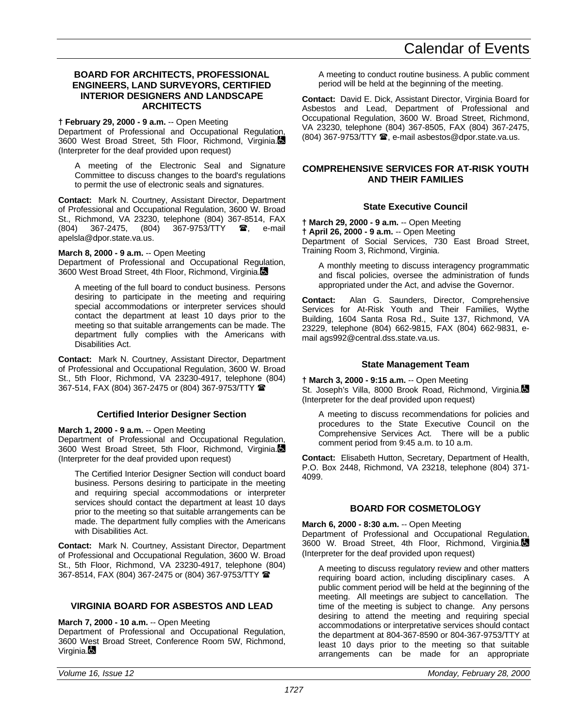### **BOARD FOR ARCHITECTS, PROFESSIONAL ENGINEERS, LAND SURVEYORS, CERTIFIED INTERIOR DESIGNERS AND LANDSCAPE ARCHITECTS**

## **† February 29, 2000 - 9 a.m.** -- Open Meeting

Department of Professional and Occupational Regulation, 3600 West Broad Street, 5th Floor, Richmond, Virginia. (Interpreter for the deaf provided upon request)

A meeting of the Electronic Seal and Signature Committee to discuss changes to the board's regulations to permit the use of electronic seals and signatures.

**Contact:** Mark N. Courtney, Assistant Director, Department of Professional and Occupational Regulation, 3600 W. Broad St., Richmond, VA 23230, telephone (804) 367-8514, FAX<br>(804) 367-2475. (804) 367-9753/TTY **28**. e-mail (804) 367-2475, (804) 367-9753/TTY  $\blacksquare$ , e-mail apelsla@dpor.state.va.us.

### **March 8, 2000 - 9 a.m.** -- Open Meeting

Department of Professional and Occupational Regulation, 3600 West Broad Street, 4th Floor, Richmond, Virginia.

A meeting of the full board to conduct business. Persons desiring to participate in the meeting and requiring special accommodations or interpreter services should contact the department at least 10 days prior to the meeting so that suitable arrangements can be made. The department fully complies with the Americans with Disabilities Act.

**Contact:** Mark N. Courtney, Assistant Director, Department of Professional and Occupational Regulation, 3600 W. Broad St., 5th Floor, Richmond, VA 23230-4917, telephone (804) 367-514, FAX (804) 367-2475 or (804) 367-9753/TTY (

## **Certified Interior Designer Section**

#### **March 1, 2000 - 9 a.m.** -- Open Meeting

Department of Professional and Occupational Regulation, 3600 West Broad Street, 5th Floor, Richmond, Virginia. (Interpreter for the deaf provided upon request)

The Certified Interior Designer Section will conduct board business. Persons desiring to participate in the meeting and requiring special accommodations or interpreter services should contact the department at least 10 days prior to the meeting so that suitable arrangements can be made. The department fully complies with the Americans with Disabilities Act.

**Contact:** Mark N. Courtney, Assistant Director, Department of Professional and Occupational Regulation, 3600 W. Broad St., 5th Floor, Richmond, VA 23230-4917, telephone (804) 367-8514, FAX (804) 367-2475 or (804) 367-9753/TTY (

## **VIRGINIA BOARD FOR ASBESTOS AND LEAD**

### **March 7, 2000 - 10 a.m.** -- Open Meeting

Department of Professional and Occupational Regulation, 3600 West Broad Street, Conference Room 5W, Richmond, Virginia. $\blacksquare$ 

A meeting to conduct routine business. A public comment period will be held at the beginning of the meeting.

**Contact:** David E. Dick, Assistant Director, Virginia Board for Asbestos and Lead, Department of Professional and Occupational Regulation, 3600 W. Broad Street, Richmond, VA 23230, telephone (804) 367-8505, FAX (804) 367-2475, (804) 367-9753/TTY  $\hat{=}$ , e-mail asbestos@dpor.state.va.us.

### **COMPREHENSIVE SERVICES FOR AT-RISK YOUTH AND THEIR FAMILIES**

## **State Executive Council**

**† March 29, 2000 - 9 a.m.** -- Open Meeting **† April 26, 2000 - 9 a.m.** -- Open Meeting Department of Social Services, 730 East Broad Street, Training Room 3, Richmond, Virginia.

A monthly meeting to discuss interagency programmatic and fiscal policies, oversee the administration of funds appropriated under the Act, and advise the Governor.

**Contact:** Alan G. Saunders, Director, Comprehensive Services for At-Risk Youth and Their Families, Wythe Building, 1604 Santa Rosa Rd., Suite 137, Richmond, VA 23229, telephone (804) 662-9815, FAX (804) 662-9831, email ags992@central.dss.state.va.us.

#### **State Management Team**

## **† March 3, 2000 - 9:15 a.m.** -- Open Meeting

St. Joseph's Villa, 8000 Brook Road, Richmond, Virginia. (Interpreter for the deaf provided upon request)

A meeting to discuss recommendations for policies and procedures to the State Executive Council on the Comprehensive Services Act. There will be a public comment period from 9:45 a.m. to 10 a.m.

**Contact:** Elisabeth Hutton, Secretary, Department of Health, P.O. Box 2448, Richmond, VA 23218, telephone (804) 371- 4099.

## **BOARD FOR COSMETOLOGY**

#### **March 6, 2000 - 8:30 a.m.** -- Open Meeting

Department of Professional and Occupational Regulation, 3600 W. Broad Street, 4th Floor, Richmond, Virginia. (Interpreter for the deaf provided upon request)

A meeting to discuss regulatory review and other matters requiring board action, including disciplinary cases. A public comment period will be held at the beginning of the meeting. All meetings are subject to cancellation. The time of the meeting is subject to change. Any persons desiring to attend the meeting and requiring special accommodations or interpretative services should contact the department at 804-367-8590 or 804-367-9753/TTY at least 10 days prior to the meeting so that suitable arrangements can be made for an appropriate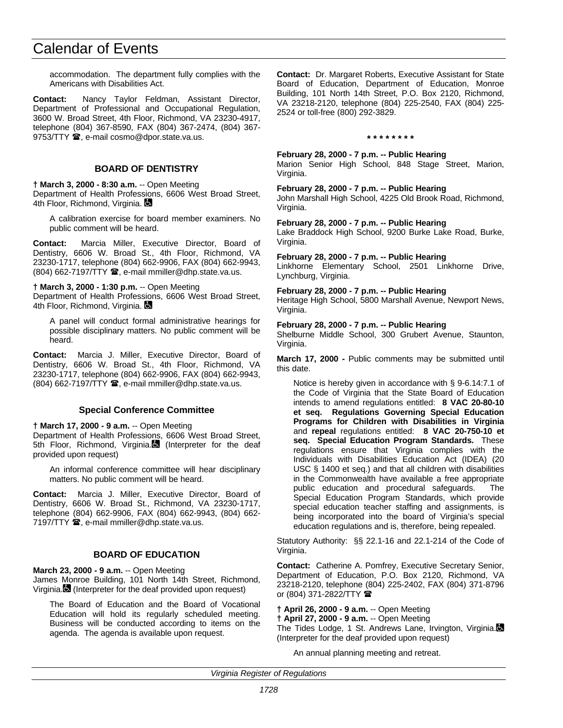accommodation. The department fully complies with the Americans with Disabilities Act.

**Contact:** Nancy Taylor Feldman, Assistant Director, Department of Professional and Occupational Regulation, 3600 W. Broad Street, 4th Floor, Richmond, VA 23230-4917, telephone (804) 367-8590, FAX (804) 367-2474, (804) 367- 9753/TTY <sup>3</sup>, e-mail cosmo@dpor.state.va.us.

## **BOARD OF DENTISTRY**

#### **† March 3, 2000 - 8:30 a.m.** -- Open Meeting

Department of Health Professions, 6606 West Broad Street, 4th Floor, Richmond, Virginia.

A calibration exercise for board member examiners. No public comment will be heard.

**Contact:** Marcia Miller, Executive Director, Board of Dentistry, 6606 W. Broad St., 4th Floor, Richmond, VA 23230-1717, telephone (804) 662-9906, FAX (804) 662-9943, (804) 662-7197/TTY <sup>3</sup>, e-mail mmiller@dhp.state.va.us.

**† March 3, 2000 - 1:30 p.m.** -- Open Meeting

Department of Health Professions, 6606 West Broad Street, 4th Floor, Richmond, Virginia.

A panel will conduct formal administrative hearings for possible disciplinary matters. No public comment will be heard.

**Contact:** Marcia J. Miller, Executive Director, Board of Dentistry, 6606 W. Broad St., 4th Floor, Richmond, VA 23230-1717, telephone (804) 662-9906, FAX (804) 662-9943,  $(804)$  662-7197/TTY  $\hat{=}$ , e-mail mmiller@dhp.state.va.us.

## **Special Conference Committee**

#### **† March 17, 2000 - 9 a.m.** -- Open Meeting

Department of Health Professions, 6606 West Broad Street, 5th Floor, Richmond, Virginia. (Interpreter for the deaf provided upon request)

An informal conference committee will hear disciplinary matters. No public comment will be heard.

**Contact:** Marcia J. Miller, Executive Director, Board of Dentistry, 6606 W. Broad St., Richmond, VA 23230-1717, telephone (804) 662-9906, FAX (804) 662-9943, (804) 662- 7197/TTY  $\mathbf{\mathcal{D}}$ , e-mail mmiller@dhp.state.va.us.

## **BOARD OF EDUCATION**

#### **March 23, 2000 - 9 a.m.** -- Open Meeting

James Monroe Building, 101 North 14th Street, Richmond, Virginia. (Interpreter for the deaf provided upon request)

The Board of Education and the Board of Vocational Education will hold its regularly scheduled meeting. Business will be conducted according to items on the agenda. The agenda is available upon request.

**Contact:** Dr. Margaret Roberts, Executive Assistant for State Board of Education, Department of Education, Monroe Building, 101 North 14th Street, P.O. Box 2120, Richmond, VA 23218-2120, telephone (804) 225-2540, FAX (804) 225- 2524 or toll-free (800) 292-3829.

#### **\* \* \* \* \* \* \* \***

**February 28, 2000 - 7 p.m. -- Public Hearing**

Marion Senior High School, 848 Stage Street, Marion, Virginia.

#### **February 28, 2000 - 7 p.m. -- Public Hearing**

John Marshall High School, 4225 Old Brook Road, Richmond, Virginia.

**February 28, 2000 - 7 p.m. -- Public Hearing**

Lake Braddock High School, 9200 Burke Lake Road, Burke, Virginia.

#### **February 28, 2000 - 7 p.m. -- Public Hearing**

Linkhorne Elementary School, 2501 Linkhorne Drive, Lynchburg, Virginia.

#### **February 28, 2000 - 7 p.m. -- Public Hearing**

Heritage High School, 5800 Marshall Avenue, Newport News, Virginia.

#### **February 28, 2000 - 7 p.m. -- Public Hearing**

Shelburne Middle School, 300 Grubert Avenue, Staunton, Virginia.

**March 17, 2000 -** Public comments may be submitted until this date.

Notice is hereby given in accordance with § 9-6.14:7.1 of the Code of Virginia that the State Board of Education intends to amend regulations entitled: **8 VAC 20-80-10 et seq. Regulations Governing Special Education Programs for Children with Disabilities in Virginia** and **repeal** regulations entitled: **8 VAC 20-750-10 et seq. Special Education Program Standards.** These regulations ensure that Virginia complies with the Individuals with Disabilities Education Act (IDEA) (20 USC § 1400 et seq.) and that all children with disabilities in the Commonwealth have available a free appropriate public education and procedural safeguards. The Special Education Program Standards, which provide special education teacher staffing and assignments, is being incorporated into the board of Virginia's special education regulations and is, therefore, being repealed.

Statutory Authority: §§ 22.1-16 and 22.1-214 of the Code of Virginia.

**Contact:** Catherine A. Pomfrey, Executive Secretary Senior, Department of Education, P.O. Box 2120, Richmond, VA 23218-2120, telephone (804) 225-2402, FAX (804) 371-8796 or (804) 371-2822/TTY  $\blacksquare$ 

**† April 26, 2000 - 9 a.m.** -- Open Meeting

**† April 27, 2000 - 9 a.m.** -- Open Meeting

The Tides Lodge, 1 St. Andrews Lane, Irvington, Virginia. (Interpreter for the deaf provided upon request)

An annual planning meeting and retreat.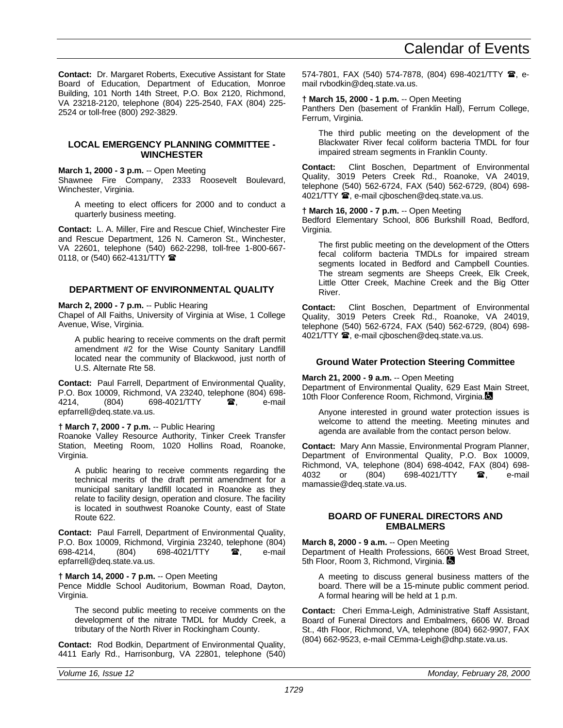**Contact:** Dr. Margaret Roberts, Executive Assistant for State Board of Education, Department of Education, Monroe Building, 101 North 14th Street, P.O. Box 2120, Richmond, VA 23218-2120, telephone (804) 225-2540, FAX (804) 225- 2524 or toll-free (800) 292-3829.

## **LOCAL EMERGENCY PLANNING COMMITTEE - WINCHESTER**

## **March 1, 2000 - 3 p.m.** -- Open Meeting

Shawnee Fire Company, 2333 Roosevelt Boulevard, Winchester, Virginia.

A meeting to elect officers for 2000 and to conduct a quarterly business meeting.

**Contact:** L. A. Miller, Fire and Rescue Chief, Winchester Fire and Rescue Department, 126 N. Cameron St., Winchester, VA 22601, telephone (540) 662-2298, toll-free 1-800-667- 0118, or (540) 662-4131/TTY  $\hat{ }$ 

## **DEPARTMENT OF ENVIRONMENTAL QUALITY**

## **March 2, 2000 - 7 p.m.** -- Public Hearing

Chapel of All Faiths, University of Virginia at Wise, 1 College Avenue, Wise, Virginia.

A public hearing to receive comments on the draft permit amendment #2 for the Wise County Sanitary Landfill located near the community of Blackwood, just north of U.S. Alternate Rte 58.

**Contact:** Paul Farrell, Department of Environmental Quality, P.O. Box 10009, Richmond, VA 23240, telephone (804) 698- 4214, (804) 698-4021/TTY  $\mathbf{\hat{a}}$ , e-mail epfarrell@deq.state.va.us.

## **† March 7, 2000 - 7 p.m.** -- Public Hearing

Roanoke Valley Resource Authority, Tinker Creek Transfer Station, Meeting Room, 1020 Hollins Road, Roanoke, Virginia.

A public hearing to receive comments regarding the technical merits of the draft permit amendment for a municipal sanitary landfill located in Roanoke as they relate to facility design, operation and closure. The facility is located in southwest Roanoke County, east of State Route 622.

**Contact:** Paul Farrell, Department of Environmental Quality, P.O. Box 10009, Richmond, Virginia 23240, telephone (804)<br>698-4214, (804) 698-4021/TTY **雷**, e-mail 698-4021/TTY  $\bullet$ , e-mail epfarrell@deq.state.va.us.

## **† March 14, 2000 - 7 p.m.** -- Open Meeting

Pence Middle School Auditorium, Bowman Road, Dayton, Virginia.

The second public meeting to receive comments on the development of the nitrate TMDL for Muddy Creek, a tributary of the North River in Rockingham County.

**Contact:** Rod Bodkin, Department of Environmental Quality, 4411 Early Rd., Harrisonburg, VA 22801, telephone (540) 574-7801, FAX (540) 574-7878, (804) 698-4021/TTY 2, email rvbodkin@deq.state.va.us.

### **† March 15, 2000 - 1 p.m.** -- Open Meeting

Panthers Den (basement of Franklin Hall), Ferrum College, Ferrum, Virginia.

The third public meeting on the development of the Blackwater River fecal coliform bacteria TMDL for four impaired stream segments in Franklin County.

**Contact:** Clint Boschen, Department of Environmental Quality, 3019 Peters Creek Rd., Roanoke, VA 24019, telephone (540) 562-6724, FAX (540) 562-6729, (804) 698- 4021/TTY **@**, e-mail cjboschen@deq.state.va.us.

#### **† March 16, 2000 - 7 p.m.** -- Open Meeting

Bedford Elementary School, 806 Burkshill Road, Bedford, Virginia.

The first public meeting on the development of the Otters fecal coliform bacteria TMDLs for impaired stream segments located in Bedford and Campbell Counties. The stream segments are Sheeps Creek, Elk Creek, Little Otter Creek, Machine Creek and the Big Otter River.

**Contact:** Clint Boschen, Department of Environmental Quality, 3019 Peters Creek Rd., Roanoke, VA 24019, telephone (540) 562-6724, FAX (540) 562-6729, (804) 698- 4021/TTY **@**, e-mail cjboschen@deq.state.va.us.

## **Ground Water Protection Steering Committee**

#### **March 21, 2000 - 9 a.m.** -- Open Meeting

Department of Environmental Quality, 629 East Main Street, 10th Floor Conference Room, Richmond, Virginia.

Anyone interested in ground water protection issues is welcome to attend the meeting. Meeting minutes and agenda are available from the contact person below.

**Contact:** Mary Ann Massie, Environmental Program Planner, Department of Environmental Quality, P.O. Box 10009, Richmond, VA, telephone (804) 698-4042, FAX (804) 698-<br>4032 or (804) 698-4021/TTY **26**, e-mail 4032 or (804) 698-4021/TTY  $\bullet$ , e-mail mamassie@deq.state.va.us.

## **BOARD OF FUNERAL DIRECTORS AND EMBALMERS**

## **March 8, 2000 - 9 a.m.** -- Open Meeting

Department of Health Professions, 6606 West Broad Street, 5th Floor, Room 3, Richmond, Virginia.

A meeting to discuss general business matters of the board. There will be a 15-minute public comment period. A formal hearing will be held at 1 p.m.

**Contact:** Cheri Emma-Leigh, Administrative Staff Assistant, Board of Funeral Directors and Embalmers, 6606 W. Broad St., 4th Floor, Richmond, VA, telephone (804) 662-9907, FAX (804) 662-9523, e-mail CEmma-Leigh@dhp.state.va.us.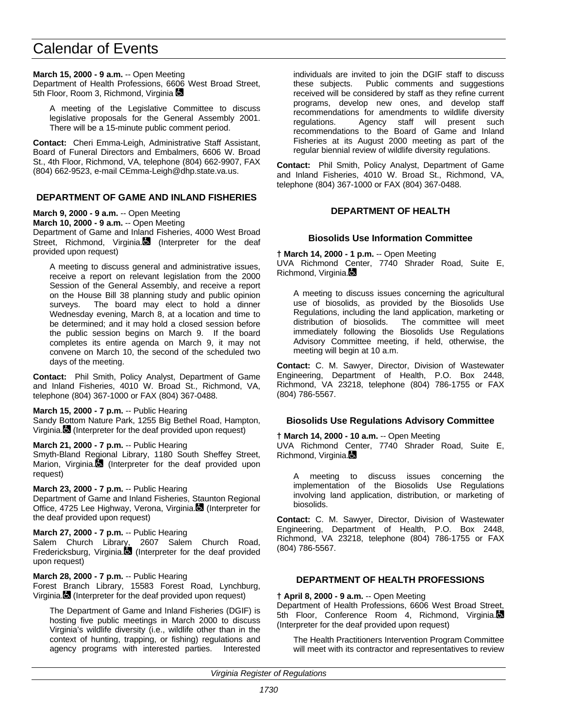## **March 15, 2000 - 9 a.m.** -- Open Meeting

Department of Health Professions, 6606 West Broad Street, 5th Floor, Room 3, Richmond, Virginia

A meeting of the Legislative Committee to discuss legislative proposals for the General Assembly 2001. There will be a 15-minute public comment period.

**Contact:** Cheri Emma-Leigh, Administrative Staff Assistant, Board of Funeral Directors and Embalmers, 6606 W. Broad St., 4th Floor, Richmond, VA, telephone (804) 662-9907, FAX (804) 662-9523, e-mail CEmma-Leigh@dhp.state.va.us.

## **DEPARTMENT OF GAME AND INLAND FISHERIES**

**March 9, 2000 - 9 a.m.** -- Open Meeting

**March 10, 2000 - 9 a.m.** -- Open Meeting

Department of Game and Inland Fisheries, 4000 West Broad Street, Richmond, Virginia. (Interpreter for the deaf provided upon request)

A meeting to discuss general and administrative issues, receive a report on relevant legislation from the 2000 Session of the General Assembly, and receive a report on the House Bill 38 planning study and public opinion surveys. The board may elect to hold a dinner Wednesday evening, March 8, at a location and time to be determined; and it may hold a closed session before the public session begins on March 9. If the board completes its entire agenda on March 9, it may not convene on March 10, the second of the scheduled two days of the meeting.

**Contact:** Phil Smith, Policy Analyst, Department of Game and Inland Fisheries, 4010 W. Broad St., Richmond, VA, telephone (804) 367-1000 or FAX (804) 367-0488.

#### **March 15, 2000 - 7 p.m.** -- Public Hearing

Sandy Bottom Nature Park, 1255 Big Bethel Road, Hampton, Virginia. (Interpreter for the deaf provided upon request)

## **March 21, 2000 - 7 p.m.** -- Public Hearing

Smyth-Bland Regional Library, 1180 South Sheffey Street, Marion, Virginia. $\blacksquare$  (Interpreter for the deaf provided upon request)

#### **March 23, 2000 - 7 p.m.** -- Public Hearing

Department of Game and Inland Fisheries, Staunton Regional Office, 4725 Lee Highway, Verona, Virginia. (Interpreter for the deaf provided upon request)

## **March 27, 2000 - 7 p.m.** -- Public Hearing

Salem Church Library, 2607 Salem Church Road, Fredericksburg, Virginia. (Interpreter for the deaf provided upon request)

#### **March 28, 2000 - 7 p.m.** -- Public Hearing

Forest Branch Library, 15583 Forest Road, Lynchburg, Virginia. (Interpreter for the deaf provided upon request)

The Department of Game and Inland Fisheries (DGIF) is hosting five public meetings in March 2000 to discuss Virginia's wildlife diversity (i.e., wildlife other than in the context of hunting, trapping, or fishing) regulations and agency programs with interested parties. Interested individuals are invited to join the DGIF staff to discuss these subjects. Public comments and suggestions received will be considered by staff as they refine current programs, develop new ones, and develop staff recommendations for amendments to wildlife diversity regulations. Agency staff will present such recommendations to the Board of Game and Inland Fisheries at its August 2000 meeting as part of the regular biennial review of wildlife diversity regulations.

**Contact:** Phil Smith, Policy Analyst, Department of Game and Inland Fisheries, 4010 W. Broad St., Richmond, VA, telephone (804) 367-1000 or FAX (804) 367-0488.

## **DEPARTMENT OF HEALTH**

## **Biosolids Use Information Committee**

**† March 14, 2000 - 1 p.m.** -- Open Meeting UVA Richmond Center, 7740 Shrader Road, Suite E, Richmond, Virginia.

A meeting to discuss issues concerning the agricultural use of biosolids, as provided by the Biosolids Use Regulations, including the land application, marketing or distribution of biosolids. The committee will meet immediately following the Biosolids Use Regulations Advisory Committee meeting, if held, otherwise, the meeting will begin at 10 a.m.

**Contact:** C. M. Sawyer, Director, Division of Wastewater Engineering, Department of Health, P.O. Box 2448, Richmond, VA 23218, telephone (804) 786-1755 or FAX (804) 786-5567.

## **Biosolids Use Regulations Advisory Committee**

**† March 14, 2000 - 10 a.m.** -- Open Meeting

UVA Richmond Center, 7740 Shrader Road, Suite E, Richmond, Virginia.

A meeting to discuss issues concerning the implementation of the Biosolids Use Regulations involving land application, distribution, or marketing of biosolids.

**Contact:** C. M. Sawyer, Director, Division of Wastewater Engineering, Department of Health, P.O. Box 2448, Richmond, VA 23218, telephone (804) 786-1755 or FAX (804) 786-5567.

## **DEPARTMENT OF HEALTH PROFESSIONS**

**† April 8, 2000 - 9 a.m.** -- Open Meeting

Department of Health Professions, 6606 West Broad Street, 5th Floor, Conference Room 4, Richmond, Virginia. (Interpreter for the deaf provided upon request)

The Health Practitioners Intervention Program Committee will meet with its contractor and representatives to review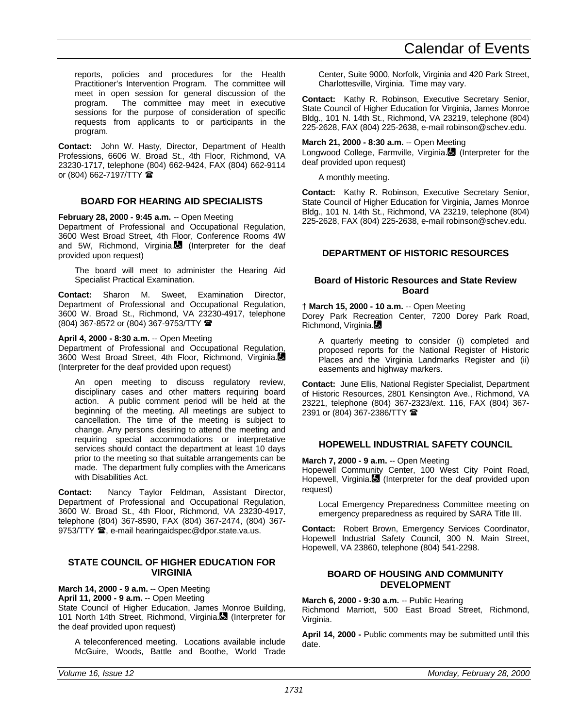reports, policies and procedures for the Health Practitioner's Intervention Program. The committee will meet in open session for general discussion of the<br>program. The committee may meet in executive The committee may meet in executive sessions for the purpose of consideration of specific requests from applicants to or participants in the program.

**Contact:** John W. Hasty, Director, Department of Health Professions, 6606 W. Broad St., 4th Floor, Richmond, VA 23230-1717, telephone (804) 662-9424, FAX (804) 662-9114 or (804) 662-7197/TTY  $\mathbf{\mathcal{F}}$ 

## **BOARD FOR HEARING AID SPECIALISTS**

**February 28, 2000 - 9:45 a.m.** -- Open Meeting

Department of Professional and Occupational Regulation, 3600 West Broad Street, 4th Floor, Conference Rooms 4W and 5W, Richmond, Virginia. $\blacksquare$  (Interpreter for the deaf provided upon request)

The board will meet to administer the Hearing Aid Specialist Practical Examination.

**Contact:** Sharon M. Sweet, Examination Director, Department of Professional and Occupational Regulation, 3600 W. Broad St., Richmond, VA 23230-4917, telephone (804) 367-8572 or (804) 367-9753/TTY (

## **April 4, 2000 - 8:30 a.m.** -- Open Meeting

Department of Professional and Occupational Regulation, 3600 West Broad Street, 4th Floor, Richmond, Virginia. (Interpreter for the deaf provided upon request)

An open meeting to discuss regulatory review, disciplinary cases and other matters requiring board action. A public comment period will be held at the beginning of the meeting. All meetings are subject to cancellation. The time of the meeting is subject to change. Any persons desiring to attend the meeting and requiring special accommodations or interpretative services should contact the department at least 10 days prior to the meeting so that suitable arrangements can be made. The department fully complies with the Americans with Disabilities Act.

**Contact:** Nancy Taylor Feldman, Assistant Director, Department of Professional and Occupational Regulation, 3600 W. Broad St., 4th Floor, Richmond, VA 23230-4917, telephone (804) 367-8590, FAX (804) 367-2474, (804) 367- 9753/TTY <sup>3</sup>, e-mail hearingaidspec@dpor.state.va.us.

## **STATE COUNCIL OF HIGHER EDUCATION FOR VIRGINIA**

**March 14, 2000 - 9 a.m.** -- Open Meeting

**April 11, 2000 - 9 a.m.** -- Open Meeting

State Council of Higher Education, James Monroe Building, 101 North 14th Street, Richmond, Virginia. (Interpreter for the deaf provided upon request)

A teleconferenced meeting. Locations available include McGuire, Woods, Battle and Boothe, World Trade Center, Suite 9000, Norfolk, Virginia and 420 Park Street, Charlottesville, Virginia. Time may vary.

**Contact:** Kathy R. Robinson, Executive Secretary Senior, State Council of Higher Education for Virginia, James Monroe Bldg., 101 N. 14th St., Richmond, VA 23219, telephone (804) 225-2628, FAX (804) 225-2638, e-mail robinson@schev.edu.

## **March 21, 2000 - 8:30 a.m.** -- Open Meeting

Longwood College, Farmville, Virginia. (Interpreter for the deaf provided upon request)

A monthly meeting.

**Contact:** Kathy R. Robinson, Executive Secretary Senior, State Council of Higher Education for Virginia, James Monroe Bldg., 101 N. 14th St., Richmond, VA 23219, telephone (804) 225-2628, FAX (804) 225-2638, e-mail robinson@schev.edu.

## **DEPARTMENT OF HISTORIC RESOURCES**

## **Board of Historic Resources and State Review Board**

**† March 15, 2000 - 10 a.m.** -- Open Meeting Dorey Park Recreation Center, 7200 Dorey Park Road, Richmond, Virginia.

A quarterly meeting to consider (i) completed and proposed reports for the National Register of Historic Places and the Virginia Landmarks Register and (ii) easements and highway markers.

**Contact:** June Ellis, National Register Specialist, Department of Historic Resources, 2801 Kensington Ave., Richmond, VA 23221, telephone (804) 367-2323/ext. 116, FAX (804) 367- 2391 or (804) 367-2386/TTY 2

## **HOPEWELL INDUSTRIAL SAFETY COUNCIL**

**March 7, 2000 - 9 a.m.** -- Open Meeting

Hopewell Community Center, 100 West City Point Road, Hopewell, Virginia. (Interpreter for the deaf provided upon request)

Local Emergency Preparedness Committee meeting on emergency preparedness as required by SARA Title III.

**Contact:** Robert Brown, Emergency Services Coordinator, Hopewell Industrial Safety Council, 300 N. Main Street, Hopewell, VA 23860, telephone (804) 541-2298.

## **BOARD OF HOUSING AND COMMUNITY DEVELOPMENT**

**March 6, 2000 - 9:30 a.m.** -- Public Hearing

Richmond Marriott, 500 East Broad Street, Richmond, Virginia.

**April 14, 2000 -** Public comments may be submitted until this date.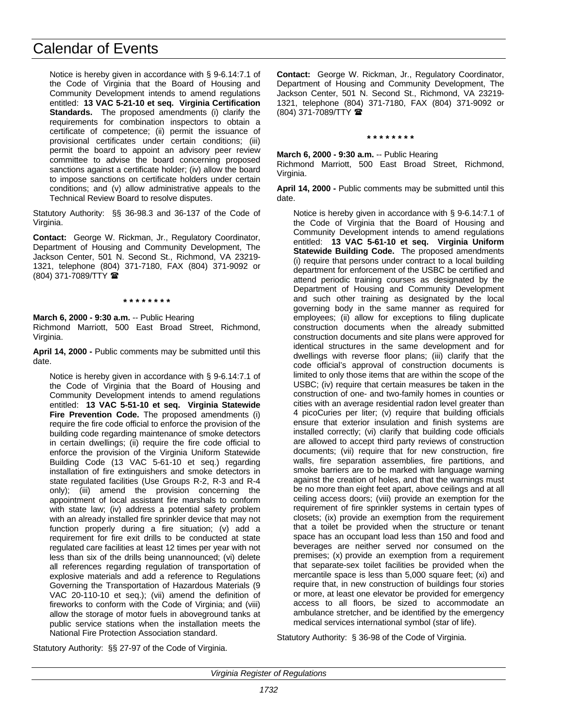Notice is hereby given in accordance with § 9-6.14:7.1 of the Code of Virginia that the Board of Housing and Community Development intends to amend regulations entitled: **13 VAC 5-21-10 et seq. Virginia Certification Standards.** The proposed amendments (i) clarify the requirements for combination inspectors to obtain a certificate of competence; (ii) permit the issuance of provisional certificates under certain conditions; (iii) permit the board to appoint an advisory peer review committee to advise the board concerning proposed sanctions against a certificate holder; (iv) allow the board to impose sanctions on certificate holders under certain conditions; and (v) allow administrative appeals to the Technical Review Board to resolve disputes.

Statutory Authority: §§ 36-98.3 and 36-137 of the Code of Virginia.

**Contact:** George W. Rickman, Jr., Regulatory Coordinator, Department of Housing and Community Development, The Jackson Center, 501 N. Second St., Richmond, VA 23219- 1321, telephone (804) 371-7180, FAX (804) 371-9092 or (804) 371-7089/TTY (

#### **\* \* \* \* \* \* \* \***

**March 6, 2000 - 9:30 a.m.** -- Public Hearing Richmond Marriott, 500 East Broad Street, Richmond, Virginia.

**April 14, 2000 -** Public comments may be submitted until this date.

Notice is hereby given in accordance with § 9-6.14:7.1 of the Code of Virginia that the Board of Housing and Community Development intends to amend regulations entitled: **13 VAC 5-51-10 et seq. Virginia Statewide Fire Prevention Code.** The proposed amendments (i) require the fire code official to enforce the provision of the building code regarding maintenance of smoke detectors in certain dwellings; (ii) require the fire code official to enforce the provision of the Virginia Uniform Statewide Building Code (13 VAC 5-61-10 et seq.) regarding installation of fire extinguishers and smoke detectors in state regulated facilities (Use Groups R-2, R-3 and R-4 only); (iii) amend the provision concerning the appointment of local assistant fire marshals to conform with state law; (iv) address a potential safety problem with an already installed fire sprinkler device that may not function properly during a fire situation; (v) add a requirement for fire exit drills to be conducted at state regulated care facilities at least 12 times per year with not less than six of the drills being unannounced; (vi) delete all references regarding regulation of transportation of explosive materials and add a reference to Regulations Governing the Transportation of Hazardous Materials (9 VAC 20-110-10 et seq.); (vii) amend the definition of fireworks to conform with the Code of Virginia; and (viii) allow the storage of motor fuels in aboveground tanks at public service stations when the installation meets the National Fire Protection Association standard.

**Contact:** George W. Rickman, Jr., Regulatory Coordinator, Department of Housing and Community Development, The Jackson Center, 501 N. Second St., Richmond, VA 23219- 1321, telephone (804) 371-7180, FAX (804) 371-9092 or (804) 371-7089/TTY (

## **March 6, 2000 - 9:30 a.m.** -- Public Hearing

Richmond Marriott, 500 East Broad Street, Richmond, Virginia.

**\* \* \* \* \* \* \* \***

**April 14, 2000 -** Public comments may be submitted until this date.

Notice is hereby given in accordance with § 9-6.14:7.1 of the Code of Virginia that the Board of Housing and Community Development intends to amend regulations entitled: **13 VAC 5-61-10 et seq. Virginia Uniform Statewide Building Code.** The proposed amendments (i) require that persons under contract to a local building department for enforcement of the USBC be certified and attend periodic training courses as designated by the Department of Housing and Community Development and such other training as designated by the local governing body in the same manner as required for employees; (ii) allow for exceptions to filing duplicate construction documents when the already submitted construction documents and site plans were approved for identical structures in the same development and for dwellings with reverse floor plans; (iii) clarify that the code official's approval of construction documents is limited to only those items that are within the scope of the USBC; (iv) require that certain measures be taken in the construction of one- and two-family homes in counties or cities with an average residential radon level greater than 4 picoCuries per liter; (v) require that building officials ensure that exterior insulation and finish systems are installed correctly; (vi) clarify that building code officials are allowed to accept third party reviews of construction documents; (vii) require that for new construction, fire walls, fire separation assemblies, fire partitions, and smoke barriers are to be marked with language warning against the creation of holes, and that the warnings must be no more than eight feet apart, above ceilings and at all ceiling access doors; (viii) provide an exemption for the requirement of fire sprinkler systems in certain types of closets; (ix) provide an exemption from the requirement that a toilet be provided when the structure or tenant space has an occupant load less than 150 and food and beverages are neither served nor consumed on the premises; (x) provide an exemption from a requirement that separate-sex toilet facilities be provided when the mercantile space is less than 5,000 square feet; (xi) and require that, in new construction of buildings four stories or more, at least one elevator be provided for emergency access to all floors, be sized to accommodate an ambulance stretcher, and be identified by the emergency medical services international symbol (star of life).

Statutory Authority: § 36-98 of the Code of Virginia.

Statutory Authority: §§ 27-97 of the Code of Virginia.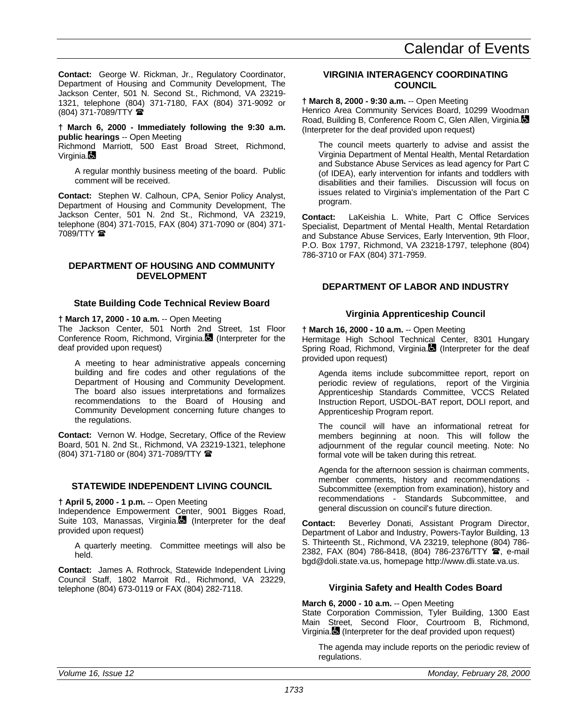**Contact:** George W. Rickman, Jr., Regulatory Coordinator, Department of Housing and Community Development, The Jackson Center, 501 N. Second St., Richmond, VA 23219- 1321, telephone (804) 371-7180, FAX (804) 371-9092 or (804) 371-7089/TTY (

**† March 6, 2000 - Immediately following the 9:30 a.m. public hearings** -- Open Meeting

Richmond Marriott, 500 East Broad Street, Richmond, Virginia.

A regular monthly business meeting of the board. Public comment will be received.

**Contact:** Stephen W. Calhoun, CPA, Senior Policy Analyst, Department of Housing and Community Development, The Jackson Center, 501 N. 2nd St., Richmond, VA 23219, telephone (804) 371-7015, FAX (804) 371-7090 or (804) 371- 7089/TTY  $\mathbf{\mathcal{D}}$ 

## **DEPARTMENT OF HOUSING AND COMMUNITY DEVELOPMENT**

## **State Building Code Technical Review Board**

### **† March 17, 2000 - 10 a.m.** -- Open Meeting

The Jackson Center, 501 North 2nd Street, 1st Floor Conference Room, Richmond, Virginia. (Interpreter for the deaf provided upon request)

A meeting to hear administrative appeals concerning building and fire codes and other regulations of the Department of Housing and Community Development. The board also issues interpretations and formalizes recommendations to the Board of Housing and Community Development concerning future changes to the regulations.

**Contact:** Vernon W. Hodge, Secretary, Office of the Review Board, 501 N. 2nd St., Richmond, VA 23219-1321, telephone (804) 371-7180 or (804) 371-7089/TTY (

## **STATEWIDE INDEPENDENT LIVING COUNCIL**

#### **† April 5, 2000 - 1 p.m.** -- Open Meeting

Independence Empowerment Center, 9001 Bigges Road, Suite 103, Manassas, Virginia. (Interpreter for the deaf provided upon request)

A quarterly meeting. Committee meetings will also be held.

**Contact:** James A. Rothrock, Statewide Independent Living Council Staff, 1802 Marroit Rd., Richmond, VA 23229, telephone (804) 673-0119 or FAX (804) 282-7118.

### **VIRGINIA INTERAGENCY COORDINATING COUNCIL**

## **† March 8, 2000 - 9:30 a.m.** -- Open Meeting

Henrico Area Community Services Board, 10299 Woodman Road, Building B, Conference Room C, Glen Allen, Virginia. (Interpreter for the deaf provided upon request)

The council meets quarterly to advise and assist the Virginia Department of Mental Health, Mental Retardation and Substance Abuse Services as lead agency for Part C (of IDEA), early intervention for infants and toddlers with disabilities and their families. Discussion will focus on issues related to Virginia's implementation of the Part C program.

**Contact:** LaKeishia L. White, Part C Office Services Specialist, Department of Mental Health, Mental Retardation and Substance Abuse Services, Early Intervention, 9th Floor, P.O. Box 1797, Richmond, VA 23218-1797, telephone (804) 786-3710 or FAX (804) 371-7959.

## **DEPARTMENT OF LABOR AND INDUSTRY**

#### **Virginia Apprenticeship Council**

#### **† March 16, 2000 - 10 a.m.** -- Open Meeting

Hermitage High School Technical Center, 8301 Hungary Spring Road, Richmond, Virginia. (Interpreter for the deaf provided upon request)

Agenda items include subcommittee report, report on periodic review of regulations, report of the Virginia Apprenticeship Standards Committee, VCCS Related Instruction Report, USDOL-BAT report, DOLI report, and Apprenticeship Program report.

The council will have an informational retreat for members beginning at noon. This will follow the adjournment of the regular council meeting. Note: No formal vote will be taken during this retreat.

Agenda for the afternoon session is chairman comments, member comments, history and recommendations - Subcommittee (exemption from examination), history and recommendations - Standards Subcommittee, and general discussion on council's future direction.

**Contact:** Beverley Donati, Assistant Program Director, Department of Labor and Industry, Powers-Taylor Building, 13 S. Thirteenth St., Richmond, VA 23219, telephone (804) 786- 2382, FAX (804) 786-8418, (804) 786-2376/TTY <sup>3</sup>, e-mail bgd@doli.state.va.us, homepage http://www.dli.state.va.us.

#### **Virginia Safety and Health Codes Board**

#### **March 6, 2000 - 10 a.m.** -- Open Meeting

State Corporation Commission, Tyler Building, 1300 East Main Street, Second Floor, Courtroom B, Richmond, Virginia. (Interpreter for the deaf provided upon request)

The agenda may include reports on the periodic review of regulations.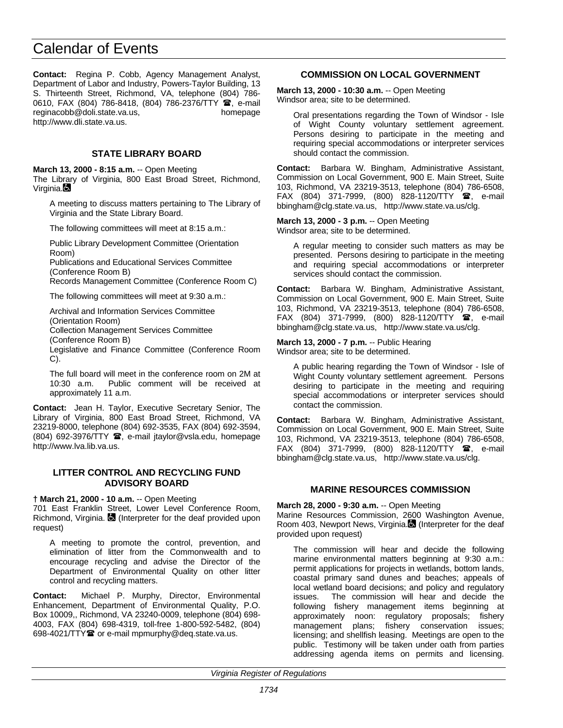**Contact:** Regina P. Cobb, Agency Management Analyst, Department of Labor and Industry, Powers-Taylor Building, 13 S. Thirteenth Street, Richmond, VA, telephone (804) 786- 0610, FAX (804) 786-8418, (804) 786-2376/TTY <sup>1</sup>, e-mail reginacobb@doli.state.va.us, homepage http://www.dli.state.va.us.

## **STATE LIBRARY BOARD**

**March 13, 2000 - 8:15 a.m.** -- Open Meeting The Library of Virginia, 800 East Broad Street, Richmond, Virginia.

A meeting to discuss matters pertaining to The Library of Virginia and the State Library Board.

The following committees will meet at 8:15 a.m.:

Public Library Development Committee (Orientation Room)

Publications and Educational Services Committee (Conference Room B)

Records Management Committee (Conference Room C)

The following committees will meet at 9:30 a.m.:

Archival and Information Services Committee (Orientation Room) Collection Management Services Committee (Conference Room B)

Legislative and Finance Committee (Conference Room C).

The full board will meet in the conference room on 2M at 10:30 a.m. Public comment will be received at approximately 11 a.m.

**Contact:** Jean H. Taylor, Executive Secretary Senior, The Library of Virginia, 800 East Broad Street, Richmond, VA 23219-8000, telephone (804) 692-3535, FAX (804) 692-3594, (804) 692-3976/TTY (, e-mail jtaylor@vsla.edu, homepage http://www.lva.lib.va.us.

### **LITTER CONTROL AND RECYCLING FUND ADVISORY BOARD**

#### **† March 21, 2000 - 10 a.m.** -- Open Meeting

701 East Franklin Street, Lower Level Conference Room, Richmond, Virginia. **(3)** (Interpreter for the deaf provided upon request)

A meeting to promote the control, prevention, and elimination of litter from the Commonwealth and to encourage recycling and advise the Director of the Department of Environmental Quality on other litter control and recycling matters.

**Contact:** Michael P. Murphy, Director, Environmental Enhancement, Department of Environmental Quality, P.O. Box 10009,, Richmond, VA 23240-0009, telephone (804) 698- 4003, FAX (804) 698-4319, toll-free 1-800-592-5482, (804) 698-4021/TTY<sup>2</sup> or e-mail mpmurphy@deq.state.va.us.

## **COMMISSION ON LOCAL GOVERNMENT**

**March 13, 2000 - 10:30 a.m.** -- Open Meeting Windsor area; site to be determined.

Oral presentations regarding the Town of Windsor - Isle of Wight County voluntary settlement agreement. Persons desiring to participate in the meeting and requiring special accommodations or interpreter services should contact the commission.

**Contact:** Barbara W. Bingham, Administrative Assistant, Commission on Local Government, 900 E. Main Street, Suite 103, Richmond, VA 23219-3513, telephone (804) 786-6508, FAX (804) 371-7999, (800) 828-1120/TTY  $\mathbf{\mathcal{D}}$ , e-mail bbingham@clg.state.va.us, http://www.state.va.us/clg.

**March 13, 2000 - 3 p.m.** -- Open Meeting Windsor area; site to be determined.

A regular meeting to consider such matters as may be presented. Persons desiring to participate in the meeting and requiring special accommodations or interpreter services should contact the commission.

**Contact:** Barbara W. Bingham, Administrative Assistant, Commission on Local Government, 900 E. Main Street, Suite 103, Richmond, VA 23219-3513, telephone (804) 786-6508, FAX (804) 371-7999, (800) 828-1120/TTY  $\hat{a}$ , e-mail bbingham@clg.state.va.us, http://www.state.va.us/clg.

#### **March 13, 2000 - 7 p.m.** -- Public Hearing Windsor area; site to be determined.

A public hearing regarding the Town of Windsor - Isle of Wight County voluntary settlement agreement. Persons desiring to participate in the meeting and requiring special accommodations or interpreter services should contact the commission.

**Contact:** Barbara W. Bingham, Administrative Assistant, Commission on Local Government, 900 E. Main Street, Suite 103, Richmond, VA 23219-3513, telephone (804) 786-6508, FAX (804) 371-7999, (800) 828-1120/TTY  $\mathbf{\mathcal{F}}$ , e-mail bbingham@clg.state.va.us, http://www.state.va.us/clg.

## **MARINE RESOURCES COMMISSION**

**March 28, 2000 - 9:30 a.m.** -- Open Meeting Marine Resources Commission, 2600 Washington Avenue, Room 403, Newport News, Virginia. (Interpreter for the deaf

provided upon request)

The commission will hear and decide the following marine environmental matters beginning at 9:30 a.m.: permit applications for projects in wetlands, bottom lands, coastal primary sand dunes and beaches; appeals of local wetland board decisions; and policy and regulatory issues. The commission will hear and decide the following fishery management items beginning at approximately noon: regulatory proposals; fishery management plans; fishery conservation issues; management plans; fishery conservation issues; licensing; and shellfish leasing. Meetings are open to the public. Testimony will be taken under oath from parties addressing agenda items on permits and licensing.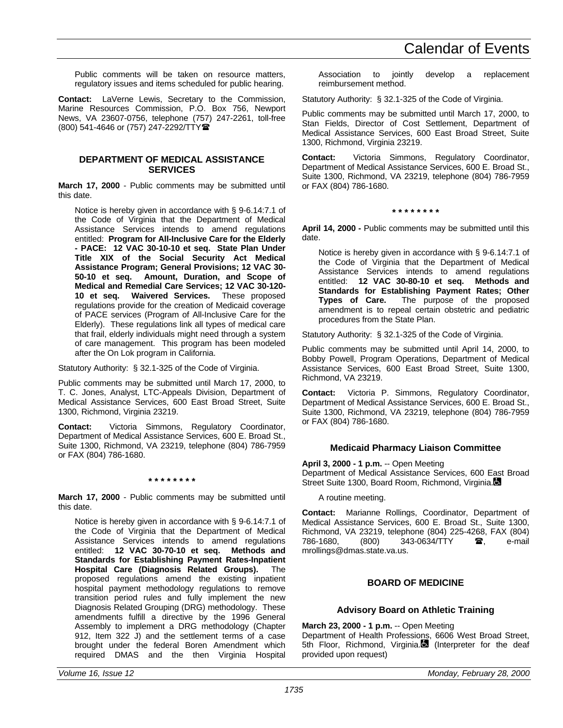Public comments will be taken on resource matters, regulatory issues and items scheduled for public hearing.

**Contact:** LaVerne Lewis, Secretary to the Commission, Marine Resources Commission, P.O. Box 756, Newport News, VA 23607-0756, telephone (757) 247-2261, toll-free (800) 541-4646 or (757) 247-2292/TTY(

#### **DEPARTMENT OF MEDICAL ASSISTANCE SERVICES**

**March 17, 2000** - Public comments may be submitted until this date.

Notice is hereby given in accordance with § 9-6.14:7.1 of the Code of Virginia that the Department of Medical Assistance Services intends to amend regulations entitled: **Program for All-Inclusive Care for the Elderly - PACE: 12 VAC 30-10-10 et seq. State Plan Under Title XIX of the Social Security Act Medical Assistance Program; General Provisions; 12 VAC 30- 50-10 et seq. Amount, Duration, and Scope of Medical and Remedial Care Services; 12 VAC 30-120- 10 et seq. Waivered Services.** These proposed regulations provide for the creation of Medicaid coverage of PACE services (Program of All-Inclusive Care for the Elderly). These regulations link all types of medical care that frail, elderly individuals might need through a system of care management. This program has been modeled after the On Lok program in California.

Statutory Authority: § 32.1-325 of the Code of Virginia.

Public comments may be submitted until March 17, 2000, to T. C. Jones, Analyst, LTC-Appeals Division, Department of Medical Assistance Services, 600 East Broad Street, Suite 1300, Richmond, Virginia 23219.

**Contact:** Victoria Simmons, Regulatory Coordinator, Department of Medical Assistance Services, 600 E. Broad St., Suite 1300, Richmond, VA 23219, telephone (804) 786-7959 or FAX (804) 786-1680.

#### **\* \* \* \* \* \* \* \***

**March 17, 2000** - Public comments may be submitted until this date.

Notice is hereby given in accordance with § 9-6.14:7.1 of the Code of Virginia that the Department of Medical Assistance Services intends to amend regulations entitled: **12 VAC 30-70-10 et seq. Methods and Standards for Establishing Payment Rates-Inpatient Hospital Care (Diagnosis Related Groups).** The proposed regulations amend the existing inpatient hospital payment methodology regulations to remove transition period rules and fully implement the new Diagnosis Related Grouping (DRG) methodology. These amendments fulfill a directive by the 1996 General Assembly to implement a DRG methodology (Chapter 912, Item 322 J) and the settlement terms of a case brought under the federal Boren Amendment which required DMAS and the then Virginia Hospital Association to jointly develop a replacement reimbursement method.

Statutory Authority: § 32.1-325 of the Code of Virginia.

Public comments may be submitted until March 17, 2000, to Stan Fields, Director of Cost Settlement, Department of Medical Assistance Services, 600 East Broad Street, Suite 1300, Richmond, Virginia 23219.

**Contact:** Victoria Simmons, Regulatory Coordinator, Department of Medical Assistance Services, 600 E. Broad St., Suite 1300, Richmond, VA 23219, telephone (804) 786-7959 or FAX (804) 786-1680.

**\* \* \* \* \* \* \* \***

**April 14, 2000 -** Public comments may be submitted until this date.

Notice is hereby given in accordance with § 9-6.14:7.1 of the Code of Virginia that the Department of Medical Assistance Services intends to amend regulations entitled: **12 VAC 30-80-10 et seq. Methods and Standards for Establishing Payment Rates; Other Types of Care.** The purpose of the proposed amendment is to repeal certain obstetric and pediatric procedures from the State Plan.

Statutory Authority: § 32.1-325 of the Code of Virginia.

Public comments may be submitted until April 14, 2000, to Bobby Powell, Program Operations, Department of Medical Assistance Services, 600 East Broad Street, Suite 1300, Richmond, VA 23219.

**Contact:** Victoria P. Simmons, Regulatory Coordinator, Department of Medical Assistance Services, 600 E. Broad St., Suite 1300, Richmond, VA 23219, telephone (804) 786-7959 or FAX (804) 786-1680.

## **Medicaid Pharmacy Liaison Committee**

**April 3, 2000 - 1 p.m.** -- Open Meeting Department of Medical Assistance Services, 600 East Broad

Street Suite 1300, Board Room, Richmond, Virginia.

A routine meeting.

**Contact:** Marianne Rollings, Coordinator, Department of Medical Assistance Services, 600 E. Broad St., Suite 1300, Richmond, VA 23219, telephone (804) 225-4268, FAX (804)<br>786-1680. (800) 343-0634/TTY **雷**. e-mail 343-0634/TTY mrollings@dmas.state.va.us.

## **BOARD OF MEDICINE**

## **Advisory Board on Athletic Training**

**March 23, 2000 - 1 p.m.** -- Open Meeting

Department of Health Professions, 6606 West Broad Street, 5th Floor, Richmond, Virginia.<sup>1</sup> (Interpreter for the deaf provided upon request)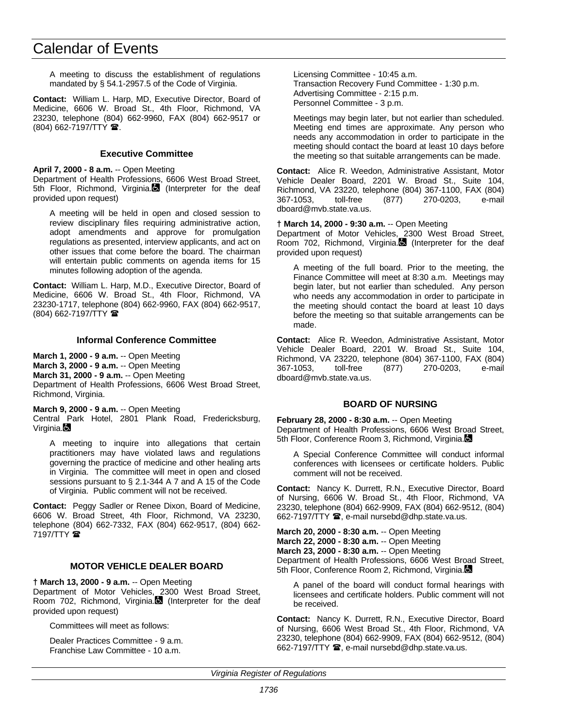A meeting to discuss the establishment of regulations mandated by § 54.1-2957.5 of the Code of Virginia.

**Contact:** William L. Harp, MD, Executive Director, Board of Medicine, 6606 W. Broad St., 4th Floor, Richmond, VA 23230, telephone (804) 662-9960, FAX (804) 662-9517 or  $(804)$  662-7197/TTY  $\hat{m}$ .

### **Executive Committee**

**April 7, 2000 - 8 a.m.** -- Open Meeting

Department of Health Professions, 6606 West Broad Street, 5th Floor, Richmond, Virginia. (Interpreter for the deaf provided upon request)

A meeting will be held in open and closed session to review disciplinary files requiring administrative action, adopt amendments and approve for promulgation regulations as presented, interview applicants, and act on other issues that come before the board. The chairman will entertain public comments on agenda items for 15 minutes following adoption of the agenda.

**Contact:** William L. Harp, M.D., Executive Director, Board of Medicine, 6606 W. Broad St., 4th Floor, Richmond, VA 23230-1717, telephone (804) 662-9960, FAX (804) 662-9517, (804) 662-7197/TTY (

#### **Informal Conference Committee**

**March 1, 2000 - 9 a.m.** -- Open Meeting **March 3, 2000 - 9 a.m.** -- Open Meeting **March 31, 2000 - 9 a.m.** -- Open Meeting Department of Health Professions, 6606 West Broad Street, Richmond, Virginia.

**March 9, 2000 - 9 a.m.** -- Open Meeting

Central Park Hotel, 2801 Plank Road, Fredericksburg, Virginia.

A meeting to inquire into allegations that certain practitioners may have violated laws and regulations governing the practice of medicine and other healing arts in Virginia. The committee will meet in open and closed sessions pursuant to § 2.1-344 A 7 and A 15 of the Code of Virginia. Public comment will not be received.

**Contact:** Peggy Sadler or Renee Dixon, Board of Medicine, 6606 W. Broad Street, 4th Floor, Richmond, VA 23230, telephone (804) 662-7332, FAX (804) 662-9517, (804) 662- 7197/TTY **雷** 

## **MOTOR VEHICLE DEALER BOARD**

**† March 13, 2000 - 9 a.m.** -- Open Meeting

Department of Motor Vehicles, 2300 West Broad Street, Room 702, Richmond, Virginia. (Interpreter for the deaf provided upon request)

Committees will meet as follows:

Dealer Practices Committee - 9 a.m. Franchise Law Committee - 10 a.m.

Licensing Committee - 10:45 a.m. Transaction Recovery Fund Committee - 1:30 p.m. Advertising Committee - 2:15 p.m. Personnel Committee - 3 p.m.

Meetings may begin later, but not earlier than scheduled. Meeting end times are approximate. Any person who needs any accommodation in order to participate in the meeting should contact the board at least 10 days before the meeting so that suitable arrangements can be made.

**Contact:** Alice R. Weedon, Administrative Assistant, Motor Vehicle Dealer Board, 2201 W. Broad St., Suite 104, Richmond, VA 23220, telephone (804) 367-1100, FAX (804) 367-1053, toll-free (877) 270-0203, e-mail dboard@mvb.state.va.us.

#### **† March 14, 2000 - 9:30 a.m.** -- Open Meeting

Department of Motor Vehicles, 2300 West Broad Street, Room 702, Richmond, Virginia. (Interpreter for the deaf provided upon request)

A meeting of the full board. Prior to the meeting, the Finance Committee will meet at 8:30 a.m. Meetings may begin later, but not earlier than scheduled. Any person who needs any accommodation in order to participate in the meeting should contact the board at least 10 days before the meeting so that suitable arrangements can be made.

**Contact:** Alice R. Weedon, Administrative Assistant, Motor Vehicle Dealer Board, 2201 W. Broad St., Suite 104, Richmond, VA 23220, telephone (804) 367-1100, FAX (804) 367-1053, toll-free (877) 270-0203, e-mail dboard@mvb.state.va.us.

## **BOARD OF NURSING**

**February 28, 2000 - 8:30 a.m.** -- Open Meeting Department of Health Professions, 6606 West Broad Street, 5th Floor, Conference Room 3, Richmond, Virginia.

A Special Conference Committee will conduct informal conferences with licensees or certificate holders. Public comment will not be received.

**Contact:** Nancy K. Durrett, R.N., Executive Director, Board of Nursing, 6606 W. Broad St., 4th Floor, Richmond, VA 23230, telephone (804) 662-9909, FAX (804) 662-9512, (804) 662-7197/TTY  $\mathbf{\mathcal{D}}$ , e-mail nursebd@dhp.state.va.us.

**March 20, 2000 - 8:30 a.m.** -- Open Meeting **March 22, 2000 - 8:30 a.m.** -- Open Meeting **March 23, 2000 - 8:30 a.m.** -- Open Meeting Department of Health Professions, 6606 West Broad Street, 5th Floor, Conference Room 2, Richmond, Virginia.

A panel of the board will conduct formal hearings with licensees and certificate holders. Public comment will not be received.

**Contact:** Nancy K. Durrett, R.N., Executive Director, Board of Nursing, 6606 West Broad St., 4th Floor, Richmond, VA 23230, telephone (804) 662-9909, FAX (804) 662-9512, (804) 662-7197/TTY <sup>3</sup>, e-mail nursebd@dhp.state.va.us.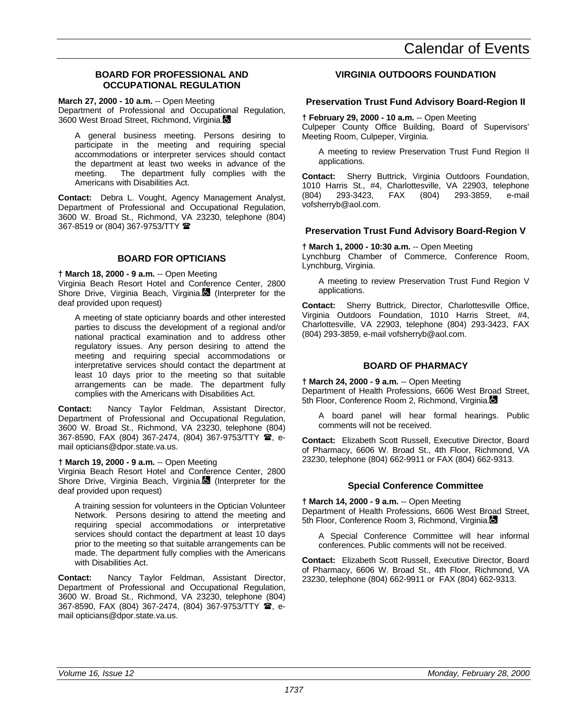## **BOARD FOR PROFESSIONAL AND OCCUPATIONAL REGULATION**

**March 27, 2000 - 10 a.m.** -- Open Meeting

Department of Professional and Occupational Regulation, 3600 West Broad Street, Richmond, Virginia.

A general business meeting. Persons desiring to participate in the meeting and requiring special accommodations or interpreter services should contact the department at least two weeks in advance of the meeting. The department fully complies with the Americans with Disabilities Act.

**Contact:** Debra L. Vought, Agency Management Analyst, Department of Professional and Occupational Regulation, 3600 W. Broad St., Richmond, VA 23230, telephone (804) 367-8519 or (804) 367-9753/TTY  $\blacksquare$ 

## **BOARD FOR OPTICIANS**

**† March 18, 2000 - 9 a.m.** -- Open Meeting

Virginia Beach Resort Hotel and Conference Center, 2800 Shore Drive, Virginia Beach, Virginia. (Interpreter for the deaf provided upon request)

A meeting of state opticianry boards and other interested parties to discuss the development of a regional and/or national practical examination and to address other regulatory issues. Any person desiring to attend the meeting and requiring special accommodations or interpretative services should contact the department at least 10 days prior to the meeting so that suitable arrangements can be made. The department fully complies with the Americans with Disabilities Act.

**Contact:** Nancy Taylor Feldman, Assistant Director, Department of Professional and Occupational Regulation, 3600 W. Broad St., Richmond, VA 23230, telephone (804) 367-8590, FAX (804) 367-2474, (804) 367-9753/TTY <sup>2</sup>, email opticians@dpor.state.va.us.

## **† March 19, 2000 - 9 a.m.** -- Open Meeting

Virginia Beach Resort Hotel and Conference Center, 2800 Shore Drive, Virginia Beach, Virginia. (Interpreter for the deaf provided upon request)

A training session for volunteers in the Optician Volunteer Network. Persons desiring to attend the meeting and requiring special accommodations or interpretative services should contact the department at least 10 days prior to the meeting so that suitable arrangements can be made. The department fully complies with the Americans with Disabilities Act.

**Contact:** Nancy Taylor Feldman, Assistant Director, Department of Professional and Occupational Regulation, 3600 W. Broad St., Richmond, VA 23230, telephone (804) 367-8590, FAX (804) 367-2474, (804) 367-9753/TTY <sup>3</sup>, email opticians@dpor.state.va.us.

## **VIRGINIA OUTDOORS FOUNDATION**

## **Preservation Trust Fund Advisory Board-Region II**

**† February 29, 2000 - 10 a.m.** -- Open Meeting Culpeper County Office Building, Board of Supervisors' Meeting Room, Culpeper, Virginia.

A meeting to review Preservation Trust Fund Region II applications.

**Contact:** Sherry Buttrick, Virginia Outdoors Foundation, 1010 Harris St., #4, Charlottesville, VA 22903, telephone (804) 293-3423, FAX (804) 293-3859, e-mail vofsherryb@aol.com.

## **Preservation Trust Fund Advisory Board-Region V**

**† March 1, 2000 - 10:30 a.m.** -- Open Meeting

Lynchburg Chamber of Commerce, Conference Room, Lynchburg, Virginia.

A meeting to review Preservation Trust Fund Region V applications.

**Contact:** Sherry Buttrick, Director, Charlottesville Office, Virginia Outdoors Foundation, 1010 Harris Street, #4, Charlottesville, VA 22903, telephone (804) 293-3423, FAX (804) 293-3859, e-mail vofsherryb@aol.com.

## **BOARD OF PHARMACY**

**† March 24, 2000 - 9 a.m.** -- Open Meeting Department of Health Professions, 6606 West Broad Street, 5th Floor, Conference Room 2, Richmond, Virginia.

A board panel will hear formal hearings. Public comments will not be received.

**Contact:** Elizabeth Scott Russell, Executive Director, Board of Pharmacy, 6606 W. Broad St., 4th Floor, Richmond, VA 23230, telephone (804) 662-9911 or FAX (804) 662-9313.

## **Special Conference Committee**

**† March 14, 2000 - 9 a.m.** -- Open Meeting

Department of Health Professions, 6606 West Broad Street, 5th Floor, Conference Room 3, Richmond, Virginia.

A Special Conference Committee will hear informal conferences. Public comments will not be received.

**Contact:** Elizabeth Scott Russell, Executive Director, Board of Pharmacy, 6606 W. Broad St., 4th Floor, Richmond, VA 23230, telephone (804) 662-9911 or FAX (804) 662-9313.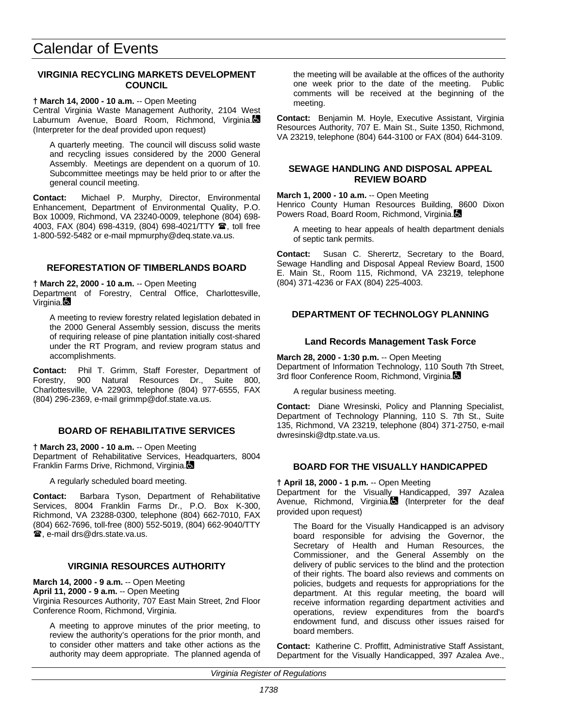## **VIRGINIA RECYCLING MARKETS DEVELOPMENT COUNCIL**

#### **† March 14, 2000 - 10 a.m.** -- Open Meeting

Central Virginia Waste Management Authority, 2104 West Laburnum Avenue, Board Room, Richmond, Virginia. (Interpreter for the deaf provided upon request)

A quarterly meeting. The council will discuss solid waste and recycling issues considered by the 2000 General Assembly. Meetings are dependent on a quorum of 10. Subcommittee meetings may be held prior to or after the general council meeting.

**Contact:** Michael P. Murphy, Director, Environmental Enhancement, Department of Environmental Quality, P.O. Box 10009, Richmond, VA 23240-0009, telephone (804) 698- 4003, FAX (804) 698-4319, (804) 698-4021/TTY <sup>1</sup>, toll free 1-800-592-5482 or e-mail mpmurphy@deq.state.va.us.

## **REFORESTATION OF TIMBERLANDS BOARD**

**† March 22, 2000 - 10 a.m.** -- Open Meeting Department of Forestry, Central Office, Charlottesville, Virginia.

A meeting to review forestry related legislation debated in the 2000 General Assembly session, discuss the merits of requiring release of pine plantation initially cost-shared under the RT Program, and review program status and accomplishments.

**Contact:** Phil T. Grimm, Staff Forester, Department of Forestry, 900 Natural Resources Dr., Suite 800, Charlottesville, VA 22903, telephone (804) 977-6555, FAX (804) 296-2369, e-mail grimmp@dof.state.va.us.

## **BOARD OF REHABILITATIVE SERVICES**

**† March 23, 2000 - 10 a.m.** -- Open Meeting Department of Rehabilitative Services, Headquarters, 8004 Franklin Farms Drive, Richmond, Virginia.

A regularly scheduled board meeting.

**Contact:** Barbara Tyson, Department of Rehabilitative Services, 8004 Franklin Farms Dr., P.O. Box K-300, Richmond, VA 23288-0300, telephone (804) 662-7010, FAX (804) 662-7696, toll-free (800) 552-5019, (804) 662-9040/TTY  $**2**$ , e-mail drs@drs.state.va.us.

## **VIRGINIA RESOURCES AUTHORITY**

**March 14, 2000 - 9 a.m.** -- Open Meeting

**April 11, 2000 - 9 a.m.** -- Open Meeting

Virginia Resources Authority, 707 East Main Street, 2nd Floor Conference Room, Richmond, Virginia.

A meeting to approve minutes of the prior meeting, to review the authority's operations for the prior month, and to consider other matters and take other actions as the authority may deem appropriate. The planned agenda of the meeting will be available at the offices of the authority one week prior to the date of the meeting. Public comments will be received at the beginning of the meeting.

**Contact:** Benjamin M. Hoyle, Executive Assistant, Virginia Resources Authority, 707 E. Main St., Suite 1350, Richmond, VA 23219, telephone (804) 644-3100 or FAX (804) 644-3109.

#### **SEWAGE HANDLING AND DISPOSAL APPEAL REVIEW BOARD**

**March 1, 2000 - 10 a.m.** -- Open Meeting Henrico County Human Resources Building, 8600 Dixon Powers Road, Board Room, Richmond, Virginia.

A meeting to hear appeals of health department denials of septic tank permits.

**Contact:** Susan C. Sherertz, Secretary to the Board, Sewage Handling and Disposal Appeal Review Board, 1500 E. Main St., Room 115, Richmond, VA 23219, telephone (804) 371-4236 or FAX (804) 225-4003.

## **DEPARTMENT OF TECHNOLOGY PLANNING**

## **Land Records Management Task Force**

**March 28, 2000 - 1:30 p.m.** -- Open Meeting Department of Information Technology, 110 South 7th Street, 3rd floor Conference Room, Richmond, Virginia.

A regular business meeting.

**Contact:** Diane Wresinski, Policy and Planning Specialist, Department of Technology Planning, 110 S. 7th St., Suite 135, Richmond, VA 23219, telephone (804) 371-2750, e-mail dwresinski@dtp.state.va.us.

## **BOARD FOR THE VISUALLY HANDICAPPED**

**† April 18, 2000 - 1 p.m.** -- Open Meeting

Department for the Visually Handicapped, 397 Azalea Avenue, Richmond, Virginia. (Interpreter for the deaf provided upon request)

The Board for the Visually Handicapped is an advisory board responsible for advising the Governor, the Secretary of Health and Human Resources, the Commissioner, and the General Assembly on the delivery of public services to the blind and the protection of their rights. The board also reviews and comments on policies, budgets and requests for appropriations for the department. At this regular meeting, the board will receive information regarding department activities and operations, review expenditures from the board's endowment fund, and discuss other issues raised for board members.

**Contact:** Katherine C. Proffitt, Administrative Staff Assistant, Department for the Visually Handicapped, 397 Azalea Ave.,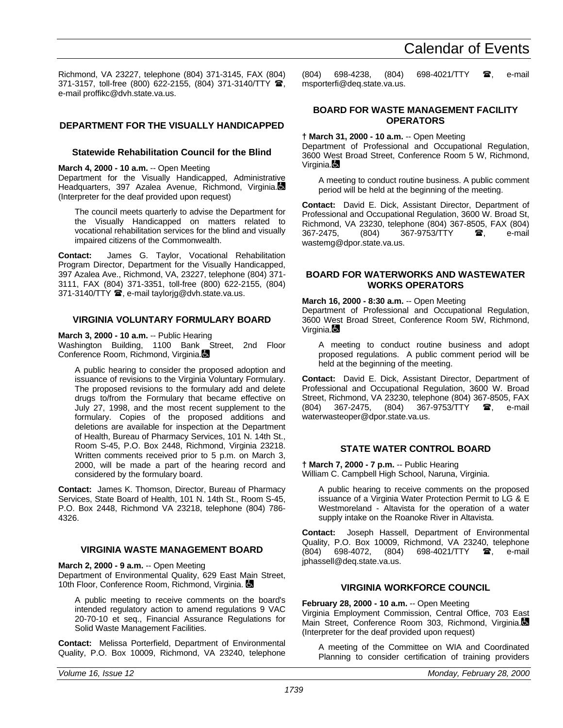Richmond, VA 23227, telephone (804) 371-3145, FAX (804) 371-3157, toll-free (800) 622-2155, (804) 371-3140/TTY 全, e-mail proffikc@dvh.state.va.us.

## **DEPARTMENT FOR THE VISUALLY HANDICAPPED**

#### **Statewide Rehabilitation Council for the Blind**

#### **March 4, 2000 - 10 a.m.** -- Open Meeting

Department for the Visually Handicapped, Administrative Headquarters, 397 Azalea Avenue, Richmond, Virginia. (Interpreter for the deaf provided upon request)

The council meets quarterly to advise the Department for the Visually Handicapped on matters related to vocational rehabilitation services for the blind and visually impaired citizens of the Commonwealth.

**Contact:** James G. Taylor, Vocational Rehabilitation Program Director, Department for the Visually Handicapped, 397 Azalea Ave., Richmond, VA, 23227, telephone (804) 371- 3111, FAX (804) 371-3351, toll-free (800) 622-2155, (804) 371-3140/TTY  $\hat{\mathbf{x}}$ , e-mail taylorig@dvh.state.va.us.

#### **VIRGINIA VOLUNTARY FORMULARY BOARD**

**March 3, 2000 - 10 a.m.** -- Public Hearing

Washington Building, 1100 Bank Street, 2nd Floor Conference Room, Richmond, Virginia.

A public hearing to consider the proposed adoption and issuance of revisions to the Virginia Voluntary Formulary. The proposed revisions to the formulary add and delete drugs to/from the Formulary that became effective on July 27, 1998, and the most recent supplement to the formulary. Copies of the proposed additions and deletions are available for inspection at the Department of Health, Bureau of Pharmacy Services, 101 N. 14th St., Room S-45, P.O. Box 2448, Richmond, Virginia 23218. Written comments received prior to 5 p.m. on March 3, 2000, will be made a part of the hearing record and considered by the formulary board.

**Contact:** James K. Thomson, Director, Bureau of Pharmacy Services, State Board of Health, 101 N. 14th St., Room S-45, P.O. Box 2448, Richmond VA 23218, telephone (804) 786- 4326.

#### **VIRGINIA WASTE MANAGEMENT BOARD**

**March 2, 2000 - 9 a.m.** -- Open Meeting

Department of Environmental Quality, 629 East Main Street, 10th Floor, Conference Room, Richmond, Virginia.

A public meeting to receive comments on the board's intended regulatory action to amend regulations 9 VAC 20-70-10 et seq., Financial Assurance Regulations for Solid Waste Management Facilities.

**Contact:** Melissa Porterfield, Department of Environmental Quality, P.O. Box 10009, Richmond, VA 23240, telephone

(804) 698-4238, (804) 698-4021/TTY **雷**, e-mail msporterfi@deq.state.va.us.

### **BOARD FOR WASTE MANAGEMENT FACILITY OPERATORS**

## **† March 31, 2000 - 10 a.m.** -- Open Meeting

Department of Professional and Occupational Regulation, 3600 West Broad Street, Conference Room 5 W, Richmond, Virginia.

A meeting to conduct routine business. A public comment period will be held at the beginning of the meeting.

**Contact:** David E. Dick, Assistant Director, Department of Professional and Occupational Regulation, 3600 W. Broad St, Richmond, VA 23230, telephone (804) 367-8505, FAX (804) 367-2475, (804) 367-9753/TTY **雷,** e-mail wastemg@dpor.state.va.us.

### **BOARD FOR WATERWORKS AND WASTEWATER WORKS OPERATORS**

#### **March 16, 2000 - 8:30 a.m.** -- Open Meeting

Department of Professional and Occupational Regulation, 3600 West Broad Street, Conference Room 5W, Richmond, Virginia.

A meeting to conduct routine business and adopt proposed regulations. A public comment period will be held at the beginning of the meeting.

**Contact:** David E. Dick, Assistant Director, Department of Professional and Occupational Regulation, 3600 W. Broad Street, Richmond, VA 23230, telephone (804) 367-8505, FAX (804) 367-2475, (804) 367-9753/TTY **雷**, e-mail waterwasteoper@dpor.state.va.us.

#### **STATE WATER CONTROL BOARD**

**† March 7, 2000 - 7 p.m.** -- Public Hearing William C. Campbell High School, Naruna, Virginia.

A public hearing to receive comments on the proposed issuance of a Virginia Water Protection Permit to LG & E Westmoreland - Altavista for the operation of a water supply intake on the Roanoke River in Altavista.

**Contact:** Joseph Hassell, Department of Environmental Quality, P.O. Box 10009, Richmond, VA 23240, telephone<br>(804) 698-4072, (804) 698-4021/TTY **28**, e-mail 698-4021/TTY  $\bullet$ . jphassell@deq.state.va.us.

## **VIRGINIA WORKFORCE COUNCIL**

**February 28, 2000 - 10 a.m.** -- Open Meeting

Virginia Employment Commission, Central Office, 703 East Main Street, Conference Room 303, Richmond, Virginia. (Interpreter for the deaf provided upon request)

A meeting of the Committee on WIA and Coordinated Planning to consider certification of training providers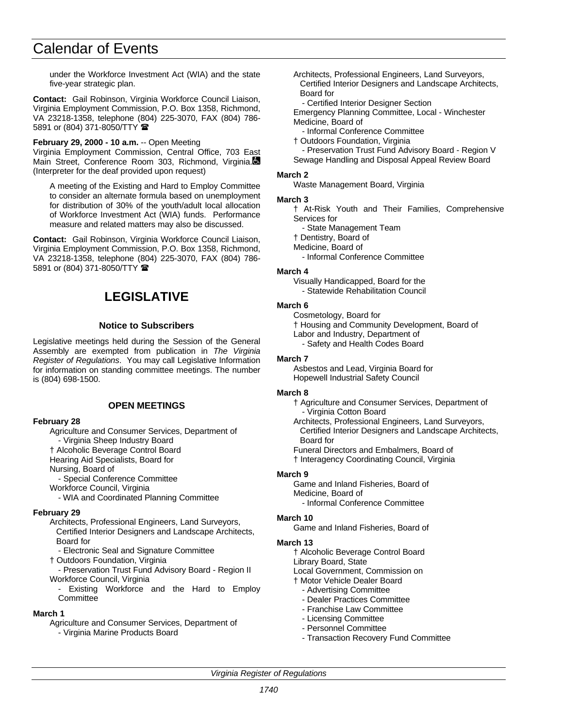under the Workforce Investment Act (WIA) and the state five-year strategic plan.

**Contact:** Gail Robinson, Virginia Workforce Council Liaison, Virginia Employment Commission, P.O. Box 1358, Richmond, VA 23218-1358, telephone (804) 225-3070, FAX (804) 786- 5891 or (804) 371-8050/TTY

**February 29, 2000 - 10 a.m.** -- Open Meeting

Virginia Employment Commission, Central Office, 703 East Main Street, Conference Room 303, Richmond, Virginia. (Interpreter for the deaf provided upon request)

A meeting of the Existing and Hard to Employ Committee to consider an alternate formula based on unemployment for distribution of 30% of the youth/adult local allocation of Workforce Investment Act (WIA) funds. Performance measure and related matters may also be discussed.

**Contact:** Gail Robinson, Virginia Workforce Council Liaison, Virginia Employment Commission, P.O. Box 1358, Richmond, VA 23218-1358, telephone (804) 225-3070, FAX (804) 786- 5891 or (804) 371-8050/TTY  $\blacksquare$ 

# **LEGISLATIVE**

#### **Notice to Subscribers**

Legislative meetings held during the Session of the General Assembly are exempted from publication in *The Virginia Register of Regulations*. You may call Legislative Information for information on standing committee meetings. The number is (804) 698-1500.

#### **OPEN MEETINGS**

#### **February 28**

Agriculture and Consumer Services, Department of

- Virginia Sheep Industry Board

† Alcoholic Beverage Control Board

Hearing Aid Specialists, Board for

Nursing, Board of

- Special Conference Committee

Workforce Council, Virginia

- WIA and Coordinated Planning Committee

#### **February 29**

Architects, Professional Engineers, Land Surveyors, Certified Interior Designers and Landscape Architects, Board for

- Electronic Seal and Signature Committee

† Outdoors Foundation, Virginia

- Preservation Trust Fund Advisory Board - Region II Workforce Council, Virginia

Existing Workforce and the Hard to Employ **Committee** 

#### **March 1**

Agriculture and Consumer Services, Department of - Virginia Marine Products Board

- Architects, Professional Engineers, Land Surveyors, Certified Interior Designers and Landscape Architects, Board for
	- Certified Interior Designer Section

Emergency Planning Committee, Local - Winchester Medicine, Board of

- Informal Conference Committee

† Outdoors Foundation, Virginia

- Preservation Trust Fund Advisory Board - Region V Sewage Handling and Disposal Appeal Review Board

#### **March 2**

Waste Management Board, Virginia

#### **March 3**

† At-Risk Youth and Their Families, Comprehensive Services for

- State Management Team † Dentistry, Board of

Medicine, Board of

- Informal Conference Committee

#### **March 4**

Visually Handicapped, Board for the - Statewide Rehabilitation Council

#### **March 6**

Cosmetology, Board for † Housing and Community Development, Board of Labor and Industry, Department of - Safety and Health Codes Board

#### **March 7**

Asbestos and Lead, Virginia Board for Hopewell Industrial Safety Council

#### **March 8**

† Agriculture and Consumer Services, Department of - Virginia Cotton Board

Architects, Professional Engineers, Land Surveyors, Certified Interior Designers and Landscape Architects, Board for

Funeral Directors and Embalmers, Board of

† Interagency Coordinating Council, Virginia

#### **March 9**

Game and Inland Fisheries, Board of Medicine, Board of

- Informal Conference Committee

## **March 10**

Game and Inland Fisheries, Board of

## **March 13**

† Alcoholic Beverage Control Board Library Board, State Local Government, Commission on † Motor Vehicle Dealer Board

- Advertising Committee
	- Dealer Practices Committee
- Franchise Law Committee
- Licensing Committee
- Personnel Committee
- Transaction Recovery Fund Committee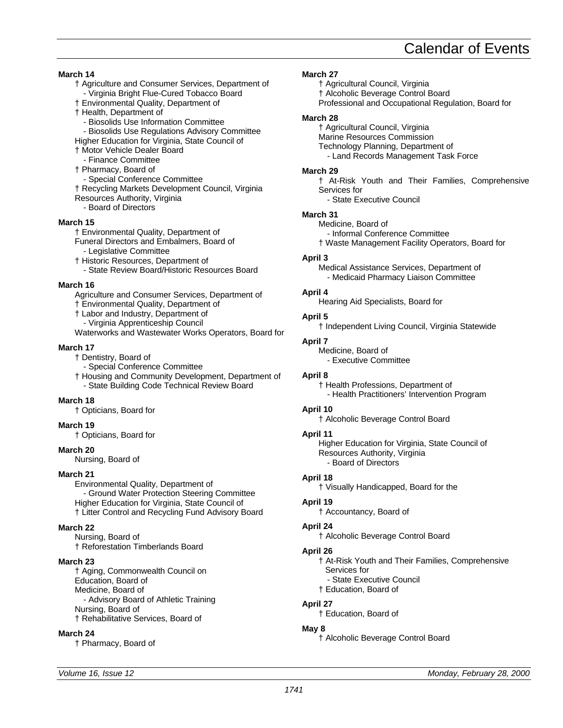**March 14**

- † Agriculture and Consumer Services, Department of - Virginia Bright Flue-Cured Tobacco Board
- † Environmental Quality, Department of
- † Health, Department of
	- Biosolids Use Information Committee
- Biosolids Use Regulations Advisory Committee
- Higher Education for Virginia, State Council of
- † Motor Vehicle Dealer Board
- Finance Committee
- † Pharmacy, Board of
- Special Conference Committee
- † Recycling Markets Development Council, Virginia
- Resources Authority, Virginia
- Board of Directors

#### **March 15**

- † Environmental Quality, Department of
- Funeral Directors and Embalmers, Board of
- Legislative Committee
- † Historic Resources, Department of
- State Review Board/Historic Resources Board

#### **March 16**

- Agriculture and Consumer Services, Department of
- † Environmental Quality, Department of
- † Labor and Industry, Department of
- Virginia Apprenticeship Council
- Waterworks and Wastewater Works Operators, Board for

#### **March 17**

- † Dentistry, Board of
	- Special Conference Committee
- † Housing and Community Development, Department of - State Building Code Technical Review Board

#### **March 18**

† Opticians, Board for

## **March 19**

† Opticians, Board for

## **March 20**

Nursing, Board of

#### **March 21**

Environmental Quality, Department of - Ground Water Protection Steering Committee Higher Education for Virginia, State Council of † Litter Control and Recycling Fund Advisory Board

#### **March 22**

Nursing, Board of † Reforestation Timberlands Board

#### **March 23**

† Aging, Commonwealth Council on Education, Board of Medicine, Board of - Advisory Board of Athletic Training Nursing, Board of † Rehabilitative Services, Board of

#### **March 24**

† Pharmacy, Board of

### **March 27**

- † Agricultural Council, Virginia † Alcoholic Beverage Control Board
- Professional and Occupational Regulation, Board for

#### **March 28**

† Agricultural Council, Virginia Marine Resources Commission Technology Planning, Department of - Land Records Management Task Force

#### **March 29**

- † At-Risk Youth and Their Families, Comprehensive Services for
	- State Executive Council

#### **March 31**

Medicine, Board of - Informal Conference Committee

† Waste Management Facility Operators, Board for

#### **April 3**

Medical Assistance Services, Department of - Medicaid Pharmacy Liaison Committee

#### **April 4**

Hearing Aid Specialists, Board for

#### **April 5**

† Independent Living Council, Virginia Statewide

#### **April 7**

Medicine, Board of - Executive Committee

#### **April 8**

† Health Professions, Department of - Health Practitioners' Intervention Program

#### **April 10**

† Alcoholic Beverage Control Board

#### **April 11**

Higher Education for Virginia, State Council of Resources Authority, Virginia - Board of Directors

#### **April 18**

† Visually Handicapped, Board for the

## **April 19**

† Accountancy, Board of

#### **April 24**

† Alcoholic Beverage Control Board

#### **April 26**

- † At-Risk Youth and Their Families, Comprehensive Services for
	- State Executive Council
- † Education, Board of

#### **April 27**

† Education, Board of

## **May 8**

† Alcoholic Beverage Control Board